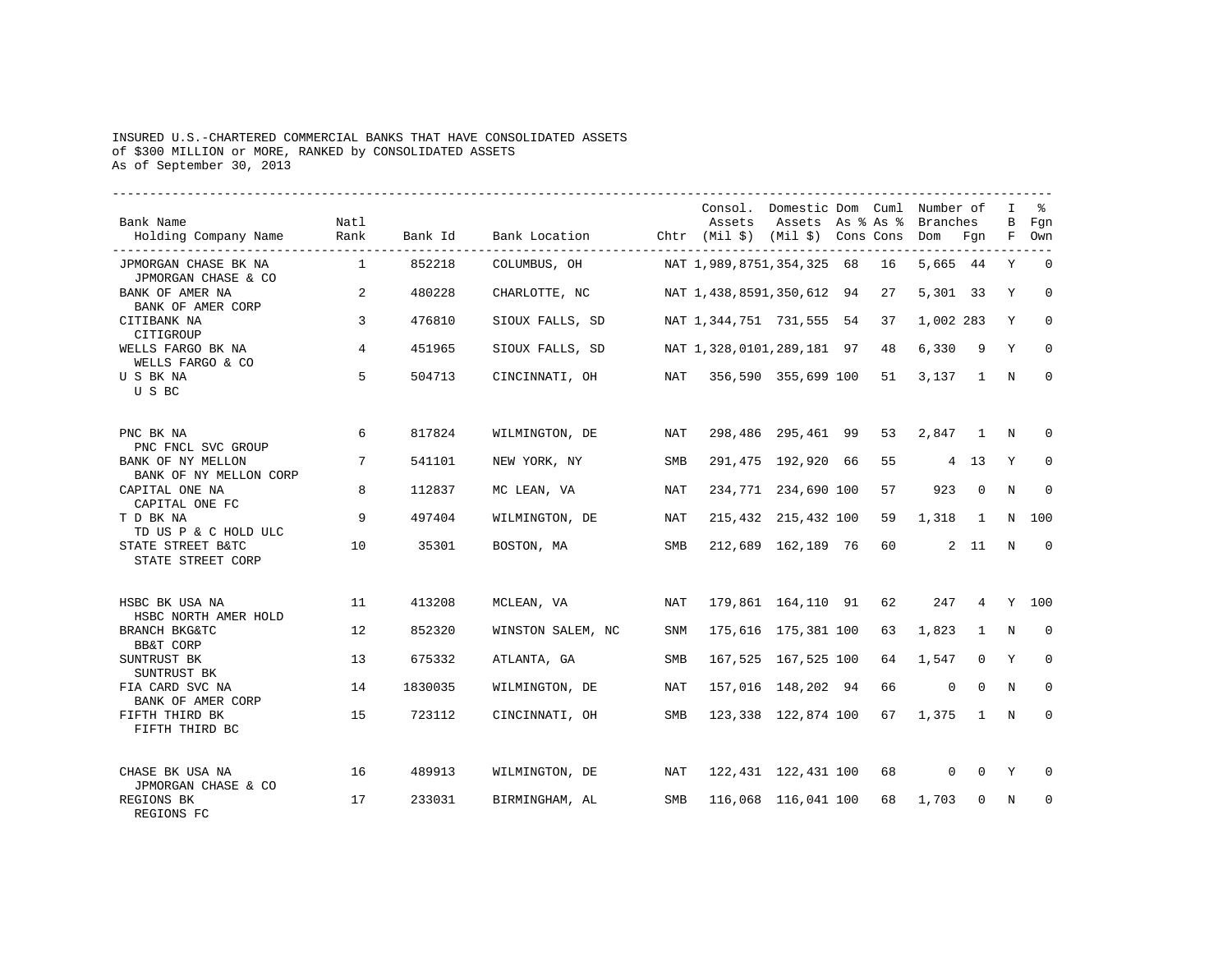## INSURED U.S.-CHARTERED COMMERCIAL BANKS THAT HAVE CONSOLIDATED ASSETS of \$300 MILLION or MORE, RANKED by CONSOLIDATED ASSETS As of September 30, 2013

| Bank Name<br>Holding Company Name                           | Natl<br>Rank   | Bank Id | Bank Location Chtr (Mil \$) (Mil \$) Cons Cons Dom Fgn |            | Consol. Domestic Dom Cuml Number of | Assets Assets As % As % Branches |    |                    |                | $\mathbf{I}$<br>$\mathbf{B}$ | Fgn<br>F Own   |
|-------------------------------------------------------------|----------------|---------|--------------------------------------------------------|------------|-------------------------------------|----------------------------------|----|--------------------|----------------|------------------------------|----------------|
| JPMORGAN CHASE BK NA                                        | $\overline{1}$ | 852218  | COLUMBUS, OH                                           |            | NAT 1,989,8751,354,325 68 16        |                                  |    | 5,665 44           |                | Y                            | $\overline{0}$ |
| JPMORGAN CHASE & CO<br>BANK OF AMER NA<br>BANK OF AMER CORP | 2              | 480228  | CHARLOTTE, NC                                          |            | NAT 1,438,8591,350,612 94           |                                  | 27 | 5,301 33           |                | Y                            | $\Omega$       |
| CITIBANK NA<br>CITIGROUP                                    | $\overline{3}$ | 476810  | SIOUX FALLS, SD                                        |            | NAT 1,344,751 731,555 54 37         |                                  |    | 1,002 283          |                | Y                            | $\mathbf 0$    |
| WELLS FARGO BK NA<br>WELLS FARGO & CO                       | 4              | 451965  | SIOUX FALLS, SD                                        |            | NAT 1,328,0101,289,181 97 48        |                                  |    | 6,330              | - 9            | Y                            | $\mathbf 0$    |
| U S BK NA<br>U S BC                                         | 5              | 504713  | CINCINNATI, OH                                         |            | NAT 356,590 355,699 100 51          |                                  |    | 3,137 1 N          |                |                              | $\mathbf{0}$   |
| PNC BK NA<br>PNC FNCL SVC GROUP                             | 6              | 817824  | WILMINGTON, DE                                         | NAT        |                                     | 298,486 295,461 99               | 53 | 2,847 1 N          |                |                              | $\Omega$       |
| BANK OF NY MELLON<br>BANK OF NY MELLON CORP                 | 7              | 541101  | NEW YORK, NY                                           | SMB        |                                     | 291,475 192,920 66               | 55 | 4 13               |                | Y                            | 0              |
| CAPITAL ONE NA<br>CAPITAL ONE FC                            | 8              | 112837  | MC LEAN, VA                                            | <b>NAT</b> |                                     | 234,771 234,690 100              | 57 |                    | 923 0          | N                            | $\mathbf{0}$   |
| T D BK NA<br>TD US P & C HOLD ULC                           | 9              | 497404  | WILMINGTON, DE                                         | NAT        |                                     | 215,432 215,432 100              | 59 | 1,318 1            |                |                              | N 100          |
| STATE STREET B&TC<br>STATE STREET CORP                      | 10             | 35301   | BOSTON, MA                                             | SMB        |                                     | 212,689 162,189 76               | 60 |                    | 2 11           | N                            | $\overline{0}$ |
| HSBC BK USA NA<br>HSBC NORTH AMER HOLD                      | 11             | 413208  | MCLEAN, VA                                             | NAT        |                                     | 179,861 164,110 91 62            |    |                    | 247 4 Y 100    |                              |                |
| BRANCH BKG&TC<br>BB&T CORP                                  | 12             | 852320  | WINSTON SALEM, NC                                      | <b>SNM</b> |                                     | 175,616 175,381 100              | 63 | 1,823              | $\overline{1}$ | N                            | $\Omega$       |
| SUNTRUST BK<br>SUNTRUST BK                                  | 13             | 675332  | ATLANTA, GA                                            | SMB        |                                     | 167,525 167,525 100              | 64 | 1,547              | $\mathbf{0}$   | Y                            | $\mathbf 0$    |
| FIA CARD SVC NA<br>BANK OF AMER CORP                        | 14             | 1830035 | WILMINGTON, DE                                         | NAT        |                                     | 157,016 148,202 94               | 66 | $\overline{0}$     | $\bigcirc$     | N                            | $\Omega$       |
| FIFTH THIRD BK<br>FIFTH THIRD BC                            | 15             | 723112  | CINCINNATI, OH                                         | SMB        |                                     | 123,338 122,874 100 67           |    | $1,375$ 1 N        |                |                              | $\mathbf 0$    |
| CHASE BK USA NA                                             | 16             | 489913  | WILMINGTON, DE                                         | NAT        |                                     | 122,431 122,431 100 68           |    | $0\qquad0\qquad$ Y |                |                              | $\Omega$       |
| JPMORGAN CHASE & CO<br>REGIONS BK<br>REGIONS FC             | 17             | 233031  | BIRMINGHAM, AL                                         | SMB        |                                     | 116,068 116,041 100              | 68 | 1,703              | $\circ$        | N                            | $\mathbf{0}$   |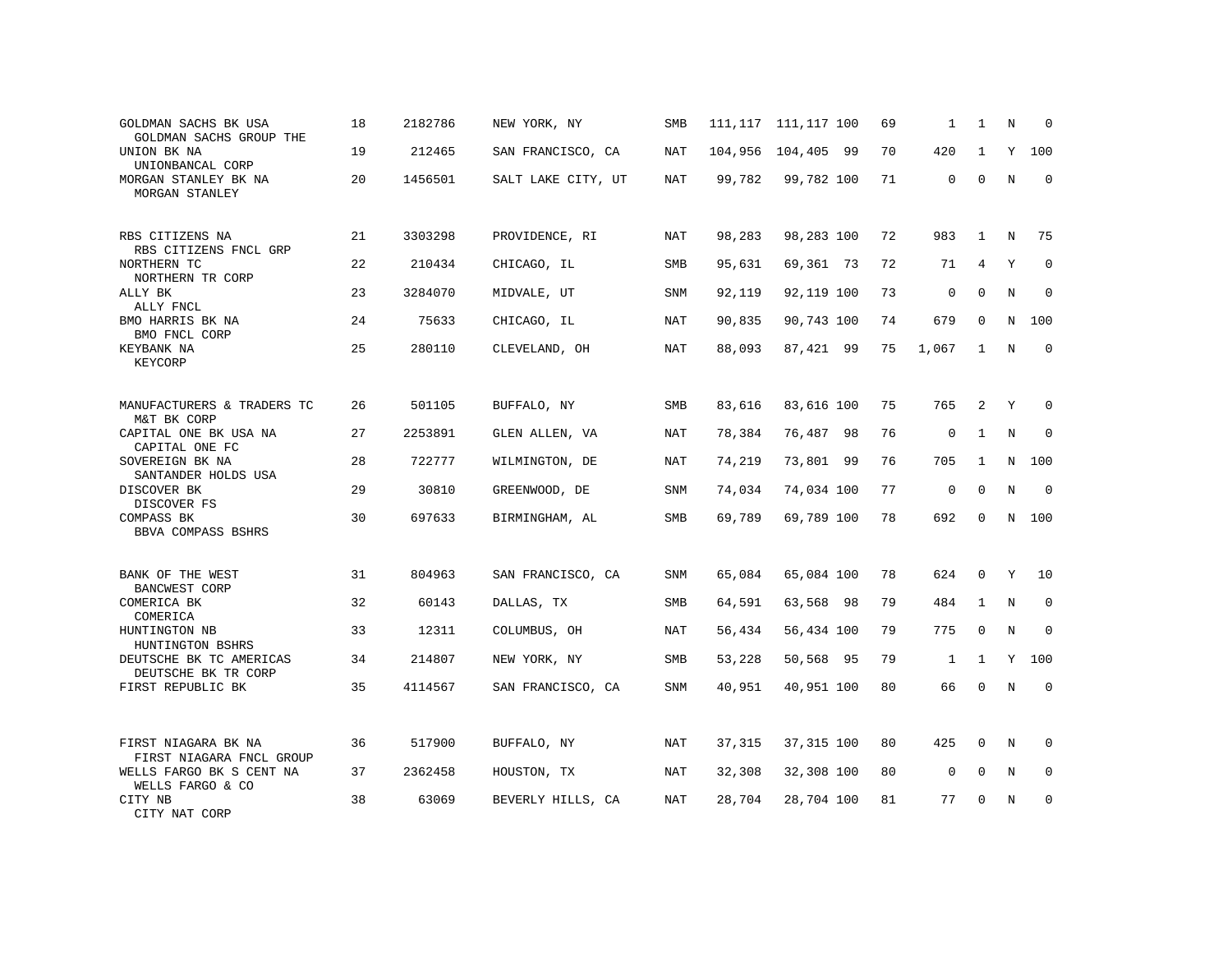| GOLDMAN SACHS BK USA<br>GOLDMAN SACHS GROUP THE          | 18 | 2182786 | NEW YORK, NY       | SMB        |        | 111, 117 111, 117 100 | 69 | 1            | 1            | N           | <sup>0</sup> |
|----------------------------------------------------------|----|---------|--------------------|------------|--------|-----------------------|----|--------------|--------------|-------------|--------------|
| UNION BK NA<br>UNIONBANCAL CORP                          | 19 | 212465  | SAN FRANCISCO, CA  | <b>NAT</b> |        | 104,956 104,405 99    | 70 | 420          | $\mathbf{1}$ | Y           | 100          |
| MORGAN STANLEY BK NA<br>MORGAN STANLEY                   | 20 | 1456501 | SALT LAKE CITY, UT | NAT        | 99,782 | 99,782 100            | 71 | $\mathbf 0$  | $\Omega$     | N           | $\Omega$     |
| RBS CITIZENS NA                                          | 21 | 3303298 | PROVIDENCE, RI     | NAT        | 98,283 | 98,283 100            | 72 | 983          | 1            | N           | 75           |
| RBS CITIZENS FNCL GRP<br>NORTHERN TC<br>NORTHERN TR CORP | 22 | 210434  | CHICAGO, IL        | <b>SMB</b> | 95,631 | 69,361 73             | 72 | 71           | 4            | Y           | $\mathbf 0$  |
| ALLY BK<br>ALLY FNCL                                     | 23 | 3284070 | MIDVALE, UT        | SNM        | 92,119 | 92,119 100            | 73 | $\mathbf 0$  | $\Omega$     | $\mathbf N$ | $\mathbf 0$  |
| BMO HARRIS BK NA<br>BMO FNCL CORP                        | 24 | 75633   | CHICAGO, IL        | <b>NAT</b> | 90,835 | 90,743 100            | 74 | 679          | $\Omega$     | N           | 100          |
| KEYBANK NA<br>KEYCORP                                    | 25 | 280110  | CLEVELAND, OH      | <b>NAT</b> | 88,093 | 87,421 99             | 75 | 1,067        | $\mathbf{1}$ | N           | $\mathbf 0$  |
| MANUFACTURERS & TRADERS TC                               | 26 | 501105  | BUFFALO, NY        | <b>SMB</b> | 83,616 | 83,616 100            | 75 | 765          | 2            | Y           | $\Omega$     |
| M&T BK CORP<br>CAPITAL ONE BK USA NA                     | 27 | 2253891 | GLEN ALLEN, VA     | NAT        | 78,384 | 76,487 98             | 76 | $\mathbf 0$  | $\mathbf{1}$ | $\rm N$     | $\mathbf 0$  |
| CAPITAL ONE FC<br>SOVEREIGN BK NA                        | 28 | 722777  | WILMINGTON, DE     | <b>NAT</b> | 74,219 | 73,801 99             | 76 | 705          | $\mathbf{1}$ | N           | 100          |
| SANTANDER HOLDS USA<br>DISCOVER BK<br>DISCOVER FS        | 29 | 30810   | GREENWOOD, DE      | SNM        | 74,034 | 74,034 100            | 77 | $\mathbf 0$  | $\Omega$     | $\rm N$     | $\Omega$     |
| COMPASS BK<br>BBVA COMPASS BSHRS                         | 30 | 697633  | BIRMINGHAM, AL     | <b>SMB</b> | 69,789 | 69,789 100            | 78 | 692          | $\Omega$     | N           | 100          |
| BANK OF THE WEST<br>BANCWEST CORP                        | 31 | 804963  | SAN FRANCISCO, CA  | <b>SNM</b> | 65,084 | 65,084 100            | 78 | 624          | $\Omega$     | Y           | 10           |
| COMERICA BK<br>COMERICA                                  | 32 | 60143   | DALLAS, TX         | <b>SMB</b> | 64,591 | 63,568 98             | 79 | 484          | $\mathbf{1}$ | $\rm N$     | $\mathbf 0$  |
| HUNTINGTON NB<br>HUNTINGTON BSHRS                        | 33 | 12311   | COLUMBUS, OH       | <b>NAT</b> | 56,434 | 56,434 100            | 79 | 775          | $\Omega$     | N           | $\Omega$     |
| DEUTSCHE BK TC AMERICAS<br>DEUTSCHE BK TR CORP           | 34 | 214807  | NEW YORK, NY       | <b>SMB</b> | 53,228 | 50,568 95             | 79 | $\mathbf{1}$ | $\mathbf{1}$ | Y           | 100          |
| FIRST REPUBLIC BK                                        | 35 | 4114567 | SAN FRANCISCO, CA  | <b>SNM</b> | 40,951 | 40,951 100            | 80 | 66           | $\Omega$     | $_{\rm N}$  | $\Omega$     |
| FIRST NIAGARA BK NA                                      | 36 | 517900  | BUFFALO, NY        | <b>NAT</b> | 37,315 | 37,315 100            | 80 | 425          | 0            | N           | $\Omega$     |
| FIRST NIAGARA FNCL GROUP<br>WELLS FARGO BK S CENT NA     | 37 | 2362458 | HOUSTON, TX        | NAT        | 32,308 | 32,308 100            | 80 | 0            | $\mathbf 0$  | N           | 0            |
| WELLS FARGO & CO<br>CITY NB<br>CITY NAT CORP             | 38 | 63069   | BEVERLY HILLS, CA  | NAT        | 28,704 | 28,704 100            | 81 | 77           | $\Omega$     | N           | $\mathbf 0$  |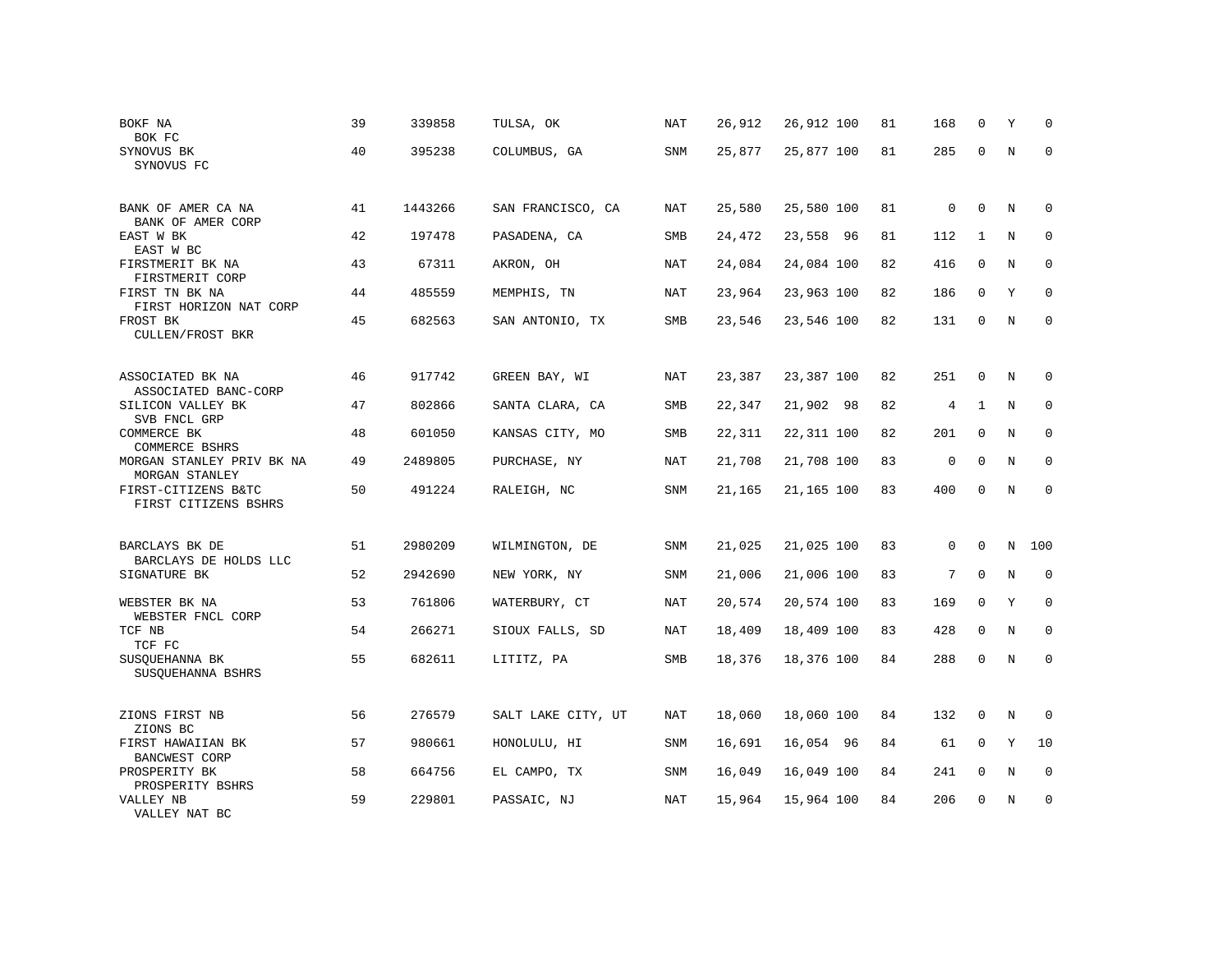| BOKF NA<br>BOK FC                           | 39 | 339858  | TULSA, OK          | <b>NAT</b> | 26,912 | 26,912 100 | 81 | 168            | 0            | Υ           | $\Omega$    |
|---------------------------------------------|----|---------|--------------------|------------|--------|------------|----|----------------|--------------|-------------|-------------|
| SYNOVUS BK<br>SYNOVUS FC                    | 40 | 395238  | COLUMBUS, GA       | SNM        | 25,877 | 25,877 100 | 81 | 285            | $\Omega$     | N           | $\mathbf 0$ |
| BANK OF AMER CA NA<br>BANK OF AMER CORP     | 41 | 1443266 | SAN FRANCISCO, CA  | NAT        | 25,580 | 25,580 100 | 81 | $\mathbf 0$    | $\mathbf 0$  | N           | $\mathbf 0$ |
| EAST W BK<br>EAST W BC                      | 42 | 197478  | PASADENA, CA       | <b>SMB</b> | 24,472 | 23,558 96  | 81 | 112            | $\mathbf{1}$ | N           | $\mathbf 0$ |
| FIRSTMERIT BK NA<br>FIRSTMERIT CORP         | 43 | 67311   | AKRON, OH          | NAT        | 24,084 | 24,084 100 | 82 | 416            | $\mathbf{0}$ | $\mathbf N$ | $\mathbf 0$ |
| FIRST TN BK NA<br>FIRST HORIZON NAT CORP    | 44 | 485559  | MEMPHIS, TN        | NAT        | 23,964 | 23,963 100 | 82 | 186            | $\mathbf{0}$ | Y           | $\mathbf 0$ |
| FROST BK<br>CULLEN/FROST BKR                | 45 | 682563  | SAN ANTONIO, TX    | SMB        | 23,546 | 23,546 100 | 82 | 131            | $\mathbf{0}$ | N           | $\mathbf 0$ |
| ASSOCIATED BK NA<br>ASSOCIATED BANC-CORP    | 46 | 917742  | GREEN BAY, WI      | NAT        | 23,387 | 23,387 100 | 82 | 251            | $\mathbf 0$  | N           | 0           |
| SILICON VALLEY BK<br>SVB FNCL GRP           | 47 | 802866  | SANTA CLARA, CA    | SMB        | 22,347 | 21,902 98  | 82 | $\overline{4}$ | $\mathbf{1}$ | N           | $\mathbf 0$ |
| COMMERCE BK<br>COMMERCE BSHRS               | 48 | 601050  | KANSAS CITY, MO    | SMB        | 22,311 | 22,311 100 | 82 | 201            | $\mathbf 0$  | N           | $\mathbf 0$ |
| MORGAN STANLEY PRIV BK NA<br>MORGAN STANLEY | 49 | 2489805 | PURCHASE, NY       | NAT        | 21,708 | 21,708 100 | 83 | $\mathbf 0$    | $\mathbf 0$  | N           | $\mathbf 0$ |
| FIRST-CITIZENS B&TC<br>FIRST CITIZENS BSHRS | 50 | 491224  | RALEIGH, NC        | SNM        | 21,165 | 21,165 100 | 83 | 400            | $\Omega$     | $_{\rm N}$  | $\mathbf 0$ |
| BARCLAYS BK DE<br>BARCLAYS DE HOLDS LLC     | 51 | 2980209 | WILMINGTON, DE     | <b>SNM</b> | 21,025 | 21,025 100 | 83 | $\mathbf 0$    | $\Omega$     |             | N 100       |
| SIGNATURE BK                                | 52 | 2942690 | NEW YORK, NY       | SNM        | 21,006 | 21,006 100 | 83 | 7              | $\Omega$     | $\mathbb N$ | $\mathbf 0$ |
| WEBSTER BK NA<br>WEBSTER FNCL CORP          | 53 | 761806  | WATERBURY, CT      | NAT        | 20,574 | 20,574 100 | 83 | 169            | $\Omega$     | Y           | $\mathbf 0$ |
| TCF NB<br>TCF FC                            | 54 | 266271  | SIOUX FALLS, SD    | NAT        | 18,409 | 18,409 100 | 83 | 428            | $\Omega$     | N           | $\Omega$    |
| SUSQUEHANNA BK<br>SUSQUEHANNA BSHRS         | 55 | 682611  | LITITZ, PA         | SMB        | 18,376 | 18,376 100 | 84 | 288            | $\Omega$     | $\mathbf N$ | $\mathbf 0$ |
| ZIONS FIRST NB<br>ZIONS BC                  | 56 | 276579  | SALT LAKE CITY, UT | NAT        | 18,060 | 18,060 100 | 84 | 132            | $\mathbf 0$  | N           | $\mathbf 0$ |
| FIRST HAWAIIAN BK<br><b>BANCWEST CORP</b>   | 57 | 980661  | HONOLULU, HI       | SNM        | 16,691 | 16,054 96  | 84 | 61             | $\mathbf 0$  | Y           | 10          |
| PROSPERITY BK<br>PROSPERITY BSHRS           | 58 | 664756  | EL CAMPO, TX       | SNM        | 16,049 | 16,049 100 | 84 | 241            | $\mathbf{0}$ | N           | $\mathbf 0$ |
| VALLEY NB<br>VALLEY NAT BC                  | 59 | 229801  | PASSAIC, NJ        | NAT        | 15,964 | 15,964 100 | 84 | 206            | $\Omega$     | N           | $\mathbf 0$ |
|                                             |    |         |                    |            |        |            |    |                |              |             |             |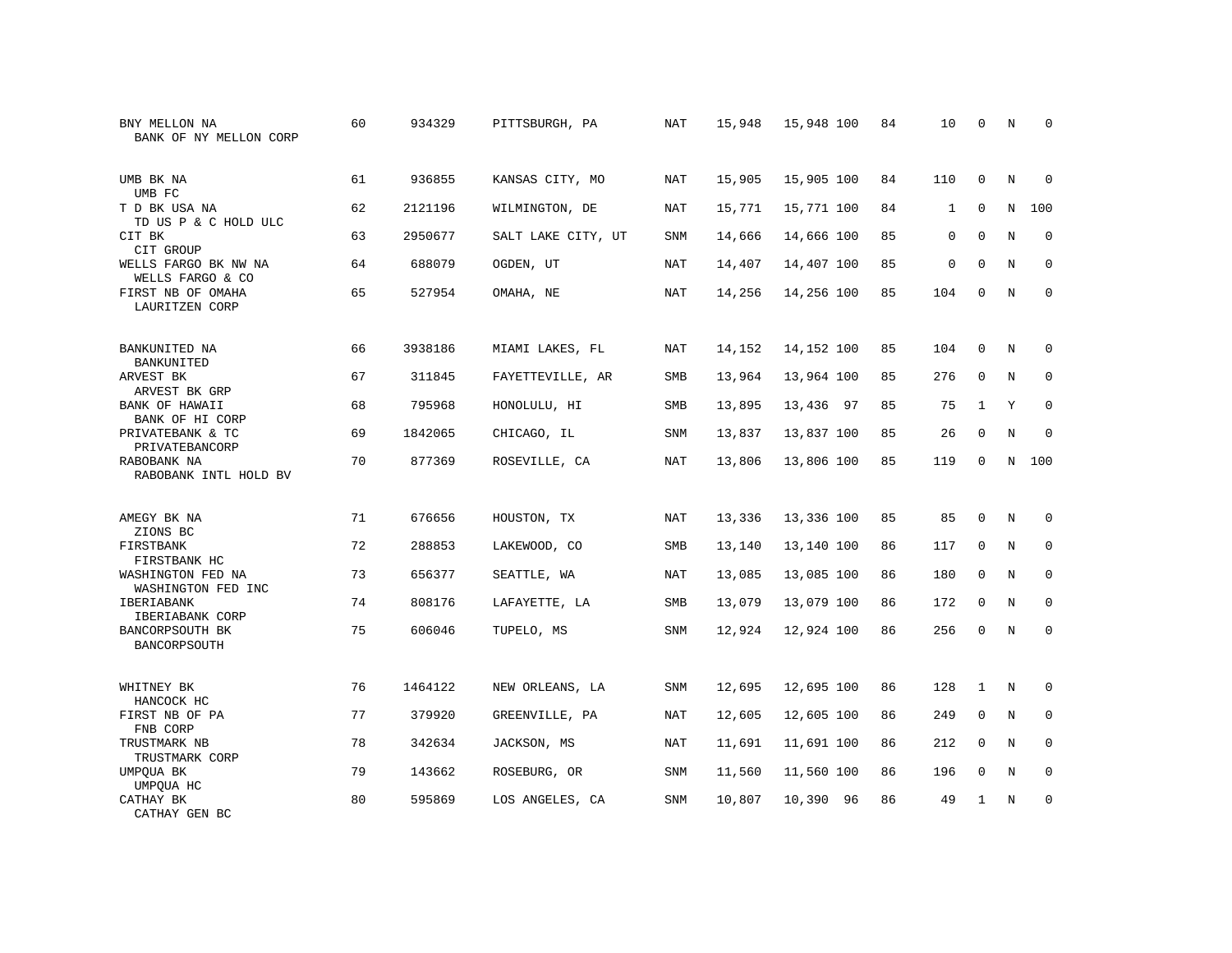| BNY MELLON NA<br>BANK OF NY MELLON CORP  | 60 | 934329  | PITTSBURGH, PA     | <b>NAT</b> | 15,948 | 15,948 100 | 84 | 10           | $\mathbf 0$  | $\rm N$ | $\mathbf 0$  |
|------------------------------------------|----|---------|--------------------|------------|--------|------------|----|--------------|--------------|---------|--------------|
| UMB BK NA<br>UMB FC                      | 61 | 936855  | KANSAS CITY, MO    | <b>NAT</b> | 15,905 | 15,905 100 | 84 | 110          | $\Omega$     | N       | $\Omega$     |
| T D BK USA NA<br>TD US P & C HOLD ULC    | 62 | 2121196 | WILMINGTON, DE     | NAT        | 15,771 | 15,771 100 | 84 | $\mathbf{1}$ | 0            | N       | 100          |
| CIT BK<br>CIT GROUP                      | 63 | 2950677 | SALT LAKE CITY, UT | <b>SNM</b> | 14,666 | 14,666 100 | 85 | $\mathbf 0$  | $\Omega$     | N       | $\mathbf 0$  |
| WELLS FARGO BK NW NA<br>WELLS FARGO & CO | 64 | 688079  | OGDEN, UT          | NAT        | 14,407 | 14,407 100 | 85 | $\mathbf 0$  | $\Omega$     | N       | $\mathbf 0$  |
| FIRST NB OF OMAHA<br>LAURITZEN CORP      | 65 | 527954  | OMAHA, NE          | NAT        | 14,256 | 14,256 100 | 85 | 104          | 0            | N       | $\mathbf 0$  |
| BANKUNITED NA<br>BANKUNITED              | 66 | 3938186 | MIAMI LAKES, FL    | <b>NAT</b> | 14,152 | 14,152 100 | 85 | 104          | $\mathbf{0}$ | N       | 0            |
| ARVEST BK<br>ARVEST BK GRP               | 67 | 311845  | FAYETTEVILLE, AR   | SMB        | 13,964 | 13,964 100 | 85 | 276          | $\mathbf 0$  | N       | 0            |
| BANK OF HAWAII<br>BANK OF HI CORP        | 68 | 795968  | HONOLULU, HI       | SMB        | 13,895 | 13,436 97  | 85 | 75           | $\mathbf{1}$ | Y       | $\mathbf{0}$ |
| PRIVATEBANK & TC<br>PRIVATEBANCORP       | 69 | 1842065 | CHICAGO, IL        | SNM        | 13,837 | 13,837 100 | 85 | 26           | 0            | N       | 0            |
| RABOBANK NA<br>RABOBANK INTL HOLD BV     | 70 | 877369  | ROSEVILLE, CA      | <b>NAT</b> | 13,806 | 13,806 100 | 85 | 119          | $\mathbf 0$  | N       | 100          |
| AMEGY BK NA<br>ZIONS BC                  | 71 | 676656  | HOUSTON, TX        | <b>NAT</b> | 13,336 | 13,336 100 | 85 | 85           | $\mathbf 0$  | N       | $\mathbf 0$  |
| FIRSTBANK<br>FIRSTBANK HC                | 72 | 288853  | LAKEWOOD, CO       | SMB        | 13,140 | 13,140 100 | 86 | 117          | 0            | N       | 0            |
| WASHINGTON FED NA<br>WASHINGTON FED INC  | 73 | 656377  | SEATTLE, WA        | <b>NAT</b> | 13,085 | 13,085 100 | 86 | 180          | $\Omega$     | N       | $\mathbf 0$  |
| IBERIABANK<br>IBERIABANK CORP            | 74 | 808176  | LAFAYETTE, LA      | SMB        | 13,079 | 13,079 100 | 86 | 172          | $\mathbf 0$  | N       | 0            |
| BANCORPSOUTH BK<br>BANCORPSOUTH          | 75 | 606046  | TUPELO, MS         | SNM        | 12,924 | 12,924 100 | 86 | 256          | $\mathbf{0}$ | N       | $\mathbf{0}$ |
| WHITNEY BK<br>HANCOCK HC                 | 76 | 1464122 | NEW ORLEANS, LA    | SNM        | 12,695 | 12,695 100 | 86 | 128          | $\mathbf{1}$ | N       | $\mathbf 0$  |
| FIRST NB OF PA<br>FNB CORP               | 77 | 379920  | GREENVILLE, PA     | NAT        | 12,605 | 12,605 100 | 86 | 249          | $\mathbf 0$  | N       | $\mathbf 0$  |
| TRUSTMARK NB<br>TRUSTMARK CORP           | 78 | 342634  | JACKSON, MS        | NAT        | 11,691 | 11,691 100 | 86 | 212          | $\mathbf 0$  | N       | $\mathbf 0$  |
| UMPQUA BK<br>UMPQUA HC                   | 79 | 143662  | ROSEBURG, OR       | SNM        | 11,560 | 11,560 100 | 86 | 196          | 0            | N       | 0            |
| CATHAY BK<br>CATHAY GEN BC               | 80 | 595869  | LOS ANGELES, CA    | SNM        | 10,807 | 10,390 96  | 86 | 49           | $\mathbf{1}$ | N       | $\mathbf{0}$ |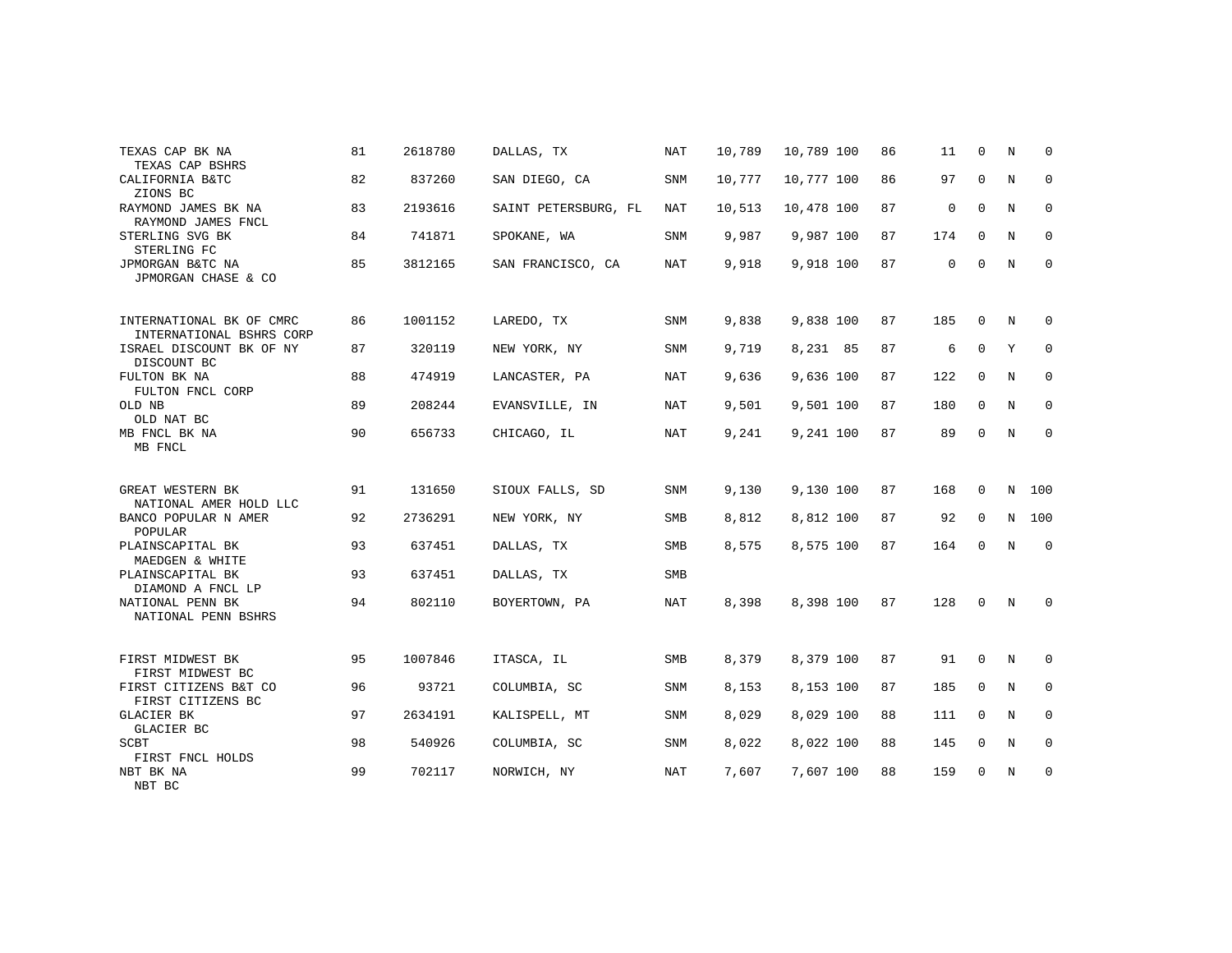| TEXAS CAP BK NA<br>TEXAS CAP BSHRS                   | 81 | 2618780 | DALLAS, TX           | <b>NAT</b> | 10,789 | 10,789 100 | 86 | 11          | $\mathbf 0$ | N           | 0           |
|------------------------------------------------------|----|---------|----------------------|------------|--------|------------|----|-------------|-------------|-------------|-------------|
| CALIFORNIA B&TC<br>ZIONS BC                          | 82 | 837260  | SAN DIEGO, CA        | <b>SNM</b> | 10,777 | 10,777 100 | 86 | 97          | 0           | N           | $\mathbf 0$ |
| RAYMOND JAMES BK NA<br>RAYMOND JAMES FNCL            | 83 | 2193616 | SAINT PETERSBURG, FL | NAT        | 10,513 | 10,478 100 | 87 | $\mathbf 0$ | $\mathbf 0$ | N           | 0           |
| STERLING SVG BK<br>STERLING FC                       | 84 | 741871  | SPOKANE, WA          | SNM        | 9,987  | 9,987 100  | 87 | 174         | $\mathbf 0$ | N           | 0           |
| JPMORGAN B&TC NA<br>JPMORGAN CHASE & CO              | 85 | 3812165 | SAN FRANCISCO, CA    | <b>NAT</b> | 9,918  | 9,918 100  | 87 | 0           | $\Omega$    | $\mathbf N$ | $\mathbf 0$ |
| INTERNATIONAL BK OF CMRC<br>INTERNATIONAL BSHRS CORP | 86 | 1001152 | LAREDO, TX           | <b>SNM</b> | 9,838  | 9,838 100  | 87 | 185         | 0           | N           | 0           |
| ISRAEL DISCOUNT BK OF NY<br>DISCOUNT BC              | 87 | 320119  | NEW YORK, NY         | SNM        | 9,719  | 8,231 85   | 87 | 6           | $\mathbf 0$ | Υ           | 0           |
| FULTON BK NA<br>FULTON FNCL CORP                     | 88 | 474919  | LANCASTER, PA        | NAT        | 9,636  | 9,636 100  | 87 | 122         | 0           | N           | $\mathbf 0$ |
| OLD NB<br>OLD NAT BC                                 | 89 | 208244  | EVANSVILLE, IN       | NAT        | 9,501  | 9,501 100  | 87 | 180         | 0           | N           | 0           |
| MB FNCL BK NA<br>MB FNCL                             | 90 | 656733  | CHICAGO, IL          | NAT        | 9,241  | 9,241 100  | 87 | 89          | $\Omega$    | $\mathbb N$ | $\mathbf 0$ |
| GREAT WESTERN BK<br>NATIONAL AMER HOLD LLC           | 91 | 131650  | SIOUX FALLS, SD      | SNM        | 9,130  | 9,130 100  | 87 | 168         | $\mathbf 0$ | N           | 100         |
| BANCO POPULAR N AMER<br>POPULAR                      | 92 | 2736291 | NEW YORK, NY         | SMB        | 8,812  | 8,812 100  | 87 | 92          | $\mathbf 0$ | $\mathbf N$ | 100         |
| PLAINSCAPITAL BK<br>MAEDGEN & WHITE                  | 93 | 637451  | DALLAS, TX           | SMB        | 8,575  | 8,575 100  | 87 | 164         | $\mathbf 0$ | N           | $\mathbf 0$ |
| PLAINSCAPITAL BK<br>DIAMOND A FNCL LP                | 93 | 637451  | DALLAS, TX           | <b>SMB</b> |        |            |    |             |             |             |             |
| NATIONAL PENN BK<br>NATIONAL PENN BSHRS              | 94 | 802110  | BOYERTOWN, PA        | NAT        | 8,398  | 8,398 100  | 87 | 128         | $\Omega$    | N           | 0           |
| FIRST MIDWEST BK<br>FIRST MIDWEST BC                 | 95 | 1007846 | ITASCA, IL           | <b>SMB</b> | 8,379  | 8,379 100  | 87 | 91          | 0           | N           | 0           |
| FIRST CITIZENS B&T CO<br>FIRST CITIZENS BC           | 96 | 93721   | COLUMBIA, SC         | SNM        | 8,153  | 8,153 100  | 87 | 185         | $\Omega$    | N           | $\mathbf 0$ |
| <b>GLACIER BK</b><br>GLACIER BC                      | 97 | 2634191 | KALISPELL, MT        | SNM        | 8,029  | 8,029 100  | 88 | 111         | 0           | N           | 0           |
| SCBT<br>FIRST FNCL HOLDS                             | 98 | 540926  | COLUMBIA, SC         | <b>SNM</b> | 8,022  | 8,022 100  | 88 | 145         | 0           | N           | $\mathbf 0$ |
| NBT BK NA<br>NBT BC                                  | 99 | 702117  | NORWICH, NY          | NAT        | 7,607  | 7,607 100  | 88 | 159         | 0           | N           | 0           |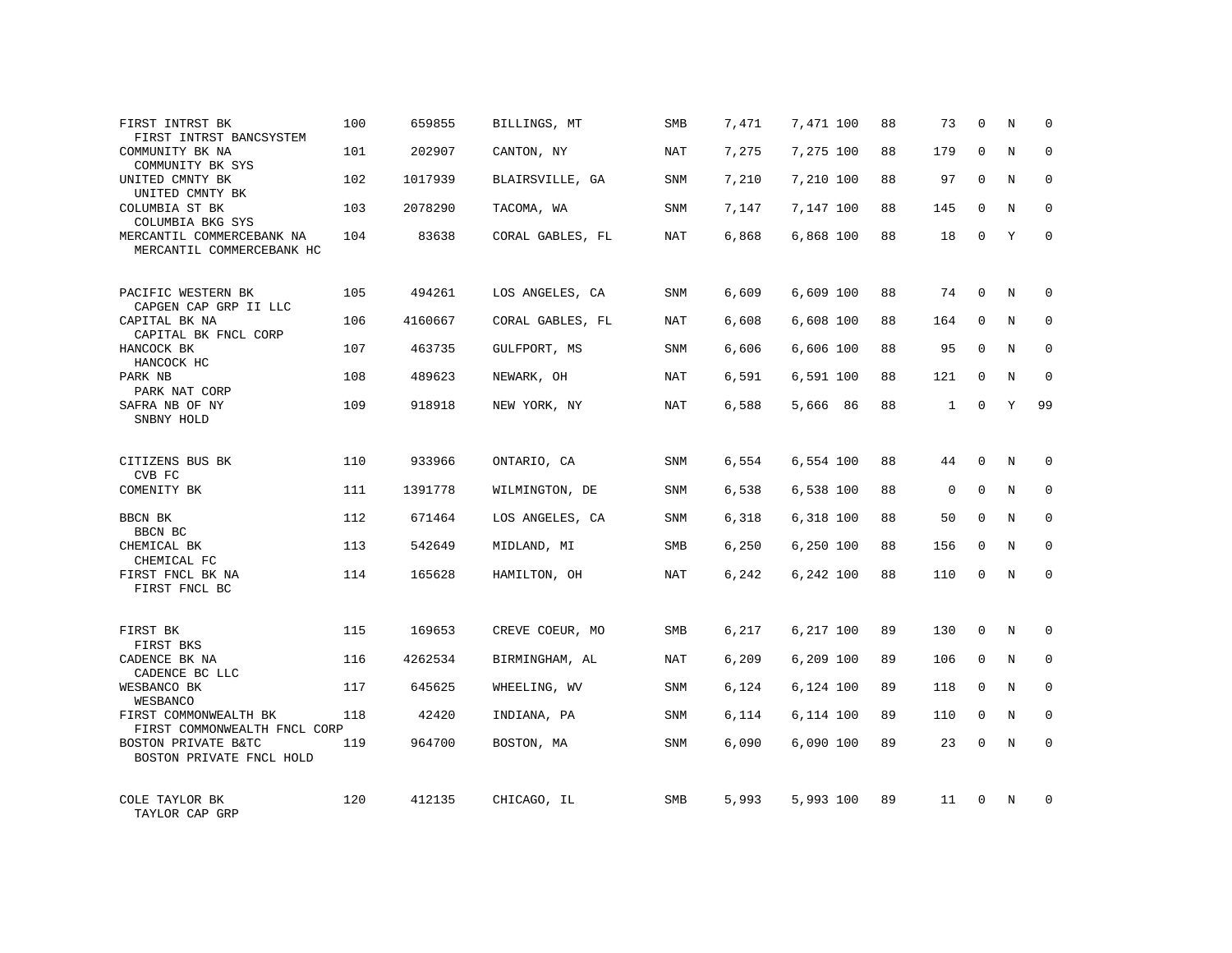| FIRST INTRST BK<br>FIRST INTRST BANCSYSTEM             | 100 | 659855  | BILLINGS, MT     | SMB        | 7,471 | 7,471 100 | 88 | 73           | $\mathbf 0$  | N | 0            |
|--------------------------------------------------------|-----|---------|------------------|------------|-------|-----------|----|--------------|--------------|---|--------------|
| COMMUNITY BK NA<br>COMMUNITY BK SYS                    | 101 | 202907  | CANTON, NY       | NAT        | 7,275 | 7,275 100 | 88 | 179          | $\mathbf 0$  | N | $\mathbf 0$  |
| UNITED CMNTY BK<br>UNITED CMNTY BK                     | 102 | 1017939 | BLAIRSVILLE, GA  | <b>SNM</b> | 7,210 | 7,210 100 | 88 | 97           | $\Omega$     | N | $\Omega$     |
| COLUMBIA ST BK<br>COLUMBIA BKG SYS                     | 103 | 2078290 | TACOMA, WA       | SNM        | 7,147 | 7,147 100 | 88 | 145          | 0            | N | $\mathbf 0$  |
| MERCANTIL COMMERCEBANK NA<br>MERCANTIL COMMERCEBANK HC | 104 | 83638   | CORAL GABLES, FL | NAT        | 6,868 | 6,868 100 | 88 | 18           | $\Omega$     | Y | $\Omega$     |
| PACIFIC WESTERN BK<br>CAPGEN CAP GRP II LLC            | 105 | 494261  | LOS ANGELES, CA  | SNM        | 6,609 | 6,609 100 | 88 | 74           | 0            | N | $\Omega$     |
| CAPITAL BK NA<br>CAPITAL BK FNCL CORP                  | 106 | 4160667 | CORAL GABLES, FL | <b>NAT</b> | 6,608 | 6,608 100 | 88 | 164          | $\mathbf 0$  | N | $\Omega$     |
| HANCOCK BK<br>HANCOCK HC                               | 107 | 463735  | GULFPORT, MS     | <b>SNM</b> | 6,606 | 6,606 100 | 88 | 95           | $\mathbf 0$  | N | 0            |
| PARK NB<br>PARK NAT CORP                               | 108 | 489623  | NEWARK, OH       | <b>NAT</b> | 6,591 | 6,591 100 | 88 | 121          | $\mathbf 0$  | N | $\mathbf 0$  |
| SAFRA NB OF NY<br>SNBNY HOLD                           | 109 | 918918  | NEW YORK, NY     | NAT        | 6,588 | 5,666 86  | 88 | $\mathbf{1}$ | $\mathbf{0}$ | Υ | 99           |
| CITIZENS BUS BK<br>CVB FC                              | 110 | 933966  | ONTARIO, CA      | <b>SNM</b> | 6.554 | 6,554 100 | 88 | 44           | $\mathbf{0}$ | N | $\Omega$     |
| COMENITY BK                                            | 111 | 1391778 | WILMINGTON, DE   | SNM        | 6,538 | 6,538 100 | 88 | $\mathbf 0$  | $\mathbf 0$  | N | $\mathbf 0$  |
| BBCN BK<br>BBCN BC                                     | 112 | 671464  | LOS ANGELES, CA  | <b>SNM</b> | 6,318 | 6,318 100 | 88 | 50           | $\mathbf 0$  | N | $\mathbf 0$  |
| CHEMICAL BK<br>CHEMICAL FC                             | 113 | 542649  | MIDLAND, MI      | SMB        | 6,250 | 6,250 100 | 88 | 156          | 0            | N | 0            |
| FIRST FNCL BK NA<br>FIRST FNCL BC                      | 114 | 165628  | HAMILTON, OH     | NAT        | 6,242 | 6,242 100 | 88 | 110          | 0            | N | $\mathbf 0$  |
| FIRST BK<br>FIRST BKS                                  | 115 | 169653  | CREVE COEUR, MO  | SMB        | 6,217 | 6,217 100 | 89 | 130          | 0            | N | 0            |
| CADENCE BK NA<br>CADENCE BC LLC                        | 116 | 4262534 | BIRMINGHAM, AL   | NAT        | 6,209 | 6,209 100 | 89 | 106          | 0            | N | 0            |
| WESBANCO BK<br>WESBANCO                                | 117 | 645625  | WHEELING, WV     | SNM        | 6,124 | 6,124 100 | 89 | 118          | 0            | N | 0            |
| FIRST COMMONWEALTH BK<br>FIRST COMMONWEALTH FNCL CORP  | 118 | 42420   | INDIANA, PA      | SNM        | 6,114 | 6,114 100 | 89 | 110          | 0            | N | $\mathbf 0$  |
| BOSTON PRIVATE B&TC<br>BOSTON PRIVATE FNCL HOLD        | 119 | 964700  | BOSTON, MA       | SNM        | 6,090 | 6,090 100 | 89 | 23           | $\mathbf 0$  | N | $\Omega$     |
| COLE TAYLOR BK<br>TAYLOR CAP GRP                       | 120 | 412135  | CHICAGO, IL      | SMB        | 5,993 | 5,993 100 | 89 | 11           | $\Omega$     | N | <sup>0</sup> |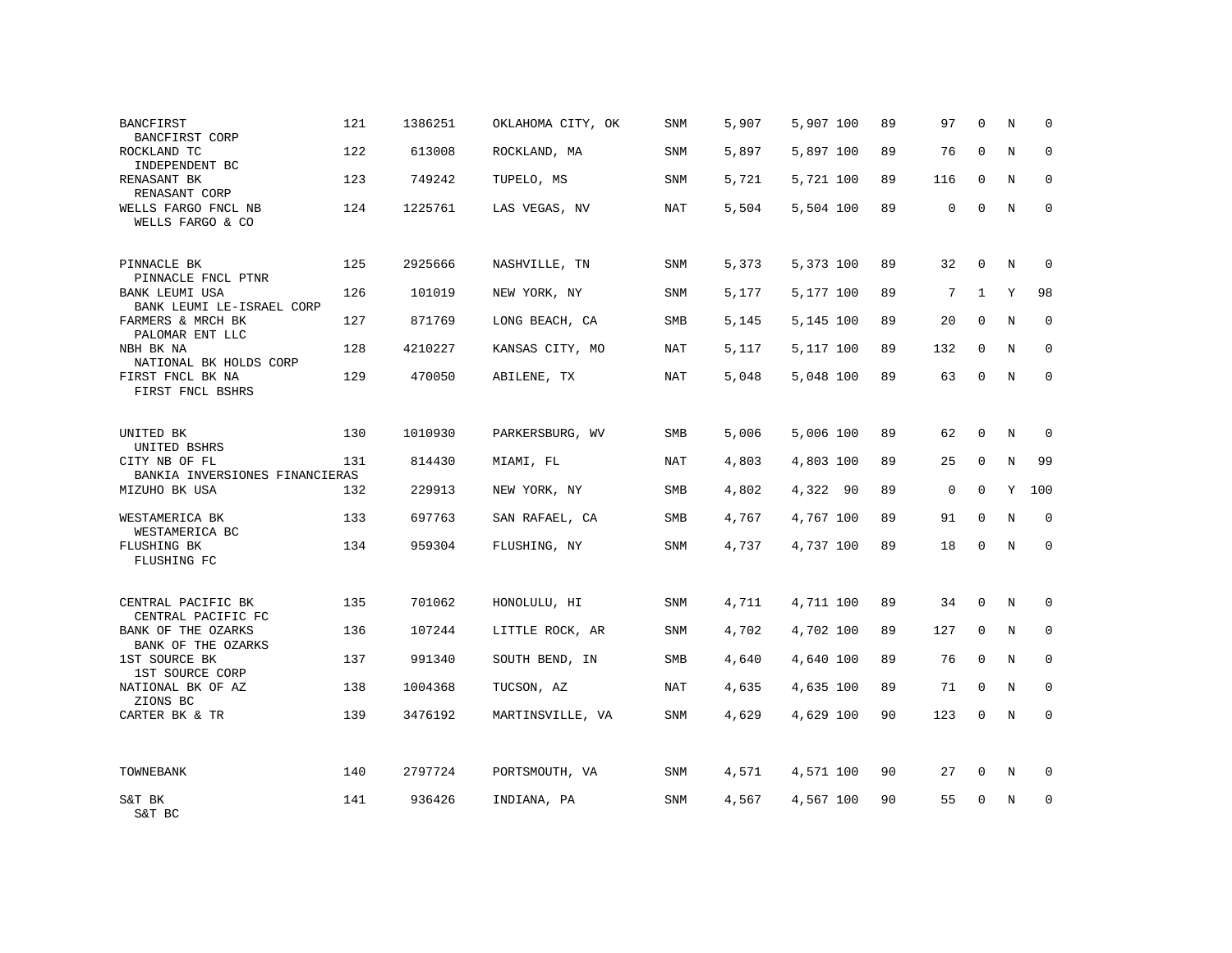| <b>BANCFIRST</b><br>BANCFIRST CORP                                       | 121 | 1386251 | OKLAHOMA CITY, OK | SNM        | 5,907 | 5,907 100 | 89 | 97          | $\Omega$     | N           | $\Omega$    |
|--------------------------------------------------------------------------|-----|---------|-------------------|------------|-------|-----------|----|-------------|--------------|-------------|-------------|
| ROCKLAND TC<br>INDEPENDENT BC                                            | 122 | 613008  | ROCKLAND, MA      | SNM        | 5,897 | 5,897 100 | 89 | 76          | $\mathbf 0$  | N           | 0           |
| RENASANT BK<br>RENASANT CORP                                             | 123 | 749242  | TUPELO, MS        | SNM        | 5,721 | 5,721 100 | 89 | 116         | 0            | N           | $\mathbf 0$ |
| WELLS FARGO FNCL NB<br>WELLS FARGO & CO                                  | 124 | 1225761 | LAS VEGAS, NV     | NAT        | 5,504 | 5,504 100 | 89 | $\mathbf 0$ | 0            | $\mathbf N$ | $\mathbf 0$ |
| PINNACLE BK                                                              | 125 | 2925666 | NASHVILLE, TN     | SNM        | 5,373 | 5,373 100 | 89 | 32          | $\mathbf 0$  | N           | $\mathbf 0$ |
| PINNACLE FNCL PTNR<br><b>BANK LEUMI USA</b><br>BANK LEUMI LE-ISRAEL CORP | 126 | 101019  | NEW YORK, NY      | SNM        | 5,177 | 5,177 100 | 89 | 7           | $\mathbf{1}$ | Y           | 98          |
| FARMERS & MRCH BK<br>PALOMAR ENT LLC                                     | 127 | 871769  | LONG BEACH, CA    | SMB        | 5,145 | 5,145 100 | 89 | 20          | $\mathbf 0$  | $_{\rm N}$  | $\mathbf 0$ |
| NBH BK NA<br>NATIONAL BK HOLDS CORP                                      | 128 | 4210227 | KANSAS CITY, MO   | NAT        | 5,117 | 5,117 100 | 89 | 132         | $\mathbf 0$  | N           | $\mathbf 0$ |
| FIRST FNCL BK NA<br>FIRST FNCL BSHRS                                     | 129 | 470050  | ABILENE, TX       | NAT        | 5,048 | 5,048 100 | 89 | 63          | $\mathbf 0$  | N           | $\mathbf 0$ |
| UNITED BK<br>UNITED BSHRS                                                | 130 | 1010930 | PARKERSBURG, WV   | <b>SMB</b> | 5,006 | 5,006 100 | 89 | 62          | 0            | N           | $\mathbf 0$ |
| CITY NB OF FL<br>BANKIA INVERSIONES FINANCIERAS                          | 131 | 814430  | MIAMI, FL         | NAT        | 4,803 | 4,803 100 | 89 | 25          | 0            | $\mathbf N$ | 99          |
| MIZUHO BK USA                                                            | 132 | 229913  | NEW YORK, NY      | <b>SMB</b> | 4,802 | 4,322 90  | 89 | $\mathbf 0$ | 0            | Y           | 100         |
| WESTAMERICA BK<br>WESTAMERICA BC                                         | 133 | 697763  | SAN RAFAEL, CA    | SMB        | 4,767 | 4,767 100 | 89 | 91          | 0            | $\mathbf N$ | $\mathbf 0$ |
| FLUSHING BK<br>FLUSHING FC                                               | 134 | 959304  | FLUSHING, NY      | SNM        | 4,737 | 4,737 100 | 89 | 18          | 0            | $\mathbb N$ | $\mathsf 0$ |
| CENTRAL PACIFIC BK<br>CENTRAL PACIFIC FC                                 | 135 | 701062  | HONOLULU, HI      | SNM        | 4,711 | 4,711 100 | 89 | 34          | $\mathbf 0$  | N           | $\Omega$    |
| BANK OF THE OZARKS<br>BANK OF THE OZARKS                                 | 136 | 107244  | LITTLE ROCK, AR   | <b>SNM</b> | 4,702 | 4,702 100 | 89 | 127         | $\Omega$     | N           | $\Omega$    |
| 1ST SOURCE BK<br>1ST SOURCE CORP                                         | 137 | 991340  | SOUTH BEND, IN    | <b>SMB</b> | 4,640 | 4,640 100 | 89 | 76          | $\mathbf 0$  | $\mathbb N$ | $\Omega$    |
| NATIONAL BK OF AZ<br>ZIONS BC                                            | 138 | 1004368 | TUCSON, AZ        | <b>NAT</b> | 4,635 | 4,635 100 | 89 | 71          | $\mathbf 0$  | $\mathbb N$ | $\mathbf 0$ |
| CARTER BK & TR                                                           | 139 | 3476192 | MARTINSVILLE, VA  | SNM        | 4,629 | 4,629 100 | 90 | 123         | $\mathbf 0$  | N           | $\mathbf 0$ |
| TOWNEBANK                                                                | 140 | 2797724 | PORTSMOUTH, VA    | SNM        | 4,571 | 4,571 100 | 90 | 27          | 0            | N           | $\Omega$    |
| S&T BK<br>S&T BC                                                         | 141 | 936426  | INDIANA, PA       | SNM        | 4,567 | 4,567 100 | 90 | 55          | U            | N           | 0           |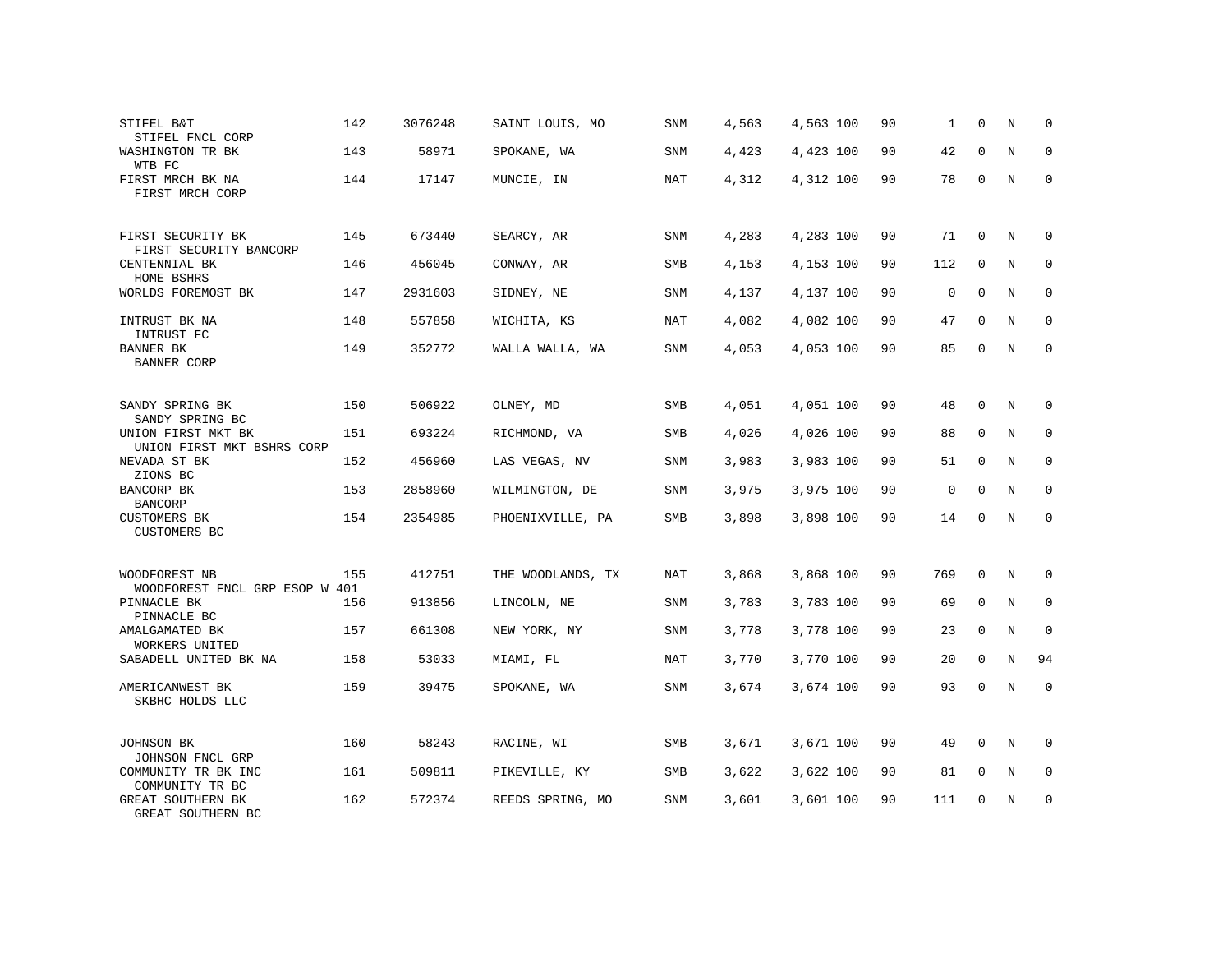| STIFEL B&T<br>STIFEL FNCL CORP                   | 142 | 3076248 | SAINT LOUIS, MO   | SNM        | 4,563 | 4,563 100 | 90 | 1           | $\mathbf 0$ | Ν           | 0            |
|--------------------------------------------------|-----|---------|-------------------|------------|-------|-----------|----|-------------|-------------|-------------|--------------|
| WASHINGTON TR BK<br>WTB FC                       | 143 | 58971   | SPOKANE, WA       | SNM        | 4,423 | 4,423 100 | 90 | 42          | $\Omega$    | N           | $\Omega$     |
| FIRST MRCH BK NA<br>FIRST MRCH CORP              | 144 | 17147   | MUNCIE, IN        | NAT        | 4,312 | 4,312 100 | 90 | 78          | 0           | N           | $\mathbf 0$  |
| FIRST SECURITY BK<br>FIRST SECURITY BANCORP      | 145 | 673440  | SEARCY, AR        | SNM        | 4,283 | 4,283 100 | 90 | 71          | 0           | N           | 0            |
| CENTENNIAL BK<br>HOME BSHRS                      | 146 | 456045  | CONWAY, AR        | SMB        | 4,153 | 4,153 100 | 90 | 112         | 0           | N           | 0            |
| WORLDS FOREMOST BK                               | 147 | 2931603 | SIDNEY, NE        | SNM        | 4,137 | 4,137 100 | 90 | $\mathbf 0$ | $\mathbf 0$ | N           | $\mathbf{0}$ |
| INTRUST BK NA<br>INTRUST FC                      | 148 | 557858  | WICHITA, KS       | NAT        | 4,082 | 4,082 100 | 90 | 47          | $\Omega$    | N           | 0            |
| BANNER BK<br><b>BANNER CORP</b>                  | 149 | 352772  | WALLA WALLA, WA   | SNM        | 4,053 | 4,053 100 | 90 | 85          | $\mathbf 0$ | N           | $\mathbf{0}$ |
| SANDY SPRING BK<br>SANDY SPRING BC               | 150 | 506922  | OLNEY, MD         | SMB        | 4,051 | 4,051 100 | 90 | 48          | $\mathbf 0$ | N           | 0            |
| UNION FIRST MKT BK<br>UNION FIRST MKT BSHRS CORP | 151 | 693224  | RICHMOND, VA      | SMB        | 4,026 | 4,026 100 | 90 | 88          | $\mathbf 0$ | N           | 0            |
| NEVADA ST BK<br>ZIONS BC                         | 152 | 456960  | LAS VEGAS, NV     | <b>SNM</b> | 3,983 | 3,983 100 | 90 | 51          | $\Omega$    | N           | $\Omega$     |
| BANCORP BK<br><b>BANCORP</b>                     | 153 | 2858960 | WILMINGTON, DE    | SNM        | 3,975 | 3,975 100 | 90 | $\mathbf 0$ | $\Omega$    | N           | 0            |
| <b>CUSTOMERS BK</b><br>CUSTOMERS BC              | 154 | 2354985 | PHOENIXVILLE, PA  | SMB        | 3,898 | 3,898 100 | 90 | 14          | $\Omega$    | N           | $\Omega$     |
| WOODFOREST NB<br>WOODFOREST FNCL GRP ESOP W 401  | 155 | 412751  | THE WOODLANDS, TX | <b>NAT</b> | 3,868 | 3,868 100 | 90 | 769         | $\Omega$    | N           | $\Omega$     |
| PINNACLE BK<br>PINNACLE BC                       | 156 | 913856  | LINCOLN, NE       | SNM        | 3,783 | 3,783 100 | 90 | 69          | $\mathbf 0$ | N           | $\mathbf{0}$ |
| AMALGAMATED BK<br>WORKERS UNITED                 | 157 | 661308  | NEW YORK, NY      | <b>SNM</b> | 3,778 | 3,778 100 | 90 | 23          | $\Omega$    | N           | $\mathbf{0}$ |
| SABADELL UNITED BK NA                            | 158 | 53033   | MIAMI, FL         | NAT        | 3,770 | 3,770 100 | 90 | 20          | $\mathbf 0$ | N           | 94           |
| AMERICANWEST BK<br>SKBHC HOLDS LLC               | 159 | 39475   | SPOKANE, WA       | <b>SNM</b> | 3,674 | 3,674 100 | 90 | 93          | $\Omega$    | $\mathbf N$ | $\mathbf{0}$ |
| JOHNSON BK<br>JOHNSON FNCL GRP                   | 160 | 58243   | RACINE, WI        | SMB        | 3,671 | 3,671 100 | 90 | 49          | 0           | N           | $\mathbf 0$  |
| COMMUNITY TR BK INC<br>COMMUNITY TR BC           | 161 | 509811  | PIKEVILLE, KY     | SMB        | 3,622 | 3,622 100 | 90 | 81          | 0           | N           | 0            |
| GREAT SOUTHERN BK<br>GREAT SOUTHERN BC           | 162 | 572374  | REEDS SPRING, MO  | SNM        | 3,601 | 3,601 100 | 90 | 111         | $\Omega$    | N           | $\mathbf{0}$ |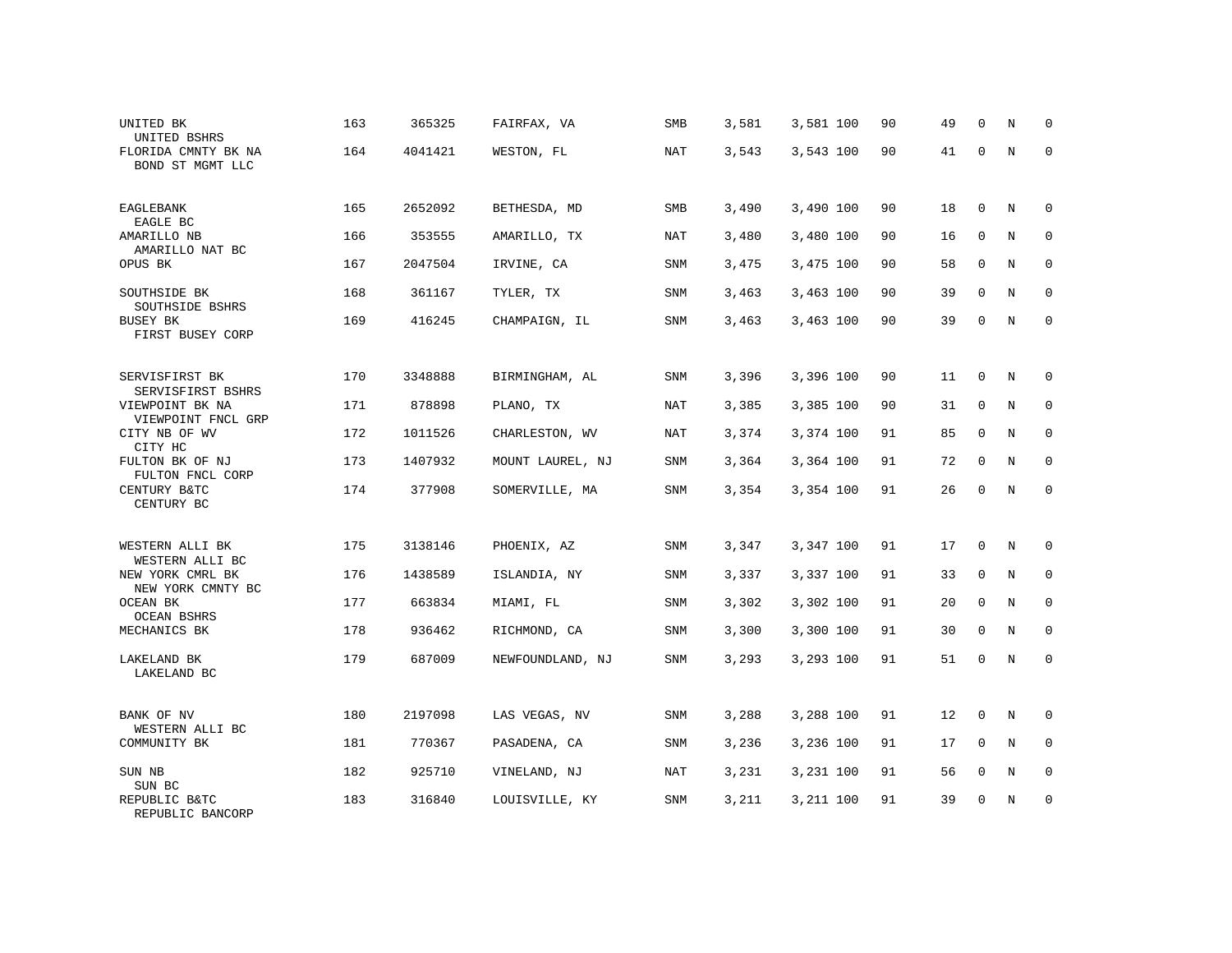| UNITED BK<br>UNITED BSHRS               | 163 | 365325  | FAIRFAX, VA      | SMB        | 3,581 | 3,581 100 | 90 | 49 | $\mathbf 0$ | N           | 0           |
|-----------------------------------------|-----|---------|------------------|------------|-------|-----------|----|----|-------------|-------------|-------------|
| FLORIDA CMNTY BK NA<br>BOND ST MGMT LLC | 164 | 4041421 | WESTON, FL       | <b>NAT</b> | 3,543 | 3,543 100 | 90 | 41 | $\Omega$    | N           | $\mathbf 0$ |
| EAGLEBANK<br>EAGLE BC                   | 165 | 2652092 | BETHESDA, MD     | SMB        | 3,490 | 3,490 100 | 90 | 18 | $\mathbf 0$ | N           | $\mathbf 0$ |
| AMARILLO NB<br>AMARILLO NAT BC          | 166 | 353555  | AMARILLO, TX     | <b>NAT</b> | 3,480 | 3,480 100 | 90 | 16 | $\Omega$    | N           | $\Omega$    |
| OPUS BK                                 | 167 | 2047504 | IRVINE, CA       | SNM        | 3,475 | 3,475 100 | 90 | 58 | $\mathbf 0$ | N           | $\mathbf 0$ |
| SOUTHSIDE BK<br>SOUTHSIDE BSHRS         | 168 | 361167  | TYLER, TX        | <b>SNM</b> | 3,463 | 3,463 100 | 90 | 39 | $\Omega$    | N           | $\Omega$    |
| BUSEY BK<br>FIRST BUSEY CORP            | 169 | 416245  | CHAMPAIGN, IL    | SNM        | 3,463 | 3,463 100 | 90 | 39 | 0           | N           | $\mathbf 0$ |
| SERVISFIRST BK<br>SERVISFIRST BSHRS     | 170 | 3348888 | BIRMINGHAM, AL   | SNM        | 3,396 | 3,396 100 | 90 | 11 | 0           | N           | 0           |
| VIEWPOINT BK NA<br>VIEWPOINT FNCL GRP   | 171 | 878898  | PLANO, TX        | NAT        | 3,385 | 3,385 100 | 90 | 31 | $\mathbf 0$ | N           | $\mathbf 0$ |
| CITY NB OF WV<br>CITY HC                | 172 | 1011526 | CHARLESTON, WV   | <b>NAT</b> | 3,374 | 3,374 100 | 91 | 85 | $\mathbf 0$ | N           | $\mathsf 0$ |
| FULTON BK OF NJ<br>FULTON FNCL CORP     | 173 | 1407932 | MOUNT LAUREL, NJ | SNM        | 3,364 | 3,364 100 | 91 | 72 | $\mathbf 0$ | N           | $\mathbf 0$ |
| CENTURY B&TC<br>CENTURY BC              | 174 | 377908  | SOMERVILLE, MA   | SNM        | 3,354 | 3,354 100 | 91 | 26 | $\Omega$    | $\mathbf N$ | $\mathbf 0$ |
| WESTERN ALLI BK<br>WESTERN ALLI BC      | 175 | 3138146 | PHOENIX, AZ      | SNM        | 3,347 | 3,347 100 | 91 | 17 | $\mathbf 0$ | N           | $\mathbf 0$ |
| NEW YORK CMRL BK<br>NEW YORK CMNTY BC   | 176 | 1438589 | ISLANDIA, NY     | SNM        | 3,337 | 3,337 100 | 91 | 33 | $\mathbf 0$ | N           | $\mathbf 0$ |
| OCEAN BK<br><b>OCEAN BSHRS</b>          | 177 | 663834  | MIAMI, FL        | SNM        | 3,302 | 3,302 100 | 91 | 20 | $\mathbf 0$ | $\mathbf N$ | $\mathbf 0$ |
| MECHANICS BK                            | 178 | 936462  | RICHMOND, CA     | SNM        | 3,300 | 3,300 100 | 91 | 30 | $\mathbf 0$ | $\mathbf N$ | 0           |
| LAKELAND BK<br>LAKELAND BC              | 179 | 687009  | NEWFOUNDLAND, NJ | SNM        | 3,293 | 3,293 100 | 91 | 51 | 0           | N           | $\mathbf 0$ |
| BANK OF NV<br>WESTERN ALLI BC           | 180 | 2197098 | LAS VEGAS, NV    | SNM        | 3,288 | 3,288 100 | 91 | 12 | 0           | N           | 0           |
| COMMUNITY BK                            | 181 | 770367  | PASADENA, CA     | SNM        | 3,236 | 3,236 100 | 91 | 17 | $\mathbf 0$ | N           | $\mathbf 0$ |
| SUN NB<br>SUN BC                        | 182 | 925710  | VINELAND, NJ     | <b>NAT</b> | 3,231 | 3,231 100 | 91 | 56 | 0           | N           | 0           |
| REPUBLIC B&TC<br>REPUBLIC BANCORP       | 183 | 316840  | LOUISVILLE, KY   | SNM        | 3,211 | 3,211 100 | 91 | 39 | $\Omega$    | N           | $\mathbf 0$ |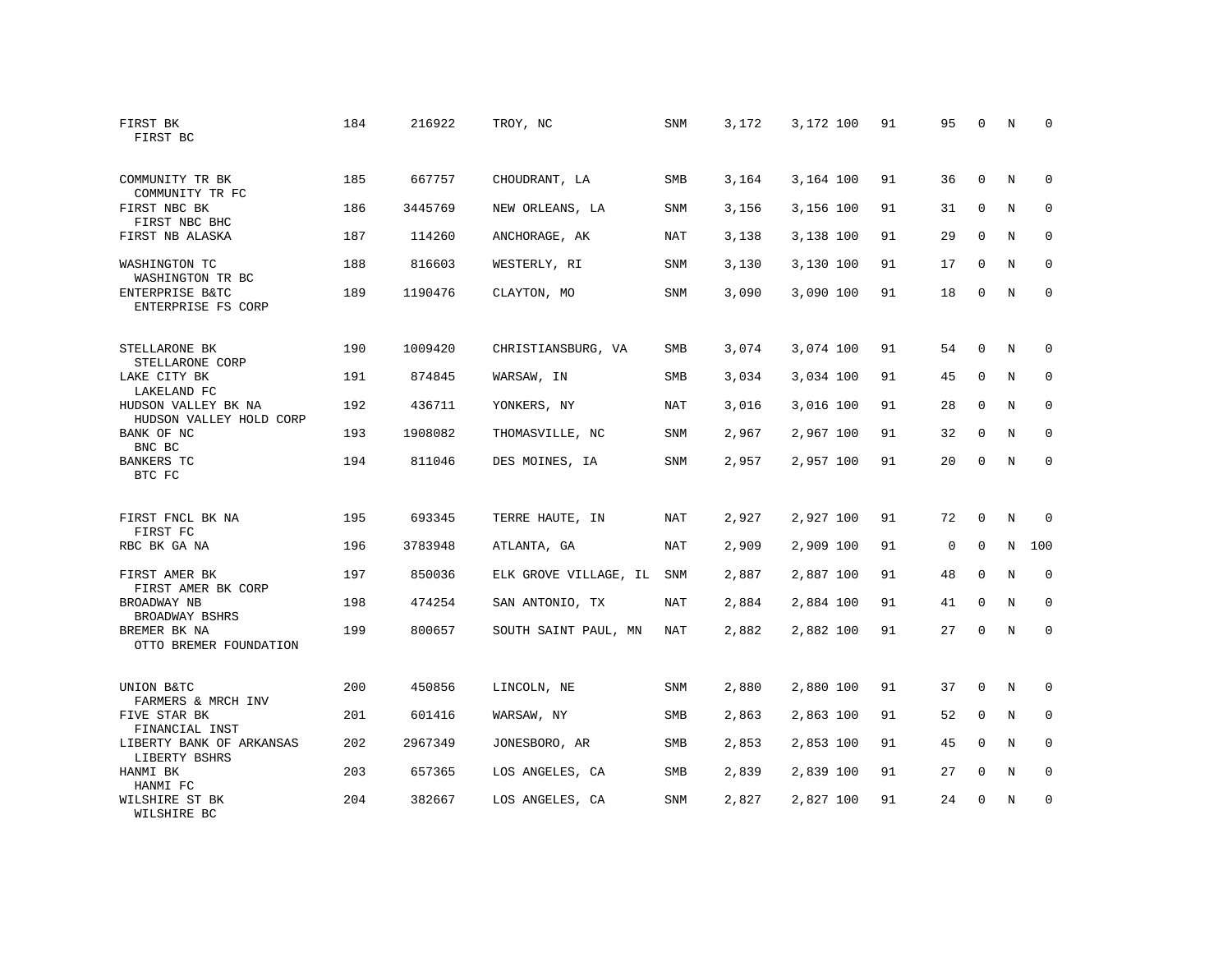| FIRST BK<br>FIRST BC                            | 184 | 216922  | TROY, NC              | SNM        | 3,172 | 3,172 100 | 91 | 95 | 0           | N           | 0           |
|-------------------------------------------------|-----|---------|-----------------------|------------|-------|-----------|----|----|-------------|-------------|-------------|
| COMMUNITY TR BK<br>COMMUNITY TR FC              | 185 | 667757  | CHOUDRANT, LA         | <b>SMB</b> | 3,164 | 3,164 100 | 91 | 36 | $\Omega$    | N           | $\Omega$    |
| FIRST NBC BK<br>FIRST NBC BHC                   | 186 | 3445769 | NEW ORLEANS, LA       | SNM        | 3,156 | 3,156 100 | 91 | 31 | $\mathbf 0$ | N           | $\mathbf 0$ |
| FIRST NB ALASKA                                 | 187 | 114260  | ANCHORAGE, AK         | NAT        | 3,138 | 3,138 100 | 91 | 29 | $\Omega$    | N           | $\Omega$    |
| WASHINGTON TC<br>WASHINGTON TR BC               | 188 | 816603  | WESTERLY, RI          | SNM        | 3,130 | 3,130 100 | 91 | 17 | $\mathbf 0$ | N           | $\mathbf 0$ |
| ENTERPRISE B&TC<br>ENTERPRISE FS CORP           | 189 | 1190476 | CLAYTON, MO           | <b>SNM</b> | 3,090 | 3,090 100 | 91 | 18 | $\mathbf 0$ | N           | $\mathbf 0$ |
| STELLARONE BK<br>STELLARONE CORP                | 190 | 1009420 | CHRISTIANSBURG, VA    | SMB        | 3,074 | 3,074 100 | 91 | 54 | $\mathbf 0$ | N           | 0           |
| LAKE CITY BK<br>LAKELAND FC                     | 191 | 874845  | WARSAW, IN            | <b>SMB</b> | 3,034 | 3,034 100 | 91 | 45 | $\mathbf 0$ | N           | $\mathbf 0$ |
| HUDSON VALLEY BK NA                             | 192 | 436711  | YONKERS, NY           | NAT        | 3,016 | 3,016 100 | 91 | 28 | $\mathbf 0$ | N           | 0           |
| HUDSON VALLEY HOLD CORP<br>BANK OF NC<br>BNC BC | 193 | 1908082 | THOMASVILLE, NC       | <b>SNM</b> | 2,967 | 2,967 100 | 91 | 32 | $\mathbf 0$ | N           | $\mathbf 0$ |
| <b>BANKERS TC</b><br>BTC FC                     | 194 | 811046  | DES MOINES, IA        | <b>SNM</b> | 2,957 | 2,957 100 | 91 | 20 | $\Omega$    | $\mathbb N$ | $\mathbf 0$ |
| FIRST FNCL BK NA<br>FIRST FC                    | 195 | 693345  | TERRE HAUTE, IN       | NAT        | 2,927 | 2,927 100 | 91 | 72 | $\mathbf 0$ | N           | $\mathbf 0$ |
| RBC BK GA NA                                    | 196 | 3783948 | ATLANTA, GA           | NAT        | 2,909 | 2,909 100 | 91 | 0  | $\mathbf 0$ | N           | 100         |
| FIRST AMER BK<br>FIRST AMER BK CORP             | 197 | 850036  | ELK GROVE VILLAGE, IL | SNM        | 2,887 | 2,887 100 | 91 | 48 | $\mathbf 0$ | N           | $\mathbf 0$ |
| BROADWAY NB<br>BROADWAY BSHRS                   | 198 | 474254  | SAN ANTONIO, TX       | <b>NAT</b> | 2,884 | 2,884 100 | 91 | 41 | $\Omega$    | $_{\rm N}$  | $\mathbf 0$ |
| BREMER BK NA<br>OTTO BREMER FOUNDATION          | 199 | 800657  | SOUTH SAINT PAUL, MN  | NAT        | 2,882 | 2,882 100 | 91 | 27 | $\mathbf 0$ | N           | 0           |
| UNION B&TC<br>FARMERS & MRCH INV                | 200 | 450856  | LINCOLN, NE           | SNM        | 2,880 | 2,880 100 | 91 | 37 | $\mathbf 0$ | N           | 0           |
| FIVE STAR BK<br>FINANCIAL INST                  | 201 | 601416  | WARSAW, NY            | <b>SMB</b> | 2,863 | 2,863 100 | 91 | 52 | $\mathbf 0$ | N           | 0           |
| LIBERTY BANK OF ARKANSAS<br>LIBERTY BSHRS       | 202 | 2967349 | JONESBORO, AR         | <b>SMB</b> | 2,853 | 2,853 100 | 91 | 45 | $\mathbf 0$ | N           | $\mathbf 0$ |
| HANMI BK<br>HANMI FC                            | 203 | 657365  | LOS ANGELES, CA       | SMB        | 2,839 | 2,839 100 | 91 | 27 | $\mathbf 0$ | N           | 0           |
| WILSHIRE ST BK<br>WILSHIRE BC                   | 204 | 382667  | LOS ANGELES, CA       | <b>SNM</b> | 2,827 | 2,827 100 | 91 | 24 | $\Omega$    | N           | $\mathbf 0$ |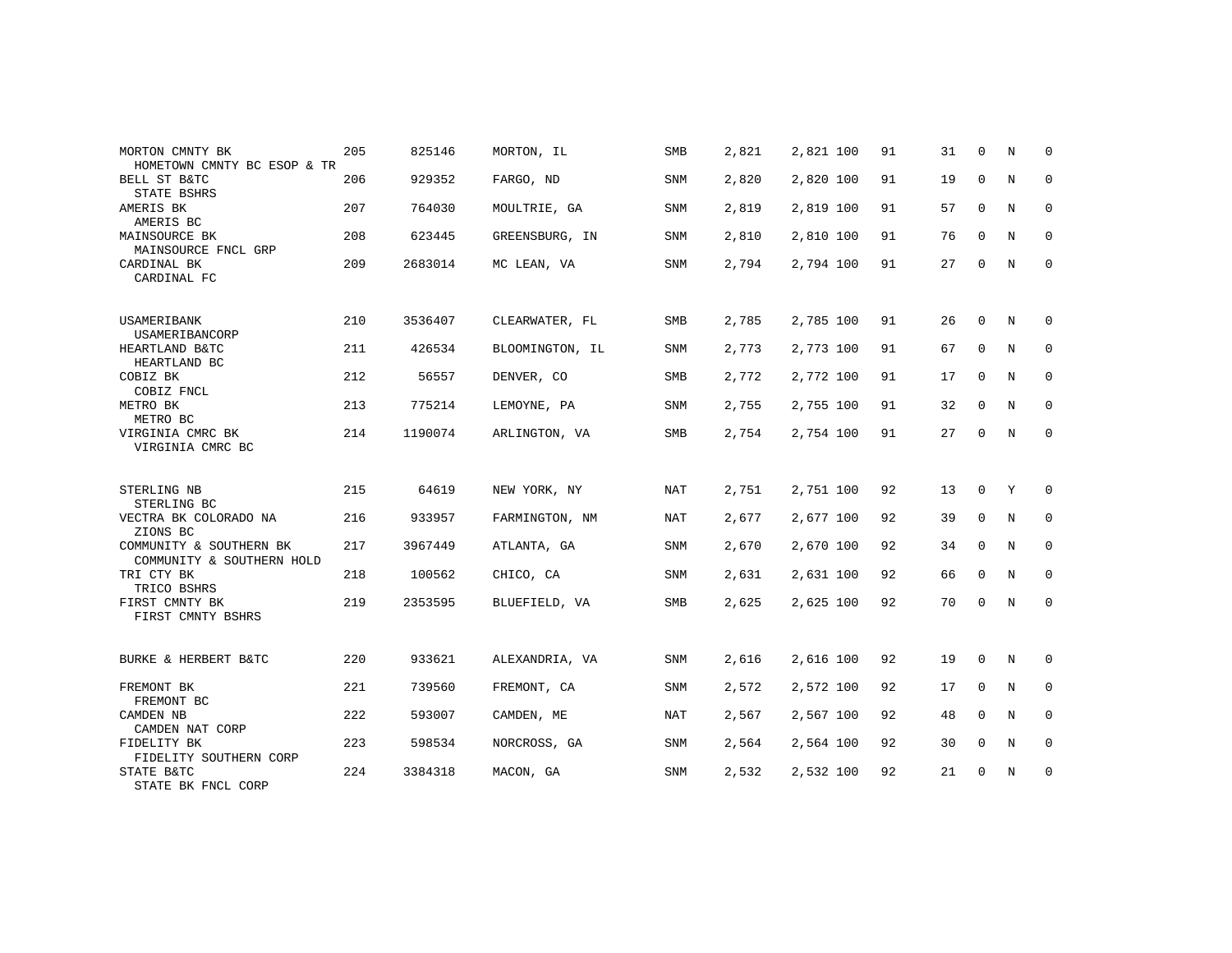| MORTON CMNTY BK<br>HOMETOWN CMNTY BC ESOP & TR       | 205 | 825146  | MORTON, IL      | <b>SMB</b> | 2,821 | 2,821 100 | 91 | 31 | $\mathbf 0$ | N           | 0           |
|------------------------------------------------------|-----|---------|-----------------|------------|-------|-----------|----|----|-------------|-------------|-------------|
| BELL ST B&TC<br>STATE BSHRS                          | 206 | 929352  | FARGO, ND       | SNM        | 2,820 | 2,820 100 | 91 | 19 | 0           | N           | $\mathbf 0$ |
| AMERIS BK<br>AMERIS BC                               | 207 | 764030  | MOULTRIE, GA    | SNM        | 2,819 | 2,819 100 | 91 | 57 | $\mathbf 0$ | $\mathbb N$ | $\mathbf 0$ |
| MAINSOURCE BK<br>MAINSOURCE FNCL GRP                 | 208 | 623445  | GREENSBURG, IN  | SNM        | 2,810 | 2,810 100 | 91 | 76 | $\mathbf 0$ | N           | 0           |
| CARDINAL BK<br>CARDINAL FC                           | 209 | 2683014 | MC LEAN, VA     | <b>SNM</b> | 2,794 | 2,794 100 | 91 | 27 | $\mathbf 0$ | $\mathbf N$ | $\mathbf 0$ |
| USAMERIBANK<br>USAMERIBANCORP                        | 210 | 3536407 | CLEARWATER, FL  | SMB        | 2,785 | 2,785 100 | 91 | 26 | $\mathbf 0$ | N           | 0           |
| HEARTLAND B&TC<br>HEARTLAND BC                       | 211 | 426534  | BLOOMINGTON, IL | <b>SNM</b> | 2,773 | 2,773 100 | 91 | 67 | $\mathbf 0$ | N           | $\mathbf 0$ |
| COBIZ BK<br>COBIZ FNCL                               | 212 | 56557   | DENVER, CO      | SMB        | 2,772 | 2,772 100 | 91 | 17 | $\mathbf 0$ | N           | 0           |
| METRO BK<br>METRO BC                                 | 213 | 775214  | LEMOYNE, PA     | SNM        | 2,755 | 2,755 100 | 91 | 32 | $\mathbf 0$ | N           | $\mathbf 0$ |
| VIRGINIA CMRC BK<br>VIRGINIA CMRC BC                 | 214 | 1190074 | ARLINGTON, VA   | SMB        | 2,754 | 2,754 100 | 91 | 27 | 0           | N           | 0           |
| STERLING NB<br>STERLING BC                           | 215 | 64619   | NEW YORK, NY    | NAT        | 2,751 | 2,751 100 | 92 | 13 | 0           | Υ           | 0           |
| VECTRA BK COLORADO NA<br>ZIONS BC                    | 216 | 933957  | FARMINGTON, NM  | NAT        | 2,677 | 2,677 100 | 92 | 39 | 0           | N           | 0           |
| COMMUNITY & SOUTHERN BK<br>COMMUNITY & SOUTHERN HOLD | 217 | 3967449 | ATLANTA, GA     | <b>SNM</b> | 2,670 | 2,670 100 | 92 | 34 | $\mathbf 0$ | N           | $\mathbf 0$ |
| TRI CTY BK<br>TRICO BSHRS                            | 218 | 100562  | CHICO, CA       | SNM        | 2,631 | 2,631 100 | 92 | 66 | $\mathbf 0$ | N           | 0           |
| FIRST CMNTY BK<br>FIRST CMNTY BSHRS                  | 219 | 2353595 | BLUEFIELD, VA   | SMB        | 2,625 | 2,625 100 | 92 | 70 | $\mathbf 0$ | N           | $\mathbf 0$ |
| BURKE & HERBERT B&TC                                 | 220 | 933621  | ALEXANDRIA, VA  | SNM        | 2,616 | 2,616 100 | 92 | 19 | 0           | N           | 0           |
| FREMONT BK<br>FREMONT BC                             | 221 | 739560  | FREMONT, CA     | SNM        | 2,572 | 2,572 100 | 92 | 17 | $\Omega$    | N           | $\mathbf 0$ |
| CAMDEN NB<br>CAMDEN NAT CORP                         | 222 | 593007  | CAMDEN, ME      | NAT        | 2,567 | 2,567 100 | 92 | 48 | $\mathbf 0$ | N           | 0           |
| FIDELITY BK<br>FIDELITY SOUTHERN CORP                | 223 | 598534  | NORCROSS, GA    | <b>SNM</b> | 2,564 | 2,564 100 | 92 | 30 | 0           | N           | $\mathbf 0$ |
| STATE B&TC<br>STATE BK FNCL CORP                     | 224 | 3384318 | MACON, GA       | SNM        | 2,532 | 2,532 100 | 92 | 21 | 0           | N           | 0           |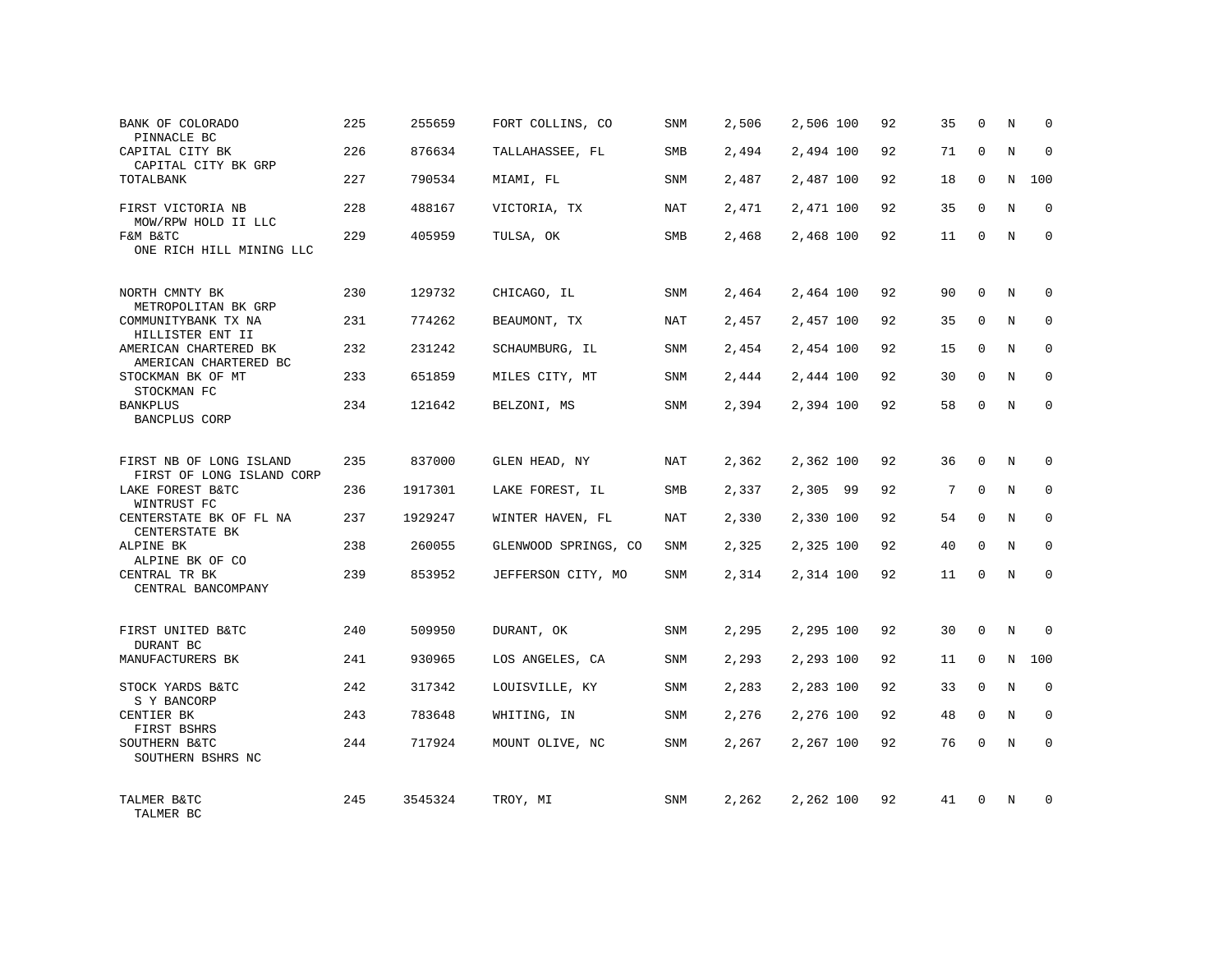| BANK OF COLORADO<br>PINNACLE BC                      | 225 | 255659  | FORT COLLINS, CO     | SNM        | 2,506 | 2,506 100 | 92 | 35 | $\Omega$    | N           | $\Omega$    |
|------------------------------------------------------|-----|---------|----------------------|------------|-------|-----------|----|----|-------------|-------------|-------------|
| CAPITAL CITY BK<br>CAPITAL CITY BK GRP               | 226 | 876634  | TALLAHASSEE, FL      | SMB        | 2,494 | 2,494 100 | 92 | 71 | $\Omega$    | N           | $\Omega$    |
| TOTALBANK                                            | 227 | 790534  | MIAMI, FL            | SNM        | 2,487 | 2,487 100 | 92 | 18 | $\mathbf 0$ | N           | 100         |
| FIRST VICTORIA NB<br>MOW/RPW HOLD II LLC             | 228 | 488167  | VICTORIA, TX         | NAT        | 2,471 | 2,471 100 | 92 | 35 | $\Omega$    | N           | $\Omega$    |
| F&M B&TC<br>ONE RICH HILL MINING LLC                 | 229 | 405959  | TULSA, OK            | SMB        | 2,468 | 2,468 100 | 92 | 11 | $\mathbf 0$ | N           | $\Omega$    |
| NORTH CMNTY BK<br>METROPOLITAN BK GRP                | 230 | 129732  | CHICAGO, IL          | SNM        | 2,464 | 2,464 100 | 92 | 90 | $\Omega$    | N           | $\Omega$    |
| COMMUNITYBANK TX NA<br>HILLISTER ENT II              | 231 | 774262  | BEAUMONT, TX         | <b>NAT</b> | 2,457 | 2,457 100 | 92 | 35 | $\Omega$    | N           | $\mathbf 0$ |
| AMERICAN CHARTERED BK<br>AMERICAN CHARTERED BC       | 232 | 231242  | SCHAUMBURG, IL       | SNM        | 2,454 | 2,454 100 | 92 | 15 | $\mathbf 0$ | N           | $\mathbf 0$ |
| STOCKMAN BK OF MT<br>STOCKMAN FC                     | 233 | 651859  | MILES CITY, MT       | SNM        | 2,444 | 2,444 100 | 92 | 30 | $\Omega$    | N           | $\Omega$    |
| <b>BANKPLUS</b><br>BANCPLUS CORP                     | 234 | 121642  | BELZONI, MS          | SNM        | 2,394 | 2,394 100 | 92 | 58 | $\Omega$    | N           | $\mathbf 0$ |
| FIRST NB OF LONG ISLAND<br>FIRST OF LONG ISLAND CORP | 235 | 837000  | GLEN HEAD, NY        | NAT        | 2,362 | 2,362 100 | 92 | 36 | $\Omega$    | N           | $\Omega$    |
| LAKE FOREST B&TC<br>WINTRUST FC                      | 236 | 1917301 | LAKE FOREST, IL      | SMB        | 2,337 | 2,305 99  | 92 | 7  | $\mathbf 0$ | N           | $\mathbf 0$ |
| CENTERSTATE BK OF FL NA<br>CENTERSTATE BK            | 237 | 1929247 | WINTER HAVEN, FL     | <b>NAT</b> | 2,330 | 2,330 100 | 92 | 54 | $\Omega$    | N           | $\Omega$    |
| ALPINE BK<br>ALPINE BK OF CO                         | 238 | 260055  | GLENWOOD SPRINGS, CO | <b>SNM</b> | 2,325 | 2,325 100 | 92 | 40 | $\Omega$    | N           | $\mathbf 0$ |
| CENTRAL TR BK<br>CENTRAL BANCOMPANY                  | 239 | 853952  | JEFFERSON CITY, MO   | <b>SNM</b> | 2,314 | 2,314 100 | 92 | 11 | $\Omega$    | N           | $\Omega$    |
| FIRST UNITED B&TC                                    | 240 | 509950  | DURANT, OK           | <b>SNM</b> | 2,295 | 2,295 100 | 92 | 30 | $\Omega$    | $\mathbf N$ | $\Omega$    |
| DURANT BC<br>MANUFACTURERS BK                        | 241 | 930965  | LOS ANGELES, CA      | SNM        | 2,293 | 2,293 100 | 92 | 11 | 0           | N           | 100         |
| STOCK YARDS B&TC<br>S Y BANCORP                      | 242 | 317342  | LOUISVILLE, KY       | SNM        | 2,283 | 2,283 100 | 92 | 33 | $\Omega$    | $_{\rm N}$  | $\mathbf 0$ |
| CENTIER BK<br>FIRST BSHRS                            | 243 | 783648  | WHITING, IN          | SNM        | 2,276 | 2,276 100 | 92 | 48 | $\mathbf 0$ | N           | 0           |
| SOUTHERN B&TC<br>SOUTHERN BSHRS NC                   | 244 | 717924  | MOUNT OLIVE, NC      | SNM        | 2,267 | 2,267 100 | 92 | 76 | $\Omega$    | N           | $\Omega$    |
| TALMER B&TC<br>TALMER BC                             | 245 | 3545324 | TROY, MI             | SNM        | 2,262 | 2,262 100 | 92 | 41 | $\Omega$    | N           | $\Omega$    |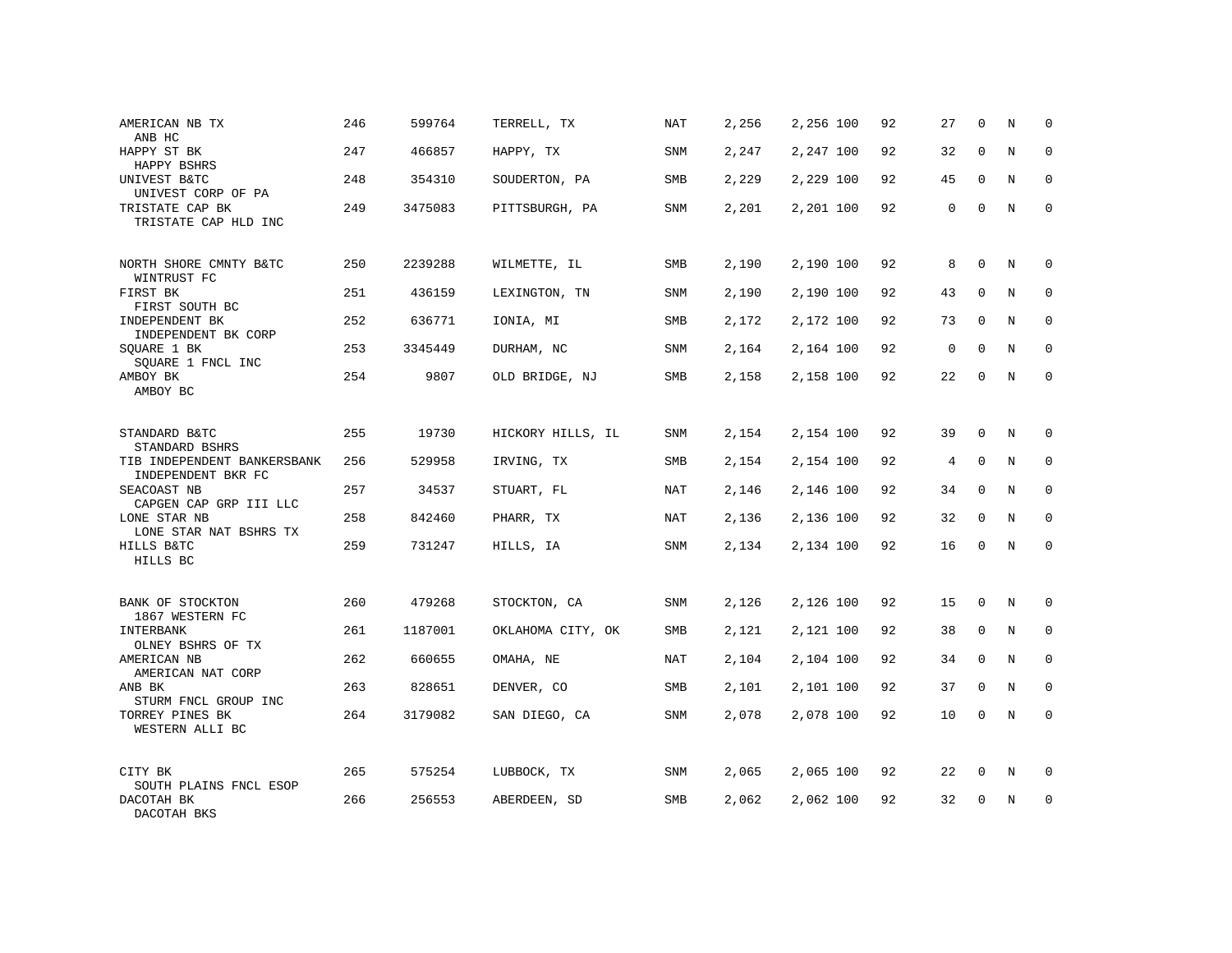| AMERICAN NB TX<br>ANB HC                            | 246 | 599764  | TERRELL, TX       | NAT        | 2,256 | 2,256 100 | 92 | 27          | 0           | N | $\mathbf 0$  |
|-----------------------------------------------------|-----|---------|-------------------|------------|-------|-----------|----|-------------|-------------|---|--------------|
| HAPPY ST BK<br>HAPPY BSHRS                          | 247 | 466857  | HAPPY, TX         | SNM        | 2,247 | 2,247 100 | 92 | 32          | $\mathbf 0$ | N | $\mathbf{0}$ |
| UNIVEST B&TC<br>UNIVEST CORP OF PA                  | 248 | 354310  | SOUDERTON, PA     | SMB        | 2,229 | 2,229 100 | 92 | 45          | $\Omega$    | N | $\mathbf{0}$ |
| TRISTATE CAP BK<br>TRISTATE CAP HLD INC             | 249 | 3475083 | PITTSBURGH, PA    | SNM        | 2,201 | 2,201 100 | 92 | $\mathbf 0$ | 0           | N | $\mathbf{0}$ |
| NORTH SHORE CMNTY B&TC<br>WINTRUST FC               | 250 | 2239288 | WILMETTE, IL      | SMB        | 2,190 | 2,190 100 | 92 | 8           | 0           | N | 0            |
| FIRST BK<br>FIRST SOUTH BC                          | 251 | 436159  | LEXINGTON, TN     | SNM        | 2,190 | 2,190 100 | 92 | 43          | $\mathbf 0$ | N | 0            |
| INDEPENDENT BK<br>INDEPENDENT BK CORP               | 252 | 636771  | IONIA, MI         | SMB        | 2,172 | 2,172 100 | 92 | 73          | $\Omega$    | N | $\mathbf{0}$ |
| SQUARE 1 BK<br>SQUARE 1 FNCL INC                    | 253 | 3345449 | DURHAM, NC        | SNM        | 2,164 | 2,164 100 | 92 | $\mathbf 0$ | $\mathbf 0$ | N | 0            |
| AMBOY BK<br>AMBOY BC                                | 254 | 9807    | OLD BRIDGE, NJ    | SMB        | 2,158 | 2,158 100 | 92 | 22          | $\mathbf 0$ | N | $\mathbf{0}$ |
| STANDARD B&TC<br>STANDARD BSHRS                     | 255 | 19730   | HICKORY HILLS, IL | SNM        | 2,154 | 2,154 100 | 92 | 39          | 0           | N | $\mathbf 0$  |
| TIB INDEPENDENT BANKERSBANK<br>INDEPENDENT BKR FC   | 256 | 529958  | IRVING, TX        | <b>SMB</b> | 2,154 | 2,154 100 | 92 | 4           | $\mathbf 0$ | N | $\mathbf 0$  |
| SEACOAST NB<br>CAPGEN CAP GRP III LLC               | 257 | 34537   | STUART, FL        | NAT        | 2,146 | 2,146 100 | 92 | 34          | 0           | N | $\mathbf{0}$ |
| LONE STAR NB<br>LONE STAR NAT BSHRS TX              | 258 | 842460  | PHARR, TX         | NAT        | 2,136 | 2,136 100 | 92 | 32          | $\mathbf 0$ | N | $\mathbf 0$  |
| HILLS B&TC<br>HILLS BC                              | 259 | 731247  | HILLS, IA         | SNM        | 2,134 | 2,134 100 | 92 | 16          | 0           | N | $\mathbf 0$  |
| BANK OF STOCKTON                                    | 260 | 479268  | STOCKTON, CA      | SNM        | 2,126 | 2,126 100 | 92 | 15          | $\mathbf 0$ | N | $\mathbf{0}$ |
| 1867 WESTERN FC<br>INTERBANK<br>OLNEY BSHRS OF TX   | 261 | 1187001 | OKLAHOMA CITY, OK | SMB        | 2,121 | 2,121 100 | 92 | 38          | 0           | N | 0            |
| AMERICAN NB<br>AMERICAN NAT CORP                    | 262 | 660655  | OMAHA, NE         | NAT        | 2,104 | 2,104 100 | 92 | 34          | $\mathbf 0$ | N | $\mathbf 0$  |
| ANB BK<br>STURM FNCL GROUP INC                      | 263 | 828651  | DENVER, CO        | SMB        | 2,101 | 2,101 100 | 92 | 37          | 0           | N | 0            |
| TORREY PINES BK<br>WESTERN ALLI BC                  | 264 | 3179082 | SAN DIEGO, CA     | SNM        | 2,078 | 2,078 100 | 92 | 10          | 0           | N | $\mathbf{0}$ |
| CITY BK                                             | 265 | 575254  | LUBBOCK, TX       | SNM        | 2,065 | 2,065 100 | 92 | 22          | 0           | N | 0            |
| SOUTH PLAINS FNCL ESOP<br>DACOTAH BK<br>DACOTAH BKS | 266 | 256553  | ABERDEEN, SD      | SMB        | 2,062 | 2,062 100 | 92 | 32          | 0           | N | $\mathbf 0$  |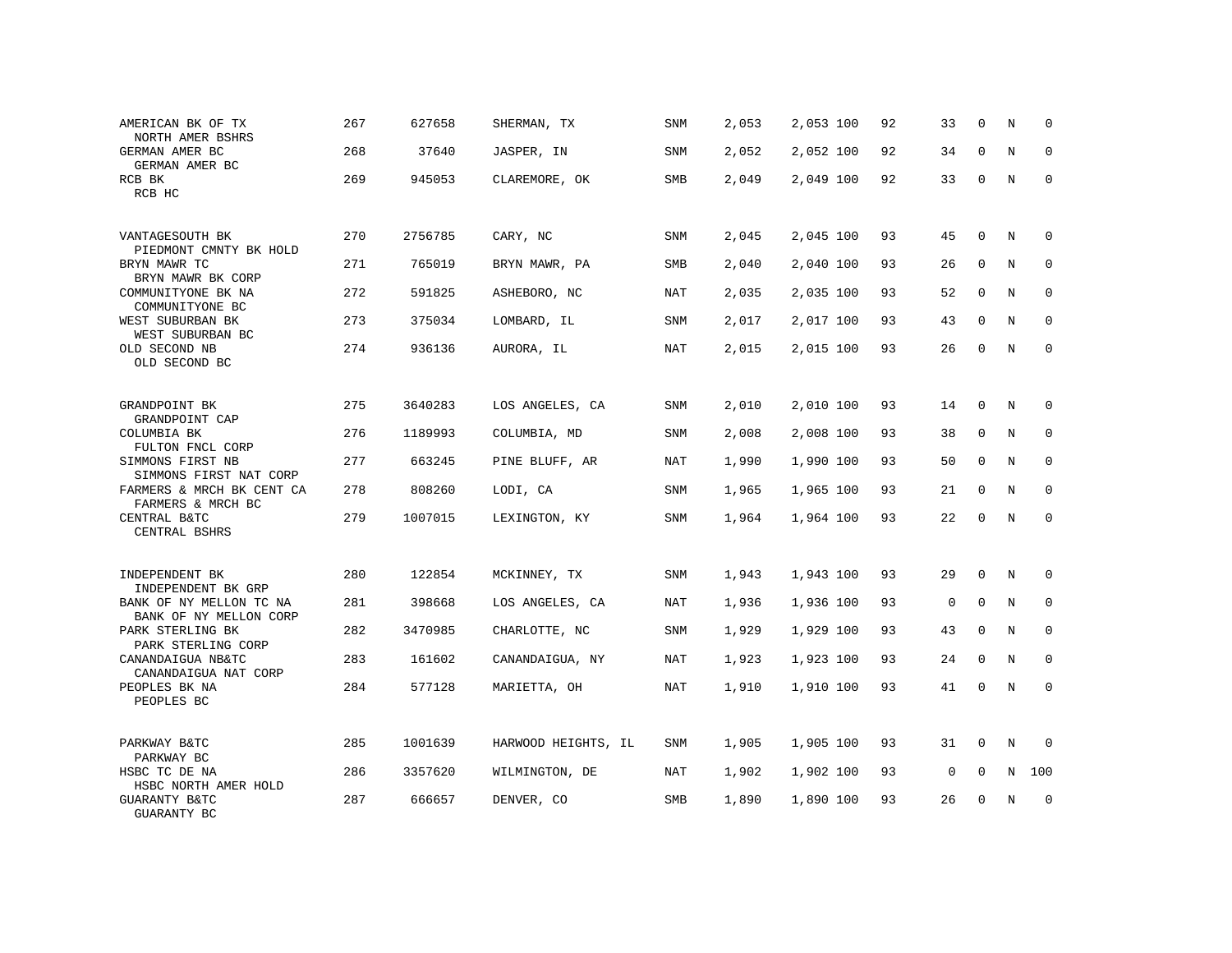| AMERICAN BK OF TX<br>NORTH AMER BSHRS             | 267 | 627658  | SHERMAN, TX         | SNM        | 2,053 | 2,053 100 | 92 | 33          | $\mathbf 0$ | N           | $\Omega$    |
|---------------------------------------------------|-----|---------|---------------------|------------|-------|-----------|----|-------------|-------------|-------------|-------------|
| GERMAN AMER BC<br>GERMAN AMER BC                  | 268 | 37640   | JASPER, IN          | SNM        | 2,052 | 2,052 100 | 92 | 34          | $\Omega$    | N           | $\Omega$    |
| RCB BK<br>RCB HC                                  | 269 | 945053  | CLAREMORE, OK       | SMB        | 2,049 | 2,049 100 | 92 | 33          | $\mathbf 0$ | N           | 0           |
| VANTAGESOUTH BK<br>PIEDMONT CMNTY BK HOLD         | 270 | 2756785 | CARY, NC            | SNM        | 2,045 | 2,045 100 | 93 | 45          | $\Omega$    | N           | $\Omega$    |
| BRYN MAWR TC<br>BRYN MAWR BK CORP                 | 271 | 765019  | BRYN MAWR, PA       | SMB        | 2,040 | 2,040 100 | 93 | 26          | $\Omega$    | N           | $\mathbf 0$ |
| COMMUNITYONE BK NA<br>COMMUNITYONE BC             | 272 | 591825  | ASHEBORO, NC        | <b>NAT</b> | 2,035 | 2,035 100 | 93 | 52          | $\mathbf 0$ | N           | $\mathbf 0$ |
| WEST SUBURBAN BK<br>WEST SUBURBAN BC              | 273 | 375034  | LOMBARD, IL         | SNM        | 2,017 | 2,017 100 | 93 | 43          | $\Omega$    | N           | $\Omega$    |
| OLD SECOND NB<br>OLD SECOND BC                    | 274 | 936136  | AURORA, IL          | <b>NAT</b> | 2,015 | 2,015 100 | 93 | 26          | $\mathbf 0$ | N           | $\mathbf 0$ |
| GRANDPOINT BK<br>GRANDPOINT CAP                   | 275 | 3640283 | LOS ANGELES, CA     | SNM        | 2,010 | 2,010 100 | 93 | 14          | $\mathbf 0$ | N           | 0           |
| COLUMBIA BK<br>FULTON FNCL CORP                   | 276 | 1189993 | COLUMBIA, MD        | SNM        | 2,008 | 2,008 100 | 93 | 38          | $\mathbf 0$ | N           | $\mathbf 0$ |
| SIMMONS FIRST NB<br>SIMMONS FIRST NAT CORP        | 277 | 663245  | PINE BLUFF, AR      | <b>NAT</b> | 1,990 | 1,990 100 | 93 | 50          | $\Omega$    | N           | $\Omega$    |
| FARMERS & MRCH BK CENT CA<br>FARMERS & MRCH BC    | 278 | 808260  | LODI, CA            | SNM        | 1,965 | 1,965 100 | 93 | 21          | $\Omega$    | N           | $\mathbf 0$ |
| CENTRAL B&TC<br>CENTRAL BSHRS                     | 279 | 1007015 | LEXINGTON, KY       | <b>SNM</b> | 1,964 | 1,964 100 | 93 | 22          | $\Omega$    | N           | $\Omega$    |
| INDEPENDENT BK<br>INDEPENDENT BK GRP              | 280 | 122854  | MCKINNEY, TX        | <b>SNM</b> | 1,943 | 1,943 100 | 93 | 29          | $\Omega$    | N           | $\Omega$    |
| BANK OF NY MELLON TC NA<br>BANK OF NY MELLON CORP | 281 | 398668  | LOS ANGELES, CA     | NAT        | 1,936 | 1,936 100 | 93 | $\mathbf 0$ | $\mathbf 0$ | N           | $\mathbf 0$ |
| PARK STERLING BK<br>PARK STERLING CORP            | 282 | 3470985 | CHARLOTTE, NC       | <b>SNM</b> | 1,929 | 1,929 100 | 93 | 43          | $\Omega$    | $_{\rm N}$  | $\mathbf 0$ |
| CANANDAIGUA NB&TC<br>CANANDAIGUA NAT CORP         | 283 | 161602  | CANANDAIGUA, NY     | <b>NAT</b> | 1,923 | 1,923 100 | 93 | 24          | $\mathbf 0$ | N           | $\mathbf 0$ |
| PEOPLES BK NA<br>PEOPLES BC                       | 284 | 577128  | MARIETTA, OH        | <b>NAT</b> | 1,910 | 1,910 100 | 93 | 41          | $\Omega$    | $\mathbf N$ | $\mathbf 0$ |
| PARKWAY B&TC<br>PARKWAY BC                        | 285 | 1001639 | HARWOOD HEIGHTS, IL | SNM        | 1,905 | 1,905 100 | 93 | 31          | 0           | N           | 0           |
| HSBC TC DE NA<br>HSBC NORTH AMER HOLD             | 286 | 3357620 | WILMINGTON, DE      | NAT        | 1,902 | 1,902 100 | 93 | 0           | $\mathbf 0$ | N           | 100         |
| GUARANTY B&TC<br>GUARANTY BC                      | 287 | 666657  | DENVER, CO          | <b>SMB</b> | 1,890 | 1,890 100 | 93 | 26          | $\Omega$    | N           | $\mathbf 0$ |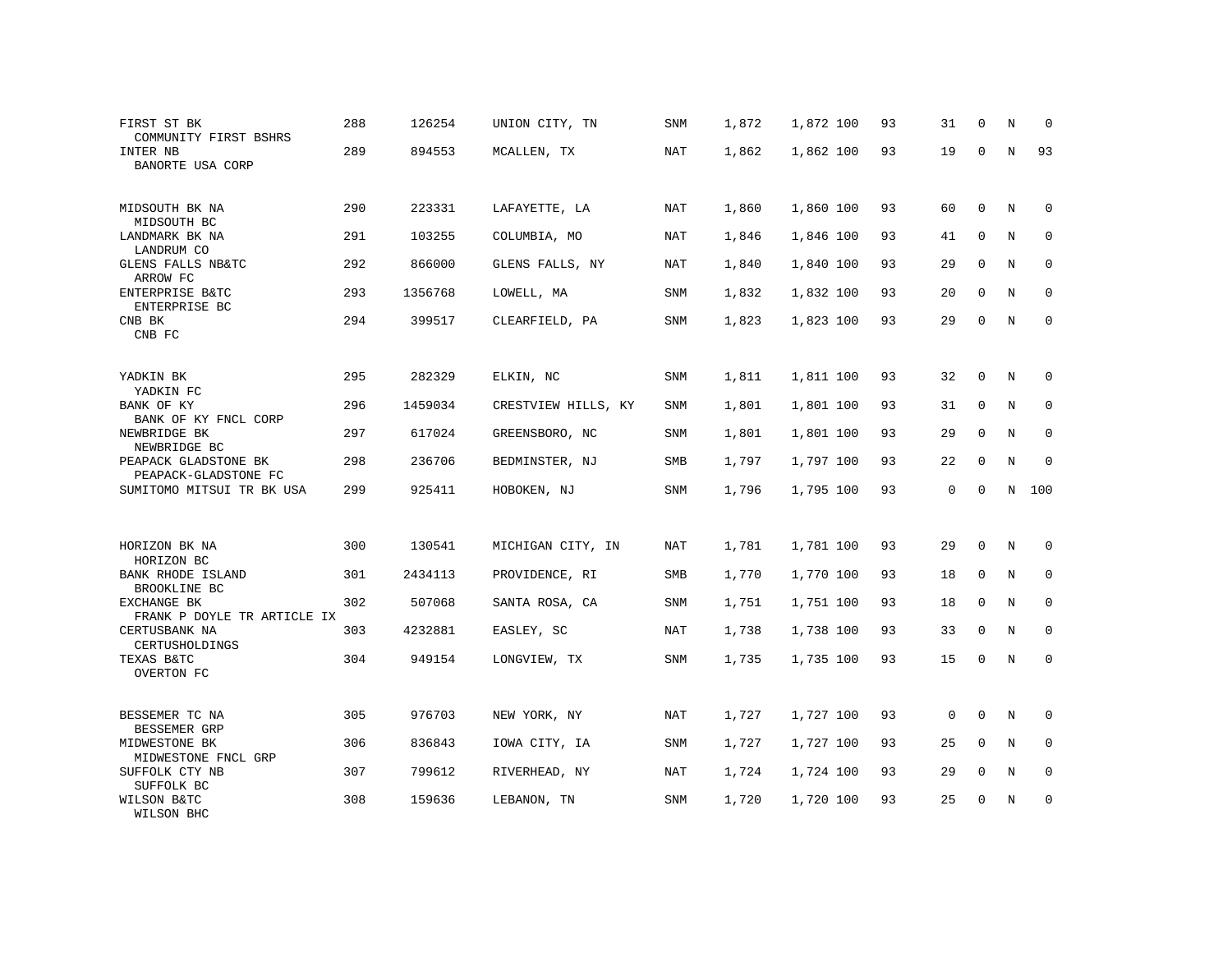| FIRST ST BK<br>COMMUNITY FIRST BSHRS         | 288 | 126254  | UNION CITY, TN      | SNM        | 1,872 | 1,872 100 | 93 | 31           | 0            | N           | 0            |
|----------------------------------------------|-----|---------|---------------------|------------|-------|-----------|----|--------------|--------------|-------------|--------------|
| INTER NB<br>BANORTE USA CORP                 | 289 | 894553  | MCALLEN, TX         | NAT        | 1,862 | 1,862 100 | 93 | 19           | $\Omega$     | $\mathbb N$ | 93           |
| MIDSOUTH BK NA<br>MIDSOUTH BC                | 290 | 223331  | LAFAYETTE, LA       | NAT        | 1,860 | 1,860 100 | 93 | 60           | $\mathbf 0$  | N           | $\Omega$     |
| LANDMARK BK NA<br>LANDRUM CO                 | 291 | 103255  | COLUMBIA, MO        | NAT        | 1,846 | 1,846 100 | 93 | 41           | 0            | N           | $\mathbf 0$  |
| GLENS FALLS NB&TC<br>ARROW FC                | 292 | 866000  | GLENS FALLS, NY     | NAT        | 1,840 | 1,840 100 | 93 | 29           | $\mathbf 0$  | N           | $\mathsf 0$  |
| ENTERPRISE B&TC<br>ENTERPRISE BC             | 293 | 1356768 | LOWELL, MA          | SNM        | 1,832 | 1,832 100 | 93 | 20           | $\mathsf{O}$ | $\mathbb N$ | $\mathbf 0$  |
| CNB BK<br>CNB FC                             | 294 | 399517  | CLEARFIELD, PA      | SNM        | 1,823 | 1,823 100 | 93 | 29           | $\mathbf 0$  | $\mathbf N$ | $\mathbf{0}$ |
| YADKIN BK<br>YADKIN FC                       | 295 | 282329  | ELKIN, NC           | SNM        | 1,811 | 1,811 100 | 93 | 32           | 0            | N           | 0            |
| BANK OF KY<br>BANK OF KY FNCL CORP           | 296 | 1459034 | CRESTVIEW HILLS, KY | SNM        | 1,801 | 1,801 100 | 93 | 31           | $\mathbf{0}$ | N           | 0            |
| NEWBRIDGE BK<br>NEWBRIDGE BC                 | 297 | 617024  | GREENSBORO, NC      | SNM        | 1,801 | 1,801 100 | 93 | 29           | $\mathbf 0$  | N           | $\mathsf 0$  |
| PEAPACK GLADSTONE BK<br>PEAPACK-GLADSTONE FC | 298 | 236706  | BEDMINSTER, NJ      | <b>SMB</b> | 1,797 | 1,797 100 | 93 | 22           | $\mathbf 0$  | $\mathbf N$ | $\mathbf{0}$ |
| SUMITOMO MITSUI TR BK USA                    | 299 | 925411  | HOBOKEN, NJ         | SNM        | 1,796 | 1,795 100 | 93 | $\mathbf{0}$ | $\mathbf 0$  | N           | 100          |
|                                              |     |         |                     |            |       |           |    |              |              |             |              |
| HORIZON BK NA<br>HORIZON BC                  | 300 | 130541  | MICHIGAN CITY, IN   | NAT        | 1,781 | 1,781 100 | 93 | 29           | 0            | N           | 0            |
| BANK RHODE ISLAND<br>BROOKLINE BC            | 301 | 2434113 | PROVIDENCE, RI      | SMB        | 1,770 | 1,770 100 | 93 | 18           | 0            | N           | 0            |
| EXCHANGE BK<br>FRANK P DOYLE TR ARTICLE IX   | 302 | 507068  | SANTA ROSA, CA      | SNM        | 1,751 | 1,751 100 | 93 | 18           | $\mathbf 0$  | N           | 0            |
| CERTUSBANK NA<br>CERTUSHOLDINGS              | 303 | 4232881 | EASLEY, SC          | NAT        | 1,738 | 1,738 100 | 93 | 33           | 0            | N           | 0            |
| TEXAS B&TC<br>OVERTON FC                     | 304 | 949154  | LONGVIEW, TX        | SNM        | 1,735 | 1,735 100 | 93 | 15           | $\mathbf 0$  | N           | $\mathbf 0$  |
|                                              |     |         |                     |            |       |           |    |              |              |             |              |
| BESSEMER TC NA<br>BESSEMER GRP               | 305 | 976703  | NEW YORK, NY        | NAT        | 1,727 | 1,727 100 | 93 | 0            | $\mathbf 0$  | N           | 0            |
| MIDWESTONE BK<br>MIDWESTONE FNCL GRP         | 306 | 836843  | IOWA CITY, IA       | <b>SNM</b> | 1,727 | 1,727 100 | 93 | 25           | $\mathbf 0$  | $\mathbf N$ | $\mathbf 0$  |
| SUFFOLK CTY NB<br>SUFFOLK BC                 | 307 | 799612  | RIVERHEAD, NY       | <b>NAT</b> | 1,724 | 1,724 100 | 93 | 29           | $\mathbf 0$  | N           | 0            |
| WILSON B&TC<br>WILSON BHC                    | 308 | 159636  | LEBANON, TN         | SNM        | 1,720 | 1,720 100 | 93 | 25           | 0            | N           | 0            |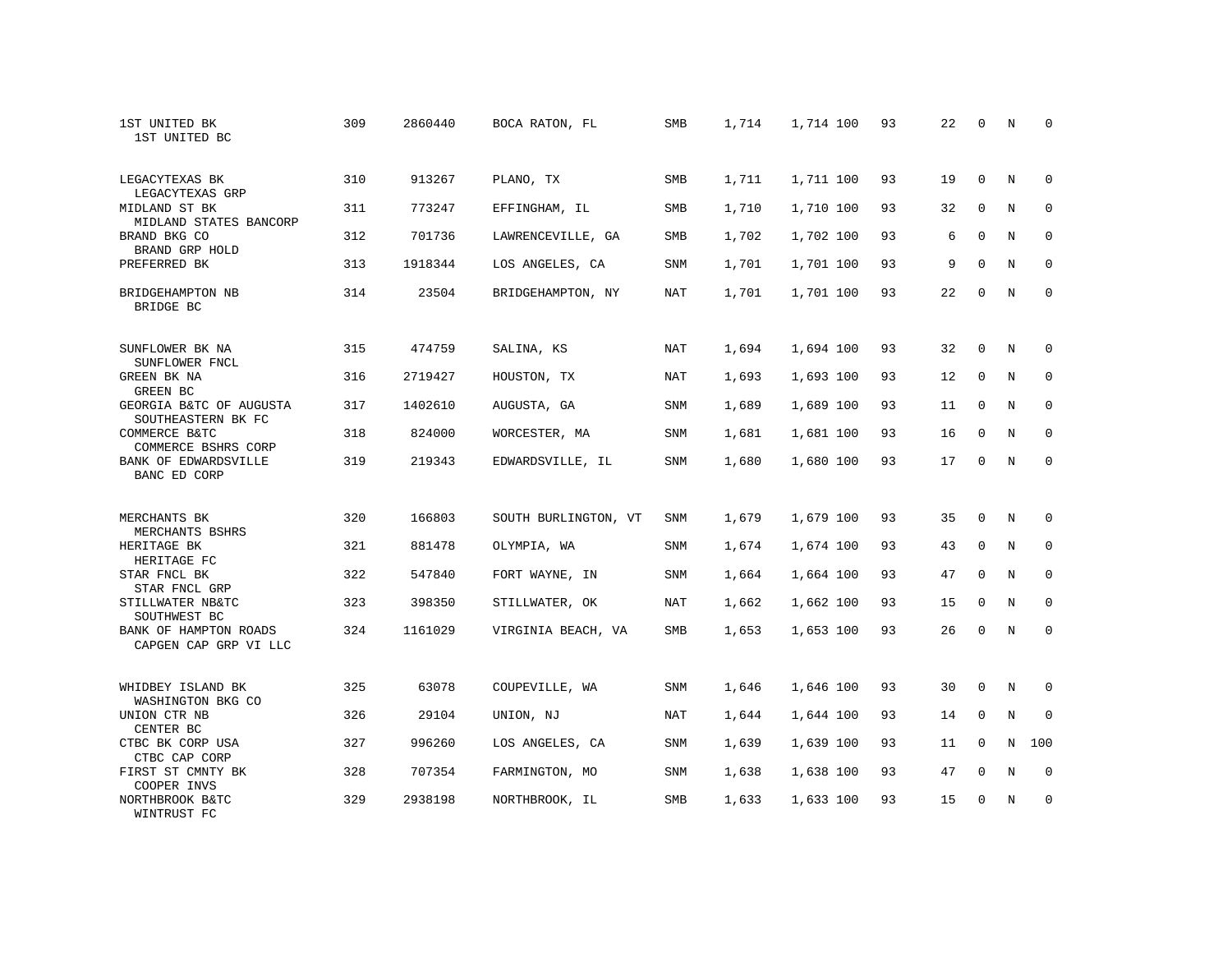| 1ST UNITED BK<br>1ST UNITED BC                 | 309 | 2860440 | BOCA RATON, FL       | <b>SMB</b> | 1,714 | 1,714 100 | 93 | 22 | $\mathbf 0$  | $\rm N$ | $\mathbf 0$  |
|------------------------------------------------|-----|---------|----------------------|------------|-------|-----------|----|----|--------------|---------|--------------|
| LEGACYTEXAS BK<br>LEGACYTEXAS GRP              | 310 | 913267  | PLANO, TX            | SMB        | 1,711 | 1,711 100 | 93 | 19 | $\Omega$     | N       | $\Omega$     |
| MIDLAND ST BK<br>MIDLAND STATES BANCORP        | 311 | 773247  | EFFINGHAM, IL        | SMB        | 1,710 | 1,710 100 | 93 | 32 | 0            | N       | 0            |
| BRAND BKG CO<br>BRAND GRP HOLD                 | 312 | 701736  | LAWRENCEVILLE, GA    | <b>SMB</b> | 1,702 | 1,702 100 | 93 | 6  | $\mathbf{0}$ | N       | $\mathbf{0}$ |
| PREFERRED BK                                   | 313 | 1918344 | LOS ANGELES, CA      | SNM        | 1,701 | 1,701 100 | 93 | 9  | $\Omega$     | N       | $\mathbf{0}$ |
| BRIDGEHAMPTON NB<br>BRIDGE BC                  | 314 | 23504   | BRIDGEHAMPTON, NY    | NAT        | 1,701 | 1,701 100 | 93 | 22 | $\mathbf{0}$ | N       | $\mathbf 0$  |
| SUNFLOWER BK NA<br>SUNFLOWER FNCL              | 315 | 474759  | SALINA, KS           | NAT        | 1,694 | 1,694 100 | 93 | 32 | $\mathbf 0$  | N       | 0            |
| GREEN BK NA<br>GREEN BC                        | 316 | 2719427 | HOUSTON, TX          | NAT        | 1,693 | 1,693 100 | 93 | 12 | 0            | N       | 0            |
| GEORGIA B&TC OF AUGUSTA<br>SOUTHEASTERN BK FC  | 317 | 1402610 | AUGUSTA, GA          | SNM        | 1,689 | 1,689 100 | 93 | 11 | $\mathbf{0}$ | N       | $\mathbf{0}$ |
| COMMERCE B&TC<br>COMMERCE BSHRS CORP           | 318 | 824000  | WORCESTER, MA        | SNM        | 1,681 | 1,681 100 | 93 | 16 | 0            | N       | 0            |
| BANK OF EDWARDSVILLE<br>BANC ED CORP           | 319 | 219343  | EDWARDSVILLE, IL     | SNM        | 1,680 | 1,680 100 | 93 | 17 | $\mathbf{0}$ | N       | $\mathbf 0$  |
| MERCHANTS BK<br>MERCHANTS BSHRS                | 320 | 166803  | SOUTH BURLINGTON, VT | SNM        | 1,679 | 1,679 100 | 93 | 35 | $\mathbf{0}$ | N       | $\mathbf 0$  |
| HERITAGE BK<br>HERITAGE FC                     | 321 | 881478  | OLYMPIA, WA          | SNM        | 1,674 | 1,674 100 | 93 | 43 | 0            | N       | 0            |
| STAR FNCL BK<br>STAR FNCL GRP                  | 322 | 547840  | FORT WAYNE, IN       | SNM        | 1,664 | 1,664 100 | 93 | 47 | $\Omega$     | N       | $\mathbf 0$  |
| STILLWATER NB&TC<br>SOUTHWEST BC               | 323 | 398350  | STILLWATER, OK       | NAT        | 1,662 | 1,662 100 | 93 | 15 | $\mathbf 0$  | N       | 0            |
| BANK OF HAMPTON ROADS<br>CAPGEN CAP GRP VI LLC | 324 | 1161029 | VIRGINIA BEACH, VA   | SMB        | 1,653 | 1,653 100 | 93 | 26 | $\mathbf{0}$ | N       | $\mathbf{0}$ |
| WHIDBEY ISLAND BK<br>WASHINGTON BKG CO         | 325 | 63078   | COUPEVILLE, WA       | SNM        | 1,646 | 1,646 100 | 93 | 30 | $\mathbf{0}$ | N       | $\mathbf 0$  |
| UNION CTR NB<br>CENTER BC                      | 326 | 29104   | UNION, NJ            | NAT        | 1,644 | 1,644 100 | 93 | 14 | $\mathbf 0$  | N       | $\mathbf 0$  |
| CTBC BK CORP USA<br>CTBC CAP CORP              | 327 | 996260  | LOS ANGELES, CA      | SNM        | 1,639 | 1,639 100 | 93 | 11 | $\mathbf{0}$ | N       | 100          |
| FIRST ST CMNTY BK<br>COOPER INVS               | 328 | 707354  | FARMINGTON, MO       | SNM        | 1,638 | 1,638 100 | 93 | 47 | $\mathbf 0$  | N       | 0            |
| NORTHBROOK B&TC<br>WINTRUST FC                 | 329 | 2938198 | NORTHBROOK, IL       | SMB        | 1,633 | 1,633 100 | 93 | 15 | $\Omega$     | N       | $\mathbf{0}$ |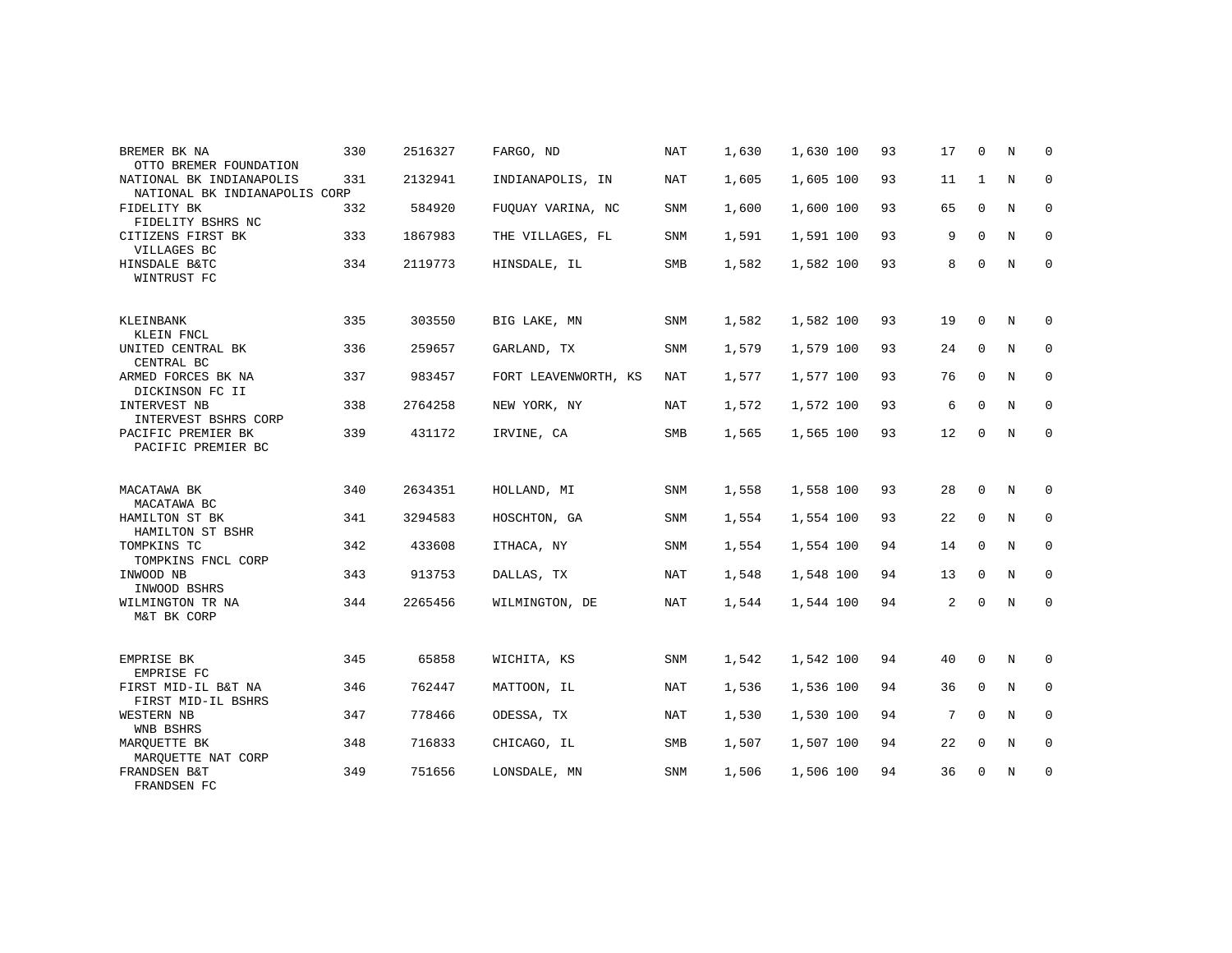| BREMER BK NA<br>OTTO BREMER FOUNDATION                    | 330 | 2516327 | FARGO, ND            | NAT        | 1,630 | 1,630 100 | 93 | 17             | 0            | N           | 0           |
|-----------------------------------------------------------|-----|---------|----------------------|------------|-------|-----------|----|----------------|--------------|-------------|-------------|
| NATIONAL BK INDIANAPOLIS<br>NATIONAL BK INDIANAPOLIS CORP | 331 | 2132941 | INDIANAPOLIS, IN     | NAT        | 1,605 | 1,605 100 | 93 | 11             | $\mathbf{1}$ | N           | $\mathbf 0$ |
| FIDELITY BK<br>FIDELITY BSHRS NC                          | 332 | 584920  | FUOUAY VARINA, NC    | <b>SNM</b> | 1,600 | 1,600 100 | 93 | 65             | $\mathbf 0$  | N           | $\mathbf 0$ |
| CITIZENS FIRST BK<br>VILLAGES BC                          | 333 | 1867983 | THE VILLAGES, FL     | SNM        | 1,591 | 1,591 100 | 93 | 9              | $\Omega$     | N           | $\mathbf 0$ |
| HINSDALE B&TC<br>WINTRUST FC                              | 334 | 2119773 | HINSDALE, IL         | SMB        | 1,582 | 1,582 100 | 93 | 8              | $\Omega$     | $\mathbf N$ | $\mathbf 0$ |
| KLEINBANK<br>KLEIN FNCL                                   | 335 | 303550  | BIG LAKE, MN         | SNM        | 1,582 | 1,582 100 | 93 | 19             | $\mathbf 0$  | N           | 0           |
| UNITED CENTRAL BK<br>CENTRAL BC                           | 336 | 259657  | GARLAND, TX          | <b>SNM</b> | 1,579 | 1,579 100 | 93 | 24             | $\Omega$     | N           | $\mathbf 0$ |
| ARMED FORCES BK NA<br>DICKINSON FC II                     | 337 | 983457  | FORT LEAVENWORTH, KS | NAT        | 1,577 | 1,577 100 | 93 | 76             | $\mathbf 0$  | N           | $\mathbf 0$ |
| INTERVEST NB<br>INTERVEST BSHRS CORP                      | 338 | 2764258 | NEW YORK, NY         | NAT        | 1,572 | 1,572 100 | 93 | 6              | $\Omega$     | $_{\rm N}$  | $\mathbf 0$ |
| PACIFIC PREMIER BK<br>PACIFIC PREMIER BC                  | 339 | 431172  | IRVINE, CA           | SMB        | 1,565 | 1,565 100 | 93 | 12             | $\mathbf 0$  | N           | $\mathbf 0$ |
| MACATAWA BK<br>MACATAWA BC                                | 340 | 2634351 | HOLLAND, MI          | <b>SNM</b> | 1,558 | 1,558 100 | 93 | 28             | $\Omega$     | N           | 0           |
| HAMILTON ST BK<br>HAMILTON ST BSHR                        | 341 | 3294583 | HOSCHTON, GA         | <b>SNM</b> | 1,554 | 1,554 100 | 93 | 22             | $\mathbf 0$  | N           | $\mathbf 0$ |
| TOMPKINS TC<br>TOMPKINS FNCL CORP                         | 342 | 433608  | ITHACA, NY           | <b>SNM</b> | 1,554 | 1,554 100 | 94 | 14             | $\mathbf 0$  | N           | $\mathbf 0$ |
| INWOOD NB<br>INWOOD BSHRS                                 | 343 | 913753  | DALLAS, TX           | <b>NAT</b> | 1,548 | 1,548 100 | 94 | 13             | $\Omega$     | N           | 0           |
| WILMINGTON TR NA<br>M&T BK CORP                           | 344 | 2265456 | WILMINGTON, DE       | NAT        | 1,544 | 1,544 100 | 94 | $\overline{a}$ | $\Omega$     | $\mathbb N$ | $\mathbf 0$ |
| EMPRISE BK<br>EMPRISE FC                                  | 345 | 65858   | WICHITA, KS          | SNM        | 1,542 | 1,542 100 | 94 | 40             | $\mathbf 0$  | N           | 0           |
| FIRST MID-IL B&T NA<br>FIRST MID-IL BSHRS                 | 346 | 762447  | MATTOON, IL          | <b>NAT</b> | 1,536 | 1,536 100 | 94 | 36             | $\Omega$     | N           | $\Omega$    |
| WESTERN NB<br>WNB BSHRS                                   | 347 | 778466  | ODESSA, TX           | NAT        | 1,530 | 1,530 100 | 94 | 7              | $\mathbf 0$  | N           | 0           |
| MARQUETTE BK<br>MAROUETTE NAT CORP                        | 348 | 716833  | CHICAGO, IL          | SMB        | 1,507 | 1,507 100 | 94 | 22             | $\Omega$     | N           | $\mathbf 0$ |
| FRANDSEN B&T<br>FRANDSEN FC                               | 349 | 751656  | LONSDALE, MN         | SNM        | 1,506 | 1,506 100 | 94 | 36             | 0            | N           | 0           |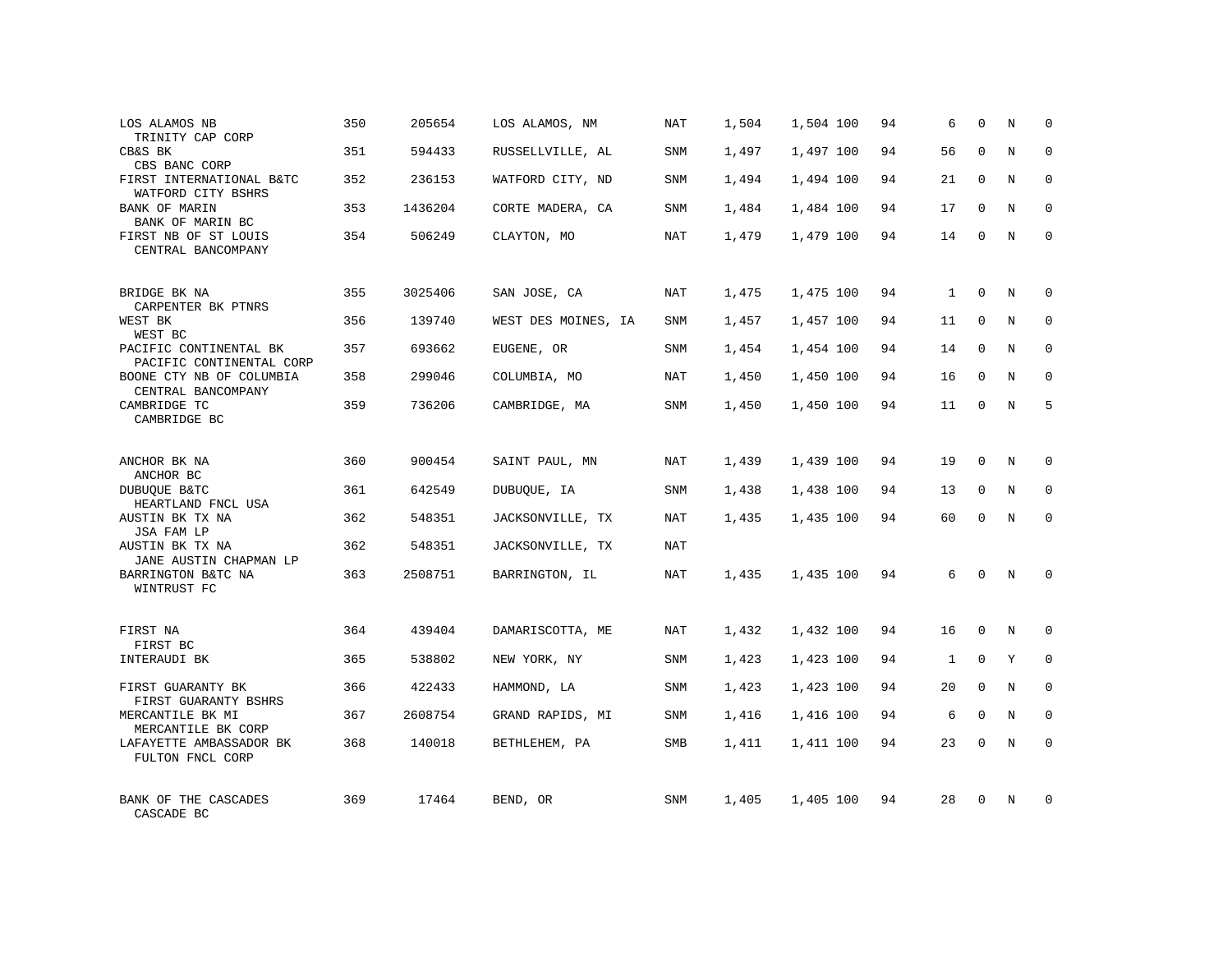| LOS ALAMOS NB<br>TRINITY CAP CORP                  | 350 | 205654  | LOS ALAMOS, NM      | NAT        | 1,504 | 1,504 100 | 94 | 6            | $\Omega$    | N          | $\Omega$    |
|----------------------------------------------------|-----|---------|---------------------|------------|-------|-----------|----|--------------|-------------|------------|-------------|
| CB&S BK<br>CBS BANC CORP                           | 351 | 594433  | RUSSELLVILLE, AL    | SNM        | 1,497 | 1,497 100 | 94 | 56           | $\Omega$    | N          | $\Omega$    |
| FIRST INTERNATIONAL B&TC<br>WATFORD CITY BSHRS     | 352 | 236153  | WATFORD CITY, ND    | SNM        | 1,494 | 1,494 100 | 94 | 21           | $\mathbf 0$ | N          | 0           |
| <b>BANK OF MARIN</b><br>BANK OF MARIN BC           | 353 | 1436204 | CORTE MADERA, CA    | SNM        | 1,484 | 1,484 100 | 94 | 17           | $\Omega$    | N          | $\Omega$    |
| FIRST NB OF ST LOUIS<br>CENTRAL BANCOMPANY         | 354 | 506249  | CLAYTON, MO         | NAT        | 1,479 | 1,479 100 | 94 | 14           | $\Omega$    | N          | $\Omega$    |
| BRIDGE BK NA<br>CARPENTER BK PTNRS                 | 355 | 3025406 | SAN JOSE, CA        | <b>NAT</b> | 1,475 | 1,475 100 | 94 | $\mathbf{1}$ | $\Omega$    | N          | $\Omega$    |
| WEST BK<br>WEST BC                                 | 356 | 139740  | WEST DES MOINES, IA | SNM        | 1,457 | 1,457 100 | 94 | 11           | $\Omega$    | N          | $\Omega$    |
| PACIFIC CONTINENTAL BK<br>PACIFIC CONTINENTAL CORP | 357 | 693662  | EUGENE, OR          | SNM        | 1,454 | 1,454 100 | 94 | 14           | $\mathbf 0$ | N          | $\mathbf 0$ |
| BOONE CTY NB OF COLUMBIA<br>CENTRAL BANCOMPANY     | 358 | 299046  | COLUMBIA, MO        | <b>NAT</b> | 1,450 | 1,450 100 | 94 | 16           | $\Omega$    | N          | $\Omega$    |
| CAMBRIDGE TC<br>CAMBRIDGE BC                       | 359 | 736206  | CAMBRIDGE, MA       | SNM        | 1,450 | 1,450 100 | 94 | 11           | $\Omega$    | N          | 5           |
| ANCHOR BK NA<br>ANCHOR BC                          | 360 | 900454  | SAINT PAUL, MN      | NAT        | 1,439 | 1,439 100 | 94 | 19           | $\Omega$    | N          | $\Omega$    |
| DUBUQUE B&TC<br>HEARTLAND FNCL USA                 | 361 | 642549  | DUBUQUE, IA         | SNM        | 1,438 | 1,438 100 | 94 | 13           | $\Omega$    | N          | $\mathbf 0$ |
| AUSTIN BK TX NA<br>JSA FAM LP                      | 362 | 548351  | JACKSONVILLE, TX    | <b>NAT</b> | 1,435 | 1,435 100 | 94 | 60           | $\Omega$    | $_{\rm N}$ | $\Omega$    |
| AUSTIN BK TX NA<br>JANE AUSTIN CHAPMAN LP          | 362 | 548351  | JACKSONVILLE, TX    | <b>NAT</b> |       |           |    |              |             |            |             |
| BARRINGTON B&TC NA<br>WINTRUST FC                  | 363 | 2508751 | BARRINGTON, IL      | <b>NAT</b> | 1,435 | 1,435 100 | 94 | 6            | $\Omega$    | N          | $\Omega$    |
| FIRST NA<br>FIRST BC                               | 364 | 439404  | DAMARISCOTTA, ME    | <b>NAT</b> | 1,432 | 1,432 100 | 94 | 16           | $\Omega$    | N          | $\Omega$    |
| INTERAUDI BK                                       | 365 | 538802  | NEW YORK, NY        | SNM        | 1,423 | 1,423 100 | 94 | $\mathbf{1}$ | $\mathbf 0$ | Y          | $\mathbf 0$ |
| FIRST GUARANTY BK<br>FIRST GUARANTY BSHRS          | 366 | 422433  | HAMMOND, LA         | SNM        | 1,423 | 1,423 100 | 94 | 20           | $\Omega$    | $_{\rm N}$ | $\Omega$    |
| MERCANTILE BK MI<br>MERCANTILE BK CORP             | 367 | 2608754 | GRAND RAPIDS, MI    | SNM        | 1,416 | 1,416 100 | 94 | 6            | $\Omega$    | N          | $\mathbf 0$ |
| LAFAYETTE AMBASSADOR BK<br>FULTON FNCL CORP        | 368 | 140018  | BETHLEHEM, PA       | SMB        | 1,411 | 1,411 100 | 94 | 23           | $\Omega$    | N          | $\Omega$    |
| BANK OF THE CASCADES<br>CASCADE BC                 | 369 | 17464   | BEND, OR            | SNM        | 1,405 | 1,405 100 | 94 | 28           | $\Omega$    | N          | $\Omega$    |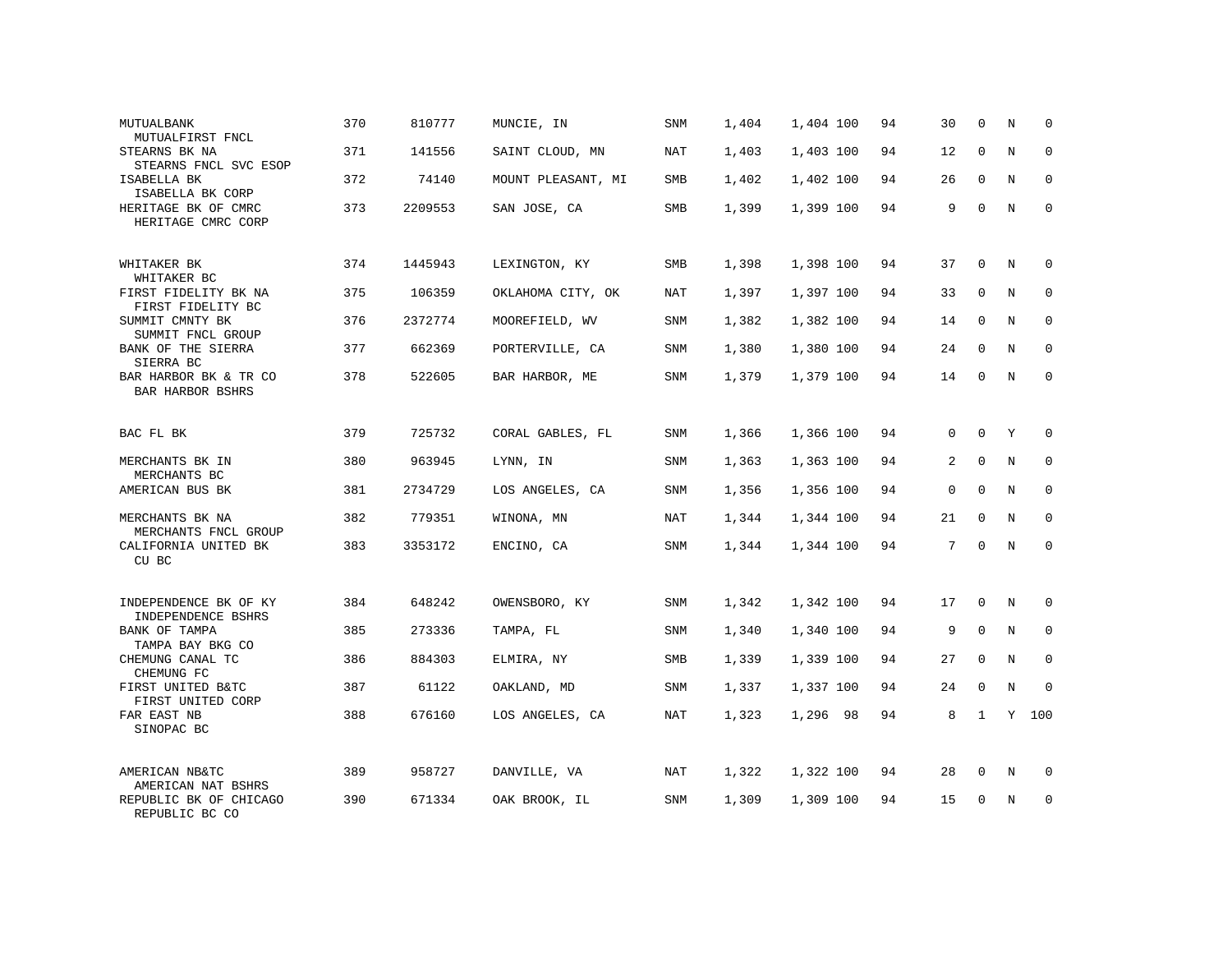| MUTUALBANK<br>MUTUALFIRST FNCL                           | 370 | 810777  | MUNCIE, IN         | SNM        | 1,404 | 1,404 100 | 94 | 30          | 0            | N           | $\mathbf 0$  |
|----------------------------------------------------------|-----|---------|--------------------|------------|-------|-----------|----|-------------|--------------|-------------|--------------|
| STEARNS BK NA<br>STEARNS FNCL SVC ESOP                   | 371 | 141556  | SAINT CLOUD, MN    | NAT        | 1,403 | 1,403 100 | 94 | 12          | $\mathbf 0$  | N           | $\mathbf{0}$ |
| ISABELLA BK<br>ISABELLA BK CORP                          | 372 | 74140   | MOUNT PLEASANT, MI | SMB        | 1,402 | 1,402 100 | 94 | 26          | $\mathbf 0$  | N           | 0            |
| HERITAGE BK OF CMRC<br>HERITAGE CMRC CORP                | 373 | 2209553 | SAN JOSE, CA       | <b>SMB</b> | 1,399 | 1,399 100 | 94 | 9           | $\Omega$     | N           | $\mathbf 0$  |
| WHITAKER BK                                              | 374 | 1445943 | LEXINGTON, KY      | SMB        | 1,398 | 1,398 100 | 94 | 37          | 0            | N           | $\mathbf 0$  |
| WHITAKER BC<br>FIRST FIDELITY BK NA<br>FIRST FIDELITY BC | 375 | 106359  | OKLAHOMA CITY, OK  | NAT        | 1,397 | 1,397 100 | 94 | 33          | $\mathbf 0$  | N           | $\mathbf 0$  |
| SUMMIT CMNTY BK<br>SUMMIT FNCL GROUP                     | 376 | 2372774 | MOOREFIELD, WV     | SNM        | 1,382 | 1,382 100 | 94 | 14          | 0            | N           | $\mathbf 0$  |
| BANK OF THE SIERRA<br>SIERRA BC                          | 377 | 662369  | PORTERVILLE, CA    | SNM        | 1,380 | 1,380 100 | 94 | 24          | $\mathbf 0$  | N           | $\mathbf 0$  |
| BAR HARBOR BK & TR CO<br><b>BAR HARBOR BSHRS</b>         | 378 | 522605  | BAR HARBOR, ME     | SNM        | 1,379 | 1,379 100 | 94 | 14          | $\mathbf 0$  | N           | $\mathbf{0}$ |
| BAC FL BK                                                | 379 | 725732  | CORAL GABLES, FL   | SNM        | 1,366 | 1,366 100 | 94 | $\mathbf 0$ | $\mathbf 0$  | Y           | $\mathbf{0}$ |
| MERCHANTS BK IN<br>MERCHANTS BC                          | 380 | 963945  | LYNN, IN           | SNM        | 1,363 | 1,363 100 | 94 | 2           | $\Omega$     | N           | $\mathbf 0$  |
| AMERICAN BUS BK                                          | 381 | 2734729 | LOS ANGELES, CA    | SNM        | 1,356 | 1,356 100 | 94 | $\mathbf 0$ | $\Omega$     | N           | $\mathbf 0$  |
| MERCHANTS BK NA<br>MERCHANTS FNCL GROUP                  | 382 | 779351  | WINONA, MN         | <b>NAT</b> | 1,344 | 1,344 100 | 94 | 21          | $\Omega$     | N           | $\Omega$     |
| CALIFORNIA UNITED BK<br>CU BC                            | 383 | 3353172 | ENCINO, CA         | SNM        | 1,344 | 1,344 100 | 94 | 7           | $\mathbf 0$  | N           | $\mathbf{0}$ |
| INDEPENDENCE BK OF KY                                    | 384 | 648242  | OWENSBORO, KY      | SNM        | 1,342 | 1,342 100 | 94 | 17          | 0            | N           | 0            |
| INDEPENDENCE BSHRS<br>BANK OF TAMPA                      | 385 | 273336  | TAMPA, FL          | <b>SNM</b> | 1,340 | 1,340 100 | 94 | 9           | $\Omega$     | $_{\rm N}$  | $\mathbf 0$  |
| TAMPA BAY BKG CO<br>CHEMUNG CANAL TC<br>CHEMUNG FC       | 386 | 884303  | ELMIRA, NY         | SMB        | 1,339 | 1,339 100 | 94 | 27          | $\mathbf 0$  | N           | 0            |
| FIRST UNITED B&TC<br>FIRST UNITED CORP                   | 387 | 61122   | OAKLAND, MD        | <b>SNM</b> | 1,337 | 1,337 100 | 94 | 24          | $\mathbf 0$  | $\mathbb N$ | $\mathbf{0}$ |
| FAR EAST NB<br>SINOPAC BC                                | 388 | 676160  | LOS ANGELES, CA    | NAT        | 1,323 | 1,296 98  | 94 | 8           | $\mathbf{1}$ |             | Y 100        |
| AMERICAN NB&TC<br>AMERICAN NAT BSHRS                     | 389 | 958727  | DANVILLE, VA       | NAT        | 1,322 | 1,322 100 | 94 | 28          | 0            | N           | 0            |
| REPUBLIC BK OF CHICAGO<br>REPUBLIC BC CO                 | 390 | 671334  | OAK BROOK, IL      | SNM        | 1,309 | 1,309 100 | 94 | 15          | $\mathbf 0$  | N           | $\mathbf 0$  |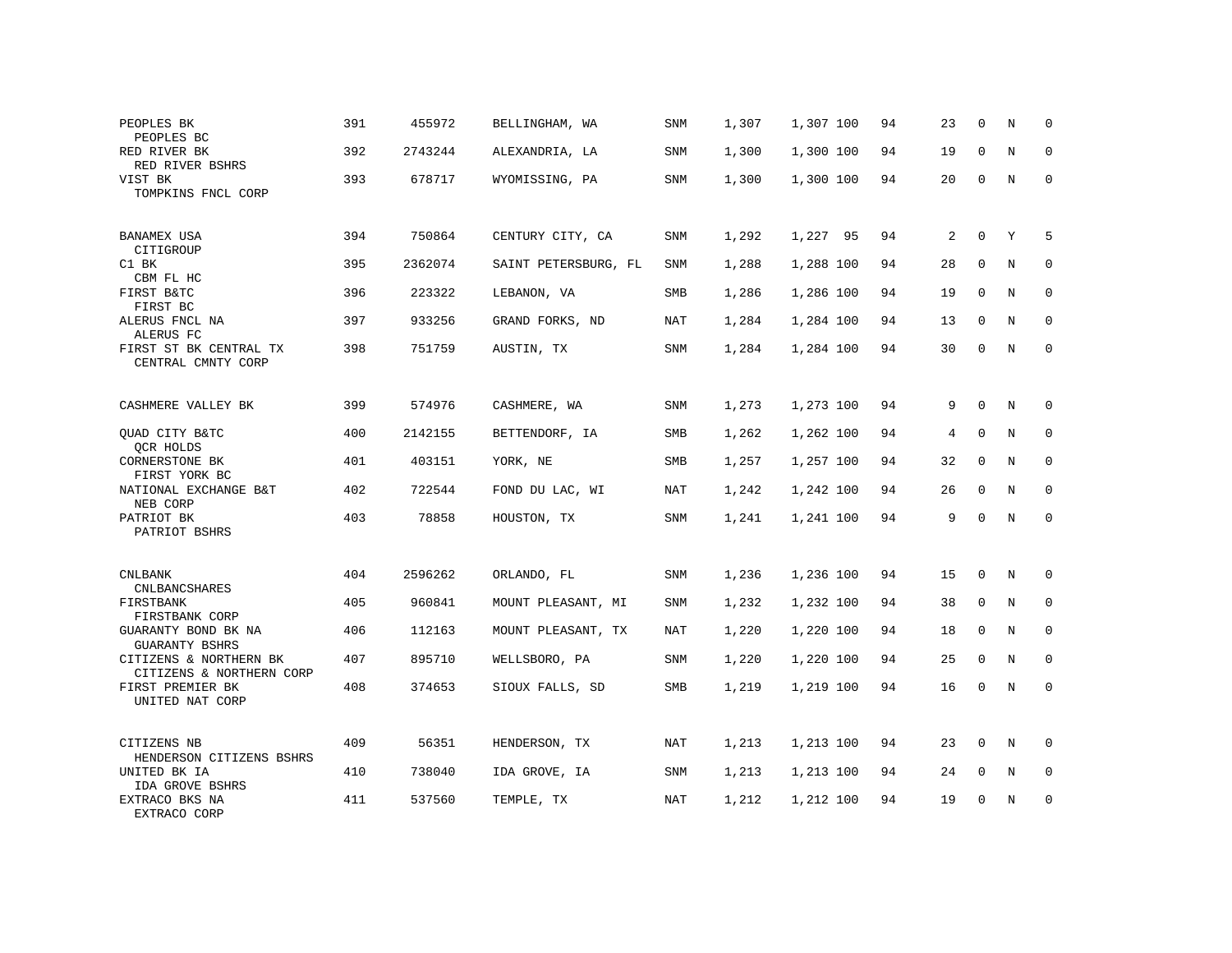| PEOPLES BK<br>PEOPLES BC                           | 391 | 455972  | BELLINGHAM, WA       | SNM        | 1,307 | 1,307 100 | 94 | 23 | $\mathbf 0$  | Ν           | $\mathbf 0$  |
|----------------------------------------------------|-----|---------|----------------------|------------|-------|-----------|----|----|--------------|-------------|--------------|
| RED RIVER BK<br>RED RIVER BSHRS                    | 392 | 2743244 | ALEXANDRIA, LA       | SNM        | 1,300 | 1,300 100 | 94 | 19 | $\Omega$     | N           | 0            |
| VIST BK<br>TOMPKINS FNCL CORP                      | 393 | 678717  | WYOMISSING, PA       | SNM        | 1,300 | 1,300 100 | 94 | 20 | 0            | N           | $\mathbf 0$  |
| BANAMEX USA<br>CITIGROUP                           | 394 | 750864  | CENTURY CITY, CA     | SNM        | 1,292 | 1,227 95  | 94 | 2  | 0            | Y           | 5            |
| C1 BK<br>CBM FL HC                                 | 395 | 2362074 | SAINT PETERSBURG, FL | SNM        | 1,288 | 1,288 100 | 94 | 28 | $\mathbf 0$  | N           | $\mathbf 0$  |
| FIRST B&TC<br>FIRST BC                             | 396 | 223322  | LEBANON, VA          | SMB        | 1,286 | 1,286 100 | 94 | 19 | $\mathbf 0$  | N           | $\mathbf{0}$ |
| ALERUS FNCL NA<br>ALERUS FC                        | 397 | 933256  | GRAND FORKS, ND      | NAT        | 1,284 | 1,284 100 | 94 | 13 | $\Omega$     | N           | 0            |
| FIRST ST BK CENTRAL TX<br>CENTRAL CMNTY CORP       | 398 | 751759  | AUSTIN, TX           | SNM        | 1,284 | 1,284 100 | 94 | 30 | $\mathbf 0$  | N           | $\mathbf{0}$ |
| CASHMERE VALLEY BK                                 | 399 | 574976  | CASHMERE, WA         | SNM        | 1,273 | 1,273 100 | 94 | 9  | $\mathbf 0$  | N           | 0            |
| QUAD CITY B&TC<br>QCR HOLDS                        | 400 | 2142155 | BETTENDORF, IA       | SMB        | 1,262 | 1,262 100 | 94 | 4  | $\mathbf 0$  | N           | 0            |
| CORNERSTONE BK<br>FIRST YORK BC                    | 401 | 403151  | YORK, NE             | SMB        | 1,257 | 1,257 100 | 94 | 32 | $\Omega$     | N           | $\Omega$     |
| NATIONAL EXCHANGE B&T<br>NEB CORP                  | 402 | 722544  | FOND DU LAC, WI      | NAT        | 1,242 | 1,242 100 | 94 | 26 | $\mathbf 0$  | N           | 0            |
| PATRIOT BK<br>PATRIOT BSHRS                        | 403 | 78858   | HOUSTON, TX          | <b>SNM</b> | 1,241 | 1,241 100 | 94 | 9  | $\Omega$     | N           | $\Omega$     |
| <b>CNLBANK</b><br>CNLBANCSHARES                    | 404 | 2596262 | ORLANDO, FL          | <b>SNM</b> | 1,236 | 1,236 100 | 94 | 15 | $\mathbf{0}$ | N           | $\mathbf 0$  |
| FIRSTBANK<br>FIRSTBANK CORP                        | 405 | 960841  | MOUNT PLEASANT, MI   | SNM        | 1,232 | 1,232 100 | 94 | 38 | $\mathbf 0$  | N           | $\mathbf{0}$ |
| GUARANTY BOND BK NA<br><b>GUARANTY BSHRS</b>       | 406 | 112163  | MOUNT PLEASANT, TX   | <b>NAT</b> | 1,220 | 1,220 100 | 94 | 18 | $\mathbf{0}$ | N           | $\mathbf{0}$ |
| CITIZENS & NORTHERN BK<br>CITIZENS & NORTHERN CORP | 407 | 895710  | WELLSBORO, PA        | SNM        | 1,220 | 1,220 100 | 94 | 25 | $\mathbf 0$  | N           | 0            |
| FIRST PREMIER BK<br>UNITED NAT CORP                | 408 | 374653  | SIOUX FALLS, SD      | SMB        | 1,219 | 1,219 100 | 94 | 16 | $\Omega$     | $\mathbf N$ | $\mathbf{0}$ |
| CITIZENS NB<br>HENDERSON CITIZENS BSHRS            | 409 | 56351   | HENDERSON, TX        | <b>NAT</b> | 1,213 | 1,213 100 | 94 | 23 | $\mathbf{0}$ | N           | $\mathbf 0$  |
| UNITED BK IA<br>IDA GROVE BSHRS                    | 410 | 738040  | IDA GROVE, IA        | SNM        | 1,213 | 1,213 100 | 94 | 24 | 0            | N           | 0            |
| EXTRACO BKS NA<br>EXTRACO CORP                     | 411 | 537560  | TEMPLE, TX           | NAT        | 1,212 | 1,212 100 | 94 | 19 | $\Omega$     | N           | $\mathbf{0}$ |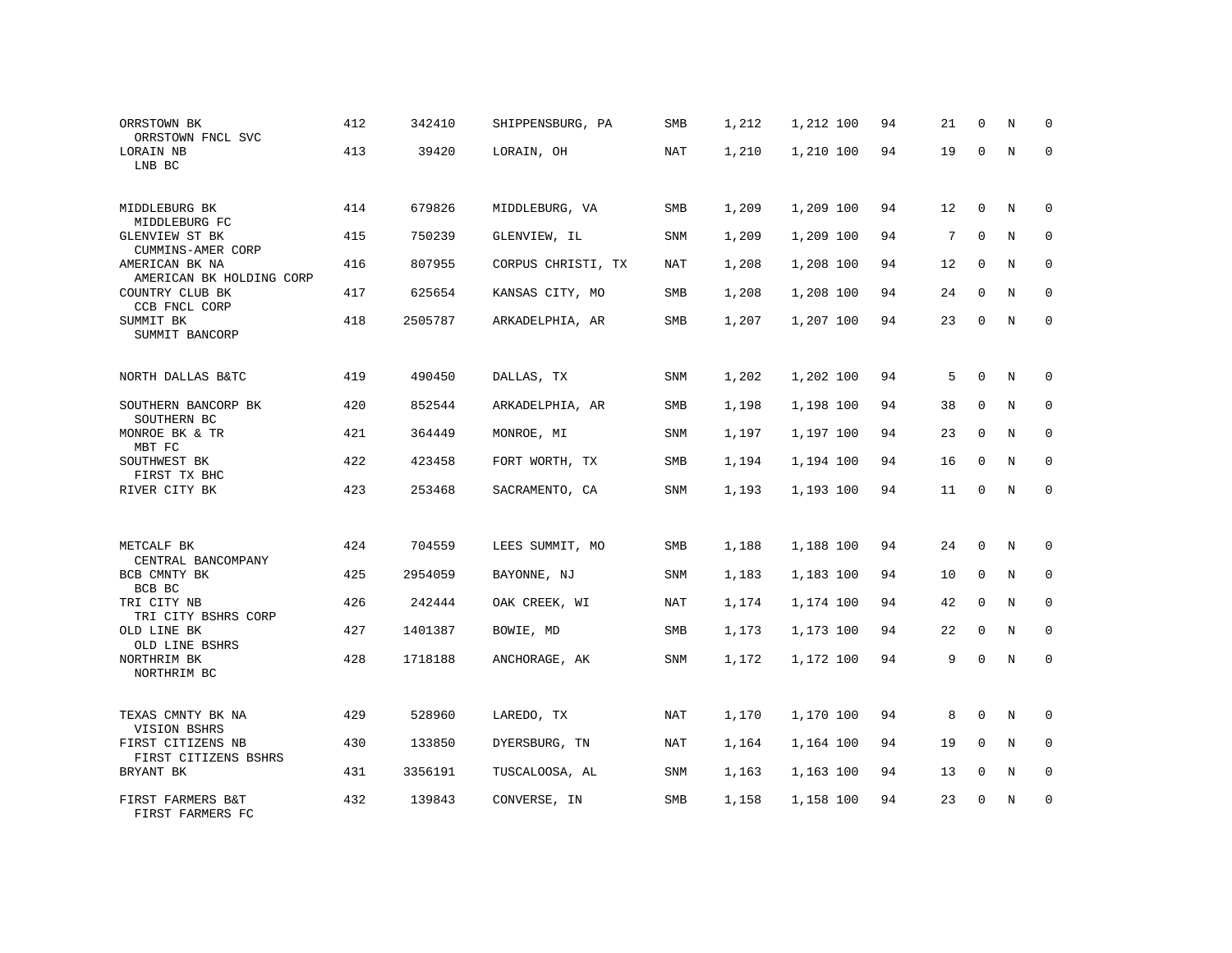| ORRSTOWN BK<br>ORRSTOWN FNCL SVC           | 412 | 342410  | SHIPPENSBURG, PA   | <b>SMB</b> | 1,212 | 1,212 100 | 94 | 21 | $\mathbf 0$  | Ν | 0            |
|--------------------------------------------|-----|---------|--------------------|------------|-------|-----------|----|----|--------------|---|--------------|
| LORAIN NB<br>LNB BC                        | 413 | 39420   | LORAIN, OH         | NAT        | 1,210 | 1,210 100 | 94 | 19 | $\Omega$     | N | $\mathbf{0}$ |
| MIDDLEBURG BK<br>MIDDLEBURG FC             | 414 | 679826  | MIDDLEBURG, VA     | SMB        | 1,209 | 1,209 100 | 94 | 12 | $\mathbf 0$  | N | $\Omega$     |
| GLENVIEW ST BK<br>CUMMINS-AMER CORP        | 415 | 750239  | GLENVIEW, IL       | SNM        | 1,209 | 1,209 100 | 94 | 7  | 0            | N | $\mathbf 0$  |
| AMERICAN BK NA<br>AMERICAN BK HOLDING CORP | 416 | 807955  | CORPUS CHRISTI, TX | NAT        | 1,208 | 1,208 100 | 94 | 12 | 0            | N | $\mathbf 0$  |
| COUNTRY CLUB BK<br>CCB FNCL CORP           | 417 | 625654  | KANSAS CITY, MO    | SMB        | 1,208 | 1,208 100 | 94 | 24 | $\mathbf 0$  | N | $\mathbf{0}$ |
| SUMMIT BK<br>SUMMIT BANCORP                | 418 | 2505787 | ARKADELPHIA, AR    | SMB        | 1,207 | 1,207 100 | 94 | 23 | $\mathbf 0$  | N | $\mathbf{0}$ |
| NORTH DALLAS B&TC                          | 419 | 490450  | DALLAS, TX         | SNM        | 1,202 | 1,202 100 | 94 | 5  | $\mathbf 0$  | N | $\Omega$     |
| SOUTHERN BANCORP BK<br>SOUTHERN BC         | 420 | 852544  | ARKADELPHIA, AR    | SMB        | 1,198 | 1,198 100 | 94 | 38 | $\mathbf 0$  | N | $\mathbf{0}$ |
| MONROE BK & TR<br>MBT FC                   | 421 | 364449  | MONROE, MI         | SNM        | 1,197 | 1,197 100 | 94 | 23 | $\mathbf 0$  | N | 0            |
| SOUTHWEST BK<br>FIRST TX BHC               | 422 | 423458  | FORT WORTH, TX     | SMB        | 1,194 | 1,194 100 | 94 | 16 | $\Omega$     | N | $\Omega$     |
| RIVER CITY BK                              | 423 | 253468  | SACRAMENTO, CA     | SNM        | 1,193 | 1,193 100 | 94 | 11 | 0            | N | $\mathbf{0}$ |
|                                            |     |         |                    |            |       |           |    |    |              |   |              |
| METCALF BK<br>CENTRAL BANCOMPANY           | 424 | 704559  | LEES SUMMIT, MO    | SMB        | 1,188 | 1,188 100 | 94 | 24 | $\mathbf 0$  | N | 0            |
| BCB CMNTY BK<br>BCB BC                     | 425 | 2954059 | BAYONNE, NJ        | SNM        | 1,183 | 1,183 100 | 94 | 10 | $\mathbf{0}$ | N | $\mathbf{0}$ |
| TRI CITY NB<br>TRI CITY BSHRS CORP         | 426 | 242444  | OAK CREEK, WI      | NAT        | 1,174 | 1,174 100 | 94 | 42 | $\mathbf 0$  | N | $\mathbf{0}$ |
| OLD LINE BK<br>OLD LINE BSHRS              | 427 | 1401387 | BOWIE, MD          | SMB        | 1,173 | 1,173 100 | 94 | 22 | $\mathbf{0}$ | N | $\mathbf{0}$ |
| NORTHRIM BK<br>NORTHRIM BC                 | 428 | 1718188 | ANCHORAGE, AK      | SNM        | 1,172 | 1,172 100 | 94 | 9  | $\mathbf 0$  | N | $\mathbf{0}$ |
| TEXAS CMNTY BK NA<br>VISION BSHRS          | 429 | 528960  | LAREDO, TX         | NAT        | 1,170 | 1,170 100 | 94 | 8  | 0            | Ν | 0            |
| FIRST CITIZENS NB<br>FIRST CITIZENS BSHRS  | 430 | 133850  | DYERSBURG, TN      | NAT        | 1,164 | 1,164 100 | 94 | 19 | $\mathbf{0}$ | N | $\mathbf 0$  |
| BRYANT BK                                  | 431 | 3356191 | TUSCALOOSA, AL     | SNM        | 1,163 | 1,163 100 | 94 | 13 | 0            | N | 0            |
| FIRST FARMERS B&T<br>FIRST FARMERS FC      | 432 | 139843  | CONVERSE, IN       | SMB        | 1,158 | 1,158 100 | 94 | 23 | $\Omega$     | N | $\mathbf{0}$ |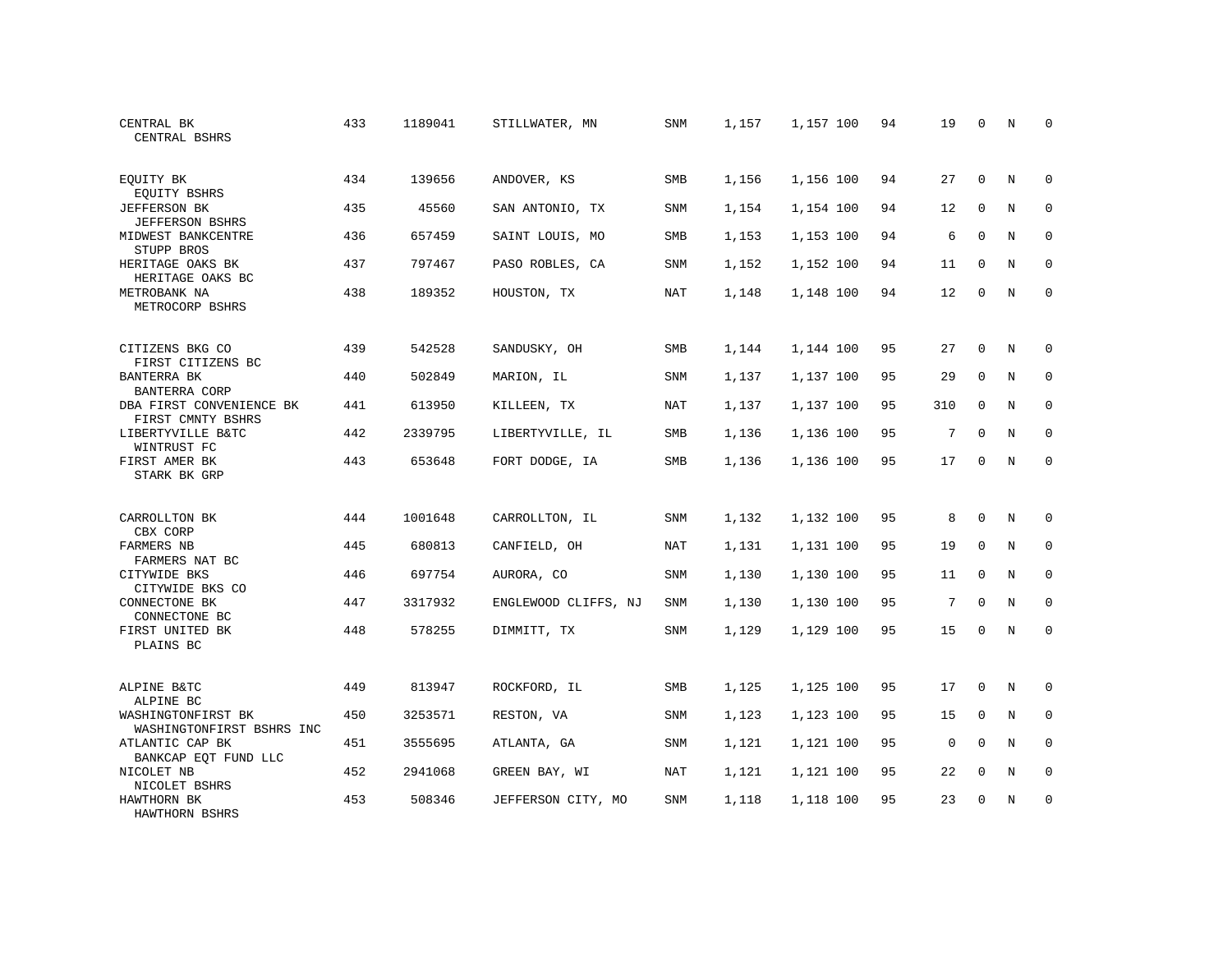| CENTRAL BK<br>CENTRAL BSHRS                     | 433 | 1189041 | STILLWATER, MN       | SNM        | 1,157 | 1,157 100 | 94 | 19          | $\mathbf 0$  | N           | $\mathbf 0$  |
|-------------------------------------------------|-----|---------|----------------------|------------|-------|-----------|----|-------------|--------------|-------------|--------------|
| EQUITY BK<br>EQUITY BSHRS                       | 434 | 139656  | ANDOVER, KS          | SMB        | 1,156 | 1,156 100 | 94 | 27          | $\Omega$     | N           | $\Omega$     |
| <b>JEFFERSON BK</b><br><b>JEFFERSON BSHRS</b>   | 435 | 45560   | SAN ANTONIO, TX      | SNM        | 1,154 | 1,154 100 | 94 | 12          | $\mathbf 0$  | N           | $\mathbf{0}$ |
| MIDWEST BANKCENTRE<br>STUPP BROS                | 436 | 657459  | SAINT LOUIS, MO      | SMB        | 1,153 | 1,153 100 | 94 | 6           | $\Omega$     | N           | $\Omega$     |
| HERITAGE OAKS BK<br>HERITAGE OAKS BC            | 437 | 797467  | PASO ROBLES, CA      | SNM        | 1,152 | 1,152 100 | 94 | 11          | $\mathbf 0$  | N           | $\mathbf{0}$ |
| METROBANK NA<br>METROCORP BSHRS                 | 438 | 189352  | HOUSTON, TX          | <b>NAT</b> | 1,148 | 1,148 100 | 94 | 12          | $\mathbf{0}$ | N           | $\mathbf{0}$ |
| CITIZENS BKG CO<br>FIRST CITIZENS BC            | 439 | 542528  | SANDUSKY, OH         | SMB        | 1,144 | 1,144 100 | 95 | 27          | $\mathbf 0$  | N           | $\mathbf 0$  |
| BANTERRA BK<br><b>BANTERRA CORP</b>             | 440 | 502849  | MARION, IL           | SNM        | 1,137 | 1,137 100 | 95 | 29          | $\mathbf 0$  | $\mathbf N$ | $\mathbf{0}$ |
| DBA FIRST CONVENIENCE BK<br>FIRST CMNTY BSHRS   | 441 | 613950  | KILLEEN, TX          | NAT        | 1,137 | 1,137 100 | 95 | 310         | $\mathbf 0$  | N           | $\mathbf{0}$ |
| LIBERTYVILLE B&TC<br>WINTRUST FC                | 442 | 2339795 | LIBERTYVILLE, IL     | SMB        | 1,136 | 1,136 100 | 95 | 7           | $\mathbf 0$  | N           | $\mathbf{0}$ |
| FIRST AMER BK<br>STARK BK GRP                   | 443 | 653648  | FORT DODGE, IA       | <b>SMB</b> | 1,136 | 1,136 100 | 95 | 17          | $\Omega$     | N           | $\Omega$     |
| CARROLLTON BK<br>CBX CORP                       | 444 | 1001648 | CARROLLTON, IL       | SNM        | 1,132 | 1,132 100 | 95 | 8           | $\Omega$     | N           | $\mathbf{0}$ |
| FARMERS NB<br>FARMERS NAT BC                    | 445 | 680813  | CANFIELD, OH         | NAT        | 1,131 | 1,131 100 | 95 | 19          | $\mathbf 0$  | N           | 0            |
| CITYWIDE BKS<br>CITYWIDE BKS CO                 | 446 | 697754  | AURORA, CO           | SNM        | 1,130 | 1,130 100 | 95 | 11          | $\mathbf 0$  | N           | $\mathbf{0}$ |
| CONNECTONE BK<br>CONNECTONE BC                  | 447 | 3317932 | ENGLEWOOD CLIFFS, NJ | SNM        | 1,130 | 1,130 100 | 95 | 7           | $\Omega$     | N           | 0            |
| FIRST UNITED BK<br>PLAINS BC                    | 448 | 578255  | DIMMITT, TX          | SNM        | 1,129 | 1,129 100 | 95 | 15          | $\mathbf 0$  | N           | $\mathbf 0$  |
| ALPINE B&TC<br>ALPINE BC                        | 449 | 813947  | ROCKFORD, IL         | SMB        | 1,125 | 1,125 100 | 95 | 17          | $\mathbf 0$  | N           | $\mathbf 0$  |
| WASHINGTONFIRST BK<br>WASHINGTONFIRST BSHRS INC | 450 | 3253571 | RESTON, VA           | SNM        | 1,123 | 1,123 100 | 95 | 15          | $\mathbf 0$  | N           | $\mathbf 0$  |
| ATLANTIC CAP BK<br>BANKCAP EQT FUND LLC         | 451 | 3555695 | ATLANTA, GA          | <b>SNM</b> | 1,121 | 1,121 100 | 95 | $\mathbf 0$ | $\Omega$     | N           | $\mathbf 0$  |
| NICOLET NB<br>NICOLET BSHRS                     | 452 | 2941068 | GREEN BAY, WI        | NAT        | 1,121 | 1,121 100 | 95 | 22          | $\mathbf 0$  | N           | 0            |
| HAWTHORN BK<br>HAWTHORN BSHRS                   | 453 | 508346  | JEFFERSON CITY, MO   | SNM        | 1,118 | 1,118 100 | 95 | 23          | $\Omega$     | N           | $\mathbf{0}$ |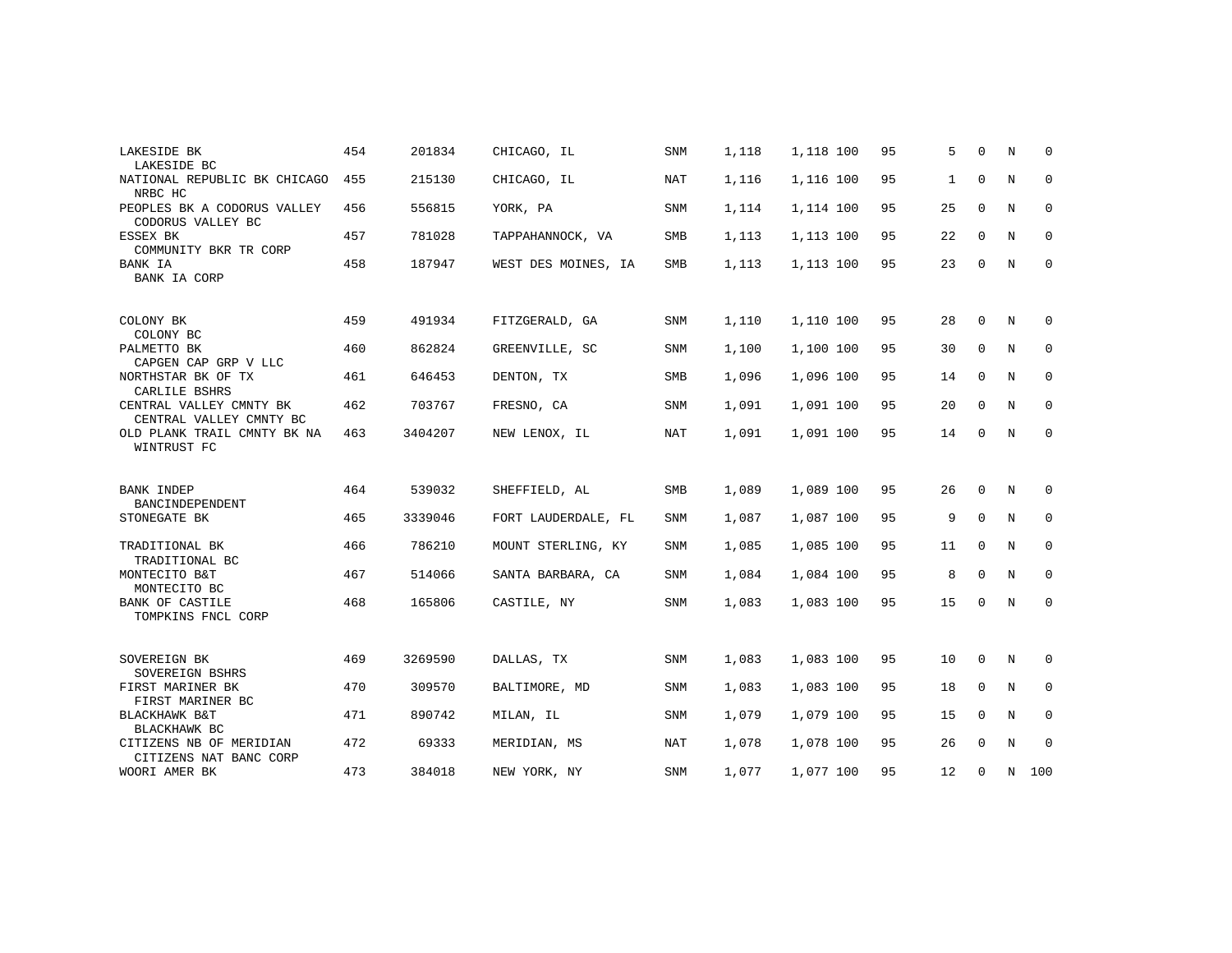| LAKESIDE BK<br>LAKESIDE BC                         | 454 | 201834  | CHICAGO, IL         | <b>SNM</b> | 1,118 | 1,118 100 | 95 | 5  | $\Omega$    | N           | $\Omega$    |
|----------------------------------------------------|-----|---------|---------------------|------------|-------|-----------|----|----|-------------|-------------|-------------|
| NATIONAL REPUBLIC BK CHICAGO<br>NRBC HC            | 455 | 215130  | CHICAGO, IL         | NAT        | 1,116 | 1,116 100 | 95 | 1  | $\mathbf 0$ | N           | 0           |
| PEOPLES BK A CODORUS VALLEY<br>CODORUS VALLEY BC   | 456 | 556815  | YORK, PA            | <b>SNM</b> | 1,114 | 1,114 100 | 95 | 25 | $\mathbf 0$ | N           | $\mathbf 0$ |
| ESSEX BK<br>COMMUNITY BKR TR CORP                  | 457 | 781028  | TAPPAHANNOCK, VA    | SMB        | 1,113 | 1,113 100 | 95 | 22 | $\mathbf 0$ | N           | 0           |
| BANK IA<br>BANK IA CORP                            | 458 | 187947  | WEST DES MOINES, IA | SMB        | 1,113 | 1,113 100 | 95 | 23 | $\mathbf 0$ | $\mathbb N$ | $\mathbf 0$ |
| COLONY BK<br>COLONY BC                             | 459 | 491934  | FITZGERALD, GA      | <b>SNM</b> | 1,110 | 1,110 100 | 95 | 28 | $\Omega$    | N           | 0           |
| PALMETTO BK<br>CAPGEN CAP GRP V LLC                | 460 | 862824  | GREENVILLE, SC      | SNM        | 1,100 | 1,100 100 | 95 | 30 | $\mathbf 0$ | N           | 0           |
| NORTHSTAR BK OF TX<br>CARLILE BSHRS                | 461 | 646453  | DENTON, TX          | SMB        | 1,096 | 1,096 100 | 95 | 14 | $\mathbf 0$ | $\mathbf N$ | 0           |
| CENTRAL VALLEY CMNTY BK<br>CENTRAL VALLEY CMNTY BC | 462 | 703767  | FRESNO, CA          | <b>SNM</b> | 1,091 | 1,091 100 | 95 | 20 | 0           | N           | 0           |
| OLD PLANK TRAIL CMNTY BK NA<br>WINTRUST FC         | 463 | 3404207 | NEW LENOX, IL       | <b>NAT</b> | 1,091 | 1,091 100 | 95 | 14 | $\Omega$    | $\mathbf N$ | $\mathbf 0$ |
| BANK INDEP                                         | 464 | 539032  | SHEFFIELD, AL       | SMB        | 1,089 | 1,089 100 | 95 | 26 | $\mathbf 0$ | N           | $\Omega$    |
| BANCINDEPENDENT<br>STONEGATE BK                    | 465 | 3339046 | FORT LAUDERDALE, FL | SNM        | 1,087 | 1,087 100 | 95 | 9  | $\mathbf 0$ | N           | 0           |
| TRADITIONAL BK<br>TRADITIONAL BC                   | 466 | 786210  | MOUNT STERLING, KY  | SNM        | 1,085 | 1,085 100 | 95 | 11 | $\mathbf 0$ | N           | $\mathbf 0$ |
| MONTECITO B&T<br>MONTECITO BC                      | 467 | 514066  | SANTA BARBARA, CA   | SNM        | 1,084 | 1,084 100 | 95 | 8  | $\mathbf 0$ | N           | 0           |
| <b>BANK OF CASTILE</b><br>TOMPKINS FNCL CORP       | 468 | 165806  | CASTILE, NY         | <b>SNM</b> | 1,083 | 1,083 100 | 95 | 15 | $\mathbf 0$ | N           | $\mathbf 0$ |
| SOVEREIGN BK<br>SOVEREIGN BSHRS                    | 469 | 3269590 | DALLAS, TX          | SNM        | 1,083 | 1,083 100 | 95 | 10 | 0           | N           | 0           |
| FIRST MARINER BK<br>FIRST MARINER BC               | 470 | 309570  | BALTIMORE, MD       | SNM        | 1,083 | 1,083 100 | 95 | 18 | $\mathbf 0$ | N           | 0           |
| BLACKHAWK B&T<br>BLACKHAWK BC                      | 471 | 890742  | MILAN, IL           | <b>SNM</b> | 1,079 | 1,079 100 | 95 | 15 | $\Omega$    | N           | 0           |
| CITIZENS NB OF MERIDIAN<br>CITIZENS NAT BANC CORP  | 472 | 69333   | MERIDIAN, MS        | NAT        | 1,078 | 1,078 100 | 95 | 26 | 0           | N           | 0           |
| WOORI AMER BK                                      | 473 | 384018  | NEW YORK, NY        | <b>SNM</b> | 1,077 | 1,077 100 | 95 | 12 | $\Omega$    | N           | 100         |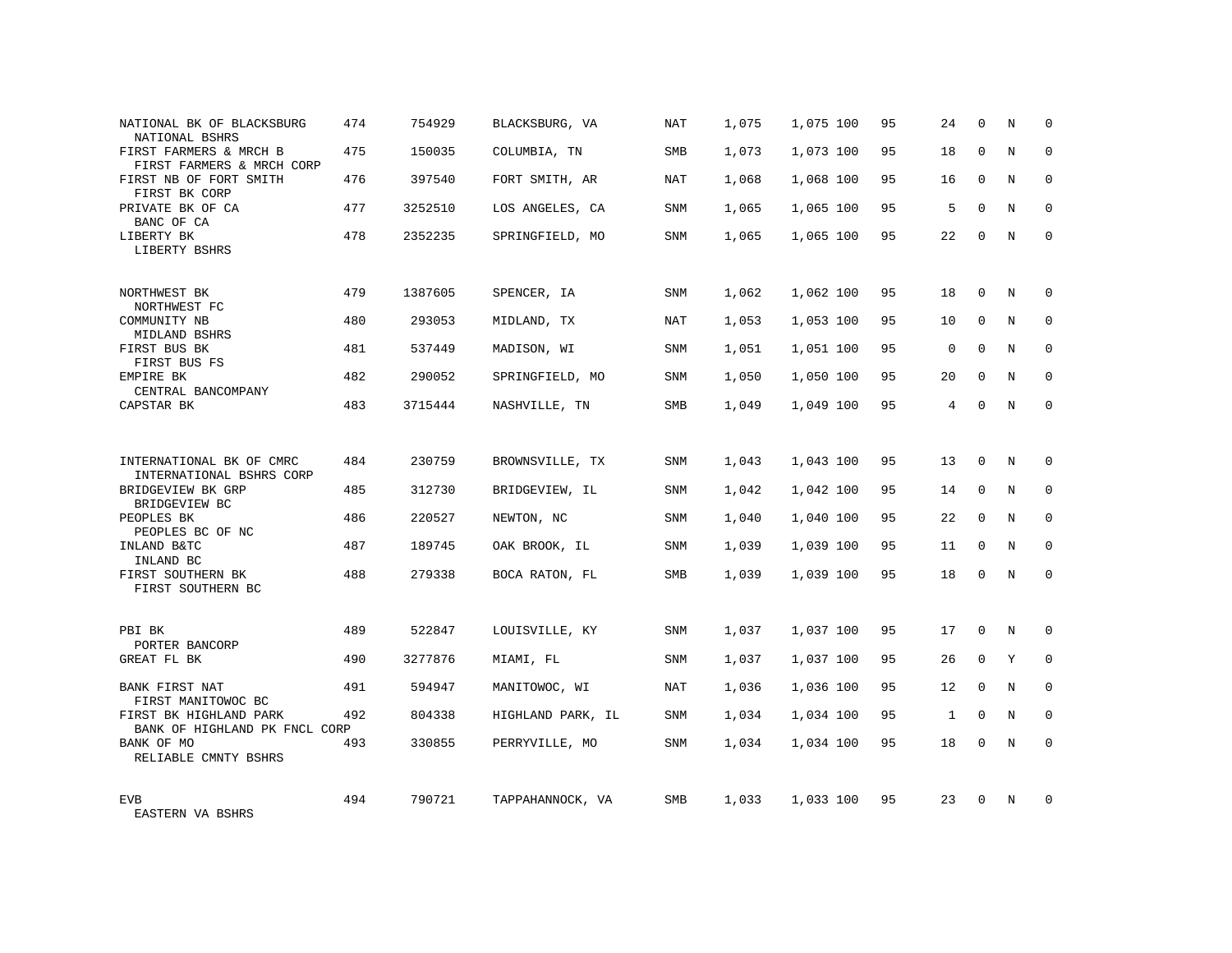| NATIONAL BK OF BLACKSBURG<br>NATIONAL BSHRS             | 474 | 754929  | BLACKSBURG, VA    | NAT        | 1,075 | 1,075 100 | 95 | 24           | $\Omega$    | N | $\Omega$     |
|---------------------------------------------------------|-----|---------|-------------------|------------|-------|-----------|----|--------------|-------------|---|--------------|
| FIRST FARMERS & MRCH B<br>FIRST FARMERS & MRCH CORP     | 475 | 150035  | COLUMBIA, TN      | SMB        | 1,073 | 1,073 100 | 95 | 18           | $\Omega$    | N | $\Omega$     |
| FIRST NB OF FORT SMITH<br>FIRST BK CORP                 | 476 | 397540  | FORT SMITH, AR    | NAT        | 1,068 | 1,068 100 | 95 | 16           | 0           | N | $\mathbf 0$  |
| PRIVATE BK OF CA<br>BANC OF CA                          | 477 | 3252510 | LOS ANGELES, CA   | SNM        | 1,065 | 1,065 100 | 95 | 5            | $\Omega$    | N | $\Omega$     |
| LIBERTY BK<br>LIBERTY BSHRS                             | 478 | 2352235 | SPRINGFIELD, MO   | SNM        | 1,065 | 1,065 100 | 95 | 22           | $\Omega$    | N | $\mathbf 0$  |
| NORTHWEST BK<br>NORTHWEST FC                            | 479 | 1387605 | SPENCER, IA       | SNM        | 1,062 | 1,062 100 | 95 | 18           | $\Omega$    | N | $\Omega$     |
| COMMUNITY NB<br>MIDLAND BSHRS                           | 480 | 293053  | MIDLAND, TX       | NAT        | 1,053 | 1,053 100 | 95 | 10           | $\Omega$    | N | $\Omega$     |
| FIRST BUS BK<br>FIRST BUS FS                            | 481 | 537449  | MADISON, WI       | SNM        | 1,051 | 1,051 100 | 95 | $\mathbf 0$  | $\Omega$    | N | $\mathbf 0$  |
| EMPIRE BK<br>CENTRAL BANCOMPANY                         | 482 | 290052  | SPRINGFIELD, MO   | <b>SNM</b> | 1,050 | 1,050 100 | 95 | 20           | $\Omega$    | N | $\Omega$     |
| CAPSTAR BK                                              | 483 | 3715444 | NASHVILLE, TN     | SMB        | 1,049 | 1,049 100 | 95 | 4            | $\Omega$    | N | $\mathbf 0$  |
|                                                         |     |         |                   |            |       |           |    |              |             |   |              |
| INTERNATIONAL BK OF CMRC<br>INTERNATIONAL BSHRS CORP    | 484 | 230759  | BROWNSVILLE, TX   | <b>SNM</b> | 1,043 | 1,043 100 | 95 | 13           | $\Omega$    | N | $\Omega$     |
| BRIDGEVIEW BK GRP<br>BRIDGEVIEW BC                      | 485 | 312730  | BRIDGEVIEW, IL    | SNM        | 1,042 | 1,042 100 | 95 | 14           | $\mathbf 0$ | N | $\mathbf{0}$ |
| PEOPLES BK<br>PEOPLES BC OF NC                          | 486 | 220527  | NEWTON, NC        | <b>SNM</b> | 1,040 | 1,040 100 | 95 | 22           | $\Omega$    | N | $\Omega$     |
| INLAND B&TC<br>INLAND BC                                | 487 | 189745  | OAK BROOK, IL     | <b>SNM</b> | 1,039 | 1,039 100 | 95 | 11           | $\mathbf 0$ | N | $\mathbf{0}$ |
| FIRST SOUTHERN BK<br>FIRST SOUTHERN BC                  | 488 | 279338  | BOCA RATON, FL    | <b>SMB</b> | 1,039 | 1,039 100 | 95 | 18           | $\Omega$    | N | $\Omega$     |
| PBI BK                                                  | 489 | 522847  | LOUISVILLE, KY    | <b>SNM</b> | 1,037 | 1,037 100 | 95 | 17           | $\Omega$    | N | $\Omega$     |
| PORTER BANCORP<br>GREAT FL BK                           | 490 | 3277876 | MIAMI, FL         | SNM        | 1,037 | 1,037 100 | 95 | 26           | $\mathbf 0$ | Y | $\mathbf{0}$ |
| BANK FIRST NAT<br>FIRST MANITOWOC BC                    | 491 | 594947  | MANITOWOC, WI     | <b>NAT</b> | 1,036 | 1,036 100 | 95 | 12           | $\Omega$    | N | $\Omega$     |
| FIRST BK HIGHLAND PARK<br>BANK OF HIGHLAND PK FNCL CORP | 492 | 804338  | HIGHLAND PARK, IL | SNM        | 1,034 | 1,034 100 | 95 | $\mathbf{1}$ | $\mathbf 0$ | N | $\mathbf 0$  |
| BANK OF MO<br>RELIABLE CMNTY BSHRS                      | 493 | 330855  | PERRYVILLE, MO    | <b>SNM</b> | 1,034 | 1,034 100 | 95 | 18           | $\Omega$    | N | $\Omega$     |
| <b>EVB</b><br>EASTERN VA BSHRS                          | 494 | 790721  | TAPPAHANNOCK, VA  | SMB        | 1,033 | 1,033 100 | 95 | 23           | $\Omega$    | N | $\Omega$     |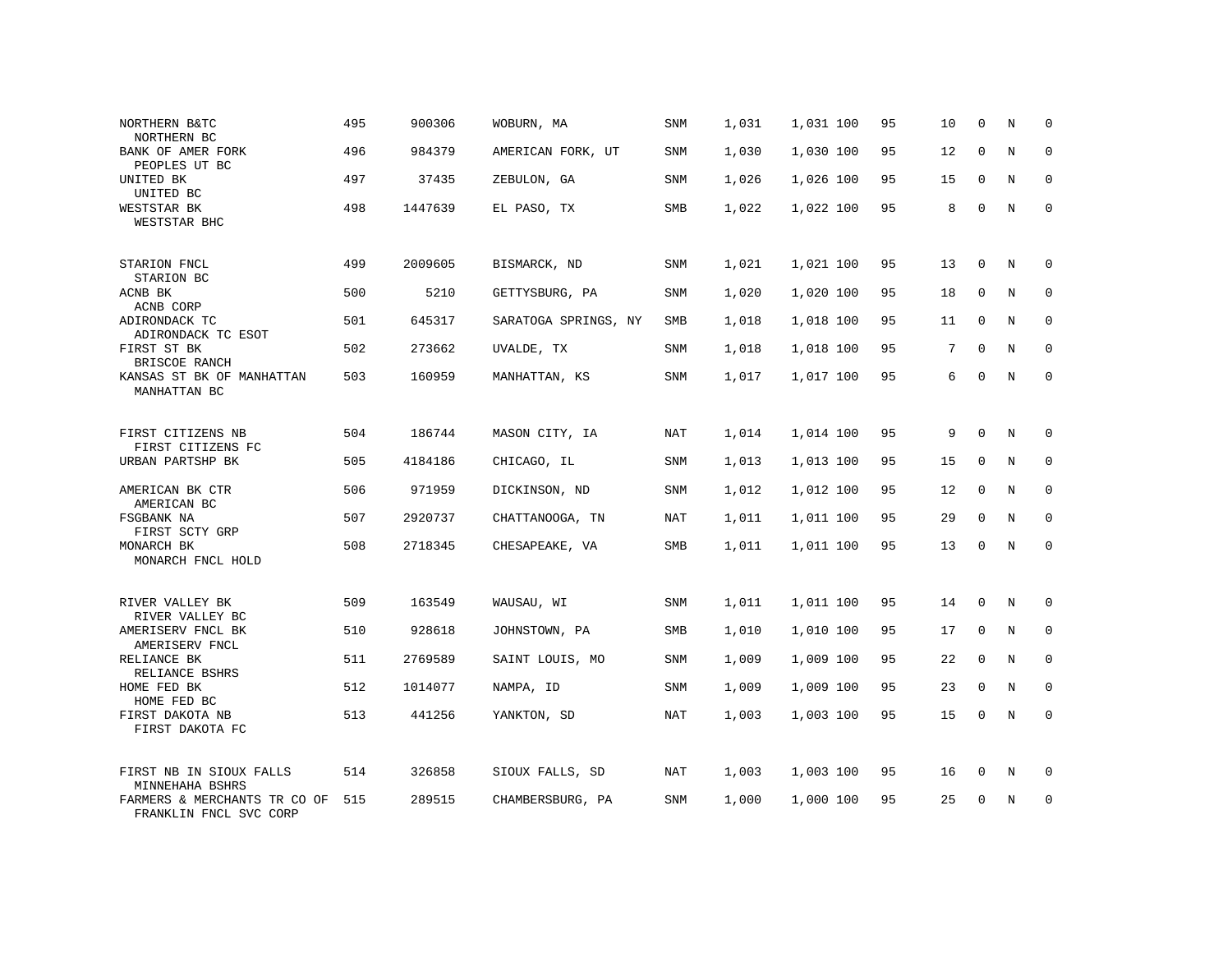| NORTHERN B&TC<br>NORTHERN BC                           | 495 | 900306  | WOBURN, MA           | SNM        | 1,031 | 1,031 100 | 95 | 10 | $\mathbf 0$  | N           | $\mathbf 0$  |
|--------------------------------------------------------|-----|---------|----------------------|------------|-------|-----------|----|----|--------------|-------------|--------------|
| BANK OF AMER FORK<br>PEOPLES UT BC                     | 496 | 984379  | AMERICAN FORK, UT    | SNM        | 1,030 | 1,030 100 | 95 | 12 | $\Omega$     | N           | $\mathbf 0$  |
| UNITED BK<br>UNITED BC                                 | 497 | 37435   | ZEBULON, GA          | SNM        | 1,026 | 1,026 100 | 95 | 15 | 0            | N           | $\mathbf 0$  |
| WESTSTAR BK<br>WESTSTAR BHC                            | 498 | 1447639 | EL PASO, TX          | SMB        | 1,022 | 1,022 100 | 95 | 8  | $\Omega$     | N           | $\mathbf{0}$ |
| STARION FNCL<br>STARION BC                             | 499 | 2009605 | BISMARCK, ND         | SNM        | 1,021 | 1,021 100 | 95 | 13 | $\mathbf 0$  | N           | $\mathbf 0$  |
| ACNB BK<br>ACNB CORP                                   | 500 | 5210    | GETTYSBURG, PA       | SNM        | 1,020 | 1,020 100 | 95 | 18 | $\mathbf{0}$ | N           | $\mathbf 0$  |
| ADIRONDACK TC<br>ADIRONDACK TC ESOT                    | 501 | 645317  | SARATOGA SPRINGS, NY | SMB        | 1,018 | 1,018 100 | 95 | 11 | $\mathbf 0$  | N           | $\mathbf 0$  |
| FIRST ST BK<br>BRISCOE RANCH                           | 502 | 273662  | UVALDE, TX           | SNM        | 1,018 | 1,018 100 | 95 | 7  | $\mathbf 0$  | N           | $\mathbf 0$  |
| KANSAS ST BK OF MANHATTAN<br>MANHATTAN BC              | 503 | 160959  | MANHATTAN, KS        | SNM        | 1,017 | 1,017 100 | 95 | 6  | $\Omega$     | N           | $\mathbf{0}$ |
|                                                        |     |         |                      |            |       |           |    |    |              |             |              |
| FIRST CITIZENS NB<br>FIRST CITIZENS FC                 | 504 | 186744  | MASON CITY, IA       | NAT        | 1,014 | 1,014 100 | 95 | 9  | $\mathbf 0$  | N           | $\mathbf 0$  |
| URBAN PARTSHP BK                                       | 505 | 4184186 | CHICAGO, IL          | SNM        | 1,013 | 1,013 100 | 95 | 15 | $\Omega$     | $_{\rm N}$  | $\mathbf 0$  |
| AMERICAN BK CTR<br>AMERICAN BC                         | 506 | 971959  | DICKINSON, ND        | SNM        | 1,012 | 1,012 100 | 95 | 12 | $\mathbf 0$  | N           | $\mathbf 0$  |
| FSGBANK NA<br>FIRST SCTY GRP                           | 507 | 2920737 | CHATTANOOGA, TN      | <b>NAT</b> | 1,011 | 1,011 100 | 95 | 29 | $\Omega$     | $_{\rm N}$  | $\mathbf 0$  |
| MONARCH BK<br>MONARCH FNCL HOLD                        | 508 | 2718345 | CHESAPEAKE, VA       | SMB        | 1,011 | 1,011 100 | 95 | 13 | 0            | N           | $\mathbf{0}$ |
|                                                        |     |         |                      |            |       |           |    |    |              |             |              |
| RIVER VALLEY BK<br>RIVER VALLEY BC                     | 509 | 163549  | WAUSAU, WI           | SNM        | 1,011 | 1,011 100 | 95 | 14 | 0            | N           | 0            |
| AMERISERV FNCL BK<br>AMERISERV FNCL                    | 510 | 928618  | JOHNSTOWN, PA        | <b>SMB</b> | 1,010 | 1,010 100 | 95 | 17 | $\mathbf 0$  | $\mathbb N$ | $\mathbf 0$  |
| RELIANCE BK<br>RELIANCE BSHRS                          | 511 | 2769589 | SAINT LOUIS, MO      | SNM        | 1,009 | 1,009 100 | 95 | 22 | 0            | N           | 0            |
| HOME FED BK<br>HOME FED BC                             | 512 | 1014077 | NAMPA, ID            | <b>SNM</b> | 1,009 | 1,009 100 | 95 | 23 | $\mathbf 0$  | N           | $\mathbf 0$  |
| FIRST DAKOTA NB<br>FIRST DAKOTA FC                     | 513 | 441256  | YANKTON, SD          | NAT        | 1,003 | 1,003 100 | 95 | 15 | 0            | $\rm N$     | 0            |
|                                                        |     |         |                      |            |       |           |    |    |              |             |              |
| FIRST NB IN SIOUX FALLS<br>MINNEHAHA BSHRS             | 514 | 326858  | SIOUX FALLS, SD      | NAT        | 1,003 | 1,003 100 | 95 | 16 | 0            | N           | 0            |
| FARMERS & MERCHANTS TR CO OF<br>FRANKLIN FNCL SVC CORP | 515 | 289515  | CHAMBERSBURG, PA     | <b>SNM</b> | 1,000 | 1,000 100 | 95 | 25 | $\mathbf 0$  | N           | $\mathbf{0}$ |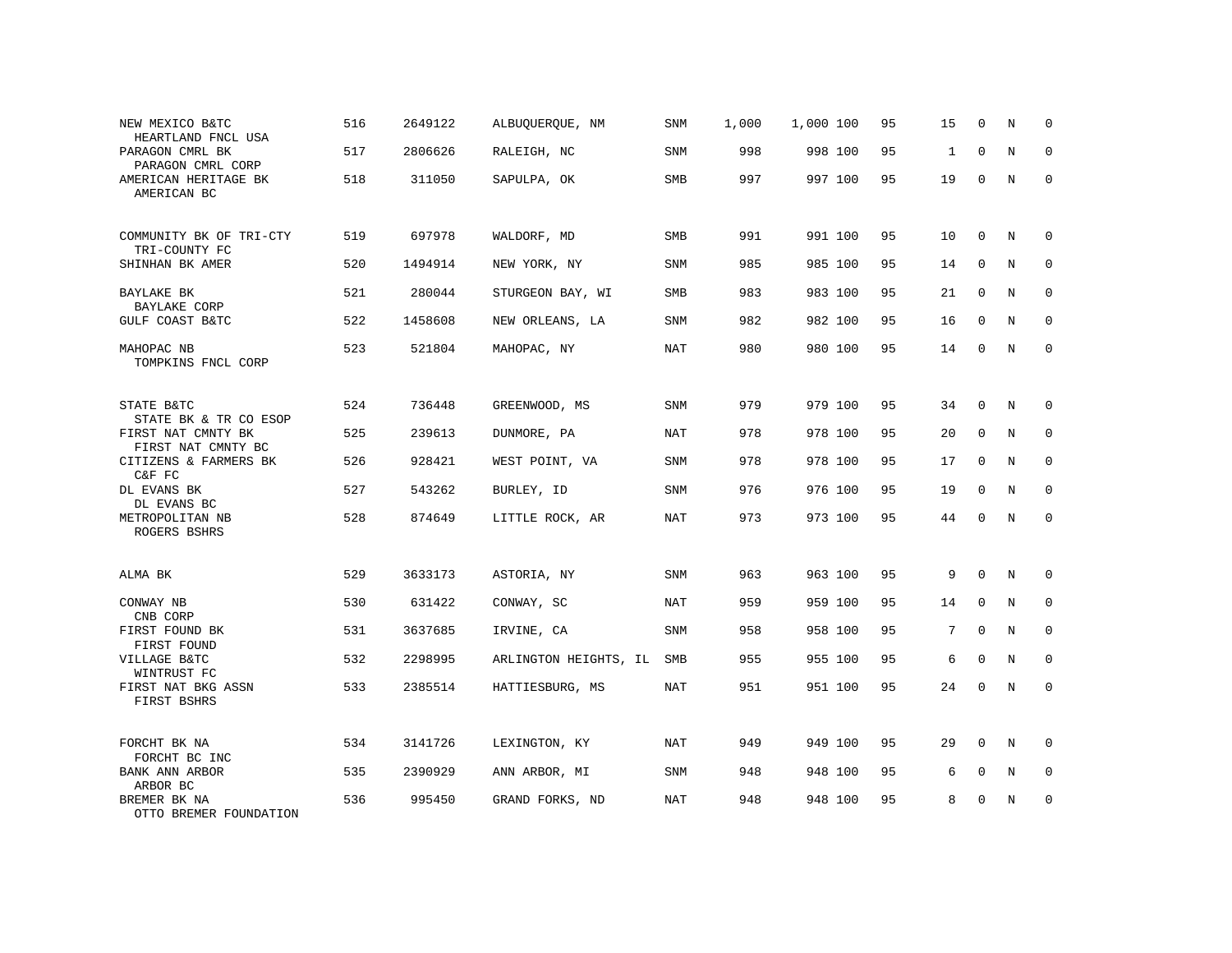| NEW MEXICO B&TC<br>HEARTLAND FNCL USA    | 516 | 2649122 | ALBUQUERQUE, NM       | SNM        | 1,000 | 1,000 100 | 95 | 15           | $\mathbf 0$  | N           | U            |
|------------------------------------------|-----|---------|-----------------------|------------|-------|-----------|----|--------------|--------------|-------------|--------------|
| PARAGON CMRL BK<br>PARAGON CMRL CORP     | 517 | 2806626 | RALEIGH, NC           | SNM        | 998   | 998 100   | 95 | $\mathbf{1}$ | $\Omega$     | N           | 0            |
| AMERICAN HERITAGE BK<br>AMERICAN BC      | 518 | 311050  | SAPULPA, OK           | SMB        | 997   | 997 100   | 95 | 19           | $\mathbf{0}$ | N           | $\mathbf{0}$ |
| COMMUNITY BK OF TRI-CTY<br>TRI-COUNTY FC | 519 | 697978  | WALDORF, MD           | <b>SMB</b> | 991   | 991 100   | 95 | 10           | $\Omega$     | N           | $\Omega$     |
| SHINHAN BK AMER                          | 520 | 1494914 | NEW YORK, NY          | SNM        | 985   | 985 100   | 95 | 14           | $\mathbf 0$  | N           | 0            |
| BAYLAKE BK<br>BAYLAKE CORP               | 521 | 280044  | STURGEON BAY, WI      | <b>SMB</b> | 983   | 983 100   | 95 | 21           | $\Omega$     | N           | $\Omega$     |
| GULF COAST B&TC                          | 522 | 1458608 | NEW ORLEANS, LA       | SNM        | 982   | 982 100   | 95 | 16           | $\mathbf 0$  | N           | 0            |
| MAHOPAC NB<br>TOMPKINS FNCL CORP         | 523 | 521804  | MAHOPAC, NY           | <b>NAT</b> | 980   | 980 100   | 95 | 14           | $\Omega$     | N           | $\Omega$     |
| STATE B&TC<br>STATE BK & TR CO ESOP      | 524 | 736448  | GREENWOOD, MS         | <b>SNM</b> | 979   | 979 100   | 95 | 34           | $\Omega$     | N           | $\Omega$     |
| FIRST NAT CMNTY BK<br>FIRST NAT CMNTY BC | 525 | 239613  | DUNMORE, PA           | NAT        | 978   | 978 100   | 95 | 20           | $\mathbf 0$  | $\mathbf N$ | $\mathbf 0$  |
| CITIZENS & FARMERS BK<br>C&F FC          | 526 | 928421  | WEST POINT, VA        | SNM        | 978   | 978 100   | 95 | 17           | $\Omega$     | N           | $\mathbf{0}$ |
| DL EVANS BK<br>DL EVANS BC               | 527 | 543262  | BURLEY, ID            | SNM        | 976   | 976 100   | 95 | 19           | $\Omega$     | N           | $\Omega$     |
| METROPOLITAN NB<br>ROGERS BSHRS          | 528 | 874649  | LITTLE ROCK, AR       | <b>NAT</b> | 973   | 973 100   | 95 | 44           | $\mathbf{0}$ | N           | $\mathbf{0}$ |
| ALMA BK                                  | 529 | 3633173 | ASTORIA, NY           | SNM        | 963   | 963 100   | 95 | 9            | $\mathbf{0}$ | N           | $\mathbf 0$  |
| CONWAY NB<br>CNB CORP                    | 530 | 631422  | CONWAY, SC            | <b>NAT</b> | 959   | 959 100   | 95 | 14           | $\mathbf 0$  | $\mathbf N$ | $\mathbf{0}$ |
| FIRST FOUND BK<br>FIRST FOUND            | 531 | 3637685 | IRVINE, CA            | SNM        | 958   | 958 100   | 95 | 7            | $\mathbf 0$  | N           | $\mathbf 0$  |
| VILLAGE B&TC<br>WINTRUST FC              | 532 | 2298995 | ARLINGTON HEIGHTS, IL | SMB        | 955   | 955 100   | 95 | 6            | $\mathbf 0$  | N           | $\mathbf 0$  |
| FIRST NAT BKG ASSN<br>FIRST BSHRS        | 533 | 2385514 | HATTIESBURG, MS       | <b>NAT</b> | 951   | 951 100   | 95 | 24           | $\Omega$     | N           | $\mathbf 0$  |
| FORCHT BK NA<br>FORCHT BC INC            | 534 | 3141726 | LEXINGTON, KY         | <b>NAT</b> | 949   | 949 100   | 95 | 29           | $\Omega$     | N           | $\mathbf 0$  |
| BANK ANN ARBOR<br>ARBOR BC               | 535 | 2390929 | ANN ARBOR, MI         | SNM        | 948   | 948 100   | 95 | 6            | $\mathbf 0$  | N           | 0            |
| BREMER BK NA<br>OTTO BREMER FOUNDATION   | 536 | 995450  | GRAND FORKS, ND       | <b>NAT</b> | 948   | 948 100   | 95 | 8            | $\Omega$     | N           | $\mathbf{0}$ |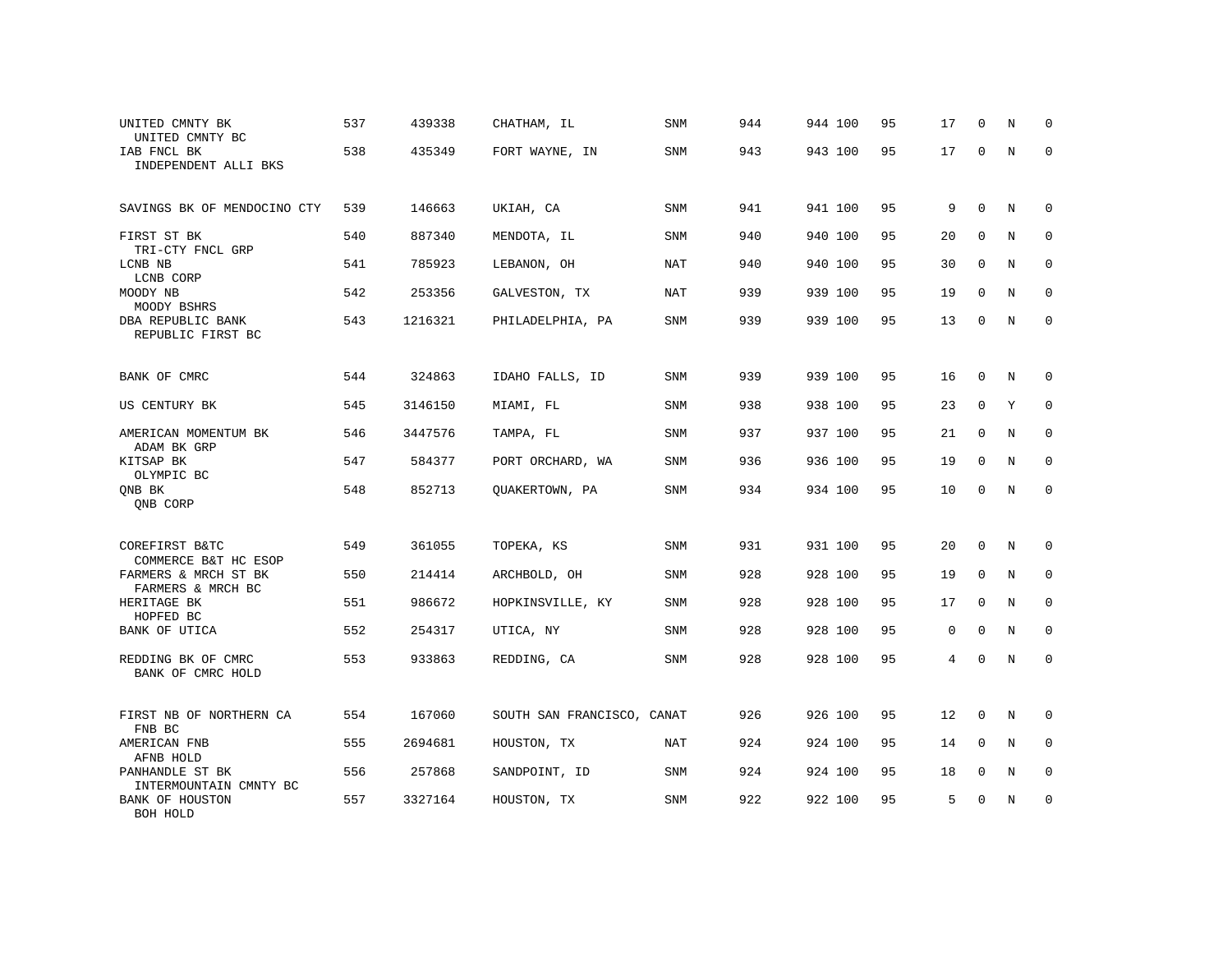| UNITED CMNTY BK<br>UNITED CMNTY BC        | 537 | 439338  | CHATHAM, IL                | <b>SNM</b> | 944 | 944 100 | 95 | 17             | $\mathbf 0$ | N           | $\Omega$    |
|-------------------------------------------|-----|---------|----------------------------|------------|-----|---------|----|----------------|-------------|-------------|-------------|
| IAB FNCL BK<br>INDEPENDENT ALLI BKS       | 538 | 435349  | FORT WAYNE, IN             | SNM        | 943 | 943 100 | 95 | 17             | $\Omega$    | N           | $\mathbf 0$ |
| SAVINGS BK OF MENDOCINO CTY               | 539 | 146663  | UKIAH, CA                  | SNM        | 941 | 941 100 | 95 | 9              | $\mathbf 0$ | $\rm N$     | $\mathbf 0$ |
| FIRST ST BK<br>TRI-CTY FNCL GRP           | 540 | 887340  | MENDOTA, IL                | SNM        | 940 | 940 100 | 95 | 20             | $\mathbf 0$ | $\mathbf N$ | $\mathbf 0$ |
| LCNB NB<br>LCNB CORP                      | 541 | 785923  | LEBANON, OH                | NAT        | 940 | 940 100 | 95 | 30             | 0           | N           | $\mathbf 0$ |
| MOODY NB<br>MOODY BSHRS                   | 542 | 253356  | GALVESTON, TX              | NAT        | 939 | 939 100 | 95 | 19             | $\mathbf 0$ | N           | $\mathbf 0$ |
| DBA REPUBLIC BANK<br>REPUBLIC FIRST BC    | 543 | 1216321 | PHILADELPHIA, PA           | SNM        | 939 | 939 100 | 95 | 13             | $\mathbf 0$ | $\mathbf N$ | $\mathbf 0$ |
| BANK OF CMRC                              | 544 | 324863  | IDAHO FALLS, ID            | SNM        | 939 | 939 100 | 95 | 16             | 0           | N           | $\mathbf 0$ |
| US CENTURY BK                             | 545 | 3146150 | MIAMI, FL                  | SNM        | 938 | 938 100 | 95 | 23             | $\mathbf 0$ | Y           | 0           |
| AMERICAN MOMENTUM BK<br>ADAM BK GRP       | 546 | 3447576 | TAMPA, FL                  | SNM        | 937 | 937 100 | 95 | 21             | $\mathbf 0$ | N           | $\mathbf 0$ |
| KITSAP BK<br>OLYMPIC BC                   | 547 | 584377  | PORT ORCHARD, WA           | SNM        | 936 | 936 100 | 95 | 19             | $\mathbf 0$ | N           | $\mathbf 0$ |
| ONB BK<br>ONB CORP                        | 548 | 852713  | OUAKERTOWN, PA             | SNM        | 934 | 934 100 | 95 | 10             | $\mathbf 0$ | $\mathbb N$ | $\mathbf 0$ |
| COREFIRST B&TC<br>COMMERCE B&T HC ESOP    | 549 | 361055  | TOPEKA, KS                 | SNM        | 931 | 931 100 | 95 | 20             | $\mathbf 0$ | N           | $\mathbf 0$ |
| FARMERS & MRCH ST BK<br>FARMERS & MRCH BC | 550 | 214414  | ARCHBOLD, OH               | SNM        | 928 | 928 100 | 95 | 19             | 0           | N           | $\mathbf 0$ |
| HERITAGE BK<br>HOPFED BC                  | 551 | 986672  | HOPKINSVILLE, KY           | SNM        | 928 | 928 100 | 95 | 17             | $\mathbf 0$ | N           | $\mathbf 0$ |
| BANK OF UTICA                             | 552 | 254317  | UTICA, NY                  | SNM        | 928 | 928 100 | 95 | $\mathbf 0$    | $\Omega$    | N           | $\mathbf 0$ |
| REDDING BK OF CMRC<br>BANK OF CMRC HOLD   | 553 | 933863  | REDDING, CA                | SNM        | 928 | 928 100 | 95 | $\overline{4}$ | $\Omega$    | N           | $\mathbf 0$ |
| FIRST NB OF NORTHERN CA<br>FNB BC         | 554 | 167060  | SOUTH SAN FRANCISCO, CANAT |            | 926 | 926 100 | 95 | 12             | $\mathbf 0$ | N           | $\mathbf 0$ |
| AMERICAN FNB<br>AFNB HOLD                 | 555 | 2694681 | HOUSTON, TX                | NAT        | 924 | 924 100 | 95 | 14             | 0           | N           | 0           |
| PANHANDLE ST BK<br>INTERMOUNTAIN CMNTY BC | 556 | 257868  | SANDPOINT, ID              | SNM        | 924 | 924 100 | 95 | 18             | 0           | N           | $\mathbf 0$ |
| <b>BANK OF HOUSTON</b><br>BOH HOLD        | 557 | 3327164 | HOUSTON, TX                | SNM        | 922 | 922 100 | 95 | 5              | $\Omega$    | N           | $\mathbf 0$ |
|                                           |     |         |                            |            |     |         |    |                |             |             |             |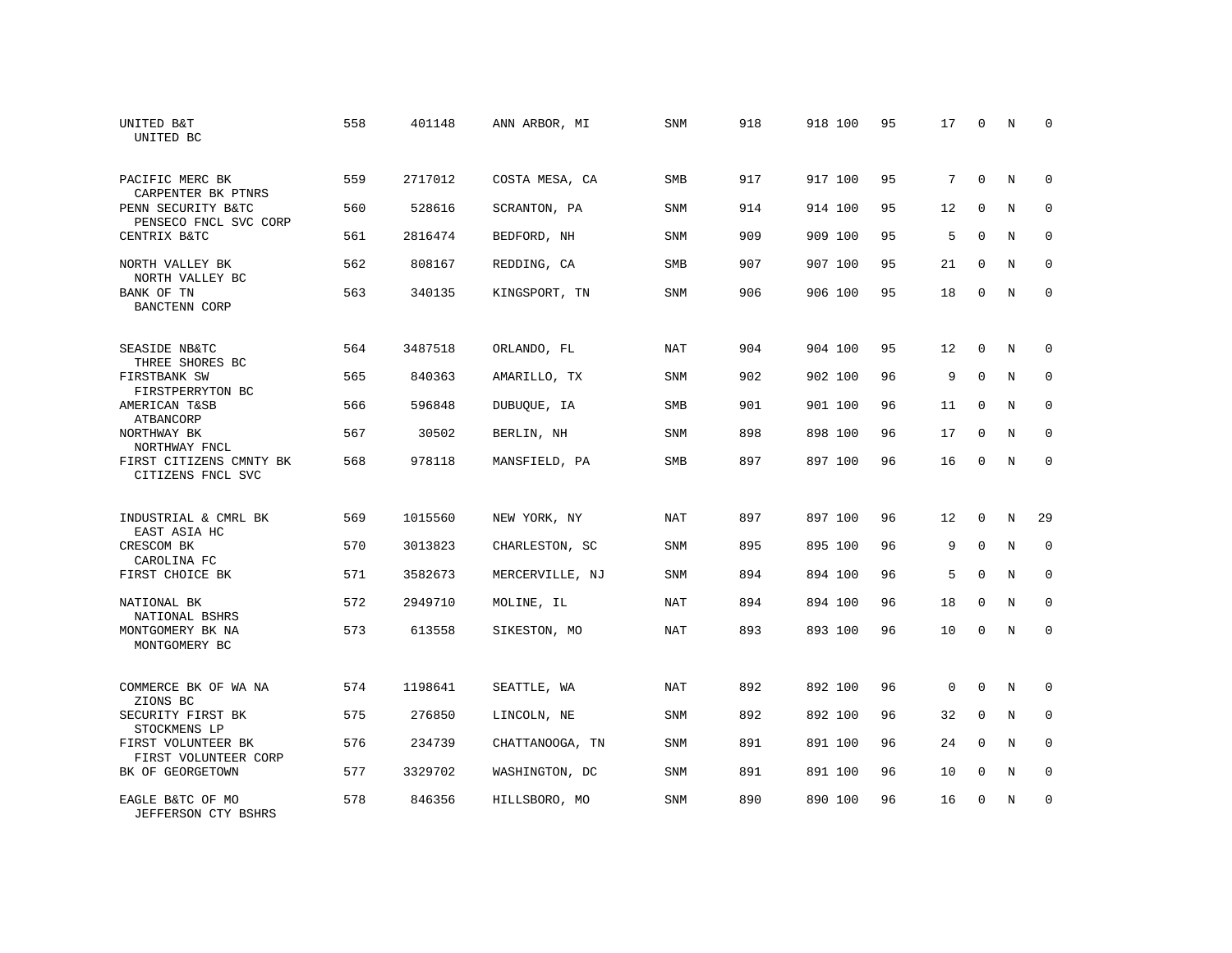| UNITED B&T<br>UNITED BC                             | 558 | 401148  | ANN ARBOR, MI   | <b>SNM</b> | 918 | 918 100 | 95 | 17          | $\mathbf 0$ | N           | 0           |
|-----------------------------------------------------|-----|---------|-----------------|------------|-----|---------|----|-------------|-------------|-------------|-------------|
| PACIFIC MERC BK<br>CARPENTER BK PTNRS               | 559 | 2717012 | COSTA MESA, CA  | <b>SMB</b> | 917 | 917 100 | 95 | 7           | $\Omega$    | N           | $\Omega$    |
| PENN SECURITY B&TC<br>PENSECO FNCL SVC CORP         | 560 | 528616  | SCRANTON, PA    | <b>SNM</b> | 914 | 914 100 | 95 | 12          | $\mathbf 0$ | N           | $\mathbf 0$ |
| CENTRIX B&TC                                        | 561 | 2816474 | BEDFORD, NH     | <b>SNM</b> | 909 | 909 100 | 95 | 5           | $\Omega$    | N           | $\Omega$    |
| NORTH VALLEY BK<br>NORTH VALLEY BC                  | 562 | 808167  | REDDING, CA     | SMB        | 907 | 907 100 | 95 | 21          | $\mathbf 0$ | N           | $\mathbf 0$ |
| BANK OF TN<br>BANCTENN CORP                         | 563 | 340135  | KINGSPORT, TN   | <b>SNM</b> | 906 | 906 100 | 95 | 18          | $\mathbf 0$ | N           | $\mathbf 0$ |
| SEASIDE NB&TC<br>THREE SHORES BC                    | 564 | 3487518 | ORLANDO, FL     | <b>NAT</b> | 904 | 904 100 | 95 | 12          | $\mathbf 0$ | N           | 0           |
| FIRSTBANK SW<br>FIRSTPERRYTON BC                    | 565 | 840363  | AMARILLO, TX    | <b>SNM</b> | 902 | 902 100 | 96 | 9           | $\mathbf 0$ | $\mathbf N$ | $\mathbf 0$ |
| AMERICAN T&SB<br>ATBANCORP                          | 566 | 596848  | DUBUQUE, IA     | <b>SMB</b> | 901 | 901 100 | 96 | 11          | $\mathbf 0$ | N           | $\mathbf 0$ |
| NORTHWAY BK<br>NORTHWAY FNCL                        | 567 | 30502   | BERLIN, NH      | <b>SNM</b> | 898 | 898 100 | 96 | 17          | $\mathbf 0$ | $\mathbf N$ | $\mathbf 0$ |
| FIRST CITIZENS CMNTY BK<br>CITIZENS FNCL SVC        | 568 | 978118  | MANSFIELD, PA   | SMB        | 897 | 897 100 | 96 | 16          | $\Omega$    | N           | $\Omega$    |
| INDUSTRIAL & CMRL BK<br>EAST ASIA HC                | 569 | 1015560 | NEW YORK, NY    | <b>NAT</b> | 897 | 897 100 | 96 | 12          | $\Omega$    | $\mathbf N$ | 29          |
| CRESCOM BK<br>CAROLINA FC                           | 570 | 3013823 | CHARLESTON, SC  | SNM        | 895 | 895 100 | 96 | 9           | $\mathbf 0$ | N           | $\mathbf 0$ |
| FIRST CHOICE BK                                     | 571 | 3582673 | MERCERVILLE, NJ | SNM        | 894 | 894 100 | 96 | 5           | $\Omega$    | N           | $\mathbf 0$ |
| NATIONAL BK                                         | 572 | 2949710 | MOLINE, IL      | NAT        | 894 | 894 100 | 96 | 18          | $\Omega$    | N           | $\mathbf 0$ |
| NATIONAL BSHRS<br>MONTGOMERY BK NA<br>MONTGOMERY BC | 573 | 613558  | SIKESTON, MO    | <b>NAT</b> | 893 | 893 100 | 96 | 10          | 0           | N           | $\mathbf 0$ |
| COMMERCE BK OF WA NA<br>ZIONS BC                    | 574 | 1198641 | SEATTLE, WA     | <b>NAT</b> | 892 | 892 100 | 96 | $\mathbf 0$ | $\mathbf 0$ | N           | 0           |
| SECURITY FIRST BK<br>STOCKMENS LP                   | 575 | 276850  | LINCOLN, NE     | SNM        | 892 | 892 100 | 96 | 32          | $\mathbf 0$ | N           | 0           |
| FIRST VOLUNTEER BK<br>FIRST VOLUNTEER CORP          | 576 | 234739  | CHATTANOOGA, TN | SNM        | 891 | 891 100 | 96 | 24          | $\Omega$    | N           | $\mathbf 0$ |
| BK OF GEORGETOWN                                    | 577 | 3329702 | WASHINGTON, DC  | SNM        | 891 | 891 100 | 96 | 10          | $\mathbf 0$ | N           | $\mathbf 0$ |
| EAGLE B&TC OF MO<br>JEFFERSON CTY BSHRS             | 578 | 846356  | HILLSBORO, MO   | <b>SNM</b> | 890 | 890 100 | 96 | 16          | $\Omega$    | N           | $\mathbf 0$ |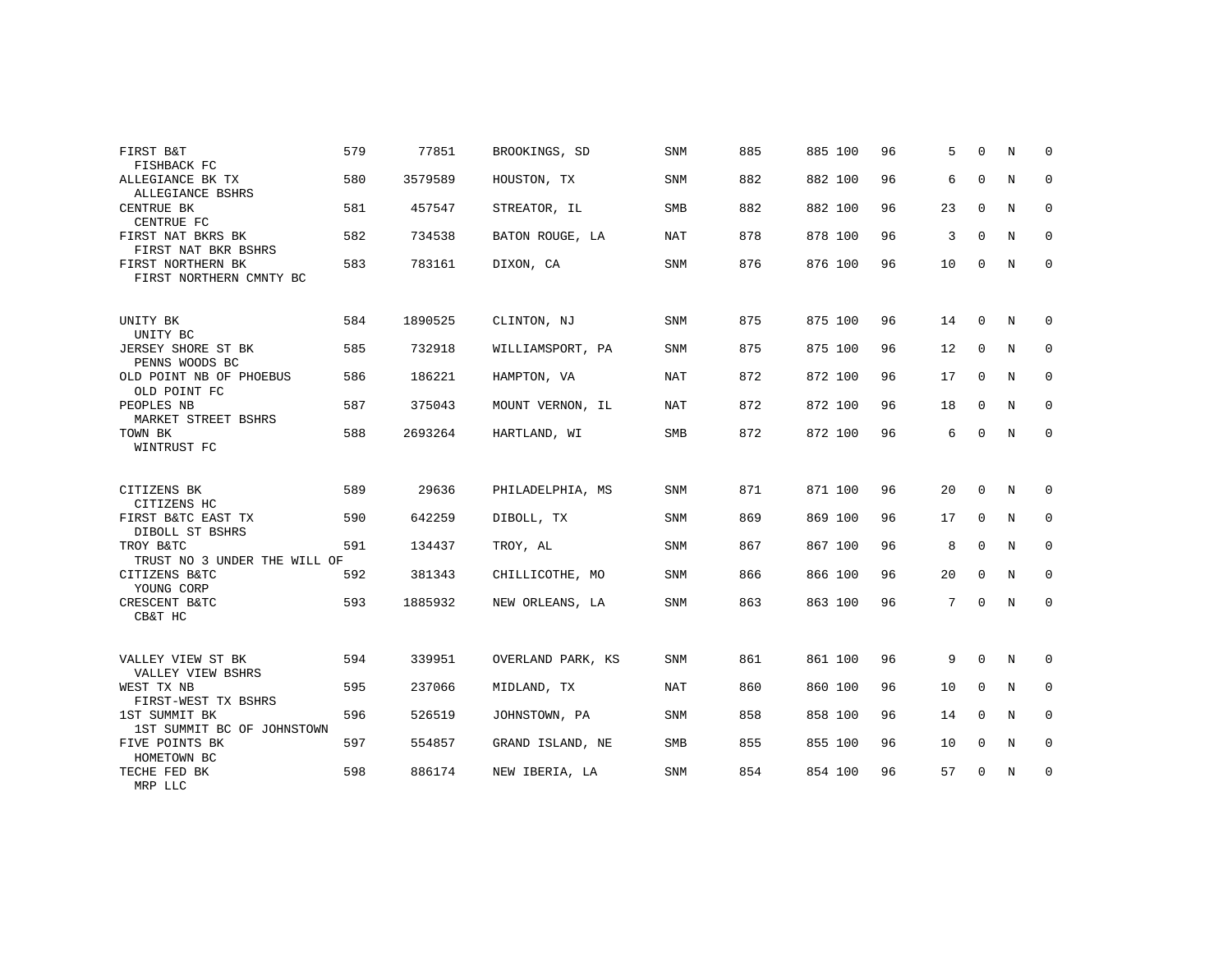| FIRST B&T                                           | 579 | 77851   | BROOKINGS, SD     | <b>SNM</b> | 885 | 885 100 | 96 | 5  | $\Omega$    | N | $\Omega$    |
|-----------------------------------------------------|-----|---------|-------------------|------------|-----|---------|----|----|-------------|---|-------------|
| FISHBACK FC<br>ALLEGIANCE BK TX<br>ALLEGIANCE BSHRS | 580 | 3579589 | HOUSTON, TX       | <b>SNM</b> | 882 | 882 100 | 96 | 6  | $\mathbf 0$ | N | $\mathbf 0$ |
| CENTRUE BK<br>CENTRUE FC                            | 581 | 457547  | STREATOR, IL      | <b>SMB</b> | 882 | 882 100 | 96 | 23 | $\mathbf 0$ | N | 0           |
| FIRST NAT BKRS BK<br>FIRST NAT BKR BSHRS            | 582 | 734538  | BATON ROUGE, LA   | NAT        | 878 | 878 100 | 96 | 3  | $\Omega$    | N | 0           |
| FIRST NORTHERN BK<br>FIRST NORTHERN CMNTY BC        | 583 | 783161  | DIXON, CA         | <b>SNM</b> | 876 | 876 100 | 96 | 10 | $\Omega$    | N | $\mathbf 0$ |
| UNITY BK<br>UNITY BC                                | 584 | 1890525 | CLINTON, NJ       | <b>SNM</b> | 875 | 875 100 | 96 | 14 | $\Omega$    | N | $\Omega$    |
| JERSEY SHORE ST BK<br>PENNS WOODS BC                | 585 | 732918  | WILLIAMSPORT, PA  | SNM        | 875 | 875 100 | 96 | 12 | $\mathbf 0$ | N | 0           |
| OLD POINT NB OF PHOEBUS<br>OLD POINT FC             | 586 | 186221  | HAMPTON, VA       | NAT        | 872 | 872 100 | 96 | 17 | $\mathbf 0$ | N | 0           |
| PEOPLES NB<br>MARKET STREET BSHRS                   | 587 | 375043  | MOUNT VERNON, IL  | NAT        | 872 | 872 100 | 96 | 18 | $\mathbf 0$ | N | $\mathbf 0$ |
| TOWN BK<br>WINTRUST FC                              | 588 | 2693264 | HARTLAND, WI      | SMB        | 872 | 872 100 | 96 | 6  | $\Omega$    | N | 0           |
| CITIZENS BK<br>CITIZENS HC                          | 589 | 29636   | PHILADELPHIA, MS  | <b>SNM</b> | 871 | 871 100 | 96 | 20 | $\Omega$    | N | $\Omega$    |
| FIRST B&TC EAST TX<br>DIBOLL ST BSHRS               | 590 | 642259  | DIBOLL, TX        | SNM        | 869 | 869 100 | 96 | 17 | $\mathbf 0$ | N | $\mathbf 0$ |
| TROY B&TC<br>TRUST NO 3 UNDER THE WILL OF           | 591 | 134437  | TROY, AL          | <b>SNM</b> | 867 | 867 100 | 96 | 8  | $\mathbf 0$ | N | 0           |
| CITIZENS B&TC<br>YOUNG CORP                         | 592 | 381343  | CHILLICOTHE, MO   | <b>SNM</b> | 866 | 866 100 | 96 | 20 | $\Omega$    | N | $\mathbf 0$ |
| CRESCENT B&TC<br>CB&T HC                            | 593 | 1885932 | NEW ORLEANS, LA   | <b>SNM</b> | 863 | 863 100 | 96 | 7  | $\mathbf 0$ | N | 0           |
| VALLEY VIEW ST BK                                   | 594 | 339951  | OVERLAND PARK, KS | <b>SNM</b> | 861 | 861 100 | 96 | 9  | $\mathbf 0$ | N | 0           |
| VALLEY VIEW BSHRS<br>WEST TX NB                     | 595 | 237066  | MIDLAND, TX       | NAT        | 860 | 860 100 | 96 | 10 | $\Omega$    | N | $\mathbf 0$ |
| FIRST-WEST TX BSHRS<br>1ST SUMMIT BK                | 596 | 526519  | JOHNSTOWN, PA     | <b>SNM</b> | 858 | 858 100 | 96 | 14 | $\mathbf 0$ | N | 0           |
| 1ST SUMMIT BC OF JOHNSTOWN<br>FIVE POINTS BK        | 597 | 554857  | GRAND ISLAND, NE  | <b>SMB</b> | 855 | 855 100 | 96 | 10 | $\Omega$    | N | $\mathbf 0$ |
| HOMETOWN BC<br>TECHE FED BK<br>MRP LLC              | 598 | 886174  | NEW IBERIA, LA    | <b>SNM</b> | 854 | 854 100 | 96 | 57 | $\mathbf 0$ | N | 0           |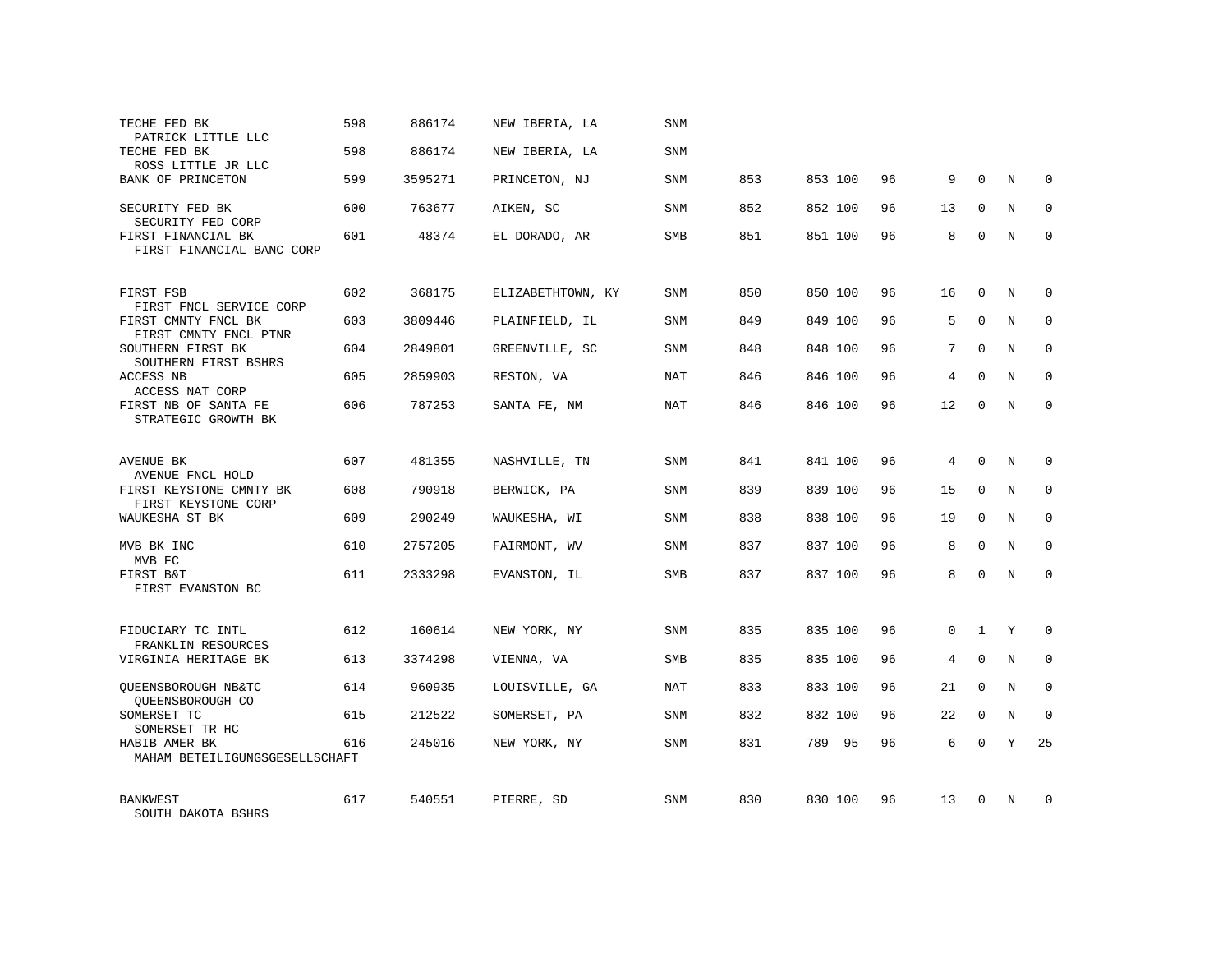| TECHE FED BK                                                            | 598 | 886174  | NEW IBERIA, LA    | SNM        |     |         |    |          |              |             |              |
|-------------------------------------------------------------------------|-----|---------|-------------------|------------|-----|---------|----|----------|--------------|-------------|--------------|
| PATRICK LITTLE LLC<br>TECHE FED BK<br>ROSS LITTLE JR LLC                | 598 | 886174  | NEW IBERIA, LA    | <b>SNM</b> |     |         |    |          |              |             |              |
| BANK OF PRINCETON                                                       | 599 | 3595271 | PRINCETON, NJ     | SNM        | 853 | 853 100 | 96 | 9        | $\Omega$     | N           | $\Omega$     |
| SECURITY FED BK<br>SECURITY FED CORP                                    | 600 | 763677  | AIKEN, SC         | <b>SNM</b> | 852 | 852 100 | 96 | 13       | $\Omega$     | N           | $\Omega$     |
| FIRST FINANCIAL BK<br>FIRST FINANCIAL BANC CORP                         | 601 | 48374   | EL DORADO, AR     | SMB        | 851 | 851 100 | 96 | 8        | 0            | N           | $\mathbf 0$  |
| FIRST FSB                                                               | 602 | 368175  | ELIZABETHTOWN, KY | SNM        | 850 | 850 100 | 96 | 16       | $\mathbf 0$  | N           | $\Omega$     |
| FIRST FNCL SERVICE CORP<br>FIRST CMNTY FNCL BK<br>FIRST CMNTY FNCL PTNR | 603 | 3809446 | PLAINFIELD, IL    | <b>SNM</b> | 849 | 849 100 | 96 | 5        | $\Omega$     | N           | $\Omega$     |
| SOUTHERN FIRST BK<br>SOUTHERN FIRST BSHRS                               | 604 | 2849801 | GREENVILLE, SC    | SNM        | 848 | 848 100 | 96 | 7        | $\Omega$     | N           | $\mathbf 0$  |
| ACCESS NB<br>ACCESS NAT CORP                                            | 605 | 2859903 | RESTON, VA        | <b>NAT</b> | 846 | 846 100 | 96 | 4        | $\Omega$     | N           | $\Omega$     |
| FIRST NB OF SANTA FE<br>STRATEGIC GROWTH BK                             | 606 | 787253  | SANTA FE, NM      | NAT        | 846 | 846 100 | 96 | 12       | $\Omega$     | N           | $\mathbf 0$  |
| AVENUE BK<br>AVENUE FNCL HOLD                                           | 607 | 481355  | NASHVILLE, TN     | <b>SNM</b> | 841 | 841 100 | 96 | 4        | $\Omega$     | N           | $\Omega$     |
| FIRST KEYSTONE CMNTY BK<br>FIRST KEYSTONE CORP                          | 608 | 790918  | BERWICK, PA       | SNM        | 839 | 839 100 | 96 | 15       | $\mathbf 0$  | N           | $\mathbf 0$  |
| WAUKESHA ST BK                                                          | 609 | 290249  | WAUKESHA, WI      | <b>SNM</b> | 838 | 838 100 | 96 | 19       | $\Omega$     | N           | $\Omega$     |
| MVB BK INC<br>MVB FC                                                    | 610 | 2757205 | FAIRMONT, WV      | <b>SNM</b> | 837 | 837 100 | 96 | 8        | $\mathbf 0$  | N           | $\mathbf{0}$ |
| FIRST B&T<br>FIRST EVANSTON BC                                          | 611 | 2333298 | EVANSTON, IL      | <b>SMB</b> | 837 | 837 100 | 96 | 8        | $\mathbf 0$  | N           | $\mathbf{0}$ |
| FIDUCIARY TC INTL                                                       | 612 | 160614  | NEW YORK, NY      | <b>SNM</b> | 835 | 835 100 | 96 | $\Omega$ | $\mathbf{1}$ | Y           | $\Omega$     |
| FRANKLIN RESOURCES<br>VIRGINIA HERITAGE BK                              | 613 | 3374298 | VIENNA, VA        | SMB        | 835 | 835 100 | 96 | 4        | $\mathbf 0$  | $\mathbf N$ | $\mathbf{0}$ |
| QUEENSBOROUGH NB&TC<br>OUEENSBOROUGH CO                                 | 614 | 960935  | LOUISVILLE, GA    | NAT        | 833 | 833 100 | 96 | 21       | $\mathbf 0$  | N           | $\mathbf 0$  |
| SOMERSET TC<br>SOMERSET TR HC                                           | 615 | 212522  | SOMERSET, PA      | SNM        | 832 | 832 100 | 96 | 22       | 0            | $\mathbf N$ | $\mathbf{0}$ |
| HABIB AMER BK<br>MAHAM BETEILIGUNGSGESELLSCHAFT                         | 616 | 245016  | NEW YORK, NY      | <b>SNM</b> | 831 | 789 95  | 96 | 6        | $\Omega$     | Υ           | 25           |
| <b>BANKWEST</b><br>SOUTH DAKOTA BSHRS                                   | 617 | 540551  | PIERRE, SD        | <b>SNM</b> | 830 | 830 100 | 96 | 13       | $\Omega$     | N           | <sup>0</sup> |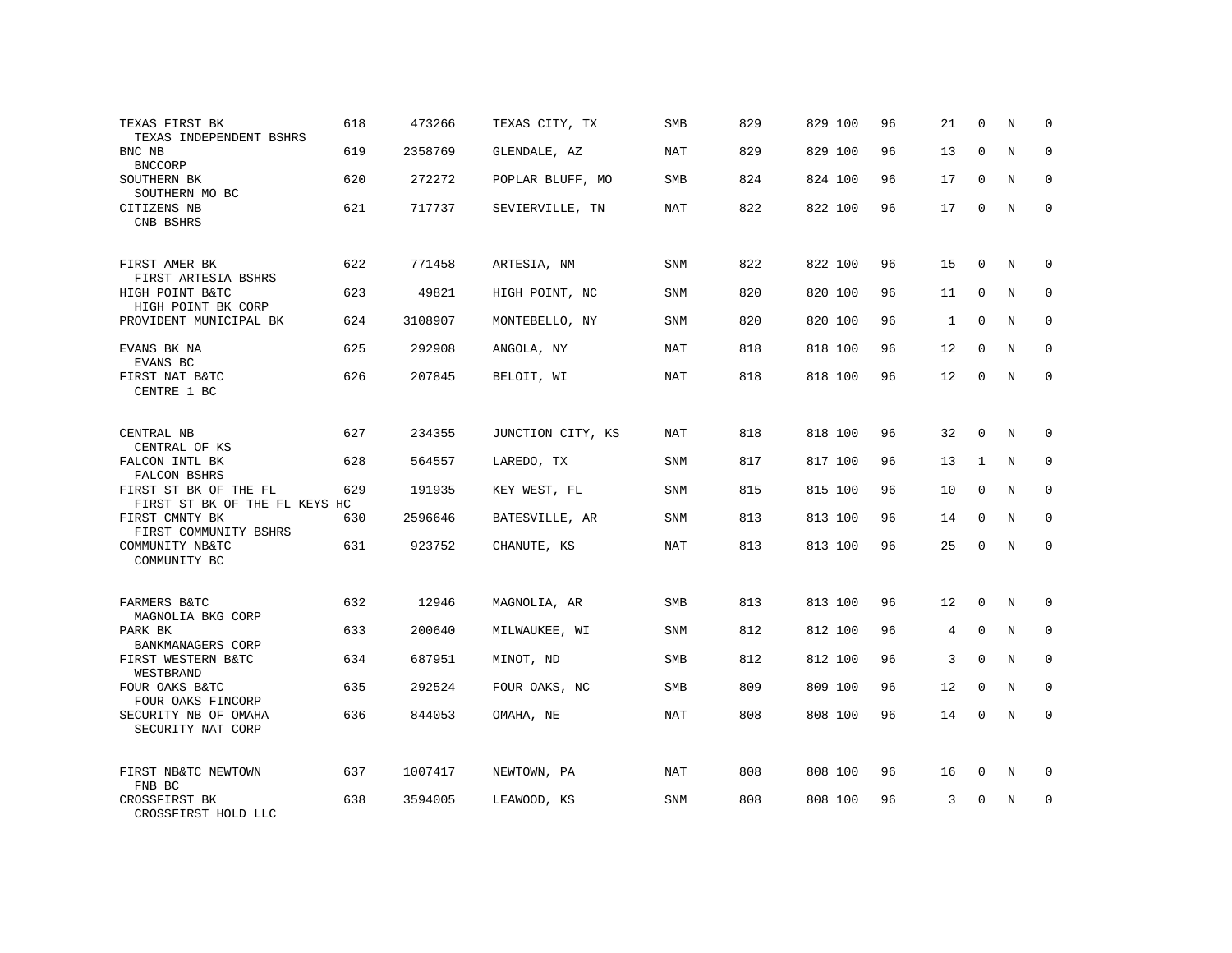| TEXAS FIRST BK                                         | 618 | 473266  | TEXAS CITY, TX    | <b>SMB</b> | 829 | 829 100 | 96 | 21 | $\mathbf 0$ | N           | $\mathbf 0$  |
|--------------------------------------------------------|-----|---------|-------------------|------------|-----|---------|----|----|-------------|-------------|--------------|
| TEXAS INDEPENDENT BSHRS<br>BNC NB                      | 619 | 2358769 | GLENDALE, AZ      | <b>NAT</b> | 829 | 829 100 | 96 | 13 | $\mathbf 0$ | N           | $\mathbf 0$  |
| <b>BNCCORP</b><br>SOUTHERN BK                          | 620 | 272272  | POPLAR BLUFF, MO  | <b>SMB</b> | 824 | 824 100 | 96 | 17 | $\mathbf 0$ | N           | $\mathbf 0$  |
| SOUTHERN MO BC<br>CITIZENS NB<br>CNB BSHRS             | 621 | 717737  | SEVIERVILLE, TN   | <b>NAT</b> | 822 | 822 100 | 96 | 17 | $\mathbf 0$ | $\mathbb N$ | $\mathbf 0$  |
| FIRST AMER BK                                          | 622 | 771458  | ARTESIA, NM       | SNM        | 822 | 822 100 | 96 | 15 | 0           | N           | $\mathbf 0$  |
| FIRST ARTESIA BSHRS<br>HIGH POINT B&TC                 | 623 | 49821   | HIGH POINT, NC    | SNM        | 820 | 820 100 | 96 | 11 | $\mathbf 0$ | N           | $\mathbf 0$  |
| HIGH POINT BK CORP<br>PROVIDENT MUNICIPAL BK           | 624 | 3108907 | MONTEBELLO, NY    | SNM        | 820 | 820 100 | 96 | 1  | $\mathbf 0$ | N           | 0            |
| EVANS BK NA                                            | 625 | 292908  | ANGOLA, NY        | NAT        | 818 | 818 100 | 96 | 12 | $\mathbf 0$ | N           | $\mathbf 0$  |
| EVANS BC<br>FIRST NAT B&TC<br>CENTRE 1 BC              | 626 | 207845  | BELOIT, WI        | NAT        | 818 | 818 100 | 96 | 12 | $\mathbf 0$ | N           | $\mathbf 0$  |
| CENTRAL NB<br>CENTRAL OF KS                            | 627 | 234355  | JUNCTION CITY, KS | NAT        | 818 | 818 100 | 96 | 32 | $\mathbf 0$ | N           | $\mathbf 0$  |
| FALCON INTL BK<br>FALCON BSHRS                         | 628 | 564557  | LAREDO, TX        | SNM        | 817 | 817 100 | 96 | 13 | 1           | N           | $\Omega$     |
| FIRST ST BK OF THE FL<br>FIRST ST BK OF THE FL KEYS HC | 629 | 191935  | KEY WEST, FL      | SNM        | 815 | 815 100 | 96 | 10 | $\mathbf 0$ | N           | $\mathbf 0$  |
| FIRST CMNTY BK<br>FIRST COMMUNITY BSHRS                | 630 | 2596646 | BATESVILLE, AR    | SNM        | 813 | 813 100 | 96 | 14 | $\mathbf 0$ | N           | $\mathbf 0$  |
| COMMUNITY NB&TC<br>COMMUNITY BC                        | 631 | 923752  | CHANUTE, KS       | NAT        | 813 | 813 100 | 96 | 25 | $\Omega$    | N           | $\mathbf{0}$ |
| FARMERS B&TC<br>MAGNOLIA BKG CORP                      | 632 | 12946   | MAGNOLIA, AR      | <b>SMB</b> | 813 | 813 100 | 96 | 12 | $\mathbf 0$ | N           | $\mathbf{0}$ |
| PARK BK<br>BANKMANAGERS CORP                           | 633 | 200640  | MILWAUKEE, WI     | SNM        | 812 | 812 100 | 96 | 4  | $\mathbf 0$ | N           | $\mathbf 0$  |
| FIRST WESTERN B&TC<br>WESTBRAND                        | 634 | 687951  | MINOT, ND         | SMB        | 812 | 812 100 | 96 | 3  | $\mathbf 0$ | $\mathbf N$ | $\mathbf{0}$ |
| FOUR OAKS B&TC<br>FOUR OAKS FINCORP                    | 635 | 292524  | FOUR OAKS, NC     | <b>SMB</b> | 809 | 809 100 | 96 | 12 | $\mathbf 0$ | N           | $\mathbf 0$  |
| SECURITY NB OF OMAHA<br>SECURITY NAT CORP              | 636 | 844053  | OMAHA, NE         | NAT        | 808 | 808 100 | 96 | 14 | $\mathbf 0$ | N           | $\mathbf 0$  |
| FIRST NB&TC NEWTOWN<br>FNB BC                          | 637 | 1007417 | NEWTOWN, PA       | NAT        | 808 | 808 100 | 96 | 16 | 0           | N           | 0            |
| CROSSFIRST BK<br>CROSSFIRST HOLD LLC                   | 638 | 3594005 | LEAWOOD, KS       | SNM        | 808 | 808 100 | 96 | 3  | $\Omega$    | N           | $\mathbf 0$  |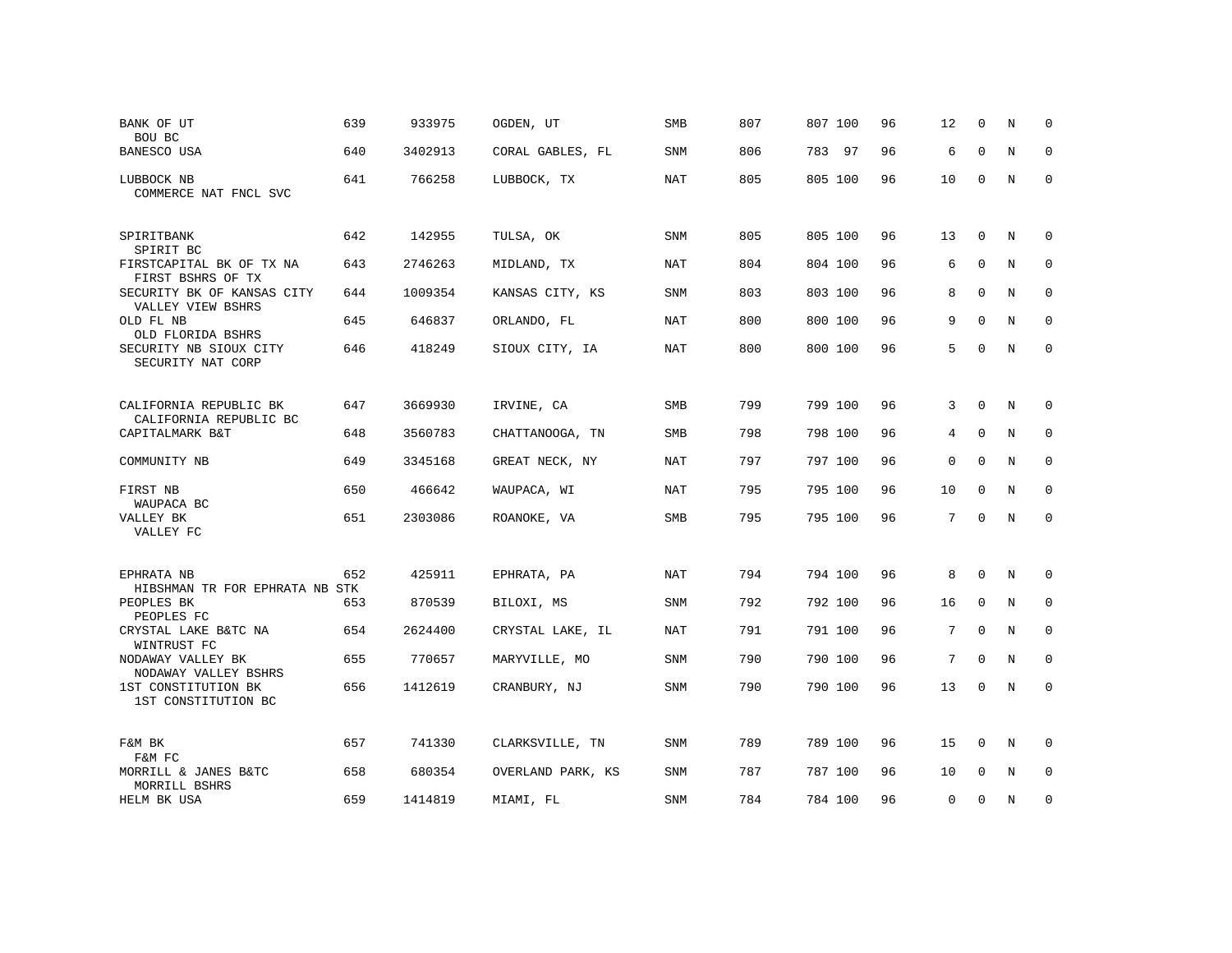| BANK OF UT<br>BOU BC                                       | 639 | 933975  | OGDEN, UT         | SMB        | 807 | 807 100 | 96 | 12              | $\Omega$    | N           | $\Omega$    |
|------------------------------------------------------------|-----|---------|-------------------|------------|-----|---------|----|-----------------|-------------|-------------|-------------|
| BANESCO USA                                                | 640 | 3402913 | CORAL GABLES, FL  | <b>SNM</b> | 806 | 783 97  | 96 | 6               | $\Omega$    | $\mathbf N$ | $\mathbf 0$ |
| LUBBOCK NB<br>COMMERCE NAT FNCL SVC                        | 641 | 766258  | LUBBOCK, TX       | NAT        | 805 | 805 100 | 96 | 10              | $\mathbf 0$ | N           | $\mathbf 0$ |
| SPIRITBANK<br>SPIRIT BC                                    | 642 | 142955  | TULSA, OK         | SNM        | 805 | 805 100 | 96 | 13              | $\mathbf 0$ | N           | 0           |
| FIRSTCAPITAL BK OF TX NA<br>FIRST BSHRS OF TX              | 643 | 2746263 | MIDLAND, TX       | <b>NAT</b> | 804 | 804 100 | 96 | 6               | $\mathbf 0$ | N           | 0           |
| SECURITY BK OF KANSAS CITY<br>VALLEY VIEW BSHRS            | 644 | 1009354 | KANSAS CITY, KS   | SNM        | 803 | 803 100 | 96 | 8               | $\mathbf 0$ | N           | 0           |
| OLD FL NB<br>OLD FLORIDA BSHRS                             | 645 | 646837  | ORLANDO, FL       | <b>NAT</b> | 800 | 800 100 | 96 | 9               | $\Omega$    | N           | 0           |
| SECURITY NB SIOUX CITY<br>SECURITY NAT CORP                | 646 | 418249  | SIOUX CITY, IA    | <b>NAT</b> | 800 | 800 100 | 96 | 5               | $\Omega$    | N           | $\mathbf 0$ |
| CALIFORNIA REPUBLIC BK                                     | 647 | 3669930 | IRVINE, CA        | <b>SMB</b> | 799 | 799 100 | 96 | 3               | $\Omega$    | N           | 0           |
| CALIFORNIA REPUBLIC BC<br>CAPITALMARK B&T                  | 648 | 3560783 | CHATTANOOGA, TN   | <b>SMB</b> | 798 | 798 100 | 96 | 4               | $\mathbf 0$ | N           | $\mathbf 0$ |
|                                                            | 649 |         |                   |            |     |         |    |                 | $\mathbf 0$ |             | $\mathbf 0$ |
| COMMUNITY NB                                               |     | 3345168 | GREAT NECK, NY    | <b>NAT</b> | 797 | 797 100 | 96 | $\mathbf 0$     |             | N           |             |
| FIRST NB<br>WAUPACA BC                                     | 650 | 466642  | WAUPACA, WI       | NAT        | 795 | 795 100 | 96 | 10              | $\mathbf 0$ | N           | $\mathbf 0$ |
| VALLEY BK<br>VALLEY FC                                     | 651 | 2303086 | ROANOKE, VA       | <b>SMB</b> | 795 | 795 100 | 96 | 7               | $\mathbf 0$ | N           | 0           |
| EPHRATA NB                                                 | 652 | 425911  | EPHRATA, PA       | NAT        | 794 | 794 100 | 96 | 8               | $\mathbf 0$ | N           | 0           |
| HIBSHMAN TR FOR EPHRATA NB STK<br>PEOPLES BK<br>PEOPLES FC | 653 | 870539  | BILOXI, MS        | <b>SNM</b> | 792 | 792 100 | 96 | 16              | $\mathbf 0$ | $\mathbb N$ | $\mathbf 0$ |
| CRYSTAL LAKE B&TC NA<br>WINTRUST FC                        | 654 | 2624400 | CRYSTAL LAKE, IL  | <b>NAT</b> | 791 | 791 100 | 96 | $7\overline{ }$ | $\mathbf 0$ | $\mathbb N$ | 0           |
| NODAWAY VALLEY BK<br>NODAWAY VALLEY BSHRS                  | 655 | 770657  | MARYVILLE, MO     | <b>SNM</b> | 790 | 790 100 | 96 | 7               | $\mathbf 0$ | $\mathbb N$ | $\mathbf 0$ |
| 1ST CONSTITUTION BK<br>1ST CONSTITUTION BC                 | 656 | 1412619 | CRANBURY, NJ      | <b>SNM</b> | 790 | 790 100 | 96 | 13              | $\mathbf 0$ | $_{\rm N}$  | 0           |
| F&M BK<br>F&M FC                                           | 657 | 741330  | CLARKSVILLE, TN   | SNM        | 789 | 789 100 | 96 | 15              | 0           | N           | 0           |
| MORRILL & JANES B&TC<br>MORRILL BSHRS                      | 658 | 680354  | OVERLAND PARK, KS | SNM        | 787 | 787 100 | 96 | 10              | 0           | N           | 0           |
| HELM BK USA                                                | 659 | 1414819 | MIAMI, FL         | SNM        | 784 | 784 100 | 96 | 0               | $\mathbf 0$ | N           | 0           |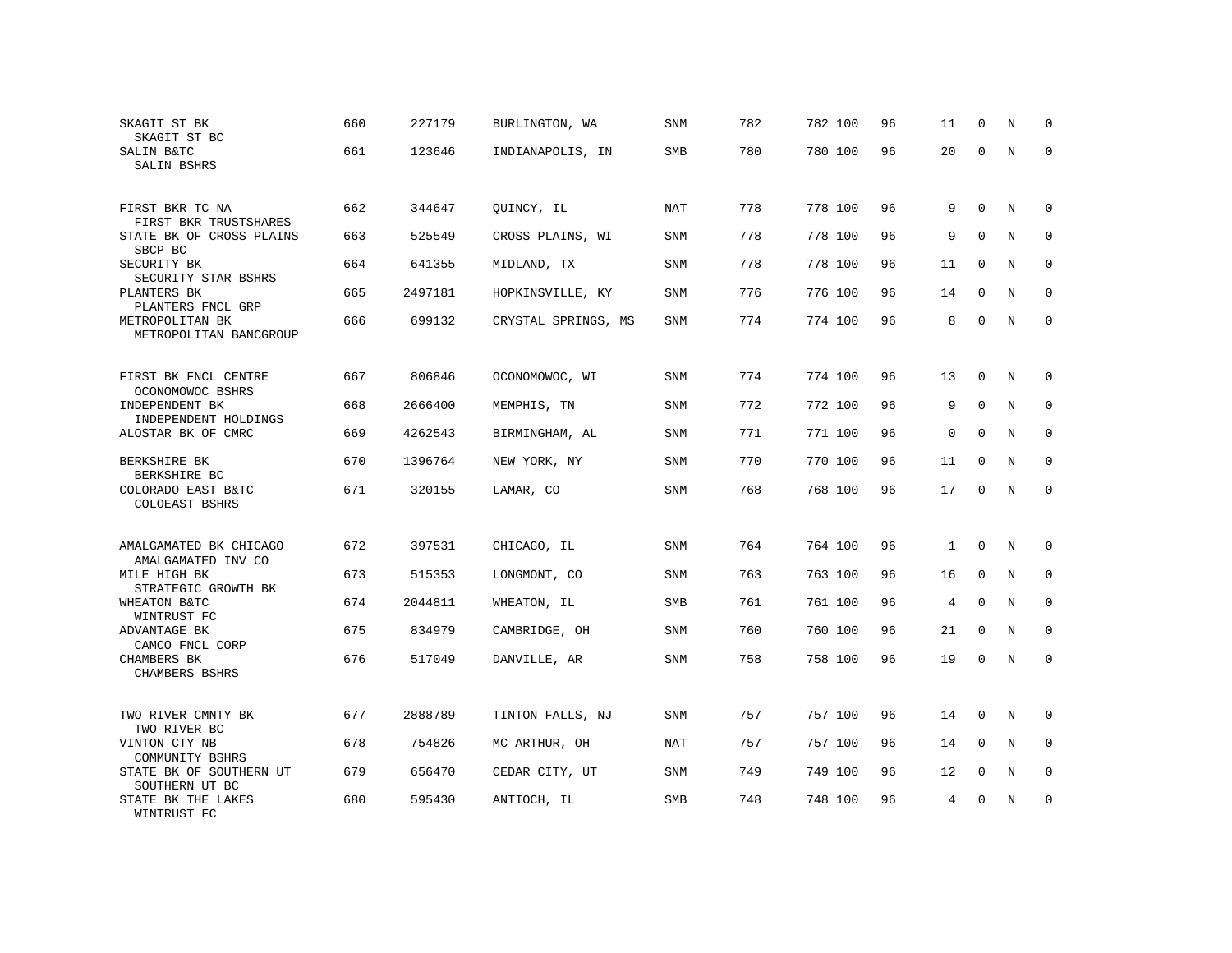| SKAGIT ST BK<br>SKAGIT ST BC                 | 660 | 227179  | BURLINGTON, WA      | SNM        | 782 | 782 100 | 96 | 11             | 0            | N           | 0            |
|----------------------------------------------|-----|---------|---------------------|------------|-----|---------|----|----------------|--------------|-------------|--------------|
| SALIN B&TC<br>SALIN BSHRS                    | 661 | 123646  | INDIANAPOLIS, IN    | SMB        | 780 | 780 100 | 96 | 20             | $\Omega$     | N           | 0            |
| FIRST BKR TC NA<br>FIRST BKR TRUSTSHARES     | 662 | 344647  | QUINCY, IL          | NAT        | 778 | 778 100 | 96 | 9              | $\mathbf 0$  | N           | $\Omega$     |
| STATE BK OF CROSS PLAINS<br>SBCP BC          | 663 | 525549  | CROSS PLAINS, WI    | SNM        | 778 | 778 100 | 96 | 9              | $\Omega$     | N           | $\Omega$     |
| SECURITY BK<br>SECURITY STAR BSHRS           | 664 | 641355  | MIDLAND, TX         | SNM        | 778 | 778 100 | 96 | 11             | $\mathbf 0$  | N           | 0            |
| PLANTERS BK<br>PLANTERS FNCL GRP             | 665 | 2497181 | HOPKINSVILLE, KY    | <b>SNM</b> | 776 | 776 100 | 96 | 14             | $\Omega$     | N           | $\Omega$     |
| METROPOLITAN BK<br>METROPOLITAN BANCGROUP    | 666 | 699132  | CRYSTAL SPRINGS, MS | SNM        | 774 | 774 100 | 96 | 8              | 0            | N           | $\mathbf{0}$ |
| FIRST BK FNCL CENTRE<br>OCONOMOWOC BSHRS     | 667 | 806846  | OCONOMOWOC, WI      | SNM        | 774 | 774 100 | 96 | 13             | $\mathbf 0$  | N           | $\mathbf 0$  |
| INDEPENDENT BK<br>INDEPENDENT HOLDINGS       | 668 | 2666400 | MEMPHIS, TN         | <b>SNM</b> | 772 | 772 100 | 96 | 9              | $\Omega$     | N           | $\mathbf{0}$ |
| ALOSTAR BK OF CMRC                           | 669 | 4262543 | BIRMINGHAM, AL      | SNM        | 771 | 771 100 | 96 | $\mathbf{0}$   | $\mathbf 0$  | $\mathbf N$ | $\mathbf 0$  |
| BERKSHIRE BK<br>BERKSHIRE BC                 | 670 | 1396764 | NEW YORK, NY        | <b>SNM</b> | 770 | 770 100 | 96 | 11             | $\mathbf{0}$ | N           | $\mathbf{0}$ |
| COLORADO EAST B&TC<br><b>COLOEAST BSHRS</b>  | 671 | 320155  | LAMAR, CO           | SNM        | 768 | 768 100 | 96 | 17             | $\Omega$     | N           | $\Omega$     |
| AMALGAMATED BK CHICAGO<br>AMALGAMATED INV CO | 672 | 397531  | CHICAGO, IL         | <b>SNM</b> | 764 | 764 100 | 96 | $\mathbf{1}$   | $\mathbf{0}$ | N           | $\mathbf 0$  |
| MILE HIGH BK<br>STRATEGIC GROWTH BK          | 673 | 515353  | LONGMONT, CO        | SNM        | 763 | 763 100 | 96 | 16             | $\mathbf 0$  | N           | $\mathbf 0$  |
| WHEATON B&TC<br>WINTRUST FC                  | 674 | 2044811 | WHEATON, IL         | SMB        | 761 | 761 100 | 96 | $\overline{4}$ | $\mathbf 0$  | N           | $\mathbf 0$  |
| ADVANTAGE BK<br>CAMCO FNCL CORP              | 675 | 834979  | CAMBRIDGE, OH       | SNM        | 760 | 760 100 | 96 | 21             | $\mathbf{0}$ | $\mathbf N$ | $\mathbf 0$  |
| CHAMBERS BK<br>CHAMBERS BSHRS                | 676 | 517049  | DANVILLE, AR        | SNM        | 758 | 758 100 | 96 | 19             | $\Omega$     | N           | $\mathbf 0$  |
| TWO RIVER CMNTY BK<br>TWO RIVER BC           | 677 | 2888789 | TINTON FALLS, NJ    | SNM        | 757 | 757 100 | 96 | 14             | $\mathbf 0$  | N           | 0            |
| VINTON CTY NB<br>COMMUNITY BSHRS             | 678 | 754826  | MC ARTHUR, OH       | <b>NAT</b> | 757 | 757 100 | 96 | 14             | $\mathbf{0}$ | N           | $\mathbf 0$  |
| STATE BK OF SOUTHERN UT<br>SOUTHERN UT BC    | 679 | 656470  | CEDAR CITY, UT      | SNM        | 749 | 749 100 | 96 | 12             | $\mathbf 0$  | N           | 0            |
| STATE BK THE LAKES<br>WINTRUST FC            | 680 | 595430  | ANTIOCH, IL         | SMB        | 748 | 748 100 | 96 | 4              | $\Omega$     | N           | $\mathbf 0$  |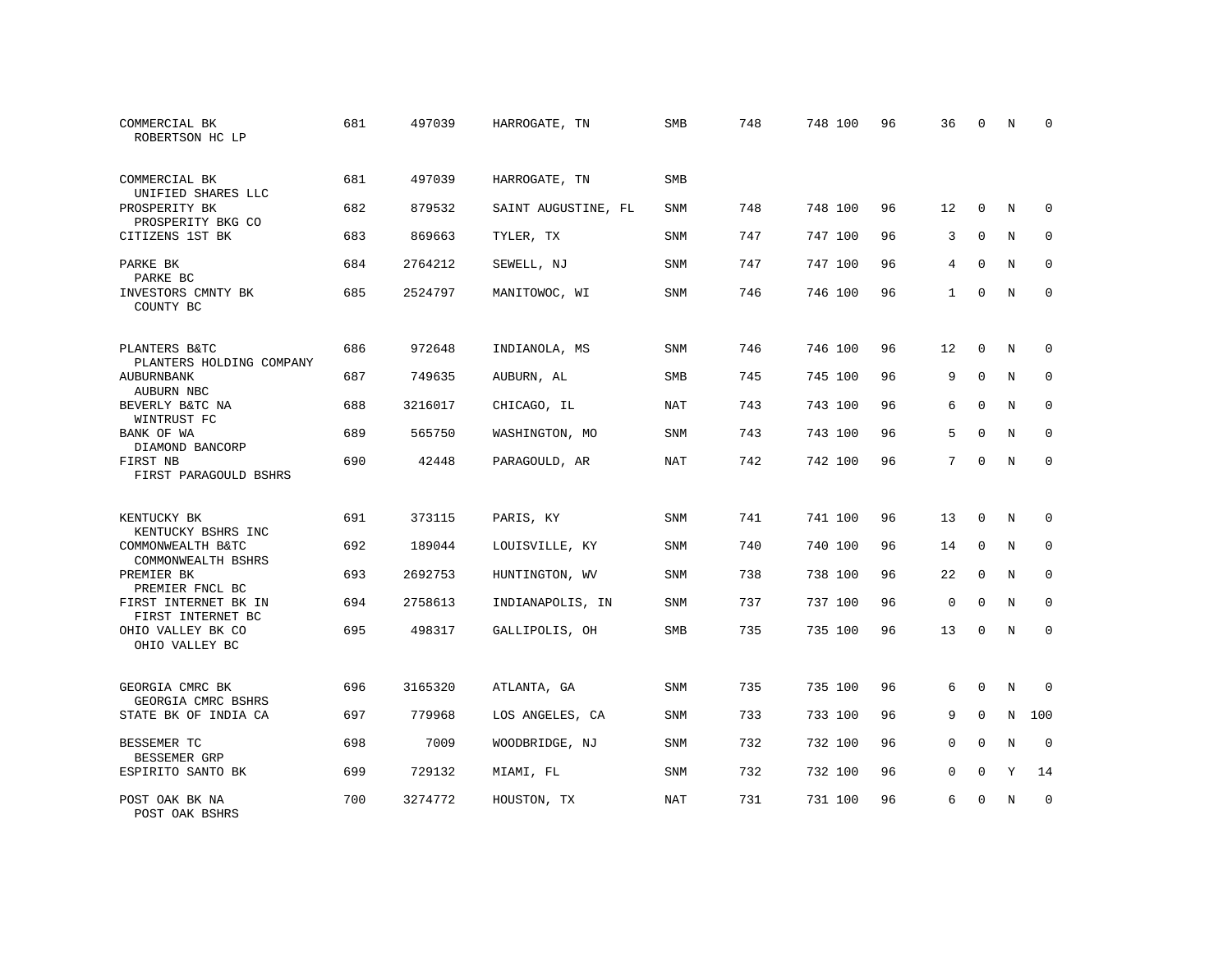| COMMERCIAL BK<br>ROBERTSON HC LP          | 681 | 497039  | HARROGATE, TN       | SMB        | 748 | 748 100 | 96 | 36          | $\Omega$    | N           | <sup>0</sup> |
|-------------------------------------------|-----|---------|---------------------|------------|-----|---------|----|-------------|-------------|-------------|--------------|
| COMMERCIAL BK<br>UNIFIED SHARES LLC       | 681 | 497039  | HARROGATE, TN       | SMB        |     |         |    |             |             |             |              |
| PROSPERITY BK<br>PROSPERITY BKG CO        | 682 | 879532  | SAINT AUGUSTINE, FL | SNM        | 748 | 748 100 | 96 | 12          | $\Omega$    | N           | $\mathbf 0$  |
| CITIZENS 1ST BK                           | 683 | 869663  | TYLER, TX           | SNM        | 747 | 747 100 | 96 | 3           | $\mathbf 0$ | N           | $\mathbf 0$  |
| PARKE BK<br>PARKE BC                      | 684 | 2764212 | SEWELL, NJ          | SNM        | 747 | 747 100 | 96 | 4           | $\Omega$    | N           | $\mathbf 0$  |
| INVESTORS CMNTY BK<br>COUNTY BC           | 685 | 2524797 | MANITOWOC, WI       | SNM        | 746 | 746 100 | 96 | 1           | $\mathbf 0$ | N           | $\mathbf 0$  |
| PLANTERS B&TC<br>PLANTERS HOLDING COMPANY | 686 | 972648  | INDIANOLA, MS       | SNM        | 746 | 746 100 | 96 | 12          | $\mathbf 0$ | N           | $\mathbf 0$  |
| AUBURNBANK<br>AUBURN NBC                  | 687 | 749635  | AUBURN, AL          | <b>SMB</b> | 745 | 745 100 | 96 | 9           | $\mathbf 0$ | N           | $\mathbf 0$  |
| BEVERLY B&TC NA<br>WINTRUST FC            | 688 | 3216017 | CHICAGO, IL         | <b>NAT</b> | 743 | 743 100 | 96 | 6           | $\mathbf 0$ | N           | $\mathbf 0$  |
| BANK OF WA<br>DIAMOND BANCORP             | 689 | 565750  | WASHINGTON, MO      | SNM        | 743 | 743 100 | 96 | 5           | $\Omega$    | N           | $\mathbf 0$  |
| FIRST NB<br>FIRST PARAGOULD BSHRS         | 690 | 42448   | PARAGOULD, AR       | <b>NAT</b> | 742 | 742 100 | 96 | 7           | $\Omega$    | $_{\rm N}$  | $\Omega$     |
| KENTUCKY BK<br>KENTUCKY BSHRS INC         | 691 | 373115  | PARIS, KY           | SNM        | 741 | 741 100 | 96 | 13          | $\Omega$    | N           | $\Omega$     |
| COMMONWEALTH B&TC<br>COMMONWEALTH BSHRS   | 692 | 189044  | LOUISVILLE, KY      | <b>SNM</b> | 740 | 740 100 | 96 | 14          | $\mathbf 0$ | N           | $\mathbf 0$  |
| PREMIER BK<br>PREMIER FNCL BC             | 693 | 2692753 | HUNTINGTON, WV      | <b>SNM</b> | 738 | 738 100 | 96 | 22          | $\Omega$    | N           | $\mathbf 0$  |
| FIRST INTERNET BK IN<br>FIRST INTERNET BC | 694 | 2758613 | INDIANAPOLIS, IN    | <b>SNM</b> | 737 | 737 100 | 96 | $\mathbf 0$ | $\mathbf 0$ | N           | $\mathbf 0$  |
| OHIO VALLEY BK CO<br>OHIO VALLEY BC       | 695 | 498317  | GALLIPOLIS, OH      | <b>SMB</b> | 735 | 735 100 | 96 | 13          | $\Omega$    | N           | $\mathbf 0$  |
| GEORGIA CMRC BK<br>GEORGIA CMRC BSHRS     | 696 | 3165320 | ATLANTA, GA         | <b>SNM</b> | 735 | 735 100 | 96 | 6           | $\Omega$    | $\mathbb N$ | $\mathbf 0$  |
| STATE BK OF INDIA CA                      | 697 | 779968  | LOS ANGELES, CA     | SNM        | 733 | 733 100 | 96 | 9           | $\mathbf 0$ | N           | 100          |
| BESSEMER TC<br>BESSEMER GRP               | 698 | 7009    | WOODBRIDGE, NJ      | SNM        | 732 | 732 100 | 96 | $\mathbf 0$ | $\mathbf 0$ | N           | $\mathbf 0$  |
| ESPIRITO SANTO BK                         | 699 | 729132  | MIAMI, FL           | SNM        | 732 | 732 100 | 96 | $\mathbf 0$ | 0           | Υ           | 14           |
| POST OAK BK NA<br>POST OAK BSHRS          | 700 | 3274772 | HOUSTON, TX         | <b>NAT</b> | 731 | 731 100 | 96 | 6           | $\Omega$    | N           | $\mathbf 0$  |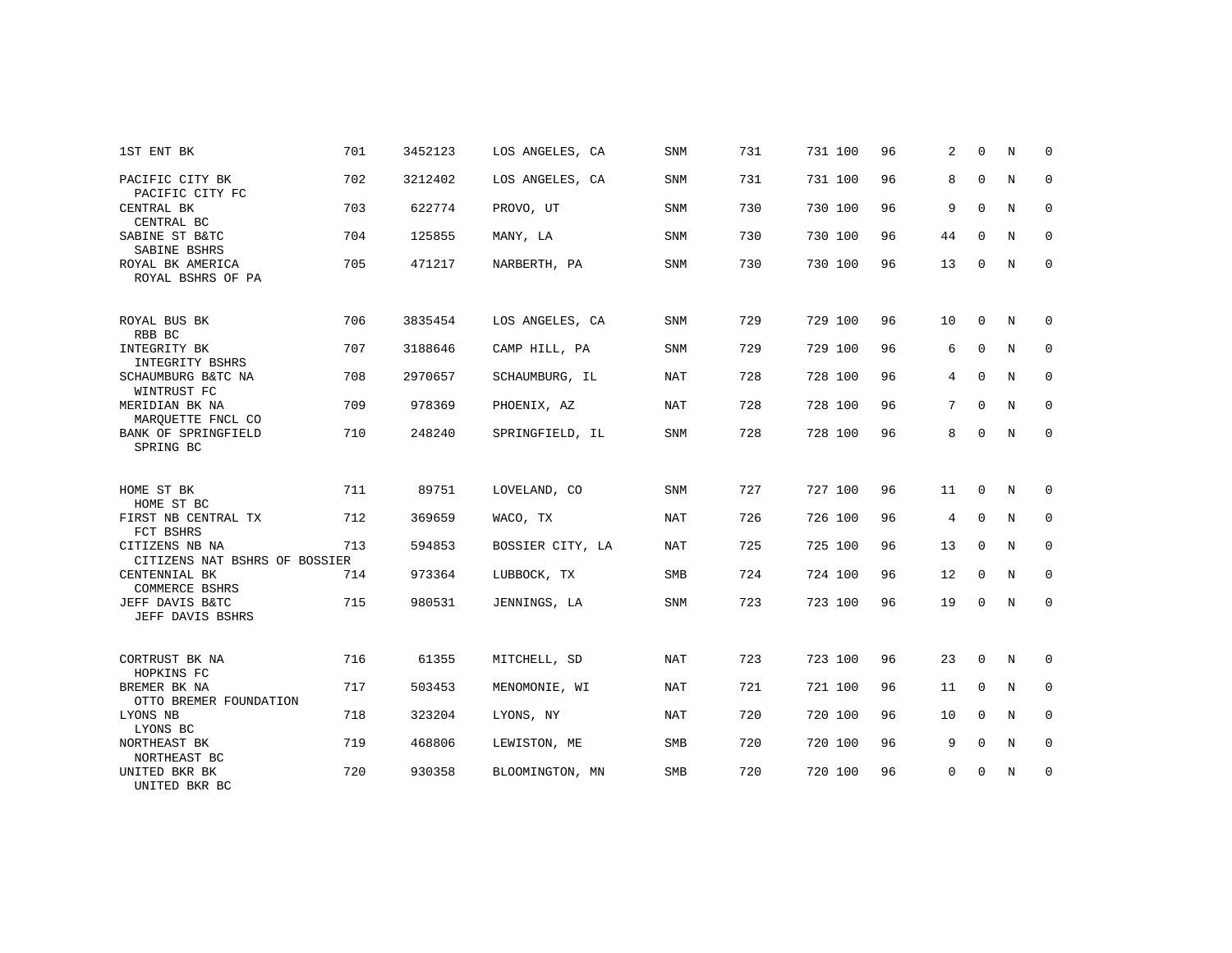| 1ST ENT BK                                      | 701 | 3452123 | LOS ANGELES, CA  | <b>SNM</b> | 731 | 731 100 | 96 | 2  | $\Omega$    | N | $\Omega$    |
|-------------------------------------------------|-----|---------|------------------|------------|-----|---------|----|----|-------------|---|-------------|
| PACIFIC CITY BK<br>PACIFIC CITY FC              | 702 | 3212402 | LOS ANGELES, CA  | <b>SNM</b> | 731 | 731 100 | 96 | 8  | $\mathbf 0$ | N | $\mathbf 0$ |
| CENTRAL BK<br>CENTRAL BC                        | 703 | 622774  | PROVO, UT        | <b>SNM</b> | 730 | 730 100 | 96 | 9  | $\mathbf 0$ | N | 0           |
| SABINE ST B&TC<br>SABINE BSHRS                  | 704 | 125855  | MANY, LA         | <b>SNM</b> | 730 | 730 100 | 96 | 44 | $\Omega$    | N | $\mathbf 0$ |
| ROYAL BK AMERICA<br>ROYAL BSHRS OF PA           | 705 | 471217  | NARBERTH, PA     | <b>SNM</b> | 730 | 730 100 | 96 | 13 | $\mathbf 0$ | N | $\mathbf 0$ |
| ROYAL BUS BK<br>RBB BC                          | 706 | 3835454 | LOS ANGELES, CA  | SNM        | 729 | 729 100 | 96 | 10 | $\mathbf 0$ | N | 0           |
| INTEGRITY BK<br>INTEGRITY BSHRS                 | 707 | 3188646 | CAMP HILL, PA    | <b>SNM</b> | 729 | 729 100 | 96 | 6  | $\Omega$    | N | $\mathbf 0$ |
| SCHAUMBURG B&TC NA<br>WINTRUST FC               | 708 | 2970657 | SCHAUMBURG, IL   | NAT        | 728 | 728 100 | 96 | 4  | $\Omega$    | N | 0           |
| MERIDIAN BK NA<br>MARQUETTE FNCL CO             | 709 | 978369  | PHOENIX, AZ      | <b>NAT</b> | 728 | 728 100 | 96 | 7  | $\Omega$    | N | $\mathbf 0$ |
| BANK OF SPRINGFIELD<br>SPRING BC                | 710 | 248240  | SPRINGFIELD, IL  | <b>SNM</b> | 728 | 728 100 | 96 | 8  | $\Omega$    | N | $\mathbf 0$ |
| HOME ST BK<br>HOME ST BC                        | 711 | 89751   | LOVELAND, CO     | SNM        | 727 | 727 100 | 96 | 11 | $\Omega$    | N | 0           |
| FIRST NB CENTRAL TX<br>FCT BSHRS                | 712 | 369659  | WACO, TX         | NAT        | 726 | 726 100 | 96 | 4  | 0           | N | 0           |
| CITIZENS NB NA<br>CITIZENS NAT BSHRS OF BOSSIER | 713 | 594853  | BOSSIER CITY, LA | NAT        | 725 | 725 100 | 96 | 13 | $\mathbf 0$ | N | 0           |
| CENTENNIAL BK<br>COMMERCE BSHRS                 | 714 | 973364  | LUBBOCK, TX      | SMB        | 724 | 724 100 | 96 | 12 | $\mathbf 0$ | N | 0           |
| JEFF DAVIS B&TC<br>JEFF DAVIS BSHRS             | 715 | 980531  | JENNINGS, LA     | SNM        | 723 | 723 100 | 96 | 19 | $\mathbf 0$ | N | $\mathbf 0$ |
| CORTRUST BK NA<br>HOPKINS FC                    | 716 | 61355   | MITCHELL, SD     | <b>NAT</b> | 723 | 723 100 | 96 | 23 | $\mathbf 0$ | N | 0           |
| BREMER BK NA<br>OTTO BREMER FOUNDATION          | 717 | 503453  | MENOMONIE, WI    | NAT        | 721 | 721 100 | 96 | 11 | $\mathbf 0$ | N | 0           |
| LYONS NB<br>LYONS BC                            | 718 | 323204  | LYONS, NY        | <b>NAT</b> | 720 | 720 100 | 96 | 10 | $\Omega$    | N | $\mathbf 0$ |
| NORTHEAST BK<br>NORTHEAST BC                    | 719 | 468806  | LEWISTON, ME     | <b>SMB</b> | 720 | 720 100 | 96 | 9  | $\mathbf 0$ | N | $\mathbf 0$ |
| UNITED BKR BK<br>UNITED BKR BC                  | 720 | 930358  | BLOOMINGTON, MN  | <b>SMB</b> | 720 | 720 100 | 96 | 0  | $\mathbf 0$ | N | 0           |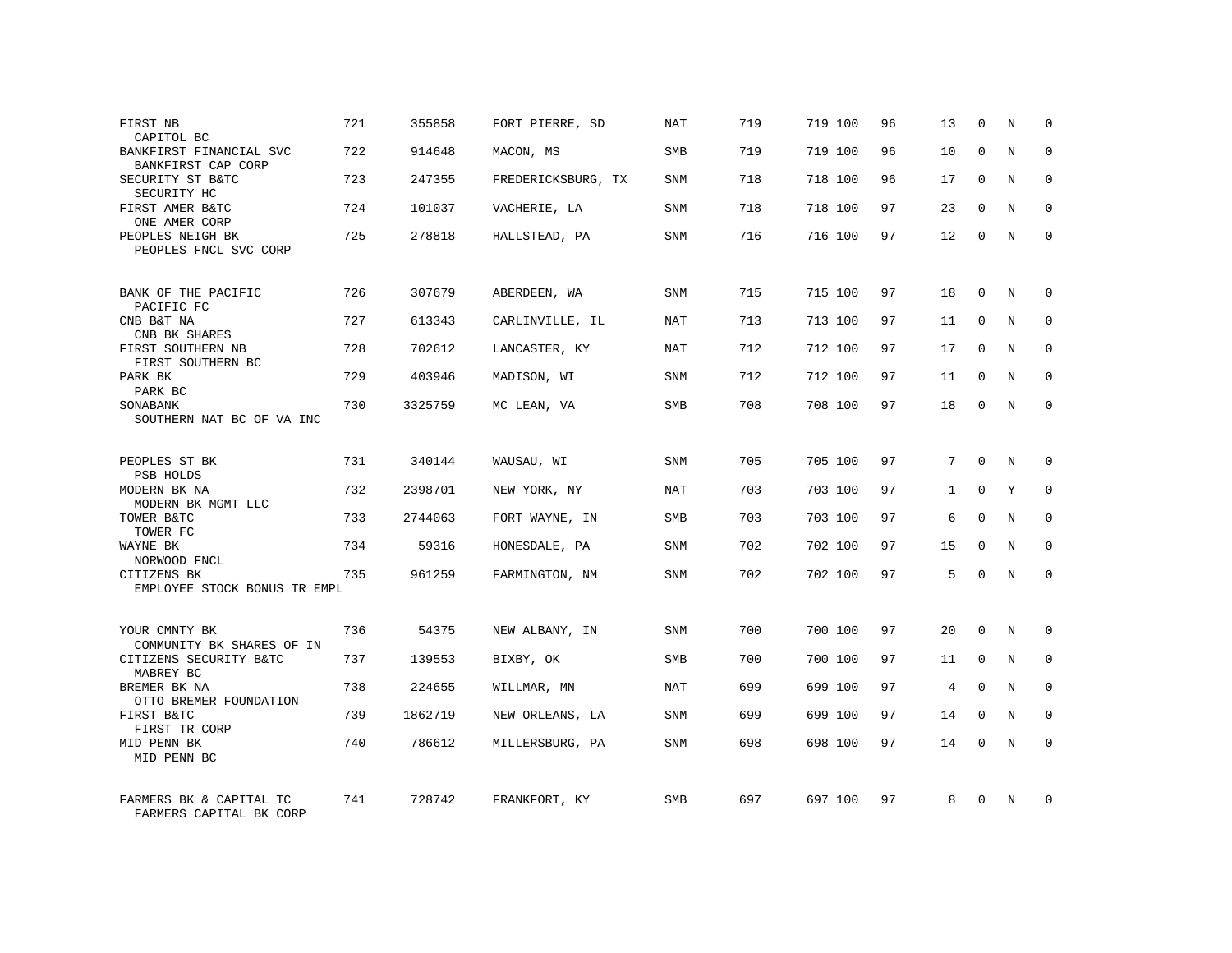| FIRST NB<br>CAPITOL BC                             | 721 | 355858  | FORT PIERRE, SD    | NAT        | 719 | 719 100 | 96 | 13 | 0            | N | 0            |
|----------------------------------------------------|-----|---------|--------------------|------------|-----|---------|----|----|--------------|---|--------------|
| BANKFIRST FINANCIAL SVC<br>BANKFIRST CAP CORP      | 722 | 914648  | MACON, MS          | SMB        | 719 | 719 100 | 96 | 10 | $\Omega$     | N | $\Omega$     |
| SECURITY ST B&TC<br>SECURITY HC                    | 723 | 247355  | FREDERICKSBURG, TX | SNM        | 718 | 718 100 | 96 | 17 | $\mathbf 0$  | N | $\mathbf 0$  |
| FIRST AMER B&TC<br>ONE AMER CORP                   | 724 | 101037  | VACHERIE, LA       | SNM        | 718 | 718 100 | 97 | 23 | $\Omega$     | N | $\Omega$     |
| PEOPLES NEIGH BK<br>PEOPLES FNCL SVC CORP          | 725 | 278818  | HALLSTEAD, PA      | SNM        | 716 | 716 100 | 97 | 12 | 0            | N | $\mathbf 0$  |
| BANK OF THE PACIFIC<br>PACIFIC FC                  | 726 | 307679  | ABERDEEN, WA       | SNM        | 715 | 715 100 | 97 | 18 | 0            | N | $\mathbf 0$  |
| CNB B&T NA<br>CNB BK SHARES                        | 727 | 613343  | CARLINVILLE, IL    | NAT        | 713 | 713 100 | 97 | 11 | $\Omega$     | N | $\mathbf 0$  |
| FIRST SOUTHERN NB<br>FIRST SOUTHERN BC             | 728 | 702612  | LANCASTER, KY      | <b>NAT</b> | 712 | 712 100 | 97 | 17 | $\mathbf 0$  | N | $\mathbf{0}$ |
| PARK BK<br>PARK BC                                 | 729 | 403946  | MADISON, WI        | SNM        | 712 | 712 100 | 97 | 11 | $\Omega$     | N | $\mathbf{0}$ |
| SONABANK<br>SOUTHERN NAT BC OF VA INC              | 730 | 3325759 | MC LEAN, VA        | SMB        | 708 | 708 100 | 97 | 18 | $\mathbf 0$  | N | $\mathbf{0}$ |
| PEOPLES ST BK<br>PSB HOLDS                         | 731 | 340144  | WAUSAU, WI         | SNM        | 705 | 705 100 | 97 | 7  | $\Omega$     | N | $\Omega$     |
| MODERN BK NA<br>MODERN BK MGMT LLC                 | 732 | 2398701 | NEW YORK, NY       | NAT        | 703 | 703 100 | 97 | 1  | $\Omega$     | Y | $\mathbf 0$  |
| TOWER B&TC<br>TOWER FC                             | 733 | 2744063 | FORT WAYNE, IN     | SMB        | 703 | 703 100 | 97 | 6  | $\Omega$     | N | $\Omega$     |
| WAYNE BK<br>NORWOOD FNCL                           | 734 | 59316   | HONESDALE, PA      | SNM        | 702 | 702 100 | 97 | 15 | $\mathbf 0$  | N | $\mathbf 0$  |
| CITIZENS BK<br>EMPLOYEE STOCK BONUS TR EMPL        | 735 | 961259  | FARMINGTON, NM     | SNM        | 702 | 702 100 | 97 | .5 | $\Omega$     | N | $\Omega$     |
| YOUR CMNTY BK<br>COMMUNITY BK SHARES OF IN         | 736 | 54375   | NEW ALBANY, IN     | <b>SNM</b> | 700 | 700 100 | 97 | 20 | $\Omega$     | N | $\Omega$     |
| CITIZENS SECURITY B&TC<br>MABREY BC                | 737 | 139553  | BIXBY, OK          | SMB        | 700 | 700 100 | 97 | 11 | $\mathbf 0$  | N | $\mathbf 0$  |
| BREMER BK NA<br>OTTO BREMER FOUNDATION             | 738 | 224655  | WILLMAR, MN        | <b>NAT</b> | 699 | 699 100 | 97 | 4  | $\Omega$     | N | $\Omega$     |
| FIRST B&TC<br>FIRST TR CORP                        | 739 | 1862719 | NEW ORLEANS, LA    | SNM        | 699 | 699 100 | 97 | 14 | $\mathbf 0$  | N | $\mathbf 0$  |
| MID PENN BK<br>MID PENN BC                         | 740 | 786612  | MILLERSBURG, PA    | <b>SNM</b> | 698 | 698 100 | 97 | 14 | $\Omega$     | N | $\mathbf{0}$ |
| FARMERS BK & CAPITAL TC<br>FARMERS CAPITAL BK CORP | 741 | 728742  | FRANKFORT, KY      | <b>SMB</b> | 697 | 697 100 | 97 | 8  | <sup>0</sup> | N | $\Omega$     |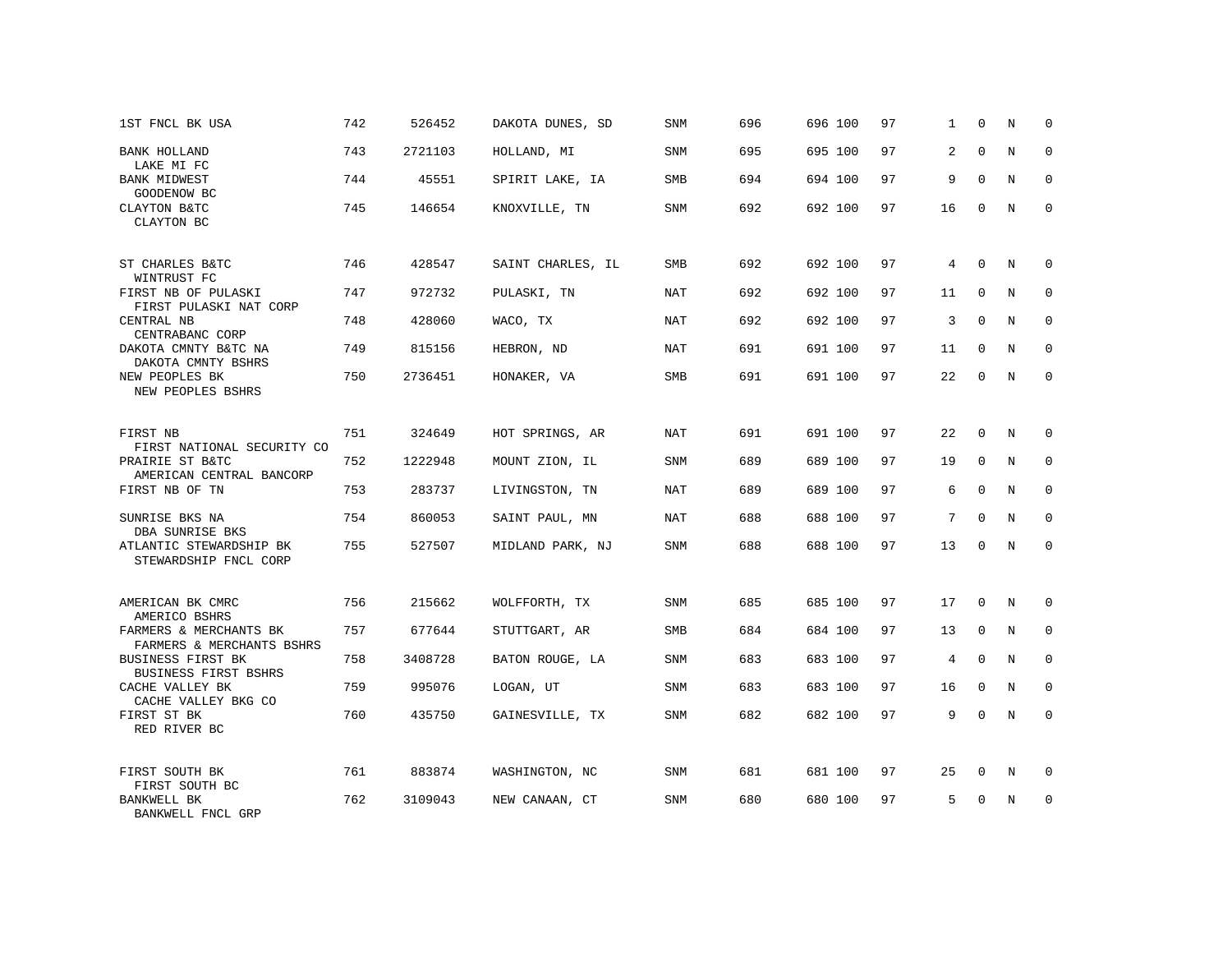| 1ST FNCL BK USA                                                        | 742 | 526452  | DAKOTA DUNES, SD  | SNM        | 696 | 696 100 | 97 | 1  | $\Omega$    | N | $\mathbf 0$  |
|------------------------------------------------------------------------|-----|---------|-------------------|------------|-----|---------|----|----|-------------|---|--------------|
| BANK HOLLAND<br>LAKE MI FC                                             | 743 | 2721103 | HOLLAND, MI       | SNM        | 695 | 695 100 | 97 | 2  | $\Omega$    | N | $\mathbf{0}$ |
| <b>BANK MIDWEST</b><br>GOODENOW BC                                     | 744 | 45551   | SPIRIT LAKE, IA   | <b>SMB</b> | 694 | 694 100 | 97 | 9  | $\mathbf 0$ | N | $\mathbf 0$  |
| CLAYTON B&TC<br>CLAYTON BC                                             | 745 | 146654  | KNOXVILLE, TN     | SNM        | 692 | 692 100 | 97 | 16 | $\Omega$    | N | $\mathbf{0}$ |
| ST CHARLES B&TC                                                        | 746 | 428547  | SAINT CHARLES, IL | SMB        | 692 | 692 100 | 97 | 4  | $\mathbf 0$ | N | $\mathbf 0$  |
| WINTRUST FC<br>FIRST NB OF PULASKI<br>FIRST PULASKI NAT CORP           | 747 | 972732  | PULASKI, TN       | NAT        | 692 | 692 100 | 97 | 11 | $\Omega$    | N | $\mathbf 0$  |
| CENTRAL NB<br>CENTRABANC CORP                                          | 748 | 428060  | WACO, TX          | NAT        | 692 | 692 100 | 97 | 3  | $\mathbf 0$ | N | $\mathbf{0}$ |
| DAKOTA CMNTY B&TC NA<br>DAKOTA CMNTY BSHRS                             | 749 | 815156  | HEBRON, ND        | NAT        | 691 | 691 100 | 97 | 11 | $\Omega$    | N | $\mathbf 0$  |
| NEW PEOPLES BK<br>NEW PEOPLES BSHRS                                    | 750 | 2736451 | HONAKER, VA       | SMB        | 691 | 691 100 | 97 | 22 | 0           | N | $\mathbf 0$  |
| FIRST NB<br>FIRST NATIONAL SECURITY CO                                 | 751 | 324649  | HOT SPRINGS, AR   | NAT        | 691 | 691 100 | 97 | 22 | $\mathbf 0$ | N | $\mathbf 0$  |
| PRAIRIE ST B&TC<br>AMERICAN CENTRAL BANCORP                            | 752 | 1222948 | MOUNT ZION, IL    | SNM        | 689 | 689 100 | 97 | 19 | $\mathbf 0$ | N | 0            |
| FIRST NB OF TN                                                         | 753 | 283737  | LIVINGSTON, TN    | NAT        | 689 | 689 100 | 97 | 6  | $\Omega$    | N | $\mathbf{0}$ |
| SUNRISE BKS NA<br>DBA SUNRISE BKS                                      | 754 | 860053  | SAINT PAUL, MN    | NAT        | 688 | 688 100 | 97 | 7  | $\mathbf 0$ | N | $\mathbf 0$  |
| ATLANTIC STEWARDSHIP BK<br>STEWARDSHIP FNCL CORP                       | 755 | 527507  | MIDLAND PARK, NJ  | SNM        | 688 | 688 100 | 97 | 13 | $\Omega$    | N | $\mathbf{0}$ |
| AMERICAN BK CMRC                                                       | 756 | 215662  | WOLFFORTH, TX     | <b>SNM</b> | 685 | 685 100 | 97 | 17 | 0           | N | $\mathbf 0$  |
| AMERICO BSHRS<br>FARMERS & MERCHANTS BK                                | 757 | 677644  | STUTTGART, AR     | <b>SMB</b> | 684 | 684 100 | 97 | 13 | $\mathbf 0$ | N | $\mathbf 0$  |
| FARMERS & MERCHANTS BSHRS<br>BUSINESS FIRST BK<br>BUSINESS FIRST BSHRS | 758 | 3408728 | BATON ROUGE, LA   | SNM        | 683 | 683 100 | 97 | 4  | $\mathbf 0$ | N | $\mathbf 0$  |
| CACHE VALLEY BK<br>CACHE VALLEY BKG CO                                 | 759 | 995076  | LOGAN, UT         | SNM        | 683 | 683 100 | 97 | 16 | 0           | N | $\mathbf 0$  |
| FIRST ST BK<br>RED RIVER BC                                            | 760 | 435750  | GAINESVILLE, TX   | SNM        | 682 | 682 100 | 97 | 9  | $\mathbf 0$ | N | $\mathbf{0}$ |
| FIRST SOUTH BK<br>FIRST SOUTH BC                                       | 761 | 883874  | WASHINGTON, NC    | SNM        | 681 | 681 100 | 97 | 25 | 0           | N | 0            |
| BANKWELL BK<br>BANKWELL FNCL GRP                                       | 762 | 3109043 | NEW CANAAN, CT    | <b>SNM</b> | 680 | 680 100 | 97 | 5  | $\Omega$    | N | $\mathbf{0}$ |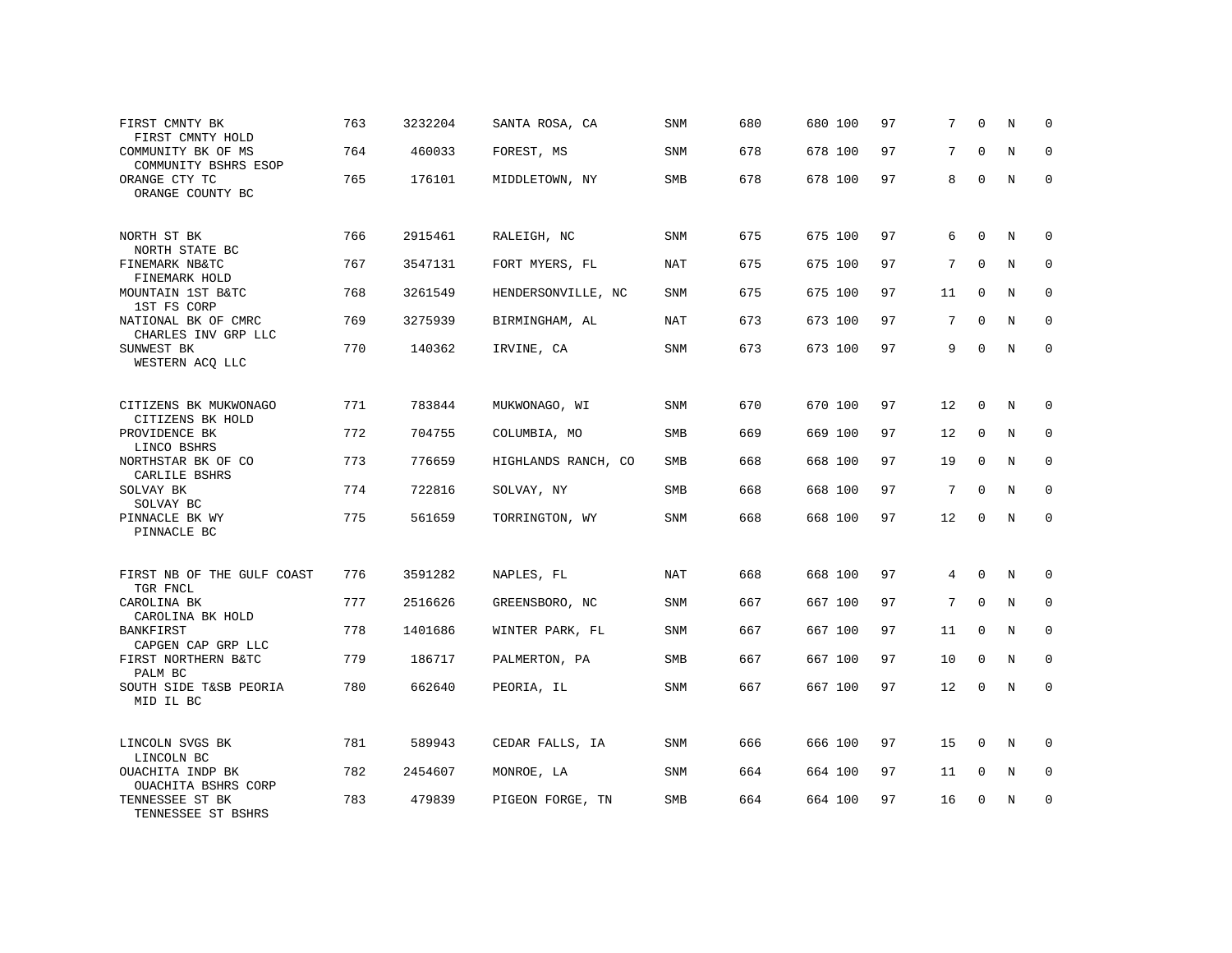| FIRST CMNTY BK<br>FIRST CMNTY HOLD         | 763 | 3232204 | SANTA ROSA, CA      | SNM        | 680 | 680 100 | 97 | 7                 | $\Omega$     | N           | $\Omega$     |
|--------------------------------------------|-----|---------|---------------------|------------|-----|---------|----|-------------------|--------------|-------------|--------------|
| COMMUNITY BK OF MS<br>COMMUNITY BSHRS ESOP | 764 | 460033  | FOREST, MS          | SNM        | 678 | 678 100 | 97 | 7                 | $\Omega$     | N           | $\Omega$     |
| ORANGE CTY TC<br>ORANGE COUNTY BC          | 765 | 176101  | MIDDLETOWN, NY      | SMB        | 678 | 678 100 | 97 | 8                 | $\mathbf 0$  | N           | $\mathbf 0$  |
| NORTH ST BK<br>NORTH STATE BC              | 766 | 2915461 | RALEIGH, NC         | SNM        | 675 | 675 100 | 97 | 6                 | $\Omega$     | N           | 0            |
| FINEMARK NB&TC<br>FINEMARK HOLD            | 767 | 3547131 | FORT MYERS, FL      | <b>NAT</b> | 675 | 675 100 | 97 | 7                 | $\Omega$     | N           | $\mathbf{0}$ |
| MOUNTAIN 1ST B&TC<br>1ST FS CORP           | 768 | 3261549 | HENDERSONVILLE, NC  | SNM        | 675 | 675 100 | 97 | 11                | $\mathbf 0$  | N           | $\mathbf 0$  |
| NATIONAL BK OF CMRC<br>CHARLES INV GRP LLC | 769 | 3275939 | BIRMINGHAM, AL      | <b>NAT</b> | 673 | 673 100 | 97 | 7                 | $\Omega$     | N           | $\mathbf{0}$ |
| SUNWEST BK<br>WESTERN ACQ LLC              | 770 | 140362  | IRVINE, CA          | SNM        | 673 | 673 100 | 97 | 9                 | $\mathbf 0$  | $\mathbf N$ | $\mathbf{0}$ |
| CITIZENS BK MUKWONAGO<br>CITIZENS BK HOLD  | 771 | 783844  | MUKWONAGO, WI       | SNM        | 670 | 670 100 | 97 | 12                | $\mathbf{0}$ | N           | $\mathbf 0$  |
| PROVIDENCE BK<br>LINCO BSHRS               | 772 | 704755  | COLUMBIA, MO        | SMB        | 669 | 669 100 | 97 | 12                | $\mathbf{0}$ | N           | 0            |
| NORTHSTAR BK OF CO<br>CARLILE BSHRS        | 773 | 776659  | HIGHLANDS RANCH, CO | SMB        | 668 | 668 100 | 97 | 19                | $\Omega$     | N           | $\Omega$     |
| SOLVAY BK<br>SOLVAY BC                     | 774 | 722816  | SOLVAY, NY          | SMB        | 668 | 668 100 | 97 | 7                 | $\Omega$     | N           | 0            |
| PINNACLE BK WY<br>PINNACLE BC              | 775 | 561659  | TORRINGTON, WY      | <b>SNM</b> | 668 | 668 100 | 97 | $12 \overline{ }$ | $\Omega$     | N           | $\Omega$     |
| FIRST NB OF THE GULF COAST<br>TGR FNCL     | 776 | 3591282 | NAPLES, FL          | <b>NAT</b> | 668 | 668 100 | 97 | $\overline{4}$    | $\Omega$     | N           | $\Omega$     |
| CAROLINA BK<br>CAROLINA BK HOLD            | 777 | 2516626 | GREENSBORO, NC      | SNM        | 667 | 667 100 | 97 | 7                 | $\mathbf 0$  | $\mathbf N$ | $\mathbf{0}$ |
| <b>BANKFIRST</b><br>CAPGEN CAP GRP LLC     | 778 | 1401686 | WINTER PARK, FL     | <b>SNM</b> | 667 | 667 100 | 97 | 11                | $\Omega$     | N           | $\mathbf 0$  |
| FIRST NORTHERN B&TC<br>PALM BC             | 779 | 186717  | PALMERTON, PA       | SMB        | 667 | 667 100 | 97 | 10                | $\mathbf{0}$ | N           | $\mathbf 0$  |
| SOUTH SIDE T&SB PEORIA<br>MID IL BC        | 780 | 662640  | PEORIA, IL          | SNM        | 667 | 667 100 | 97 | $12 \overline{ }$ | $\Omega$     | $\mathbf N$ | $\mathbf{0}$ |
| LINCOLN SVGS BK<br>LINCOLN BC              | 781 | 589943  | CEDAR FALLS, IA     | SNM        | 666 | 666 100 | 97 | 15                | $\mathbf{0}$ | N           | $\mathbf 0$  |
| OUACHITA INDP BK<br>OUACHITA BSHRS CORP    | 782 | 2454607 | MONROE, LA          | SNM        | 664 | 664 100 | 97 | 11                | 0            | N           | 0            |
| TENNESSEE ST BK<br>TENNESSEE ST BSHRS      | 783 | 479839  | PIGEON FORGE, TN    | SMB        | 664 | 664 100 | 97 | 16                | $\Omega$     | N           | $\mathbf{0}$ |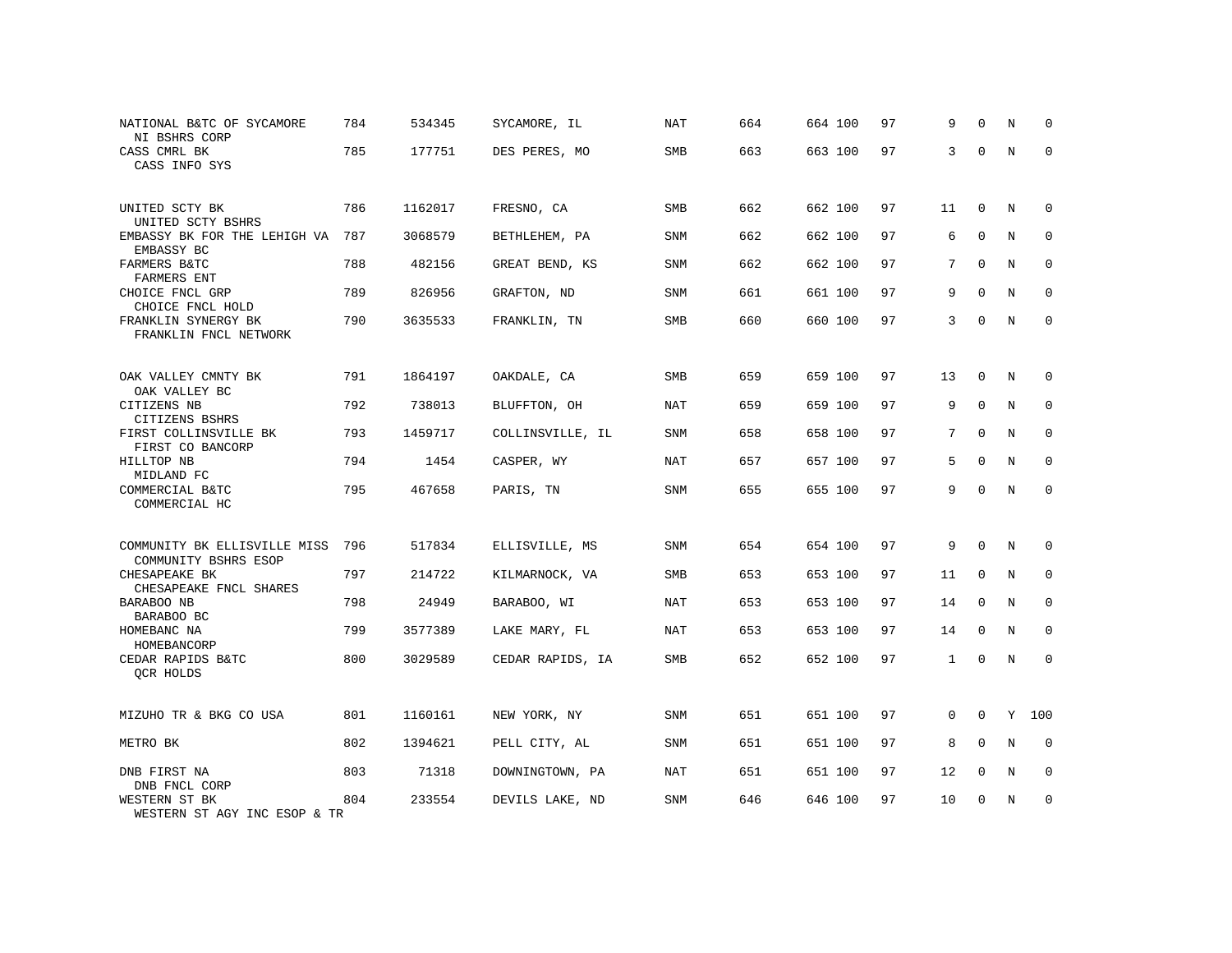| NATIONAL B&TC OF SYCAMORE<br>NI BSHRS CORP           | 784 | 534345  | SYCAMORE, IL     | NAT        | 664 | 664 100 | 97 | 9            | $\Omega$     | N           | $\Omega$    |
|------------------------------------------------------|-----|---------|------------------|------------|-----|---------|----|--------------|--------------|-------------|-------------|
| CASS CMRL BK<br>CASS INFO SYS                        | 785 | 177751  | DES PERES, MO    | <b>SMB</b> | 663 | 663 100 | 97 | 3            | $\Omega$     | N           | $\Omega$    |
| UNITED SCTY BK<br>UNITED SCTY BSHRS                  | 786 | 1162017 | FRESNO, CA       | SMB        | 662 | 662 100 | 97 | 11           | $\mathbf 0$  | N           | 0           |
| EMBASSY BK FOR THE LEHIGH VA<br>EMBASSY BC           | 787 | 3068579 | BETHLEHEM, PA    | <b>SNM</b> | 662 | 662 100 | 97 | 6            | $\Omega$     | N           | $\Omega$    |
| FARMERS B&TC<br><b>FARMERS ENT</b>                   | 788 | 482156  | GREAT BEND, KS   | <b>SNM</b> | 662 | 662 100 | 97 | 7            | $\mathbf 0$  | $\mathbf N$ | $\mathbf 0$ |
| CHOICE FNCL GRP<br>CHOICE FNCL HOLD                  | 789 | 826956  | GRAFTON, ND      | SNM        | 661 | 661 100 | 97 | 9            | $\mathbf 0$  | $\mathbf N$ | $\mathbf 0$ |
| FRANKLIN SYNERGY BK<br>FRANKLIN FNCL NETWORK         | 790 | 3635533 | FRANKLIN, TN     | <b>SMB</b> | 660 | 660 100 | 97 | 3            | $\Omega$     | N           | $\mathbf 0$ |
| OAK VALLEY CMNTY BK<br>OAK VALLEY BC                 | 791 | 1864197 | OAKDALE, CA      | SMB        | 659 | 659 100 | 97 | 13           | $\mathbf 0$  | N           | 0           |
| CITIZENS NB<br>CITIZENS BSHRS                        | 792 | 738013  | BLUFFTON, OH     | <b>NAT</b> | 659 | 659 100 | 97 | 9            | $\Omega$     | N           | $\mathbf 0$ |
| FIRST COLLINSVILLE BK<br>FIRST CO BANCORP            | 793 | 1459717 | COLLINSVILLE, IL | SNM        | 658 | 658 100 | 97 | 7            | $\mathbf 0$  | N           | 0           |
| HILLTOP NB<br>MIDLAND FC                             | 794 | 1454    | CASPER, WY       | <b>NAT</b> | 657 | 657 100 | 97 | 5            | $\Omega$     | N           | $\mathbf 0$ |
| COMMERCIAL B&TC<br>COMMERCIAL HC                     | 795 | 467658  | PARIS, TN        | SNM        | 655 | 655 100 | 97 | 9            | $\Omega$     | N           | $\mathbf 0$ |
| COMMUNITY BK ELLISVILLE MISS<br>COMMUNITY BSHRS ESOP | 796 | 517834  | ELLISVILLE, MS   | SNM        | 654 | 654 100 | 97 | 9            | $\mathbf 0$  | N           | 0           |
| CHESAPEAKE BK<br>CHESAPEAKE FNCL SHARES              | 797 | 214722  | KILMARNOCK, VA   | <b>SMB</b> | 653 | 653 100 | 97 | 11           | $\mathbf{0}$ | N           | 0           |
| BARABOO NB<br>BARABOO BC                             | 798 | 24949   | BARABOO, WI      | <b>NAT</b> | 653 | 653 100 | 97 | 14           | $\mathbf 0$  | $\mathbf N$ | 0           |
| HOMEBANC NA<br>HOMEBANCORP                           | 799 | 3577389 | LAKE MARY, FL    | <b>NAT</b> | 653 | 653 100 | 97 | 14           | $\mathbf 0$  | N           | $\mathbf 0$ |
| CEDAR RAPIDS B&TC<br>OCR HOLDS                       | 800 | 3029589 | CEDAR RAPIDS, IA | SMB        | 652 | 652 100 | 97 | $\mathbf{1}$ | $\mathbf 0$  | N           | 0           |
| MIZUHO TR & BKG CO USA                               | 801 | 1160161 | NEW YORK, NY     | SNM        | 651 | 651 100 | 97 | $\mathbf 0$  | $\mathbf 0$  |             | Y 100       |
| METRO BK                                             | 802 | 1394621 | PELL CITY, AL    | SNM        | 651 | 651 100 | 97 | 8            | 0            | N           | 0           |
| DNB FIRST NA<br>DNB FNCL CORP                        | 803 | 71318   | DOWNINGTOWN, PA  | <b>NAT</b> | 651 | 651 100 | 97 | 12           | 0            | N           | $\mathbf 0$ |
| WESTERN ST BK<br>WESTERN ST AGY INC ESOP & TR        | 804 | 233554  | DEVILS LAKE, ND  | SNM        | 646 | 646 100 | 97 | 10           | $\Omega$     | N           | $\mathbf 0$ |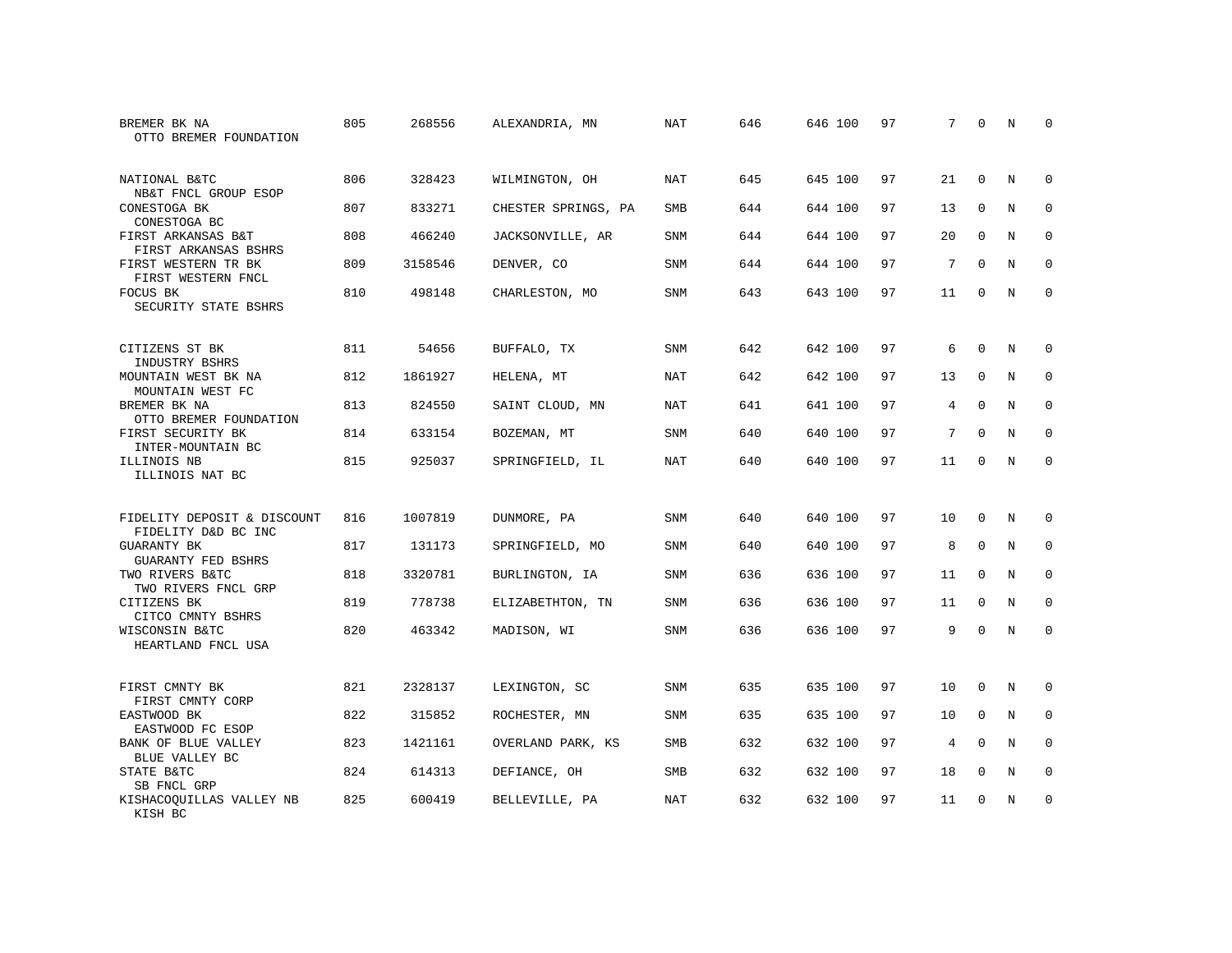| BREMER BK NA<br>OTTO BREMER FOUNDATION             | 805 | 268556  | ALEXANDRIA, MN      | NAT        | 646 | 646 100 | 97 | 7  | $\Omega$    | N           | $\Omega$    |
|----------------------------------------------------|-----|---------|---------------------|------------|-----|---------|----|----|-------------|-------------|-------------|
| NATIONAL B&TC<br>NB&T FNCL GROUP ESOP              | 806 | 328423  | WILMINGTON, OH      | <b>NAT</b> | 645 | 645 100 | 97 | 21 | $\mathbf 0$ | N           | $\mathbf 0$ |
| CONESTOGA BK<br>CONESTOGA BC                       | 807 | 833271  | CHESTER SPRINGS, PA | <b>SMB</b> | 644 | 644 100 | 97 | 13 | $\mathbf 0$ | N           | $\mathbf 0$ |
| FIRST ARKANSAS B&T<br>FIRST ARKANSAS BSHRS         | 808 | 466240  | JACKSONVILLE, AR    | <b>SNM</b> | 644 | 644 100 | 97 | 20 | $\Omega$    | N           | $\Omega$    |
| FIRST WESTERN TR BK<br>FIRST WESTERN FNCL          | 809 | 3158546 | DENVER, CO          | <b>SNM</b> | 644 | 644 100 | 97 | 7  | $\Omega$    | N           | $\mathbf 0$ |
| FOCUS BK<br>SECURITY STATE BSHRS                   | 810 | 498148  | CHARLESTON, MO      | <b>SNM</b> | 643 | 643 100 | 97 | 11 | $\Omega$    | N           | $\Omega$    |
| CITIZENS ST BK<br>INDUSTRY BSHRS                   | 811 | 54656   | BUFFALO, TX         | <b>SNM</b> | 642 | 642 100 | 97 | 6  | $\Omega$    | N           | 0           |
| MOUNTAIN WEST BK NA<br>MOUNTAIN WEST FC            | 812 | 1861927 | HELENA, MT          | NAT        | 642 | 642 100 | 97 | 13 | $\mathbf 0$ | N           | $\mathbf 0$ |
| BREMER BK NA<br>OTTO BREMER FOUNDATION             | 813 | 824550  | SAINT CLOUD, MN     | NAT        | 641 | 641 100 | 97 | 4  | $\Omega$    | N           | $\Omega$    |
| FIRST SECURITY BK<br>INTER-MOUNTAIN BC             | 814 | 633154  | BOZEMAN, MT         | SNM        | 640 | 640 100 | 97 | 7  | $\mathbf 0$ | $\mathbf N$ | $\mathbf 0$ |
| ILLINOIS NB<br>ILLINOIS NAT BC                     | 815 | 925037  | SPRINGFIELD, IL     | <b>NAT</b> | 640 | 640 100 | 97 | 11 | $\Omega$    | N           | $\mathbf 0$ |
| FIDELITY DEPOSIT & DISCOUNT<br>FIDELITY D&D BC INC | 816 | 1007819 | DUNMORE, PA         | <b>SNM</b> | 640 | 640 100 | 97 | 10 | $\mathbf 0$ | N           | 0           |
| <b>GUARANTY BK</b><br>GUARANTY FED BSHRS           | 817 | 131173  | SPRINGFIELD, MO     | <b>SNM</b> | 640 | 640 100 | 97 | 8  | $\mathbf 0$ | $\mathbf N$ | $\mathbf 0$ |
| TWO RIVERS B&TC<br>TWO RIVERS FNCL GRP             | 818 | 3320781 | BURLINGTON, IA      | SNM        | 636 | 636 100 | 97 | 11 | $\mathbf 0$ | N           | 0           |
| CITIZENS BK<br>CITCO CMNTY BSHRS                   | 819 | 778738  | ELIZABETHTON, TN    | <b>SNM</b> | 636 | 636 100 | 97 | 11 | $\mathbf 0$ | $\mathbf N$ | $\mathbf 0$ |
| WISCONSIN B&TC<br>HEARTLAND FNCL USA               | 820 | 463342  | MADISON, WI         | SNM        | 636 | 636 100 | 97 | 9  | $\mathbf 0$ | $\mathbf N$ | $\mathbf 0$ |
| FIRST CMNTY BK<br>FIRST CMNTY CORP                 | 821 | 2328137 | LEXINGTON, SC       | SNM        | 635 | 635 100 | 97 | 10 | $\Omega$    | N           | $\Omega$    |
| EASTWOOD BK<br>EASTWOOD FC ESOP                    | 822 | 315852  | ROCHESTER, MN       | SNM        | 635 | 635 100 | 97 | 10 | $\mathbf 0$ | N           | 0           |
| BANK OF BLUE VALLEY<br>BLUE VALLEY BC              | 823 | 1421161 | OVERLAND PARK, KS   | <b>SMB</b> | 632 | 632 100 | 97 | 4  | $\Omega$    | N           | $\mathbf 0$ |
| STATE B&TC<br>SB FNCL GRP                          | 824 | 614313  | DEFIANCE, OH        | SMB        | 632 | 632 100 | 97 | 18 | 0           | N           | $\mathbf 0$ |
| KISHACOOUILLAS VALLEY NB<br>KISH BC                | 825 | 600419  | BELLEVILLE, PA      | NAT        | 632 | 632 100 | 97 | 11 | $\Omega$    | N           | $\mathbf 0$ |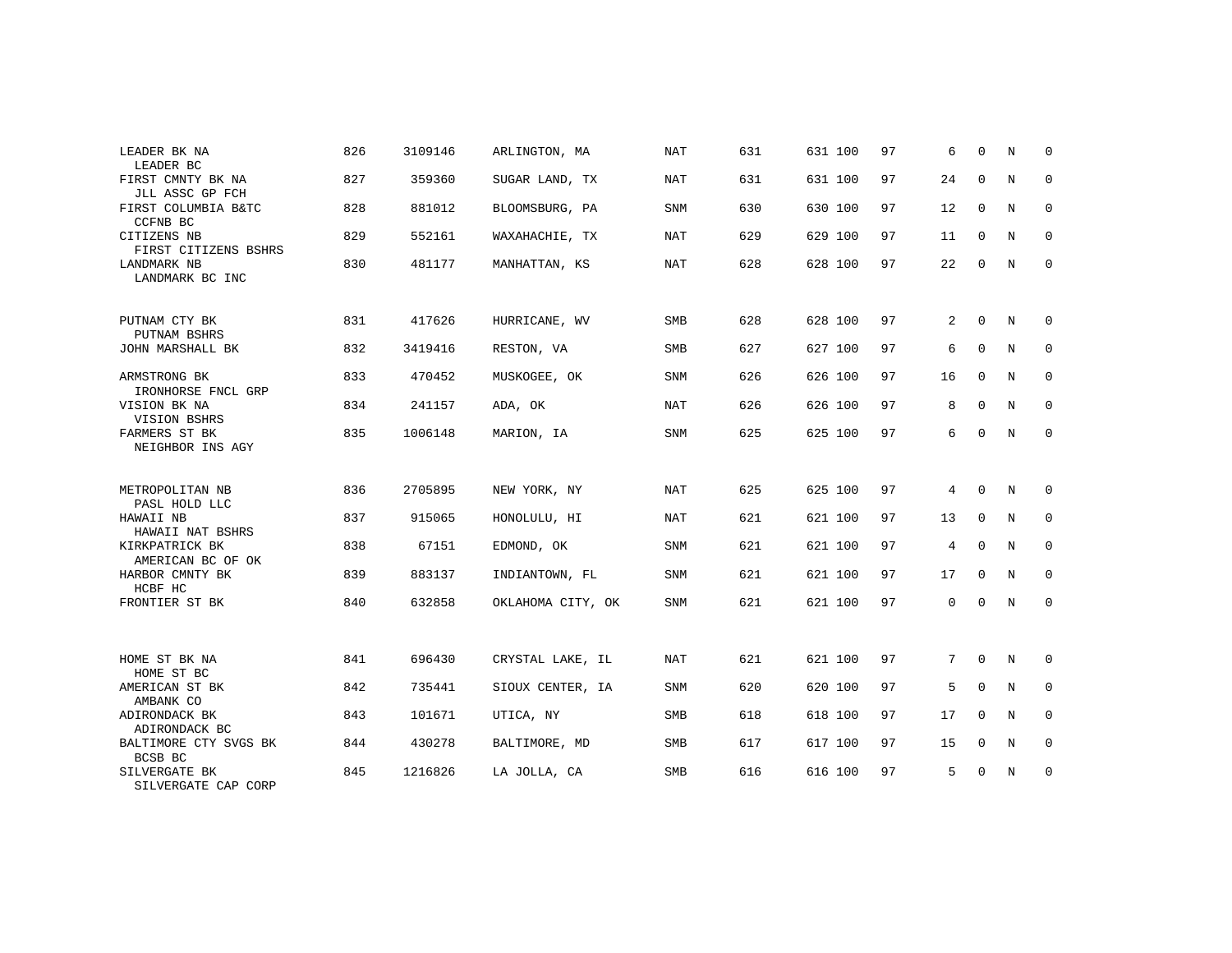| LEADER BK NA<br>LEADER BC                               | 826 | 3109146 | ARLINGTON, MA     | <b>NAT</b> | 631 | 631 100 | 97 | 6  | $\Omega$    | N           | 0           |
|---------------------------------------------------------|-----|---------|-------------------|------------|-----|---------|----|----|-------------|-------------|-------------|
| FIRST CMNTY BK NA<br>JLL ASSC GP FCH                    | 827 | 359360  | SUGAR LAND, TX    | NAT        | 631 | 631 100 | 97 | 24 | $\mathbf 0$ | N           | 0           |
| FIRST COLUMBIA B&TC<br>CCFNB BC                         | 828 | 881012  | BLOOMSBURG, PA    | SNM        | 630 | 630 100 | 97 | 12 | $\mathbf 0$ | N           | 0           |
| CITIZENS NB<br>FIRST CITIZENS BSHRS                     | 829 | 552161  | WAXAHACHIE, TX    | NAT        | 629 | 629 100 | 97 | 11 | $\Omega$    | N           | $\mathbf 0$ |
| LANDMARK NB<br>LANDMARK BC INC                          | 830 | 481177  | MANHATTAN, KS     | <b>NAT</b> | 628 | 628 100 | 97 | 22 | $\mathbf 0$ | N           | $\mathbf 0$ |
| PUTNAM CTY BK<br>PUTNAM BSHRS                           | 831 | 417626  | HURRICANE, WV     | SMB        | 628 | 628 100 | 97 | 2  | $\Omega$    | N           | 0           |
| JOHN MARSHALL BK                                        | 832 | 3419416 | RESTON, VA        | <b>SMB</b> | 627 | 627 100 | 97 | 6  | $\mathbf 0$ | N           | 0           |
| ARMSTRONG BK<br>IRONHORSE FNCL GRP                      | 833 | 470452  | MUSKOGEE, OK      | <b>SNM</b> | 626 | 626 100 | 97 | 16 | $\mathbf 0$ | N           | $\mathbf 0$ |
| VISION BK NA<br>VISION BSHRS                            | 834 | 241157  | ADA, OK           | NAT        | 626 | 626 100 | 97 | 8  | $\mathbf 0$ | N           | 0           |
| FARMERS ST BK<br>NEIGHBOR INS AGY                       | 835 | 1006148 | MARION, IA        | <b>SNM</b> | 625 | 625 100 | 97 | 6  | $\Omega$    | $\mathbb N$ | $\mathbf 0$ |
| METROPOLITAN NB                                         | 836 | 2705895 | NEW YORK, NY      | <b>NAT</b> | 625 | 625 100 | 97 | 4  | $\mathbf 0$ | N           | 0           |
| PASL HOLD LLC<br>HAWAII NB                              | 837 | 915065  | HONOLULU, HI      | NAT        | 621 | 621 100 | 97 | 13 | 0           | N           | 0           |
| HAWAII NAT BSHRS<br>KIRKPATRICK BK<br>AMERICAN BC OF OK | 838 | 67151   | EDMOND, OK        | SNM        | 621 | 621 100 | 97 | 4  | $\mathbf 0$ | N           | 0           |
| HARBOR CMNTY BK<br>HCBF HC                              | 839 | 883137  | INDIANTOWN, FL    | <b>SNM</b> | 621 | 621 100 | 97 | 17 | $\mathbf 0$ | N           | $\mathbf 0$ |
| FRONTIER ST BK                                          | 840 | 632858  | OKLAHOMA CITY, OK | SNM        | 621 | 621 100 | 97 | 0  | $\mathbf 0$ | N           | $\mathbf 0$ |
|                                                         |     |         |                   |            |     |         |    |    |             |             |             |
| HOME ST BK NA<br>HOME ST BC                             | 841 | 696430  | CRYSTAL LAKE, IL  | NAT        | 621 | 621 100 | 97 | 7  | $\mathbf 0$ | N           | 0           |
| AMERICAN ST BK<br>AMBANK CO                             | 842 | 735441  | SIOUX CENTER, IA  | SNM        | 620 | 620 100 | 97 | 5  | $\Omega$    | N           | 0           |
| ADIRONDACK BK<br>ADIRONDACK BC                          | 843 | 101671  | UTICA, NY         | <b>SMB</b> | 618 | 618 100 | 97 | 17 | $\Omega$    | N           | $\mathbf 0$ |
| BALTIMORE CTY SVGS BK<br>BCSB BC                        | 844 | 430278  | BALTIMORE, MD     | SMB        | 617 | 617 100 | 97 | 15 | $\mathbf 0$ | N           | 0           |
| SILVERGATE BK<br>SILVERGATE CAP CORP                    | 845 | 1216826 | LA JOLLA, CA      | <b>SMB</b> | 616 | 616 100 | 97 | 5  | $\Omega$    | $\rm N$     | $\mathbf 0$ |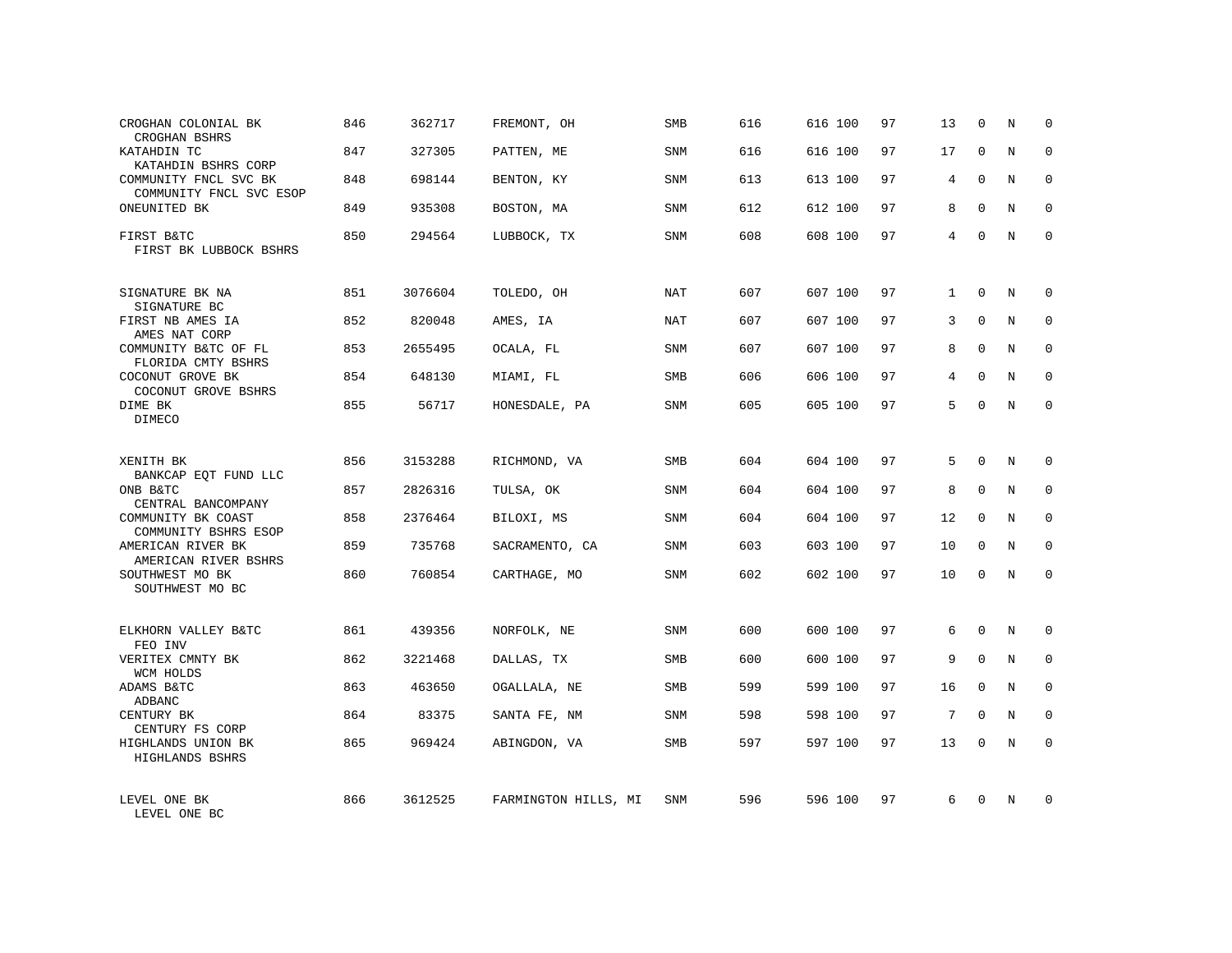| CROGHAN COLONIAL BK<br>CROGHAN BSHRS             | 846 | 362717  | FREMONT, OH          | SMB        | 616 | 616 100 | 97 | 13           | $\mathbf 0$  | N           | $\mathbf 0$  |
|--------------------------------------------------|-----|---------|----------------------|------------|-----|---------|----|--------------|--------------|-------------|--------------|
| KATAHDIN TC<br>KATAHDIN BSHRS CORP               | 847 | 327305  | PATTEN, ME           | SNM        | 616 | 616 100 | 97 | 17           | $\mathbf 0$  | N           | $\Omega$     |
| COMMUNITY FNCL SVC BK<br>COMMUNITY FNCL SVC ESOP | 848 | 698144  | BENTON, KY           | SNM        | 613 | 613 100 | 97 | 4            | 0            | N           | $\mathbf 0$  |
| ONEUNITED BK                                     | 849 | 935308  | BOSTON, MA           | <b>SNM</b> | 612 | 612 100 | 97 | 8            | $\Omega$     | N           | $\Omega$     |
| FIRST B&TC<br>FIRST BK LUBBOCK BSHRS             | 850 | 294564  | LUBBOCK, TX          | SNM        | 608 | 608 100 | 97 | 4            | $\mathbf 0$  | N           | $\mathbf 0$  |
| SIGNATURE BK NA<br>SIGNATURE BC                  | 851 | 3076604 | TOLEDO, OH           | NAT        | 607 | 607 100 | 97 | $\mathbf{1}$ | $\Omega$     | N           | $\Omega$     |
| FIRST NB AMES IA<br>AMES NAT CORP                | 852 | 820048  | AMES, IA             | NAT        | 607 | 607 100 | 97 | 3            | $\Omega$     | N           | $\mathbf{0}$ |
| COMMUNITY B&TC OF FL<br>FLORIDA CMTY BSHRS       | 853 | 2655495 | OCALA, FL            | SNM        | 607 | 607 100 | 97 | 8            | $\Omega$     | N           | $\mathbf 0$  |
| COCONUT GROVE BK<br>COCONUT GROVE BSHRS          | 854 | 648130  | MIAMI, FL            | SMB        | 606 | 606 100 | 97 | 4            | $\Omega$     | N           | $\Omega$     |
| DIME BK<br>DIMECO                                | 855 | 56717   | HONESDALE, PA        | SNM        | 605 | 605 100 | 97 | 5            | $\Omega$     | N           | $\mathbf{0}$ |
| XENITH BK<br>BANKCAP EQT FUND LLC                | 856 | 3153288 | RICHMOND, VA         | <b>SMB</b> | 604 | 604 100 | 97 | 5            | $\Omega$     | N           | $\Omega$     |
| ONB B&TC<br>CENTRAL BANCOMPANY                   | 857 | 2826316 | TULSA, OK            | SNM        | 604 | 604 100 | 97 | 8            | $\mathbf 0$  | N           | $\mathbf 0$  |
| COMMUNITY BK COAST<br>COMMUNITY BSHRS ESOP       | 858 | 2376464 | BILOXI, MS           | SNM        | 604 | 604 100 | 97 | 12           | $\Omega$     | N           | $\mathbf 0$  |
| AMERICAN RIVER BK<br>AMERICAN RIVER BSHRS        | 859 | 735768  | SACRAMENTO, CA       | <b>SNM</b> | 603 | 603 100 | 97 | 10           | $\mathbf 0$  | N           | $\mathbf 0$  |
| SOUTHWEST MO BK<br>SOUTHWEST MO BC               | 860 | 760854  | CARTHAGE, MO         | <b>SNM</b> | 602 | 602 100 | 97 | 10           | $\mathbf 0$  | N           | $\mathbf 0$  |
| ELKHORN VALLEY B&TC<br>FEO INV                   | 861 | 439356  | NORFOLK, NE          | <b>SNM</b> | 600 | 600 100 | 97 | 6            | $\Omega$     | N           | $\mathbf 0$  |
| VERITEX CMNTY BK<br>WCM HOLDS                    | 862 | 3221468 | DALLAS, TX           | <b>SMB</b> | 600 | 600 100 | 97 | 9            | $\mathbf 0$  | $\mathbf N$ | $\mathbf 0$  |
| ADAMS B&TC<br>ADBANC                             | 863 | 463650  | OGALLALA, NE         | SMB        | 599 | 599 100 | 97 | 16           | $\mathbf 0$  | N           | $\mathbf 0$  |
| CENTURY BK<br>CENTURY FS CORP                    | 864 | 83375   | SANTA FE, NM         | SNM        | 598 | 598 100 | 97 | 7            | $\mathbf 0$  | $\mathbf N$ | $\mathbf 0$  |
| HIGHLANDS UNION BK<br>HIGHLANDS BSHRS            | 865 | 969424  | ABINGDON, VA         | SMB        | 597 | 597 100 | 97 | 13           | 0            | N           | $\mathbf 0$  |
| LEVEL ONE BK<br>LEVEL ONE BC                     | 866 | 3612525 | FARMINGTON HILLS, MI | <b>SNM</b> | 596 | 596 100 | 97 | 6            | <sup>0</sup> | N           | $\Omega$     |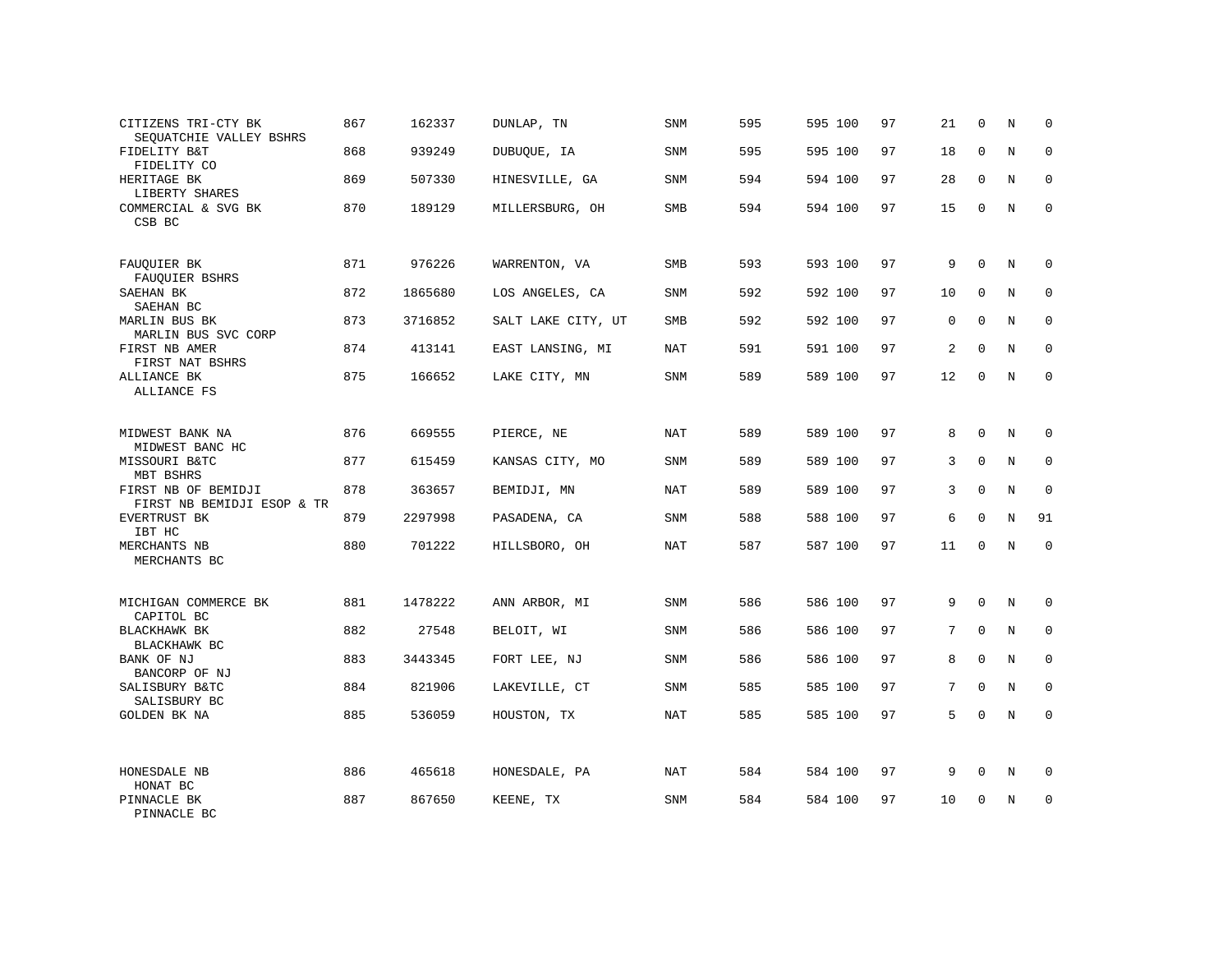| CITIZENS TRI-CTY BK<br>SEOUATCHIE VALLEY BSHRS    | 867 | 162337  | DUNLAP, TN         | SNM        | 595 | 595 100 | 97 | 21          | $\mathbf 0$ | N          | $\mathbf 0$ |
|---------------------------------------------------|-----|---------|--------------------|------------|-----|---------|----|-------------|-------------|------------|-------------|
| FIDELITY B&T<br>FIDELITY CO                       | 868 | 939249  | DUBUOUE, IA        | SNM        | 595 | 595 100 | 97 | 18          | $\Omega$    | N          | $\mathbf 0$ |
| HERITAGE BK<br>LIBERTY SHARES                     | 869 | 507330  | HINESVILLE, GA     | SNM        | 594 | 594 100 | 97 | 28          | 0           | N          | $\mathbf 0$ |
| COMMERCIAL & SVG BK<br>CSB BC                     | 870 | 189129  | MILLERSBURG, OH    | SMB        | 594 | 594 100 | 97 | 15          | $\Omega$    | N          | $\mathbf 0$ |
| FAUQUIER BK                                       | 871 | 976226  | WARRENTON, VA      | SMB        | 593 | 593 100 | 97 | 9           | $\Omega$    | N          | $\mathbf 0$ |
| FAUQUIER BSHRS<br>SAEHAN BK<br>SAEHAN BC          | 872 | 1865680 | LOS ANGELES, CA    | SNM        | 592 | 592 100 | 97 | 10          | $\mathbf 0$ | N          | $\mathbf 0$ |
| MARLIN BUS BK<br>MARLIN BUS SVC CORP              | 873 | 3716852 | SALT LAKE CITY, UT | <b>SMB</b> | 592 | 592 100 | 97 | $\mathbf 0$ | $\Omega$    | N          | $\mathbf 0$ |
| FIRST NB AMER<br>FIRST NAT BSHRS                  | 874 | 413141  | EAST LANSING, MI   | <b>NAT</b> | 591 | 591 100 | 97 | 2           | $\mathbf 0$ | N          | $\mathbf 0$ |
| ALLIANCE BK<br>ALLIANCE FS                        | 875 | 166652  | LAKE CITY, MN      | SNM        | 589 | 589 100 | 97 | 12          | $\Omega$    | N          | $\mathbf 0$ |
| MIDWEST BANK NA<br>MIDWEST BANC HC                | 876 | 669555  | PIERCE, NE         | NAT        | 589 | 589 100 | 97 | 8           | $\mathbf 0$ | N          | $\mathbf 0$ |
| MISSOURI B&TC<br>MBT BSHRS                        | 877 | 615459  | KANSAS CITY, MO    | SNM        | 589 | 589 100 | 97 | 3           | $\Omega$    | N          | $\mathbf 0$ |
| FIRST NB OF BEMIDJI<br>FIRST NB BEMIDJI ESOP & TR | 878 | 363657  | BEMIDJI, MN        | NAT        | 589 | 589 100 | 97 | 3           | $\mathbf 0$ | N          | $\mathbf 0$ |
| EVERTRUST BK<br>IBT HC                            | 879 | 2297998 | PASADENA, CA       | SNM        | 588 | 588 100 | 97 | 6           | $\Omega$    | N          | 91          |
| MERCHANTS NB<br>MERCHANTS BC                      | 880 | 701222  | HILLSBORO, OH      | <b>NAT</b> | 587 | 587 100 | 97 | 11          | $\mathbf 0$ | N          | $\mathbf 0$ |
| MICHIGAN COMMERCE BK                              | 881 | 1478222 | ANN ARBOR, MI      | SNM        | 586 | 586 100 | 97 | 9           | $\mathbf 0$ | N          | $\mathbf 0$ |
| CAPITOL BC<br>BLACKHAWK BK<br>BLACKHAWK BC        | 882 | 27548   | BELOIT, WI         | SNM        | 586 | 586 100 | 97 | 7           | $\Omega$    | $_{\rm N}$ | $\mathbf 0$ |
| BANK OF NJ<br>BANCORP OF NJ                       | 883 | 3443345 | FORT LEE, NJ       | SNM        | 586 | 586 100 | 97 | 8           | $\mathbf 0$ | N          | $\mathbf 0$ |
| SALISBURY B&TC<br>SALISBURY BC                    | 884 | 821906  | LAKEVILLE, CT      | <b>SNM</b> | 585 | 585 100 | 97 | 7           | $\Omega$    | $_{\rm N}$ | $\mathbf 0$ |
| <b>GOLDEN BK NA</b>                               | 885 | 536059  | HOUSTON, TX        | NAT        | 585 | 585 100 | 97 | 5           | 0           | N          | $\mathbf 0$ |
| HONESDALE NB<br>HONAT BC                          | 886 | 465618  | HONESDALE, PA      | <b>NAT</b> | 584 | 584 100 | 97 | 9           | $\mathbf 0$ | N          | 0           |
| PINNACLE BK<br>PINNACLE BC                        | 887 | 867650  | KEENE, TX          | SNM        | 584 | 584 100 | 97 | 10          | $\Omega$    | N          | $\mathbf 0$ |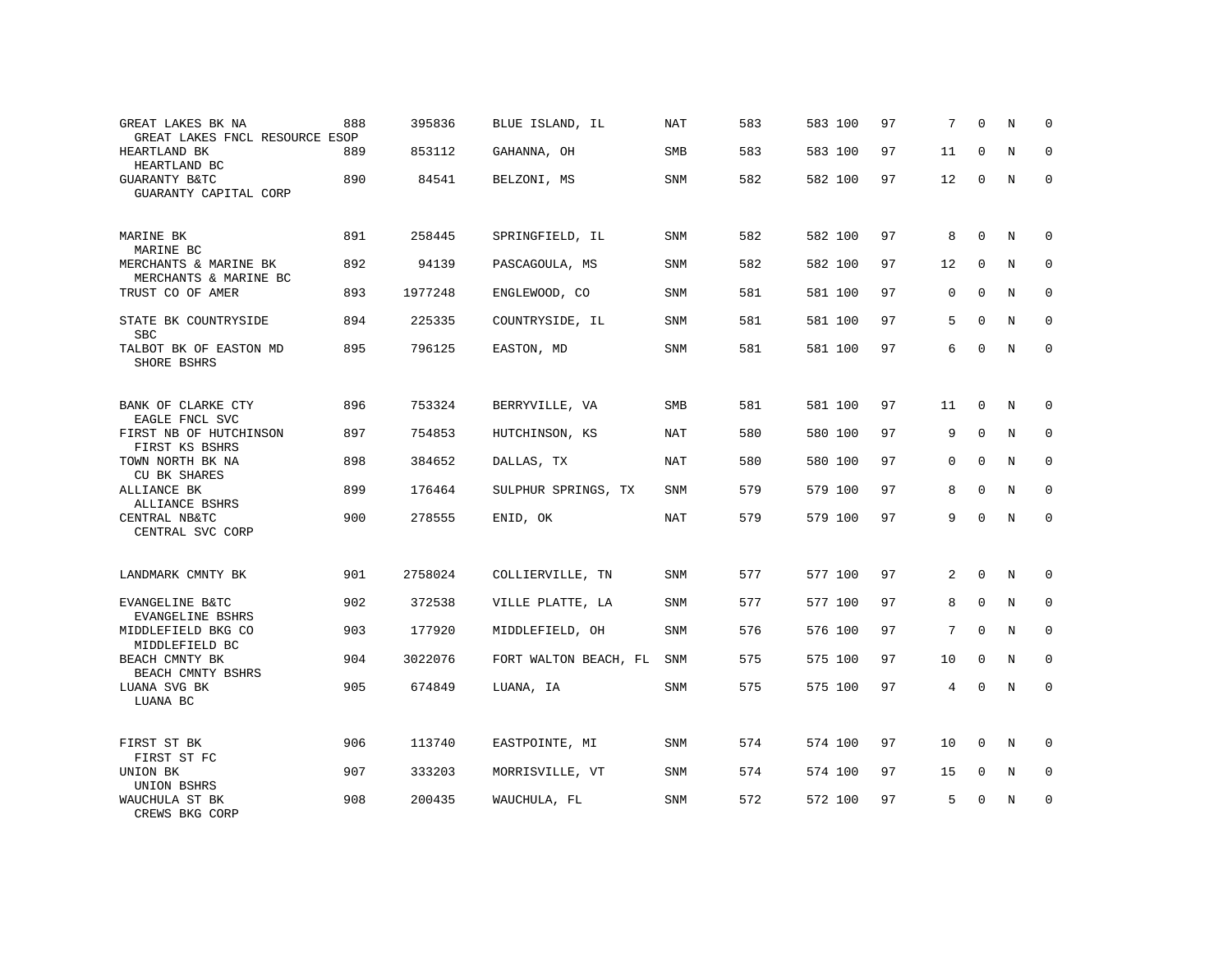| GREAT LAKES BK NA<br>GREAT LAKES FNCL RESOURCE ESOP | 888 | 395836  | BLUE ISLAND, IL       | NAT        | 583 | 583 100 | 97 | 7              | $\Omega$     | N           | 0            |
|-----------------------------------------------------|-----|---------|-----------------------|------------|-----|---------|----|----------------|--------------|-------------|--------------|
| HEARTLAND BK<br>HEARTLAND BC                        | 889 | 853112  | GAHANNA, OH           | SMB        | 583 | 583 100 | 97 | 11             | $\Omega$     | N           | $\Omega$     |
| GUARANTY B&TC<br>GUARANTY CAPITAL CORP              | 890 | 84541   | BELZONI, MS           | SNM        | 582 | 582 100 | 97 | 12             | 0            | N           | $\mathbf 0$  |
| MARINE BK<br>MARINE BC                              | 891 | 258445  | SPRINGFIELD, IL       | SNM        | 582 | 582 100 | 97 | 8              | $\Omega$     | N           | 0            |
| MERCHANTS & MARINE BK<br>MERCHANTS & MARINE BC      | 892 | 94139   | PASCAGOULA, MS        | SNM        | 582 | 582 100 | 97 | 12             | 0            | N           | 0            |
| TRUST CO OF AMER                                    | 893 | 1977248 | ENGLEWOOD, CO         | SNM        | 581 | 581 100 | 97 | $\mathbf{0}$   | $\mathbf 0$  | N           | $\mathbf 0$  |
| STATE BK COUNTRYSIDE<br><b>SBC</b>                  | 894 | 225335  | COUNTRYSIDE, IL       | SNM        | 581 | 581 100 | 97 | 5              | $\Omega$     | N           | $\Omega$     |
| TALBOT BK OF EASTON MD<br>SHORE BSHRS               | 895 | 796125  | EASTON, MD            | SNM        | 581 | 581 100 | 97 | 6              | $\mathbf 0$  | N           | $\mathbf 0$  |
| BANK OF CLARKE CTY<br>EAGLE FNCL SVC                | 896 | 753324  | BERRYVILLE, VA        | SMB        | 581 | 581 100 | 97 | 11             | $\mathbf{0}$ | N           | $\mathbf 0$  |
| FIRST NB OF HUTCHINSON<br>FIRST KS BSHRS            | 897 | 754853  | HUTCHINSON, KS        | <b>NAT</b> | 580 | 580 100 | 97 | 9              | $\mathbf 0$  | N           | 0            |
| TOWN NORTH BK NA<br><b>CU BK SHARES</b>             | 898 | 384652  | DALLAS, TX            | <b>NAT</b> | 580 | 580 100 | 97 | $\Omega$       | $\Omega$     | N           | $\Omega$     |
| ALLIANCE BK<br>ALLIANCE BSHRS                       | 899 | 176464  | SULPHUR SPRINGS, TX   | <b>SNM</b> | 579 | 579 100 | 97 | 8              | $\Omega$     | N           | 0            |
| CENTRAL NB&TC<br>CENTRAL SVC CORP                   | 900 | 278555  | ENID, OK              | <b>NAT</b> | 579 | 579 100 | 97 | 9              | $\Omega$     | N           | $\Omega$     |
| LANDMARK CMNTY BK                                   | 901 | 2758024 | COLLIERVILLE, TN      | <b>SNM</b> | 577 | 577 100 | 97 | 2              | $\Omega$     | N           | $\Omega$     |
| EVANGELINE B&TC<br>EVANGELINE BSHRS                 | 902 | 372538  | VILLE PLATTE, LA      | <b>SNM</b> | 577 | 577 100 | 97 | 8              | $\mathbf 0$  | N           | $\mathbf{0}$ |
| MIDDLEFIELD BKG CO<br>MIDDLEFIELD BC                | 903 | 177920  | MIDDLEFIELD, OH       | <b>SNM</b> | 576 | 576 100 | 97 | 7              | $\Omega$     | N           | $\Omega$     |
| BEACH CMNTY BK<br>BEACH CMNTY BSHRS                 | 904 | 3022076 | FORT WALTON BEACH, FL | SNM        | 575 | 575 100 | 97 | 10             | $\mathbf 0$  | N           | 0            |
| LUANA SVG BK<br>LUANA BC                            | 905 | 674849  | LUANA, IA             | <b>SNM</b> | 575 | 575 100 | 97 | $\overline{4}$ | $\Omega$     | $\mathbf N$ | $\mathbf{0}$ |
| FIRST ST BK<br>FIRST ST FC                          | 906 | 113740  | EASTPOINTE, MI        | SNM        | 574 | 574 100 | 97 | 10             | $\mathbf{0}$ | N           | $\mathbf 0$  |
| UNION BK<br>UNION BSHRS                             | 907 | 333203  | MORRISVILLE, VT       | SNM        | 574 | 574 100 | 97 | 15             | 0            | N           | 0            |
| WAUCHULA ST BK<br>CREWS BKG CORP                    | 908 | 200435  | WAUCHULA, FL          | <b>SNM</b> | 572 | 572 100 | 97 | 5              | $\Omega$     | N           | $\mathbf{0}$ |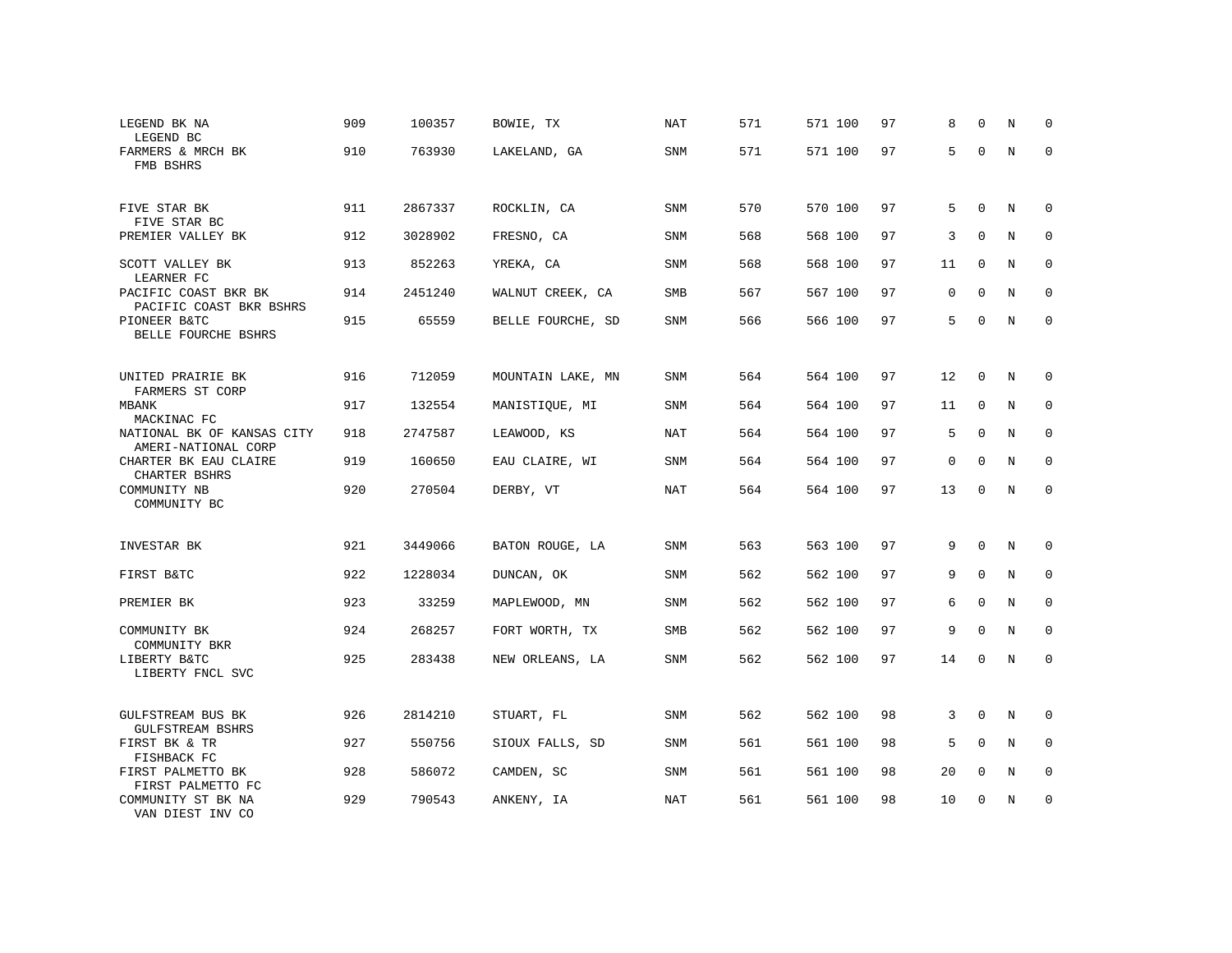| LEGEND BK NA<br>LEGEND BC                                        | 909 | 100357  | BOWIE, TX         | NAT        | 571 | 571 100 | 97 | 8            | $\mathbf 0$  | N           | 0            |
|------------------------------------------------------------------|-----|---------|-------------------|------------|-----|---------|----|--------------|--------------|-------------|--------------|
| FARMERS & MRCH BK<br>FMB BSHRS                                   | 910 | 763930  | LAKELAND, GA      | SNM        | 571 | 571 100 | 97 | 5            | $\Omega$     | N           | 0            |
| FIVE STAR BK<br>FIVE STAR BC                                     | 911 | 2867337 | ROCKLIN, CA       | SNM        | 570 | 570 100 | 97 | 5            | $\mathbf 0$  | N           | $\Omega$     |
| PREMIER VALLEY BK                                                | 912 | 3028902 | FRESNO, CA        | SNM        | 568 | 568 100 | 97 | 3            | $\Omega$     | N           | $\Omega$     |
| SCOTT VALLEY BK<br>LEARNER FC                                    | 913 | 852263  | YREKA, CA         | SNM        | 568 | 568 100 | 97 | 11           | $\mathbf 0$  | N           | 0            |
| PACIFIC COAST BKR BK<br>PACIFIC COAST BKR BSHRS                  | 914 | 2451240 | WALNUT CREEK, CA  | SMB        | 567 | 567 100 | 97 | $\Omega$     | $\Omega$     | N           | $\Omega$     |
| PIONEER B&TC<br>BELLE FOURCHE BSHRS                              | 915 | 65559   | BELLE FOURCHE, SD | SNM        | 566 | 566 100 | 97 | 5            | $\mathbf 0$  | N           | $\mathbf{0}$ |
| UNITED PRAIRIE BK<br>FARMERS ST CORP                             | 916 | 712059  | MOUNTAIN LAKE, MN | SNM        | 564 | 564 100 | 97 | 12           | 0            | N           | $\mathbf 0$  |
| MBANK                                                            | 917 | 132554  | MANISTIQUE, MI    | SNM        | 564 | 564 100 | 97 | 11           | $\mathbf{0}$ | N           | $\mathbf{0}$ |
| MACKINAC FC<br>NATIONAL BK OF KANSAS CITY<br>AMERI-NATIONAL CORP | 918 | 2747587 | LEAWOOD, KS       | <b>NAT</b> | 564 | 564 100 | 97 | 5            | $\mathbf 0$  | N           | $\mathbf 0$  |
| CHARTER BK EAU CLAIRE<br>CHARTER BSHRS                           | 919 | 160650  | EAU CLAIRE, WI    | <b>SNM</b> | 564 | 564 100 | 97 | $\mathbf{0}$ | $\mathbf{0}$ | N           | $\mathbf{0}$ |
| COMMUNITY NB<br>COMMUNITY BC                                     | 920 | 270504  | DERBY, VT         | <b>NAT</b> | 564 | 564 100 | 97 | 13           | $\Omega$     | N           | $\Omega$     |
| INVESTAR BK                                                      | 921 | 3449066 | BATON ROUGE, LA   | SNM        | 563 | 563 100 | 97 | 9            | $\mathbf 0$  | N           | $\mathbf 0$  |
| FIRST B&TC                                                       | 922 | 1228034 | DUNCAN, OK        | SNM        | 562 | 562 100 | 97 | 9            | $\mathbf 0$  | N           | $\mathbf 0$  |
| PREMIER BK                                                       | 923 | 33259   | MAPLEWOOD, MN     | SNM        | 562 | 562 100 | 97 | 6            | $\mathbf 0$  | $\mathbf N$ | $\mathbf{0}$ |
| COMMUNITY BK                                                     | 924 | 268257  | FORT WORTH, TX    | <b>SMB</b> | 562 | 562 100 | 97 | 9            | $\mathbf 0$  | $\mathbf N$ | $\mathbf 0$  |
| COMMUNITY BKR<br>LIBERTY B&TC<br>LIBERTY FNCL SVC                | 925 | 283438  | NEW ORLEANS, LA   | SNM        | 562 | 562 100 | 97 | 14           | $\mathbf 0$  | N           | $\mathbf{0}$ |
| GULFSTREAM BUS BK<br><b>GULFSTREAM BSHRS</b>                     | 926 | 2814210 | STUART, FL        | SNM        | 562 | 562 100 | 98 | 3            | $\mathbf 0$  | N           | 0            |
| FIRST BK & TR<br>FISHBACK FC                                     | 927 | 550756  | SIOUX FALLS, SD   | SNM        | 561 | 561 100 | 98 | 5            | $\mathbf 0$  | N           | $\mathbf 0$  |
| FIRST PALMETTO BK<br>FIRST PALMETTO FC                           | 928 | 586072  | CAMDEN, SC        | SNM        | 561 | 561 100 | 98 | 20           | $\mathbf 0$  | N           | 0            |
| COMMUNITY ST BK NA<br>VAN DIEST INV CO                           | 929 | 790543  | ANKENY, IA        | <b>NAT</b> | 561 | 561 100 | 98 | 10           | $\Omega$     | N           | $\mathbf{0}$ |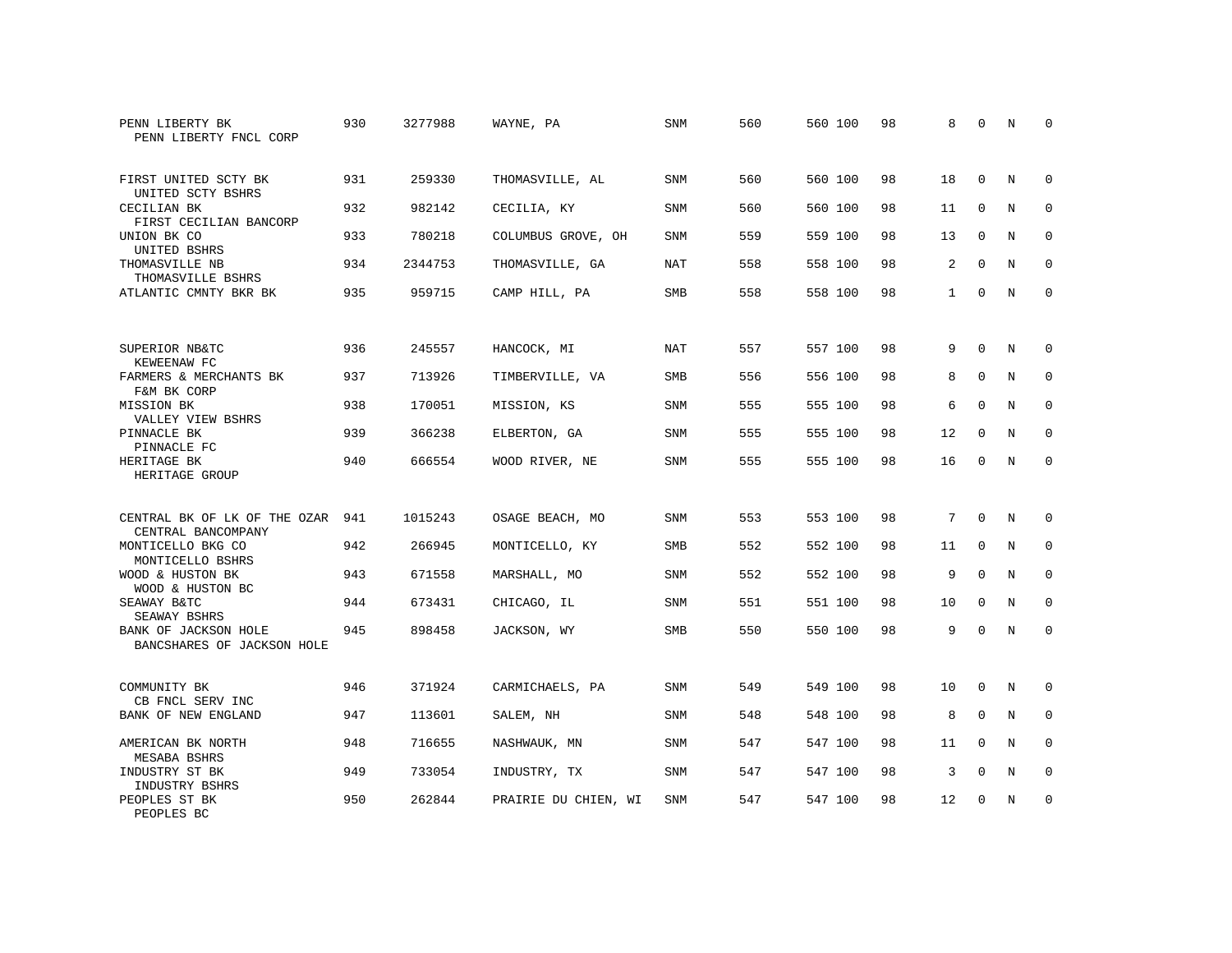| PENN LIBERTY BK<br>PENN LIBERTY FNCL CORP          | 930 | 3277988 | WAYNE, PA            | SNM        | 560 | 560 100 | 98 | 8            | $\Omega$    | N | $\Omega$    |
|----------------------------------------------------|-----|---------|----------------------|------------|-----|---------|----|--------------|-------------|---|-------------|
| FIRST UNITED SCTY BK<br>UNITED SCTY BSHRS          | 931 | 259330  | THOMASVILLE, AL      | <b>SNM</b> | 560 | 560 100 | 98 | 18           | $\Omega$    | N | $\Omega$    |
| CECILIAN BK<br>FIRST CECILIAN BANCORP              | 932 | 982142  | CECILIA, KY          | <b>SNM</b> | 560 | 560 100 | 98 | 11           | $\mathbf 0$ | N | $\mathbf 0$ |
| UNION BK CO<br>UNITED BSHRS                        | 933 | 780218  | COLUMBUS GROVE, OH   | <b>SNM</b> | 559 | 559 100 | 98 | 13           | $\Omega$    | N | $\Omega$    |
| THOMASVILLE NB<br>THOMASVILLE BSHRS                | 934 | 2344753 | THOMASVILLE, GA      | NAT        | 558 | 558 100 | 98 | 2            | $\mathbf 0$ | N | $\mathbf 0$ |
| ATLANTIC CMNTY BKR BK                              | 935 | 959715  | CAMP HILL, PA        | <b>SMB</b> | 558 | 558 100 | 98 | $\mathbf{1}$ | $\Omega$    | N | $\mathbf 0$ |
| SUPERIOR NB&TC<br>KEWEENAW FC                      | 936 | 245557  | HANCOCK, MI          | NAT        | 557 | 557 100 | 98 | 9            | $\Omega$    | N | 0           |
| FARMERS & MERCHANTS BK<br>F&M BK CORP              | 937 | 713926  | TIMBERVILLE, VA      | <b>SMB</b> | 556 | 556 100 | 98 | 8            | $\Omega$    | N | $\mathbf 0$ |
| MISSION BK<br>VALLEY VIEW BSHRS                    | 938 | 170051  | MISSION, KS          | <b>SNM</b> | 555 | 555 100 | 98 | 6            | $\mathbf 0$ | N | $\mathbf 0$ |
| PINNACLE BK<br>PINNACLE FC                         | 939 | 366238  | ELBERTON, GA         | <b>SNM</b> | 555 | 555 100 | 98 | 12           | $\Omega$    | N | $\mathbf 0$ |
| HERITAGE BK<br>HERITAGE GROUP                      | 940 | 666554  | WOOD RIVER, NE       | SNM        | 555 | 555 100 | 98 | 16           | $\Omega$    | N | $\Omega$    |
| CENTRAL BK OF LK OF THE OZAR<br>CENTRAL BANCOMPANY | 941 | 1015243 | OSAGE BEACH, MO      | <b>SNM</b> | 553 | 553 100 | 98 | 7            | $\Omega$    | N | 0           |
| MONTICELLO BKG CO<br>MONTICELLO BSHRS              | 942 | 266945  | MONTICELLO, KY       | SMB        | 552 | 552 100 | 98 | 11           | 0           | N | 0           |
| WOOD & HUSTON BK<br>WOOD & HUSTON BC               | 943 | 671558  | MARSHALL, MO         | <b>SNM</b> | 552 | 552 100 | 98 | 9            | $\Omega$    | N | $\mathbf 0$ |
| SEAWAY B&TC<br>SEAWAY BSHRS                        | 944 | 673431  | CHICAGO, IL          | SNM        | 551 | 551 100 | 98 | 10           | $\Omega$    | N | $\mathbf 0$ |
| BANK OF JACKSON HOLE<br>BANCSHARES OF JACKSON HOLE | 945 | 898458  | JACKSON, WY          | SMB        | 550 | 550 100 | 98 | 9            | $\Omega$    | N | $\mathbf 0$ |
| COMMUNITY BK<br>CB FNCL SERV INC                   | 946 | 371924  | CARMICHAELS, PA      | SNM        | 549 | 549 100 | 98 | 10           | $\mathbf 0$ | N | 0           |
| BANK OF NEW ENGLAND                                | 947 | 113601  | SALEM, NH            | SNM        | 548 | 548 100 | 98 | 8            | $\mathbf 0$ | N | $\mathbf 0$ |
| AMERICAN BK NORTH<br>MESABA BSHRS                  | 948 | 716655  | NASHWAUK, MN         | SNM        | 547 | 547 100 | 98 | 11           | $\Omega$    | N | $\Omega$    |
| INDUSTRY ST BK<br>INDUSTRY BSHRS                   | 949 | 733054  | INDUSTRY, TX         | SNM        | 547 | 547 100 | 98 | 3            | $\mathbf 0$ | N | 0           |
| PEOPLES ST BK<br>PEOPLES BC                        | 950 | 262844  | PRAIRIE DU CHIEN, WI | <b>SNM</b> | 547 | 547 100 | 98 | 12           | $\Omega$    | N | $\mathbf 0$ |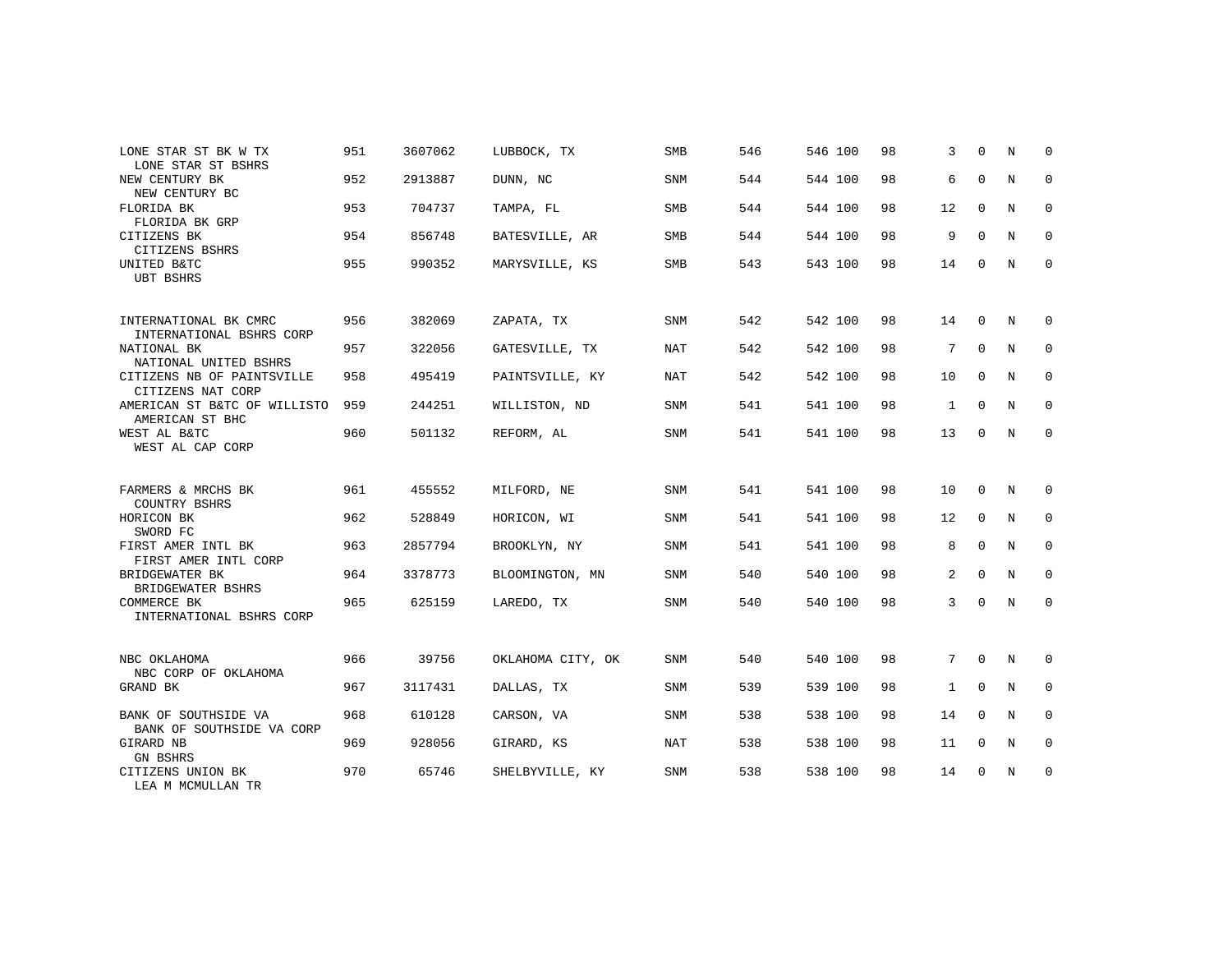| LONE STAR ST BK W TX<br>LONE STAR ST BSHRS        | 951 | 3607062 | LUBBOCK, TX       | <b>SMB</b> | 546 | 546 100 | 98 | 3              | $\Omega$    | N           | 0           |
|---------------------------------------------------|-----|---------|-------------------|------------|-----|---------|----|----------------|-------------|-------------|-------------|
| NEW CENTURY BK<br>NEW CENTURY BC                  | 952 | 2913887 | DUNN, NC          | <b>SNM</b> | 544 | 544 100 | 98 | 6              | $\mathbf 0$ | N           | $\mathbf 0$ |
| FLORIDA BK<br>FLORIDA BK GRP                      | 953 | 704737  | TAMPA, FL         | <b>SMB</b> | 544 | 544 100 | 98 | 12             | $\mathbf 0$ | N           | 0           |
| CITIZENS BK<br>CITIZENS BSHRS                     | 954 | 856748  | BATESVILLE, AR    | SMB        | 544 | 544 100 | 98 | 9              | $\Omega$    | N           | $\mathbf 0$ |
| UNITED B&TC<br><b>UBT BSHRS</b>                   | 955 | 990352  | MARYSVILLE, KS    | <b>SMB</b> | 543 | 543 100 | 98 | 14             | $\Omega$    | N           | $\mathbf 0$ |
| INTERNATIONAL BK CMRC<br>INTERNATIONAL BSHRS CORP | 956 | 382069  | ZAPATA, TX        | <b>SNM</b> | 542 | 542 100 | 98 | 14             | $\mathbf 0$ | N           | 0           |
| NATIONAL BK<br>NATIONAL UNITED BSHRS              | 957 | 322056  | GATESVILLE, TX    | NAT        | 542 | 542 100 | 98 | 7              | $\mathbf 0$ | N           | 0           |
| CITIZENS NB OF PAINTSVILLE<br>CITIZENS NAT CORP   | 958 | 495419  | PAINTSVILLE, KY   | NAT        | 542 | 542 100 | 98 | 10             | $\mathbf 0$ | N           | $\mathbf 0$ |
| AMERICAN ST B&TC OF WILLISTO<br>AMERICAN ST BHC   | 959 | 244251  | WILLISTON, ND     | SNM        | 541 | 541 100 | 98 | $\mathbf{1}$   | 0           | N           | 0           |
| WEST AL B&TC<br>WEST AL CAP CORP                  | 960 | 501132  | REFORM, AL        | <b>SNM</b> | 541 | 541 100 | 98 | 13             | $\mathbf 0$ | $\mathbb N$ | $\mathbf 0$ |
| FARMERS & MRCHS BK<br>COUNTRY BSHRS               | 961 | 455552  | MILFORD, NE       | SNM        | 541 | 541 100 | 98 | 10             | $\mathbf 0$ | N           | 0           |
| HORICON BK<br>SWORD FC                            | 962 | 528849  | HORICON, WI       | <b>SNM</b> | 541 | 541 100 | 98 | 12             | $\mathbf 0$ | N           | $\mathbf 0$ |
| FIRST AMER INTL BK<br>FIRST AMER INTL CORP        | 963 | 2857794 | BROOKLYN, NY      | SNM        | 541 | 541 100 | 98 | 8              | $\mathbf 0$ | N           | 0           |
| BRIDGEWATER BK<br>BRIDGEWATER BSHRS               | 964 | 3378773 | BLOOMINGTON, MN   | <b>SNM</b> | 540 | 540 100 | 98 | $\overline{a}$ | $\Omega$    | $_{\rm N}$  | $\mathbf 0$ |
| COMMERCE BK<br>INTERNATIONAL BSHRS CORP           | 965 | 625159  | LAREDO, TX        | SNM        | 540 | 540 100 | 98 | 3              | $\mathbf 0$ | N           | 0           |
| NBC OKLAHOMA<br>NBC CORP OF OKLAHOMA              | 966 | 39756   | OKLAHOMA CITY, OK | SNM        | 540 | 540 100 | 98 | 7              | $\mathbf 0$ | N           | 0           |
| GRAND BK                                          | 967 | 3117431 | DALLAS, TX        | <b>SNM</b> | 539 | 539 100 | 98 | $\mathbf{1}$   | $\Omega$    | N           | $\mathbf 0$ |
| BANK OF SOUTHSIDE VA<br>BANK OF SOUTHSIDE VA CORP | 968 | 610128  | CARSON, VA        | SNM        | 538 | 538 100 | 98 | 14             | $\mathbf 0$ | N           | 0           |
| GIRARD NB<br><b>GN BSHRS</b>                      | 969 | 928056  | GIRARD, KS        | <b>NAT</b> | 538 | 538 100 | 98 | 11             | $\mathbf 0$ | N           | $\mathbf 0$ |
| CITIZENS UNION BK<br>LEA M MCMULLAN TR            | 970 | 65746   | SHELBYVILLE, KY   | <b>SNM</b> | 538 | 538 100 | 98 | 14             | 0           | N           | 0           |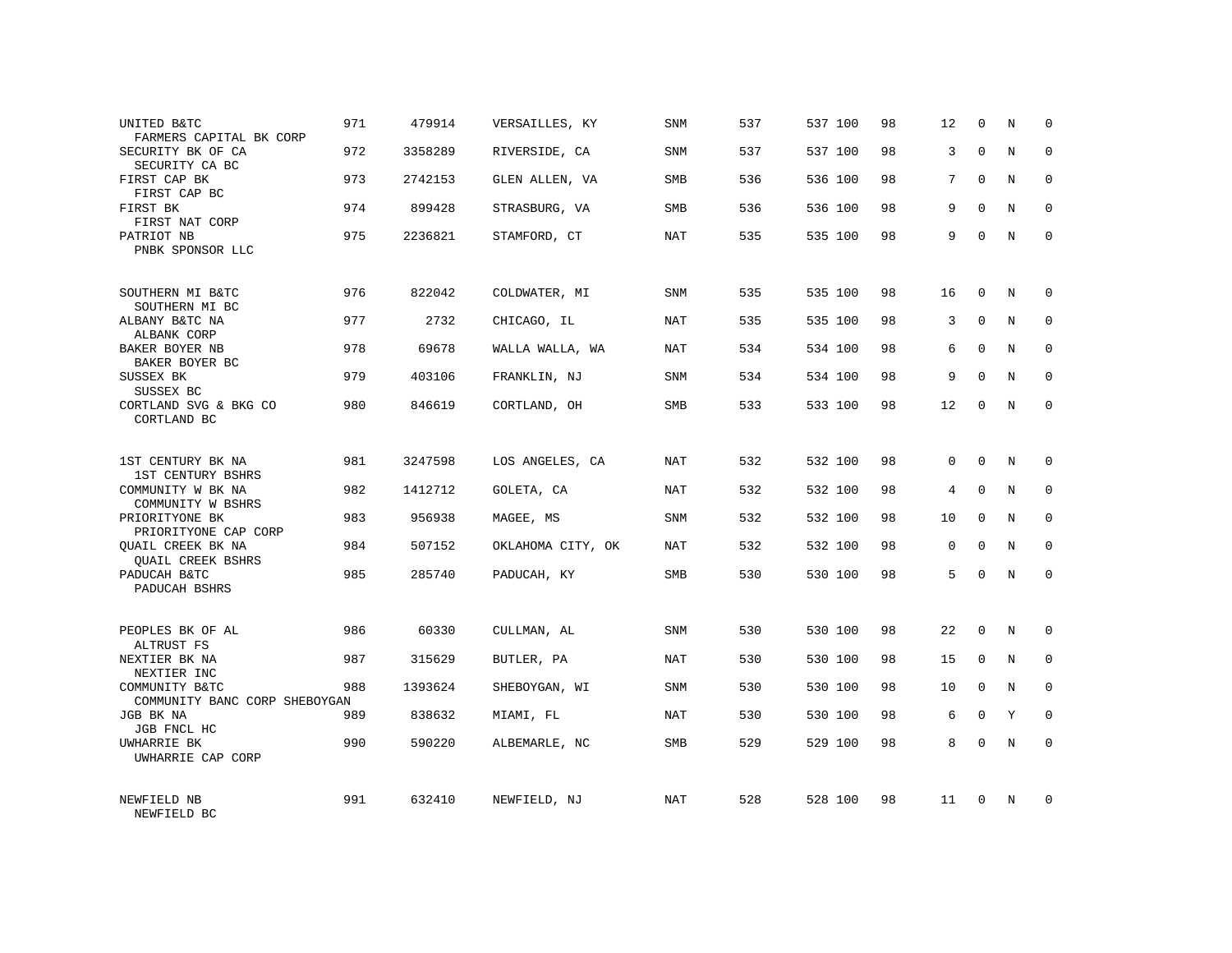| UNITED B&TC<br>FARMERS CAPITAL BK CORP          | 971 | 479914  | VERSAILLES, KY    | <b>SNM</b> | 537 | 537 100 | 98 | 12             | $\mathbf 0$ | N           | $\Omega$    |
|-------------------------------------------------|-----|---------|-------------------|------------|-----|---------|----|----------------|-------------|-------------|-------------|
| SECURITY BK OF CA<br>SECURITY CA BC             | 972 | 3358289 | RIVERSIDE, CA     | SNM        | 537 | 537 100 | 98 | 3              | $\Omega$    | $\mathbf N$ | $\Omega$    |
| FIRST CAP BK<br>FIRST CAP BC                    | 973 | 2742153 | GLEN ALLEN, VA    | SMB        | 536 | 536 100 | 98 | 7              | $\Omega$    | N           | 0           |
| FIRST BK<br>FIRST NAT CORP                      | 974 | 899428  | STRASBURG, VA     | <b>SMB</b> | 536 | 536 100 | 98 | 9              | $\Omega$    | N           | $\Omega$    |
| PATRIOT NB<br>PNBK SPONSOR LLC                  | 975 | 2236821 | STAMFORD, CT      | <b>NAT</b> | 535 | 535 100 | 98 | 9              | $\Omega$    | N           | 0           |
| SOUTHERN MI B&TC<br>SOUTHERN MI BC              | 976 | 822042  | COLDWATER, MI     | SNM        | 535 | 535 100 | 98 | 16             | $\Omega$    | N           | $\Omega$    |
| ALBANY B&TC NA<br>ALBANK CORP                   | 977 | 2732    | CHICAGO, IL       | <b>NAT</b> | 535 | 535 100 | 98 | 3              | $\Omega$    | $_{\rm N}$  | $\Omega$    |
| BAKER BOYER NB<br>BAKER BOYER BC                | 978 | 69678   | WALLA WALLA, WA   | NAT        | 534 | 534 100 | 98 | 6              | $\Omega$    | N           | $\Omega$    |
| SUSSEX BK<br>SUSSEX BC                          | 979 | 403106  | FRANKLIN, NJ      | SNM        | 534 | 534 100 | 98 | 9              | $\Omega$    | $_{\rm N}$  | $\Omega$    |
| CORTLAND SVG & BKG CO<br>CORTLAND BC            | 980 | 846619  | CORTLAND, OH      | SMB        | 533 | 533 100 | 98 | 12             | $\Omega$    | $_{\rm N}$  | $\Omega$    |
| 1ST CENTURY BK NA<br><b>1ST CENTURY BSHRS</b>   | 981 | 3247598 | LOS ANGELES, CA   | NAT        | 532 | 532 100 | 98 | $\Omega$       | $\Omega$    | N           | $\Omega$    |
| COMMUNITY W BK NA<br>COMMUNITY W BSHRS          | 982 | 1412712 | GOLETA, CA        | <b>NAT</b> | 532 | 532 100 | 98 | $\overline{4}$ | $\mathbf 0$ | $\mathbf N$ | $\mathbf 0$ |
| PRIORITYONE BK<br>PRIORITYONE CAP CORP          | 983 | 956938  | MAGEE, MS         | <b>SNM</b> | 532 | 532 100 | 98 | 10             | $\Omega$    | N           | $\Omega$    |
| QUAIL CREEK BK NA<br><b>QUAIL CREEK BSHRS</b>   | 984 | 507152  | OKLAHOMA CITY, OK | <b>NAT</b> | 532 | 532 100 | 98 | $\mathbf 0$    | $\mathbf 0$ | $\rm N$     | $\mathbf 0$ |
| PADUCAH B&TC<br>PADUCAH BSHRS                   | 985 | 285740  | PADUCAH, KY       | <b>SMB</b> | 530 | 530 100 | 98 | 5              | $\Omega$    | N           | $\mathbf 0$ |
| PEOPLES BK OF AL<br>ALTRUST FS                  | 986 | 60330   | CULLMAN, AL       | <b>SNM</b> | 530 | 530 100 | 98 | 22             | $\Omega$    | N           | $\Omega$    |
| NEXTIER BK NA<br>NEXTIER INC                    | 987 | 315629  | BUTLER, PA        | <b>NAT</b> | 530 | 530 100 | 98 | 15             | $\mathsf 0$ | $\mathbf N$ | $\mathbf 0$ |
| COMMUNITY B&TC<br>COMMUNITY BANC CORP SHEBOYGAN | 988 | 1393624 | SHEBOYGAN, WI     | <b>SNM</b> | 530 | 530 100 | 98 | 10             | $\Omega$    | N           | $\Omega$    |
| JGB BK NA<br>JGB FNCL HC                        | 989 | 838632  | MIAMI, FL         | <b>NAT</b> | 530 | 530 100 | 98 | 6              | 0           | Y           | $\mathbf 0$ |
| UWHARRIE BK<br>UWHARRIE CAP CORP                | 990 | 590220  | ALBEMARLE, NC     | SMB        | 529 | 529 100 | 98 | 8              | $\Omega$    | $\mathbb N$ | $\Omega$    |
| NEWFIELD NB<br>NEWFIELD BC                      | 991 | 632410  | NEWFIELD, NJ      | <b>NAT</b> | 528 | 528 100 | 98 | 11             | $\Omega$    | N           | $\Omega$    |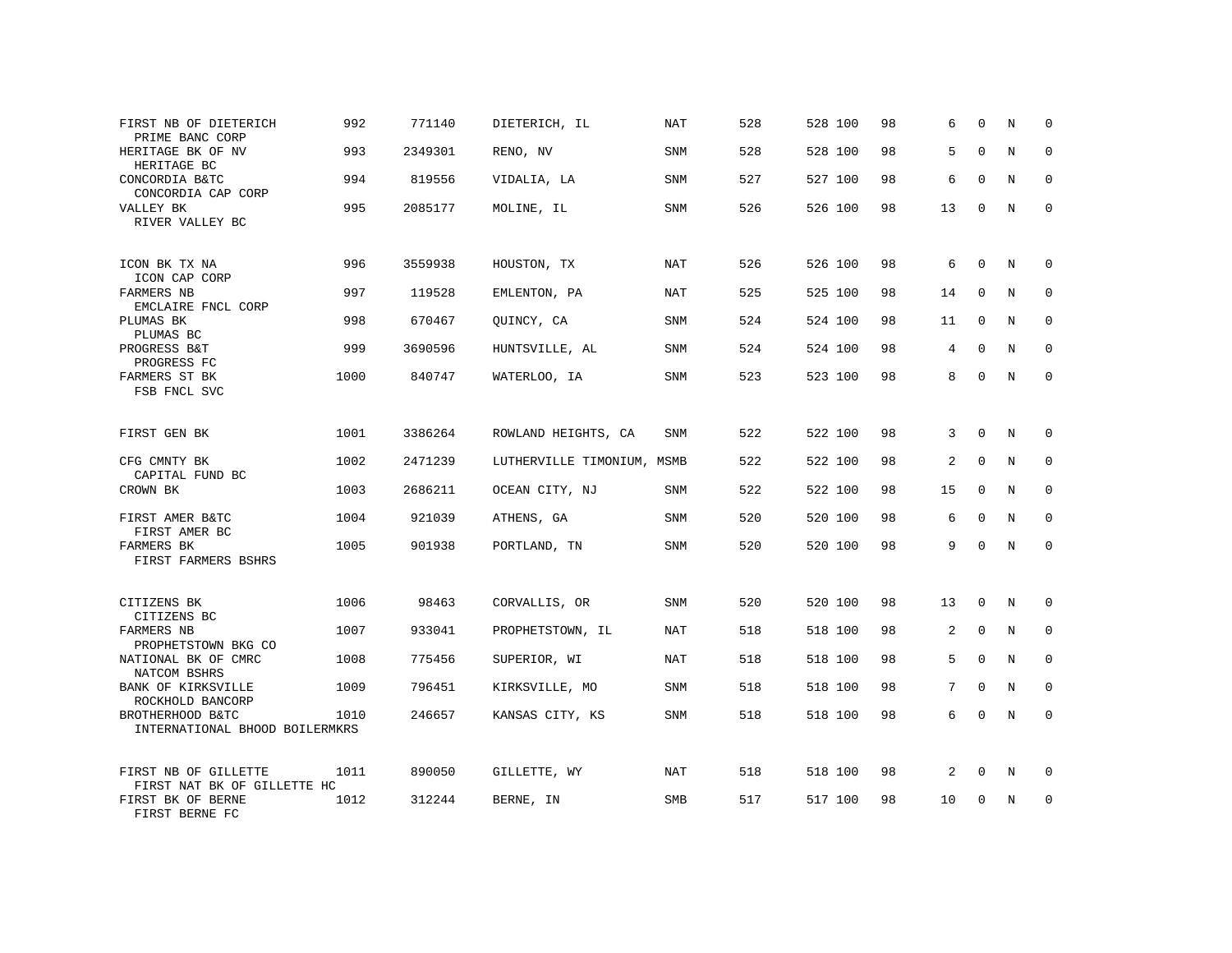| FIRST NB OF DIETERICH<br>PRIME BANC CORP            | 992  | 771140  | DIETERICH, IL              | NAT        | 528 | 528 100 | 98 | 6  | $\Omega$    | N | 0           |
|-----------------------------------------------------|------|---------|----------------------------|------------|-----|---------|----|----|-------------|---|-------------|
| HERITAGE BK OF NV<br>HERITAGE BC                    | 993  | 2349301 | RENO, NV                   | SNM        | 528 | 528 100 | 98 | 5  | $\Omega$    | N | $\Omega$    |
| CONCORDIA B&TC<br>CONCORDIA CAP CORP                | 994  | 819556  | VIDALIA, LA                | SNM        | 527 | 527 100 | 98 | 6  | $\Omega$    | N | 0           |
| VALLEY BK<br>RIVER VALLEY BC                        | 995  | 2085177 | MOLINE, IL                 | SNM        | 526 | 526 100 | 98 | 13 | $\Omega$    | N | $\mathbf 0$ |
| ICON BK TX NA<br>ICON CAP CORP                      | 996  | 3559938 | HOUSTON, TX                | NAT        | 526 | 526 100 | 98 | 6  | $\Omega$    | N | $\Omega$    |
| FARMERS NB<br>EMCLAIRE FNCL CORP                    | 997  | 119528  | EMLENTON, PA               | <b>NAT</b> | 525 | 525 100 | 98 | 14 | $\mathbf 0$ | N | $\mathbf 0$ |
| PLUMAS BK<br>PLUMAS BC                              | 998  | 670467  | QUINCY, CA                 | SNM        | 524 | 524 100 | 98 | 11 | $\mathbf 0$ | N | $\mathbf 0$ |
| PROGRESS B&T<br>PROGRESS FC                         | 999  | 3690596 | HUNTSVILLE, AL             | <b>SNM</b> | 524 | 524 100 | 98 | 4  | $\mathbf 0$ | N | $\mathbf 0$ |
| FARMERS ST BK<br>FSB FNCL SVC                       | 1000 | 840747  | WATERLOO, IA               | SNM        | 523 | 523 100 | 98 | 8  | $\Omega$    | N | $\mathbf 0$ |
| FIRST GEN BK                                        | 1001 | 3386264 | ROWLAND HEIGHTS, CA        | SNM        | 522 | 522 100 | 98 | 3  | $\mathbf 0$ | N | 0           |
| CFG CMNTY BK<br>CAPITAL FUND BC                     | 1002 | 2471239 | LUTHERVILLE TIMONIUM, MSMB |            | 522 | 522 100 | 98 | 2  | $\Omega$    | N | $\Omega$    |
| CROWN BK                                            | 1003 | 2686211 | OCEAN CITY, NJ             | SNM        | 522 | 522 100 | 98 | 15 | $\mathbf 0$ | N | $\mathbf 0$ |
| FIRST AMER B&TC<br>FIRST AMER BC                    | 1004 | 921039  | ATHENS, GA                 | <b>SNM</b> | 520 | 520 100 | 98 | 6  | $\Omega$    | N | $\Omega$    |
| FARMERS BK<br>FIRST FARMERS BSHRS                   | 1005 | 901938  | PORTLAND, TN               | SNM        | 520 | 520 100 | 98 | 9  | $\Omega$    | N | $\mathbf 0$ |
| CITIZENS BK<br>CITIZENS BC                          | 1006 | 98463   | CORVALLIS, OR              | SNM        | 520 | 520 100 | 98 | 13 | $\mathbf 0$ | N | 0           |
| <b>FARMERS NB</b><br>PROPHETSTOWN BKG CO            | 1007 | 933041  | PROPHETSTOWN, IL           | <b>NAT</b> | 518 | 518 100 | 98 | 2  | $\Omega$    | N | $\mathbf 0$ |
| NATIONAL BK OF CMRC<br>NATCOM BSHRS                 | 1008 | 775456  | SUPERIOR, WI               | <b>NAT</b> | 518 | 518 100 | 98 | 5  | $\mathbf 0$ | N | $\mathbf 0$ |
| <b>BANK OF KIRKSVILLE</b><br>ROCKHOLD BANCORP       | 1009 | 796451  | KIRKSVILLE, MO             | <b>SNM</b> | 518 | 518 100 | 98 | 7  | $\Omega$    | N | $\mathbf 0$ |
| BROTHERHOOD B&TC<br>INTERNATIONAL BHOOD BOILERMKRS  | 1010 | 246657  | KANSAS CITY, KS            | SNM        | 518 | 518 100 | 98 | 6  | $\Omega$    | N | $\mathbf 0$ |
| FIRST NB OF GILLETTE<br>FIRST NAT BK OF GILLETTE HC | 1011 | 890050  | GILLETTE, WY               | NAT        | 518 | 518 100 | 98 | 2  | $\mathbf 0$ | N | 0           |
| FIRST BK OF BERNE<br>FIRST BERNE FC                 | 1012 | 312244  | BERNE, IN                  | SMB        | 517 | 517 100 | 98 | 10 | $\Omega$    | N | $\mathbf 0$ |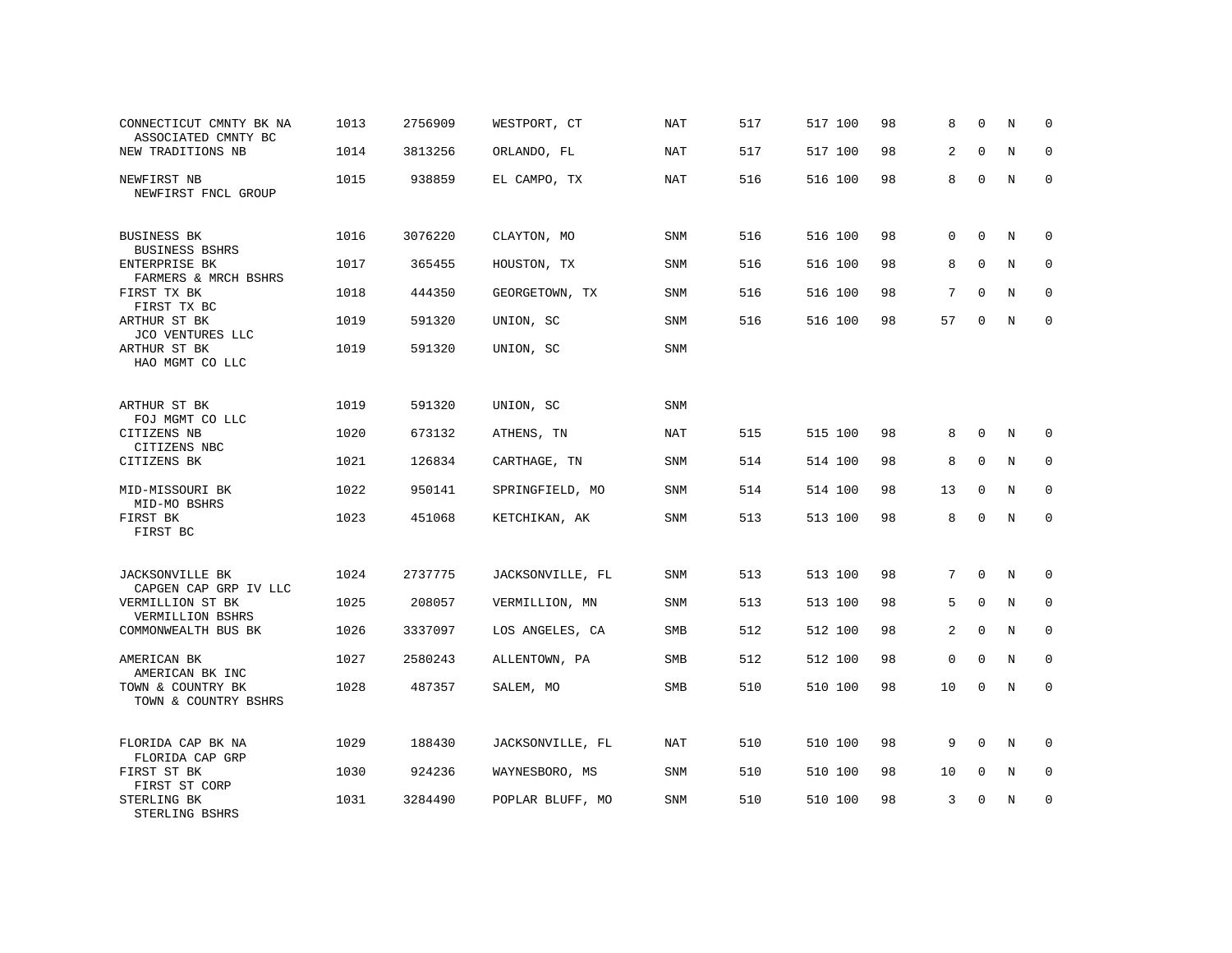| CONNECTICUT CMNTY BK NA<br>ASSOCIATED CMNTY BC | 1013 | 2756909 | WESTPORT, CT     | NAT        | 517 | 517 100 | 98 | 8           | $\Omega$    | N           | $\Omega$    |
|------------------------------------------------|------|---------|------------------|------------|-----|---------|----|-------------|-------------|-------------|-------------|
| NEW TRADITIONS NB                              | 1014 | 3813256 | ORLANDO, FL      | <b>NAT</b> | 517 | 517 100 | 98 | 2           | $\Omega$    | $\mathbf N$ | $\mathbf 0$ |
| NEWFIRST NB<br>NEWFIRST FNCL GROUP             | 1015 | 938859  | EL CAMPO, TX     | <b>NAT</b> | 516 | 516 100 | 98 | 8           | $\Omega$    | N           | $\Omega$    |
| BUSINESS BK<br><b>BUSINESS BSHRS</b>           | 1016 | 3076220 | CLAYTON, MO      | <b>SNM</b> | 516 | 516 100 | 98 | $\Omega$    | $\Omega$    | N           | $\Omega$    |
| ENTERPRISE BK<br>FARMERS & MRCH BSHRS          | 1017 | 365455  | HOUSTON, TX      | <b>SNM</b> | 516 | 516 100 | 98 | 8           | $\mathbf 0$ | N           | $\mathbf 0$ |
| FIRST TX BK<br>FIRST TX BC                     | 1018 | 444350  | GEORGETOWN, TX   | SNM        | 516 | 516 100 | 98 | 7           | $\mathbf 0$ | $\mathbf N$ | $\mathbf 0$ |
| ARTHUR ST BK<br>JCO VENTURES LLC               | 1019 | 591320  | UNION, SC        | <b>SNM</b> | 516 | 516 100 | 98 | 57          | $\Omega$    | $_{\rm N}$  | $\mathbf 0$ |
| ARTHUR ST BK<br>HAO MGMT CO LLC                | 1019 | 591320  | UNION, SC        | SNM        |     |         |    |             |             |             |             |
| ARTHUR ST BK<br>FOJ MGMT CO LLC                | 1019 | 591320  | UNION, SC        | SNM        |     |         |    |             |             |             |             |
| CITIZENS NB<br>CITIZENS NBC                    | 1020 | 673132  | ATHENS, TN       | <b>NAT</b> | 515 | 515 100 | 98 | 8           | $\mathbf 0$ | N           | 0           |
| CITIZENS BK                                    | 1021 | 126834  | CARTHAGE, TN     | <b>SNM</b> | 514 | 514 100 | 98 | 8           | $\Omega$    | N           | $\mathbf 0$ |
| MID-MISSOURI BK<br>MID-MO BSHRS                | 1022 | 950141  | SPRINGFIELD, MO  | <b>SNM</b> | 514 | 514 100 | 98 | 13          | $\mathbf 0$ | N           | $\mathbf 0$ |
| FIRST BK<br>FIRST BC                           | 1023 | 451068  | KETCHIKAN, AK    | <b>SNM</b> | 513 | 513 100 | 98 | 8           | $\mathbf 0$ | $\mathbf N$ | $\mathbf 0$ |
| JACKSONVILLE BK<br>CAPGEN CAP GRP IV LLC       | 1024 | 2737775 | JACKSONVILLE, FL | SNM        | 513 | 513 100 | 98 | 7           | $\mathbf 0$ | N           | 0           |
| VERMILLION ST BK<br>VERMILLION BSHRS           | 1025 | 208057  | VERMILLION, MN   | <b>SNM</b> | 513 | 513 100 | 98 | 5           | $\Omega$    | N           | $\mathbf 0$ |
| COMMONWEALTH BUS BK                            | 1026 | 3337097 | LOS ANGELES, CA  | SMB        | 512 | 512 100 | 98 | 2           | $\Omega$    | N           | $\mathbf 0$ |
| AMERICAN BK<br>AMERICAN BK INC                 | 1027 | 2580243 | ALLENTOWN, PA    | SMB        | 512 | 512 100 | 98 | $\mathbf 0$ | $\mathbf 0$ | N           | $\mathbf 0$ |
| TOWN & COUNTRY BK<br>TOWN & COUNTRY BSHRS      | 1028 | 487357  | SALEM, MO        | SMB        | 510 | 510 100 | 98 | 10          | 0           | N           | $\mathbf 0$ |
| FLORIDA CAP BK NA<br>FLORIDA CAP GRP           | 1029 | 188430  | JACKSONVILLE, FL | <b>NAT</b> | 510 | 510 100 | 98 | 9           | $\Omega$    | N           | 0           |
| FIRST ST BK<br>FIRST ST CORP                   | 1030 | 924236  | WAYNESBORO, MS   | <b>SNM</b> | 510 | 510 100 | 98 | 10          | $\mathbf 0$ | N           | $\mathbf 0$ |
| STERLING BK<br>STERLING BSHRS                  | 1031 | 3284490 | POPLAR BLUFF, MO | SNM        | 510 | 510 100 | 98 | 3           | U           | N           | $\mathbf 0$ |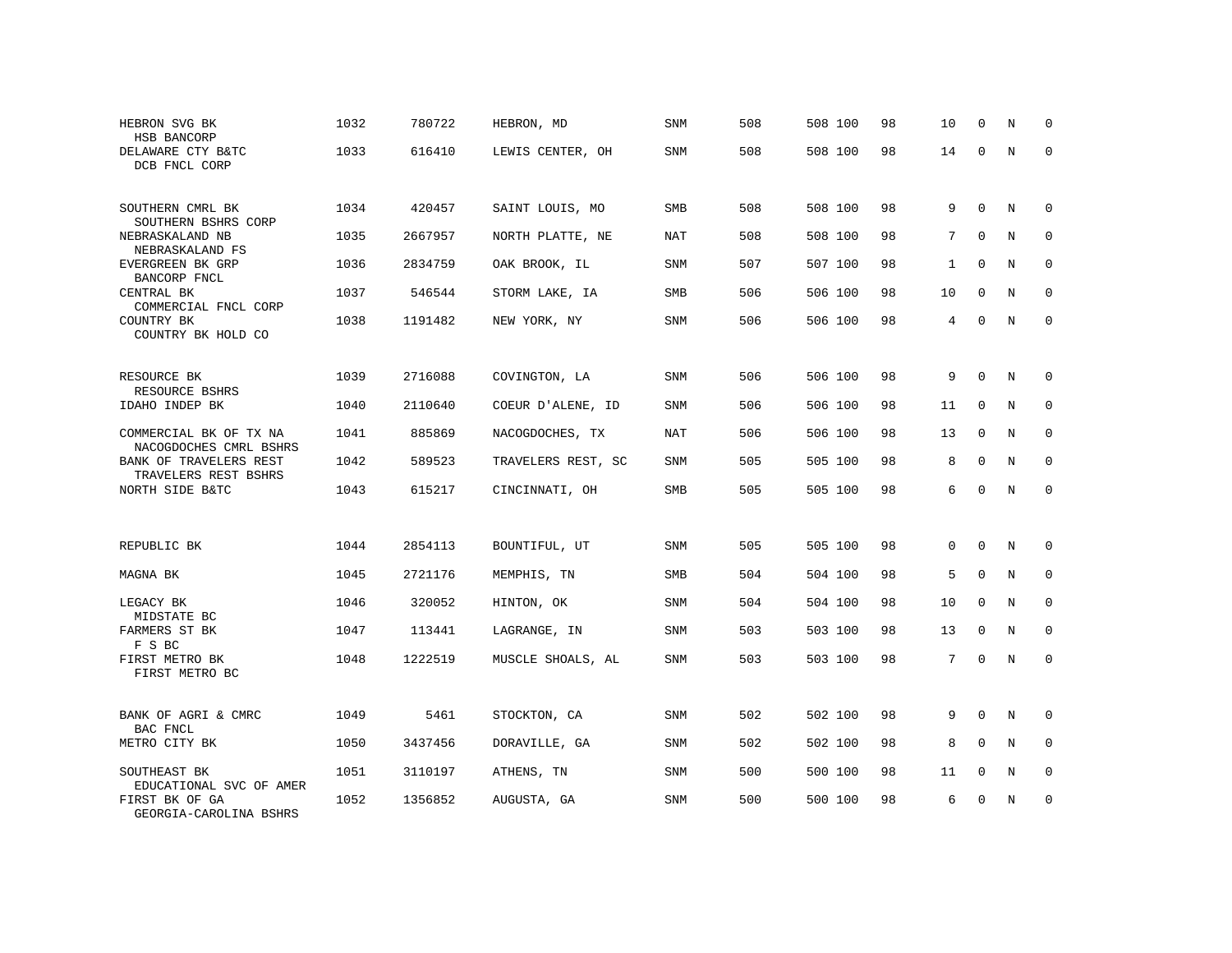| HEBRON SVG BK<br>HSB BANCORP                     | 1032 | 780722  | HEBRON, MD         | SNM        | 508 | 508 100 | 98 | 10             | $\Omega$    | N           | $\Omega$    |
|--------------------------------------------------|------|---------|--------------------|------------|-----|---------|----|----------------|-------------|-------------|-------------|
| DELAWARE CTY B&TC<br>DCB FNCL CORP               | 1033 | 616410  | LEWIS CENTER, OH   | SNM        | 508 | 508 100 | 98 | 14             | $\Omega$    | $\mathbb N$ | $\mathbf 0$ |
| SOUTHERN CMRL BK<br>SOUTHERN BSHRS CORP          | 1034 | 420457  | SAINT LOUIS, MO    | <b>SMB</b> | 508 | 508 100 | 98 | 9              | $\Omega$    | N           | $\Omega$    |
| NEBRASKALAND NB<br>NEBRASKALAND FS               | 1035 | 2667957 | NORTH PLATTE, NE   | NAT        | 508 | 508 100 | 98 | 7              | $\Omega$    | N           | $\mathbf 0$ |
| EVERGREEN BK GRP<br>BANCORP FNCL                 | 1036 | 2834759 | OAK BROOK, IL      | <b>SNM</b> | 507 | 507 100 | 98 | $\mathbf{1}$   | $\mathbf 0$ | N           | $\mathbf 0$ |
| CENTRAL BK<br>COMMERCIAL FNCL CORP               | 1037 | 546544  | STORM LAKE, IA     | SMB        | 506 | 506 100 | 98 | 10             | $\mathbf 0$ | $\mathbf N$ | $\mathbf 0$ |
| COUNTRY BK<br>COUNTRY BK HOLD CO                 | 1038 | 1191482 | NEW YORK, NY       | <b>SNM</b> | 506 | 506 100 | 98 | $\overline{4}$ | $\Omega$    | $\mathbf N$ | $\mathbf 0$ |
| RESOURCE BK<br>RESOURCE BSHRS                    | 1039 | 2716088 | COVINGTON, LA      | SNM        | 506 | 506 100 | 98 | 9              | $\mathbf 0$ | N           | 0           |
| IDAHO INDEP BK                                   | 1040 | 2110640 | COEUR D'ALENE, ID  | SNM        | 506 | 506 100 | 98 | 11             | $\mathbf 0$ | N           | 0           |
| COMMERCIAL BK OF TX NA<br>NACOGDOCHES CMRL BSHRS | 1041 | 885869  | NACOGDOCHES, TX    | <b>NAT</b> | 506 | 506 100 | 98 | 13             | $\mathbf 0$ | $\mathbf N$ | 0           |
| BANK OF TRAVELERS REST<br>TRAVELERS REST BSHRS   | 1042 | 589523  | TRAVELERS REST, SC | <b>SNM</b> | 505 | 505 100 | 98 | 8              | $\Omega$    | N           | $\mathbf 0$ |
| NORTH SIDE B&TC                                  | 1043 | 615217  | CINCINNATI, OH     | SMB        | 505 | 505 100 | 98 | 6              | $\Omega$    | $\mathbf N$ | $\mathbf 0$ |
|                                                  |      |         |                    |            |     |         |    |                |             |             |             |
| REPUBLIC BK                                      | 1044 | 2854113 | BOUNTIFUL, UT      | SNM        | 505 | 505 100 | 98 | $\mathbf{0}$   | 0           | N           | 0           |
| MAGNA BK                                         | 1045 | 2721176 | MEMPHIS, TN        | SMB        | 504 | 504 100 | 98 | 5              | $\mathbf 0$ | N           | 0           |
| LEGACY BK<br>MIDSTATE BC                         | 1046 | 320052  | HINTON, OK         | <b>SNM</b> | 504 | 504 100 | 98 | 10             | $\mathbf 0$ | N           | $\mathbf 0$ |
| FARMERS ST BK<br>F S BC                          | 1047 | 113441  | LAGRANGE, IN       | <b>SNM</b> | 503 | 503 100 | 98 | 13             | $\mathbf 0$ | N           | $\mathbf 0$ |
| FIRST METRO BK<br>FIRST METRO BC                 | 1048 | 1222519 | MUSCLE SHOALS, AL  | SNM        | 503 | 503 100 | 98 | 7              | $\Omega$    | N           | $\mathbf 0$ |
| BANK OF AGRI & CMRC<br>BAC FNCL                  | 1049 | 5461    | STOCKTON, CA       | <b>SNM</b> | 502 | 502 100 | 98 | 9              | $\mathbf 0$ | $\mathbf N$ | $\mathbf 0$ |
| METRO CITY BK                                    | 1050 | 3437456 | DORAVILLE, GA      | <b>SNM</b> | 502 | 502 100 | 98 | 8              | $\Omega$    | $\rm N$     | $\mathbf 0$ |
| SOUTHEAST BK<br>EDUCATIONAL SVC OF AMER          | 1051 | 3110197 | ATHENS, TN         | SNM        | 500 | 500 100 | 98 | 11             | $\mathbf 0$ | N           | $\mathbf 0$ |
| FIRST BK OF GA<br>GEORGIA-CAROLINA BSHRS         | 1052 | 1356852 | AUGUSTA, GA        | <b>SNM</b> | 500 | 500 100 | 98 | 6              | U           | N           | $\mathbf 0$ |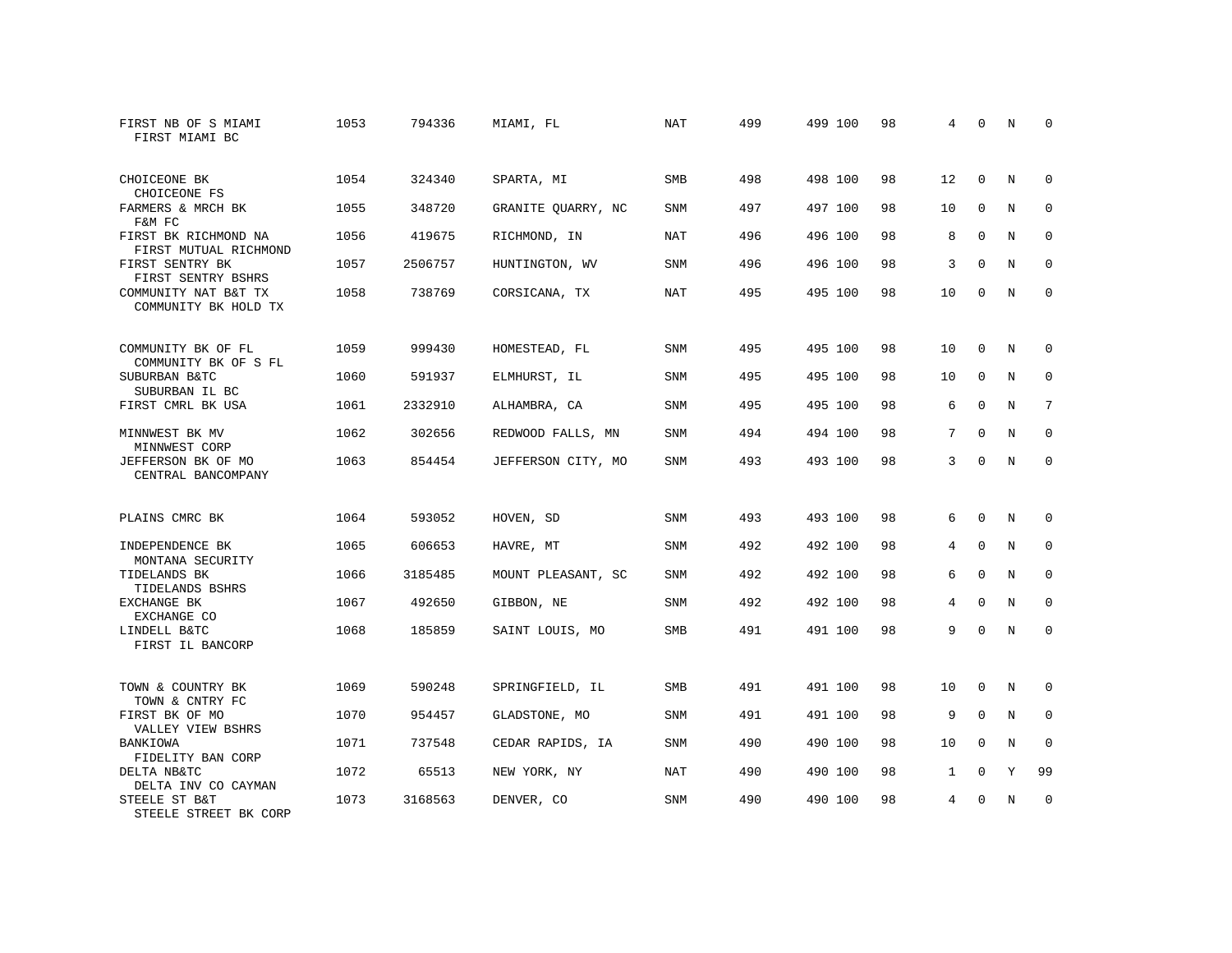| FIRST NB OF S MIAMI<br>FIRST MIAMI BC         | 1053 | 794336  | MIAMI, FL          | <b>NAT</b> | 499 | 499 100 | 98 | 4              | 0           | N           | $\Omega$    |
|-----------------------------------------------|------|---------|--------------------|------------|-----|---------|----|----------------|-------------|-------------|-------------|
| CHOICEONE BK<br>CHOICEONE FS                  | 1054 | 324340  | SPARTA, MI         | <b>SMB</b> | 498 | 498 100 | 98 | 12             | $\Omega$    | $_{\rm N}$  | $\Omega$    |
| FARMERS & MRCH BK<br>F&M FC                   | 1055 | 348720  | GRANITE QUARRY, NC | <b>SNM</b> | 497 | 497 100 | 98 | 10             | $\mathbf 0$ | N           | $\mathbf 0$ |
| FIRST BK RICHMOND NA<br>FIRST MUTUAL RICHMOND | 1056 | 419675  | RICHMOND, IN       | <b>NAT</b> | 496 | 496 100 | 98 | 8              | $\Omega$    | N           | $\Omega$    |
| FIRST SENTRY BK<br>FIRST SENTRY BSHRS         | 1057 | 2506757 | HUNTINGTON, WV     | SNM        | 496 | 496 100 | 98 | 3              | $\mathbf 0$ | N           | $\mathbf 0$ |
| COMMUNITY NAT B&T TX<br>COMMUNITY BK HOLD TX  | 1058 | 738769  | CORSICANA, TX      | <b>NAT</b> | 495 | 495 100 | 98 | 10             | $\Omega$    | N           | $\mathbf 0$ |
| COMMUNITY BK OF FL<br>COMMUNITY BK OF S FL    | 1059 | 999430  | HOMESTEAD, FL      | <b>SNM</b> | 495 | 495 100 | 98 | 10             | $\mathbf 0$ | N           | 0           |
| SUBURBAN B&TC<br>SUBURBAN IL BC               | 1060 | 591937  | ELMHURST, IL       | <b>SNM</b> | 495 | 495 100 | 98 | 10             | $\mathbf 0$ | N           | $\mathbf 0$ |
| FIRST CMRL BK USA                             | 1061 | 2332910 | ALHAMBRA, CA       | SNM        | 495 | 495 100 | 98 | 6              | $\mathbf 0$ | N           | 7           |
| MINNWEST BK MV<br>MINNWEST CORP               | 1062 | 302656  | REDWOOD FALLS, MN  | <b>SNM</b> | 494 | 494 100 | 98 | 7              | $\Omega$    | N           | $\mathbf 0$ |
| JEFFERSON BK OF MO<br>CENTRAL BANCOMPANY      | 1063 | 854454  | JEFFERSON CITY, MO | SNM        | 493 | 493 100 | 98 | 3              | $\Omega$    | $_{\rm N}$  | $\Omega$    |
| PLAINS CMRC BK                                | 1064 | 593052  | HOVEN, SD          | <b>SNM</b> | 493 | 493 100 | 98 | 6              | $\Omega$    | N           | 0           |
| INDEPENDENCE BK<br>MONTANA SECURITY           | 1065 | 606653  | HAVRE, MT          | SNM        | 492 | 492 100 | 98 | 4              | $\mathbf 0$ | N           | 0           |
| TIDELANDS BK<br>TIDELANDS BSHRS               | 1066 | 3185485 | MOUNT PLEASANT, SC | <b>SNM</b> | 492 | 492 100 | 98 | 6              | $\Omega$    | N           | $\mathbf 0$ |
| EXCHANGE BK<br>EXCHANGE CO                    | 1067 | 492650  | GIBBON, NE         | SNM        | 492 | 492 100 | 98 | $\overline{4}$ | $\Omega$    | N           | $\mathbf 0$ |
| LINDELL B&TC<br>FIRST IL BANCORP              | 1068 | 185859  | SAINT LOUIS, MO    | SMB        | 491 | 491 100 | 98 | 9              | $\Omega$    | N           | $\mathbf 0$ |
| TOWN & COUNTRY BK<br>TOWN & CNTRY FC          | 1069 | 590248  | SPRINGFIELD, IL    | SMB        | 491 | 491 100 | 98 | 10             | 0           | N           | 0           |
| FIRST BK OF MO<br>VALLEY VIEW BSHRS           | 1070 | 954457  | GLADSTONE, MO      | SNM        | 491 | 491 100 | 98 | 9              | $\mathbf 0$ | N           | 0           |
| BANKIOWA<br>FIDELITY BAN CORP                 | 1071 | 737548  | CEDAR RAPIDS, IA   | <b>SNM</b> | 490 | 490 100 | 98 | 10             | $\Omega$    | N           | $\mathbf 0$ |
| DELTA NB&TC<br>DELTA INV CO CAYMAN            | 1072 | 65513   | NEW YORK, NY       | <b>NAT</b> | 490 | 490 100 | 98 | $\mathbf{1}$   | $\mathbf 0$ | Y           | 99          |
| STEELE ST B&T<br>STEELE STREET BK CORP        | 1073 | 3168563 | DENVER, CO         | <b>SNM</b> | 490 | 490 100 | 98 | 4              | $\Omega$    | $\mathbb N$ | $\mathbf 0$ |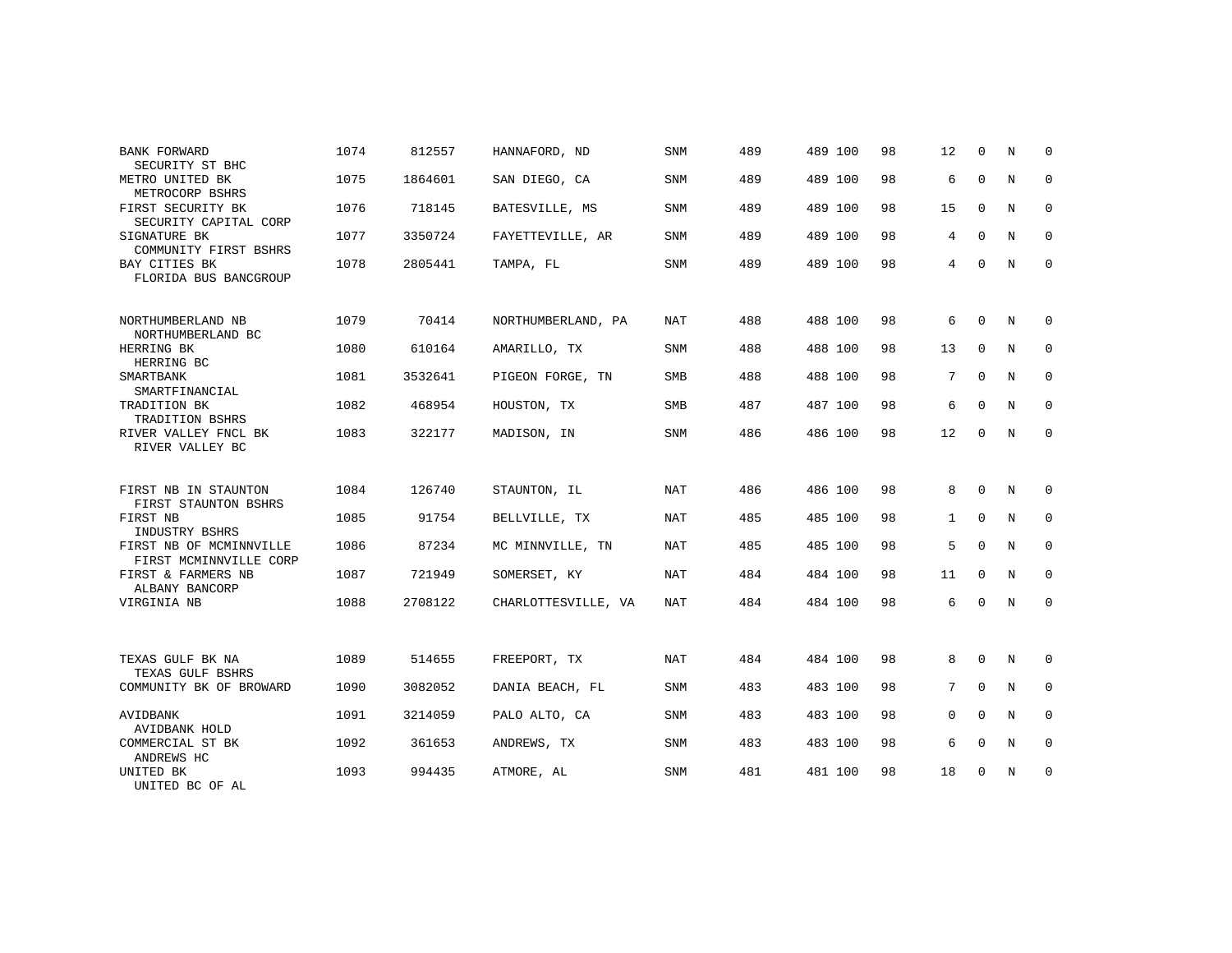| BANK FORWARD<br>SECURITY ST BHC                   | 1074 | 812557  | HANNAFORD, ND       | <b>SNM</b> | 489 | 489 100 | 98 | 12              | $\Omega$    | N           | $\Omega$    |
|---------------------------------------------------|------|---------|---------------------|------------|-----|---------|----|-----------------|-------------|-------------|-------------|
| METRO UNITED BK<br>METROCORP BSHRS                | 1075 | 1864601 | SAN DIEGO, CA       | <b>SNM</b> | 489 | 489 100 | 98 | 6               | $\mathbf 0$ | $\mathbb N$ | $\mathbf 0$ |
| FIRST SECURITY BK<br>SECURITY CAPITAL CORP        | 1076 | 718145  | BATESVILLE, MS      | <b>SNM</b> | 489 | 489 100 | 98 | 15              | $\mathbf 0$ | N           | $\mathbf 0$ |
| SIGNATURE BK<br>COMMUNITY FIRST BSHRS             | 1077 | 3350724 | FAYETTEVILLE, AR    | <b>SNM</b> | 489 | 489 100 | 98 | 4               | $\Omega$    | N           | $\mathbf 0$ |
| BAY CITIES BK<br>FLORIDA BUS BANCGROUP            | 1078 | 2805441 | TAMPA, FL           | <b>SNM</b> | 489 | 489 100 | 98 | 4               | $\mathbf 0$ | N           | $\mathbf 0$ |
| NORTHUMBERLAND NB                                 | 1079 | 70414   | NORTHUMBERLAND, PA  | NAT        | 488 | 488 100 | 98 | 6               | $\mathbf 0$ | N           | 0           |
| NORTHUMBERLAND BC<br>HERRING BK<br>HERRING BC     | 1080 | 610164  | AMARILLO, TX        | <b>SNM</b> | 488 | 488 100 | 98 | 13              | $\Omega$    | N           | $\mathbf 0$ |
| SMARTBANK<br>SMARTFINANCIAL                       | 1081 | 3532641 | PIGEON FORGE, TN    | SMB        | 488 | 488 100 | 98 | 7               | $\Omega$    | N           | 0           |
| TRADITION BK<br>TRADITION BSHRS                   | 1082 | 468954  | HOUSTON, TX         | <b>SMB</b> | 487 | 487 100 | 98 | 6               | $\Omega$    | $_{\rm N}$  | $\mathbf 0$ |
| RIVER VALLEY FNCL BK<br>RIVER VALLEY BC           | 1083 | 322177  | MADISON, IN         | <b>SNM</b> | 486 | 486 100 | 98 | 12              | $\Omega$    | N           | $\mathbf 0$ |
| FIRST NB IN STAUNTON                              | 1084 | 126740  | STAUNTON, IL        | <b>NAT</b> | 486 | 486 100 | 98 | 8               | $\Omega$    | N           | 0           |
| FIRST STAUNTON BSHRS                              |      |         |                     |            |     |         |    |                 |             |             |             |
| FIRST NB<br>INDUSTRY BSHRS                        | 1085 | 91754   | BELLVILLE, TX       | NAT        | 485 | 485 100 | 98 | 1               | $\mathbf 0$ | N           | $\mathsf 0$ |
| FIRST NB OF MCMINNVILLE<br>FIRST MCMINNVILLE CORP | 1086 | 87234   | MC MINNVILLE, TN    | NAT        | 485 | 485 100 | 98 | 5               | $\Omega$    | $_{\rm N}$  | $\mathbf 0$ |
| FIRST & FARMERS NB<br>ALBANY BANCORP              | 1087 | 721949  | SOMERSET, KY        | NAT        | 484 | 484 100 | 98 | 11              | $\mathbf 0$ | N           | $\mathbf 0$ |
| VIRGINIA NB                                       | 1088 | 2708122 | CHARLOTTESVILLE, VA | NAT        | 484 | 484 100 | 98 | 6               | $\Omega$    | N           | $\mathbf 0$ |
|                                                   |      |         |                     |            |     |         |    |                 |             |             |             |
| TEXAS GULF BK NA<br>TEXAS GULF BSHRS              | 1089 | 514655  | FREEPORT, TX        | <b>NAT</b> | 484 | 484 100 | 98 | 8               | $\Omega$    | $\mathbb N$ | 0           |
| COMMUNITY BK OF BROWARD                           | 1090 | 3082052 | DANIA BEACH, FL     | <b>SNM</b> | 483 | 483 100 | 98 | $7\overline{ }$ | $\Omega$    | N           | $\mathbf 0$ |
| AVIDBANK<br>AVIDBANK HOLD                         | 1091 | 3214059 | PALO ALTO, CA       | <b>SNM</b> | 483 | 483 100 | 98 | $\Omega$        | $\Omega$    | $\mathbf N$ | $\Omega$    |
| COMMERCIAL ST BK<br>ANDREWS HC                    | 1092 | 361653  | ANDREWS, TX         | <b>SNM</b> | 483 | 483 100 | 98 | 6               | $\Omega$    | N           | $\mathbf 0$ |
| UNITED BK<br>UNITED BC OF AL                      | 1093 | 994435  | ATMORE, AL          | <b>SNM</b> | 481 | 481 100 | 98 | 18              | $\mathbf 0$ | N           | 0           |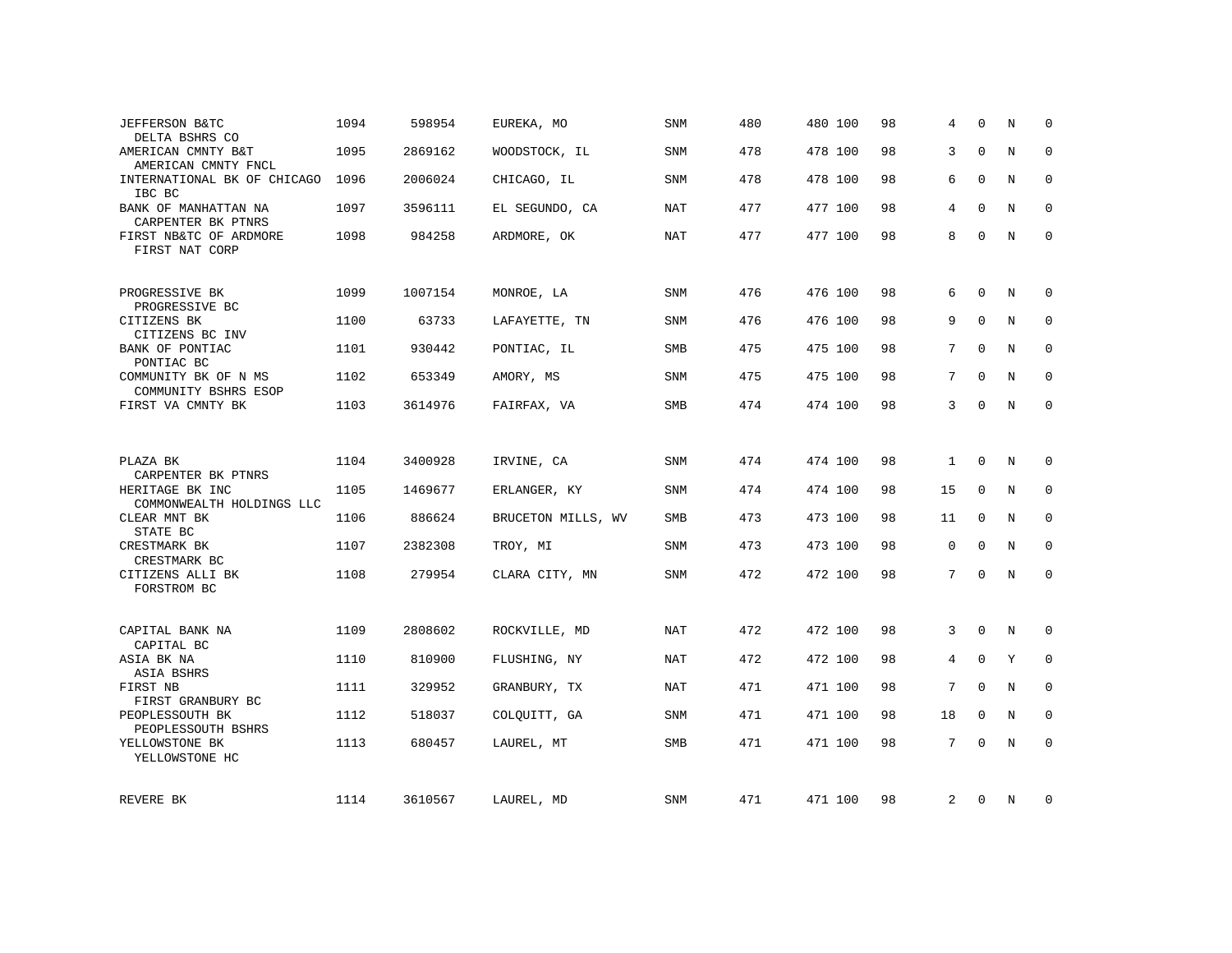| JEFFERSON B&TC<br>DELTA BSHRS CO             | 1094 | 598954  | EUREKA, MO         | <b>SNM</b> | 480 | 480 100 | 98 | 4            | $\Omega$    | N           | $\Omega$    |
|----------------------------------------------|------|---------|--------------------|------------|-----|---------|----|--------------|-------------|-------------|-------------|
| AMERICAN CMNTY B&T<br>AMERICAN CMNTY FNCL    | 1095 | 2869162 | WOODSTOCK, IL      | SNM        | 478 | 478 100 | 98 | 3            | $\Omega$    | $\mathbf N$ | $\mathbf 0$ |
| INTERNATIONAL BK OF CHICAGO<br>IBC BC        | 1096 | 2006024 | CHICAGO, IL        | SNM        | 478 | 478 100 | 98 | 6            | $\Omega$    | N           | 0           |
| BANK OF MANHATTAN NA<br>CARPENTER BK PTNRS   | 1097 | 3596111 | EL SEGUNDO, CA     | <b>NAT</b> | 477 | 477 100 | 98 | 4            | $\Omega$    | $_{\rm N}$  | $\Omega$    |
| FIRST NB&TC OF ARDMORE<br>FIRST NAT CORP     | 1098 | 984258  | ARDMORE, OK        | <b>NAT</b> | 477 | 477 100 | 98 | 8            | $\Omega$    | N           | $\mathbf 0$ |
| PROGRESSIVE BK<br>PROGRESSIVE BC             | 1099 | 1007154 | MONROE, LA         | SNM        | 476 | 476 100 | 98 | 6            | $\Omega$    | N           | $\Omega$    |
| CITIZENS BK<br>CITIZENS BC INV               | 1100 | 63733   | LAFAYETTE, TN      | <b>SNM</b> | 476 | 476 100 | 98 | 9            | $\Omega$    | $\mathbf N$ | $\mathbf 0$ |
| BANK OF PONTIAC<br>PONTIAC BC                | 1101 | 930442  | PONTIAC, IL        | SMB        | 475 | 475 100 | 98 | 7            | $\Omega$    | $\mathbf N$ | $\mathbf 0$ |
| COMMUNITY BK OF N MS<br>COMMUNITY BSHRS ESOP | 1102 | 653349  | AMORY, MS          | <b>SNM</b> | 475 | 475 100 | 98 | 7            | $\Omega$    | N           | $\Omega$    |
| FIRST VA CMNTY BK                            | 1103 | 3614976 | FAIRFAX, VA        | SMB        | 474 | 474 100 | 98 | 3            | $\Omega$    | N           | $\mathbf 0$ |
|                                              |      |         |                    |            |     |         |    |              |             |             |             |
| PLAZA BK<br>CARPENTER BK PTNRS               | 1104 | 3400928 | IRVINE, CA         | SNM        | 474 | 474 100 | 98 | $\mathbf{1}$ | 0           | N           | 0           |
| HERITAGE BK INC<br>COMMONWEALTH HOLDINGS LLC | 1105 | 1469677 | ERLANGER, KY       | <b>SNM</b> | 474 | 474 100 | 98 | 15           | $\mathbf 0$ | $\mathbf N$ | $\mathbf 0$ |
| CLEAR MNT BK<br>STATE BC                     | 1106 | 886624  | BRUCETON MILLS, WV | SMB        | 473 | 473 100 | 98 | 11           | $\mathbf 0$ | N           | 0           |
| CRESTMARK BK<br>CRESTMARK BC                 | 1107 | 2382308 | TROY, MI           | <b>SNM</b> | 473 | 473 100 | 98 | $\mathbf 0$  | $\Omega$    | N           | 0           |
| CITIZENS ALLI BK<br>FORSTROM BC              | 1108 | 279954  | CLARA CITY, MN     | SNM        | 472 | 472 100 | 98 | 7            | $\mathbf 0$ | $\mathbf N$ | $\mathbf 0$ |
| CAPITAL BANK NA                              | 1109 | 2808602 | ROCKVILLE, MD      | NAT        | 472 | 472 100 | 98 | 3            | 0           | N           | 0           |
| CAPITAL BC<br>ASIA BK NA                     | 1110 | 810900  | FLUSHING, NY       | <b>NAT</b> | 472 | 472 100 | 98 | 4            | $\mathbf 0$ | Y           | $\mathbf 0$ |
| ASIA BSHRS<br>FIRST NB<br>FIRST GRANBURY BC  | 1111 | 329952  | GRANBURY, TX       | <b>NAT</b> | 471 | 471 100 | 98 | 7            | $\Omega$    | $\mathbf N$ | $\mathbf 0$ |
| PEOPLESSOUTH BK<br>PEOPLESSOUTH BSHRS        | 1112 | 518037  | COLQUITT, GA       | SNM        | 471 | 471 100 | 98 | 18           | $\mathbf 0$ | N           | $\mathbf 0$ |
| YELLOWSTONE BK<br>YELLOWSTONE HC             | 1113 | 680457  | LAUREL, MT         | SMB        | 471 | 471 100 | 98 | 7            | $\Omega$    | $_{\rm N}$  | $\mathbf 0$ |
| REVERE BK                                    | 1114 | 3610567 | LAUREL, MD         | SNM        | 471 | 471 100 | 98 | 2            | 0           | N           | 0           |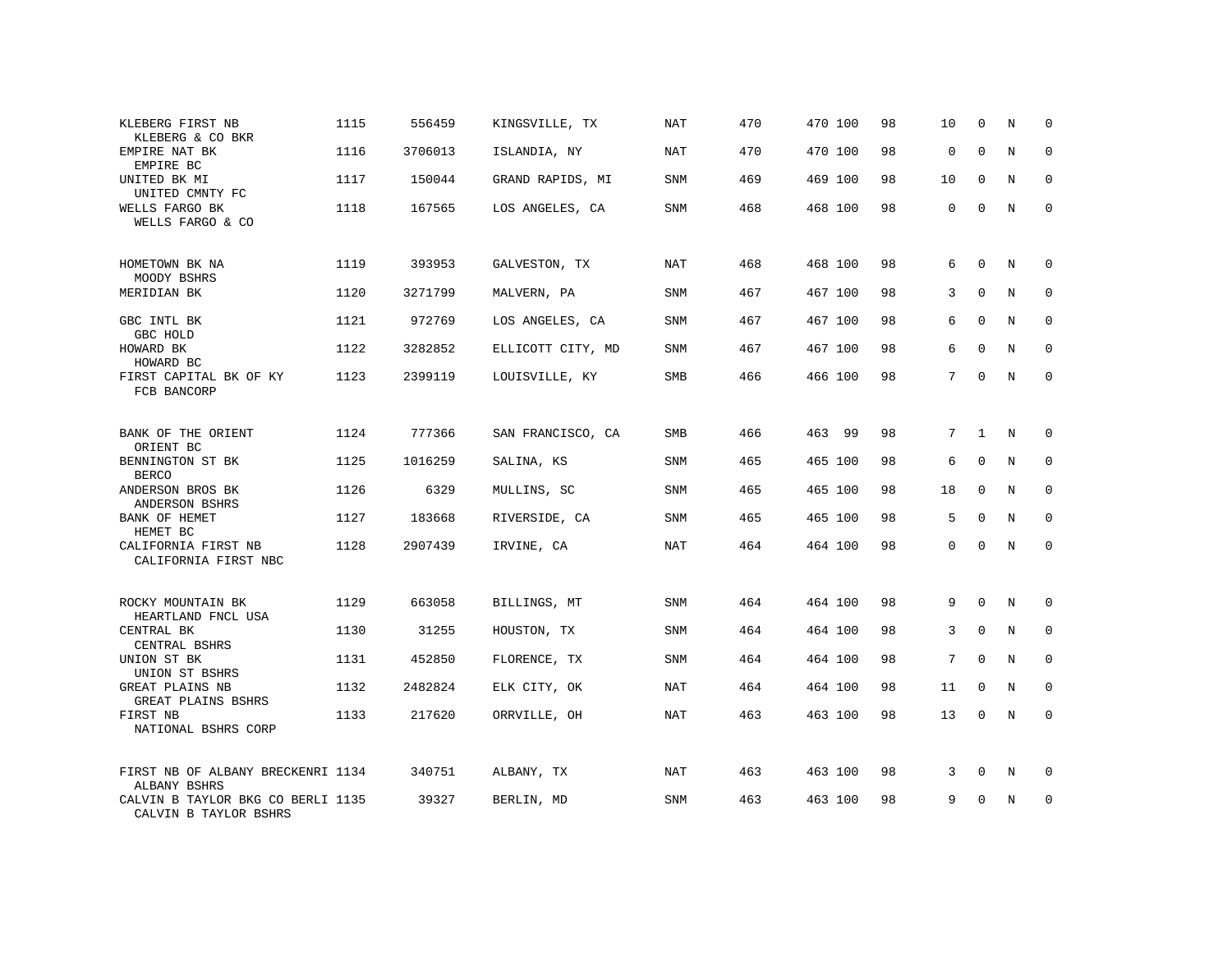| KLEBERG FIRST NB<br>KLEBERG & CO BKR                       | 1115 | 556459  | KINGSVILLE, TX    | NAT        | 470 | 470 100 | 98 | 10          | $\mathbf 0$  | N           | $\mathbf 0$         |
|------------------------------------------------------------|------|---------|-------------------|------------|-----|---------|----|-------------|--------------|-------------|---------------------|
| EMPIRE NAT BK<br>EMPIRE BC                                 | 1116 | 3706013 | ISLANDIA, NY      | NAT        | 470 | 470 100 | 98 | 0           | $\mathbf 0$  | N           | $\mathbf 0$         |
| UNITED BK MI<br>UNITED CMNTY FC                            | 1117 | 150044  | GRAND RAPIDS, MI  | SNM        | 469 | 469 100 | 98 | 10          | $\mathbf 0$  | N           | $\mathbf 0$         |
| WELLS FARGO BK<br>WELLS FARGO & CO                         | 1118 | 167565  | LOS ANGELES, CA   | SNM        | 468 | 468 100 | 98 | $\mathbf 0$ | $\mathbf 0$  | $\mathbf N$ | $\mathsf 0$         |
| HOMETOWN BK NA<br>MOODY BSHRS                              | 1119 | 393953  | GALVESTON, TX     | NAT        | 468 | 468 100 | 98 | 6           | $\mathbf 0$  | N           | $\mathbf 0$         |
| MERIDIAN BK                                                | 1120 | 3271799 | MALVERN, PA       | SNM        | 467 | 467 100 | 98 | 3           | $\mathbf 0$  | N           | $\mathbf 0$         |
| GBC INTL BK<br>GBC HOLD                                    | 1121 | 972769  | LOS ANGELES, CA   | SNM        | 467 | 467 100 | 98 | 6           | $\mathbf 0$  | N           | 0                   |
| HOWARD BK<br>HOWARD BC                                     | 1122 | 3282852 | ELLICOTT CITY, MD | SNM        | 467 | 467 100 | 98 | 6           | $\mathbf 0$  | N           | 0                   |
| FIRST CAPITAL BK OF KY<br>FCB BANCORP                      | 1123 | 2399119 | LOUISVILLE, KY    | SMB        | 466 | 466 100 | 98 | 7           | $\mathbf 0$  | N           | $\mathsf{O}\xspace$ |
| BANK OF THE ORIENT<br>ORIENT BC                            | 1124 | 777366  | SAN FRANCISCO, CA | SMB        | 466 | 463 99  | 98 | $7^{\circ}$ | $\mathbf{1}$ | N           | 0                   |
| BENNINGTON ST BK<br><b>BERCO</b>                           | 1125 | 1016259 | SALINA, KS        | SNM        | 465 | 465 100 | 98 | 6           | $\mathbf 0$  | N           | $\mathbf 0$         |
| ANDERSON BROS BK<br>ANDERSON BSHRS                         | 1126 | 6329    | MULLINS, SC       | SNM        | 465 | 465 100 | 98 | 18          | $\mathbf 0$  | N           | $\mathbf 0$         |
| BANK OF HEMET<br>HEMET BC                                  | 1127 | 183668  | RIVERSIDE, CA     | SNM        | 465 | 465 100 | 98 | 5           | $\mathbf 0$  | N           | $\mathbf 0$         |
| CALIFORNIA FIRST NB<br>CALIFORNIA FIRST NBC                | 1128 | 2907439 | IRVINE, CA        | NAT        | 464 | 464 100 | 98 | $\mathbf 0$ | $\mathbf 0$  | N           | $\mathsf{O}\xspace$ |
| ROCKY MOUNTAIN BK<br>HEARTLAND FNCL USA                    | 1129 | 663058  | BILLINGS, MT      | SNM        | 464 | 464 100 | 98 | 9           | $\mathbf 0$  | N           | $\mathbf 0$         |
| CENTRAL BK<br>CENTRAL BSHRS                                | 1130 | 31255   | HOUSTON, TX       | SNM        | 464 | 464 100 | 98 | 3           | $\mathbf 0$  | N           | $\mathbf 0$         |
| UNION ST BK<br>UNION ST BSHRS                              | 1131 | 452850  | FLORENCE, TX      | SNM        | 464 | 464 100 | 98 | $7^{\circ}$ | $\Omega$     | $_{\rm N}$  | $\mathbf 0$         |
| GREAT PLAINS NB<br>GREAT PLAINS BSHRS                      | 1132 | 2482824 | ELK CITY, OK      | <b>NAT</b> | 464 | 464 100 | 98 | 11          | $\Omega$     | N           | $\mathbf 0$         |
| FIRST NB<br>NATIONAL BSHRS CORP                            | 1133 | 217620  | ORRVILLE, OH      | <b>NAT</b> | 463 | 463 100 | 98 | 13          | $\mathbf 0$  | N           | $\mathbf 0$         |
| FIRST NB OF ALBANY BRECKENRI 1134<br>ALBANY BSHRS          |      | 340751  | ALBANY, TX        | NAT        | 463 | 463 100 | 98 | 3           | $\Omega$     | N           | $\mathbf 0$         |
| CALVIN B TAYLOR BKG CO BERLI 1135<br>CALVIN B TAYLOR BSHRS |      | 39327   | BERLIN, MD        | SNM        | 463 | 463 100 | 98 | 9           | 0            | N           | 0                   |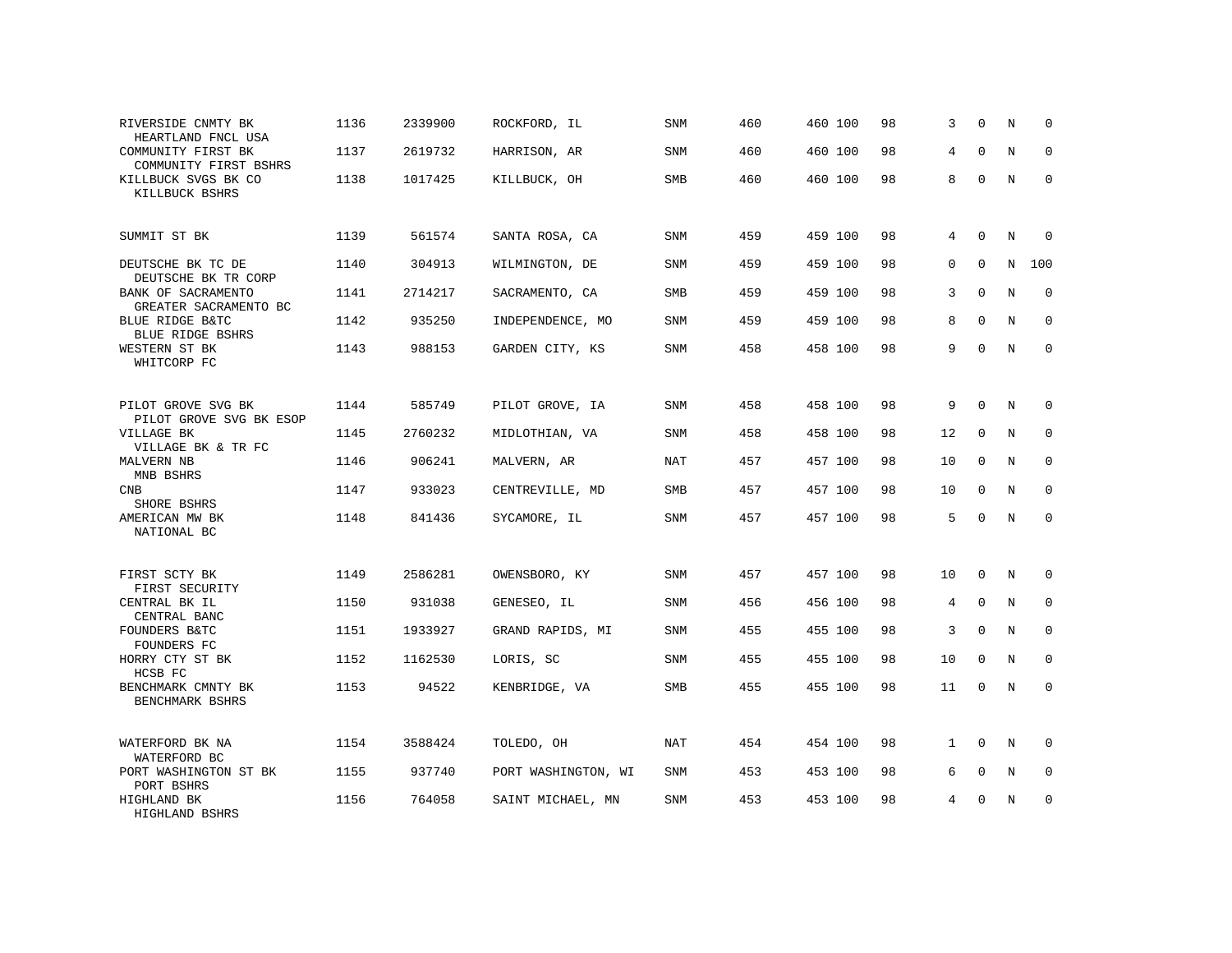| RIVERSIDE CNMTY BK<br>HEARTLAND FNCL USA      | 1136 | 2339900 | ROCKFORD, IL        | SNM        | 460 | 460 100 | 98 | 3            | $\mathbf 0$ | N | 0           |
|-----------------------------------------------|------|---------|---------------------|------------|-----|---------|----|--------------|-------------|---|-------------|
| COMMUNITY FIRST BK<br>COMMUNITY FIRST BSHRS   | 1137 | 2619732 | HARRISON, AR        | <b>SNM</b> | 460 | 460 100 | 98 | 4            | $\Omega$    | N | $\Omega$    |
| KILLBUCK SVGS BK CO<br>KILLBUCK BSHRS         | 1138 | 1017425 | KILLBUCK, OH        | <b>SMB</b> | 460 | 460 100 | 98 | 8            | $\mathbf 0$ | N | $\mathbf 0$ |
| SUMMIT ST BK                                  | 1139 | 561574  | SANTA ROSA, CA      | SNM        | 459 | 459 100 | 98 | 4            | $\Omega$    | N | $\Omega$    |
| DEUTSCHE BK TC DE<br>DEUTSCHE BK TR CORP      | 1140 | 304913  | WILMINGTON, DE      | <b>SNM</b> | 459 | 459 100 | 98 | $\Omega$     | $\Omega$    | N | 100         |
| BANK OF SACRAMENTO<br>GREATER SACRAMENTO BC   | 1141 | 2714217 | SACRAMENTO, CA      | SMB        | 459 | 459 100 | 98 | 3            | $\Omega$    | N | $\mathbf 0$ |
| BLUE RIDGE B&TC<br><b>BLUE RIDGE BSHRS</b>    | 1142 | 935250  | INDEPENDENCE, MO    | <b>SNM</b> | 459 | 459 100 | 98 | 8            | $\Omega$    | N | $\mathbf 0$ |
| WESTERN ST BK<br>WHITCORP FC                  | 1143 | 988153  | GARDEN CITY, KS     | <b>SNM</b> | 458 | 458 100 | 98 | 9            | $\Omega$    | N | $\mathbf 0$ |
| PILOT GROVE SVG BK<br>PILOT GROVE SVG BK ESOP | 1144 | 585749  | PILOT GROVE, IA     | <b>SNM</b> | 458 | 458 100 | 98 | 9            | $\Omega$    | N | 0           |
| VILLAGE BK<br>VILLAGE BK & TR FC              | 1145 | 2760232 | MIDLOTHIAN, VA      | SNM        | 458 | 458 100 | 98 | 12           | $\mathbf 0$ | N | $\mathbf 0$ |
| MALVERN NB<br>MNB BSHRS                       | 1146 | 906241  | MALVERN, AR         | <b>NAT</b> | 457 | 457 100 | 98 | 10           | $\Omega$    | N | $\Omega$    |
| <b>CNB</b><br>SHORE BSHRS                     | 1147 | 933023  | CENTREVILLE, MD     | <b>SMB</b> | 457 | 457 100 | 98 | 10           | $\Omega$    | N | $\mathbf 0$ |
| AMERICAN MW BK<br>NATIONAL BC                 | 1148 | 841436  | SYCAMORE, IL        | <b>SNM</b> | 457 | 457 100 | 98 | 5            | $\Omega$    | N | $\Omega$    |
| FIRST SCTY BK<br>FIRST SECURITY               | 1149 | 2586281 | OWENSBORO, KY       | <b>SNM</b> | 457 | 457 100 | 98 | 10           | $\Omega$    | N | $\Omega$    |
| CENTRAL BK IL<br>CENTRAL BANC                 | 1150 | 931038  | GENESEO, IL         | <b>SNM</b> | 456 | 456 100 | 98 | 4            | $\mathbf 0$ | N | 0           |
| FOUNDERS B&TC<br>FOUNDERS FC                  | 1151 | 1933927 | GRAND RAPIDS, MI    | <b>SNM</b> | 455 | 455 100 | 98 | 3            | $\Omega$    | N | $\mathbf 0$ |
| HORRY CTY ST BK<br>HCSB FC                    | 1152 | 1162530 | LORIS, SC           | <b>SNM</b> | 455 | 455 100 | 98 | 10           | $\mathbf 0$ | N | 0           |
| BENCHMARK CMNTY BK<br>BENCHMARK BSHRS         | 1153 | 94522   | KENBRIDGE, VA       | <b>SMB</b> | 455 | 455 100 | 98 | 11           | $\Omega$    | N | $\mathbf 0$ |
| WATERFORD BK NA<br>WATERFORD BC               | 1154 | 3588424 | TOLEDO, OH          | <b>NAT</b> | 454 | 454 100 | 98 | $\mathbf{1}$ | $\Omega$    | N | 0           |
| PORT WASHINGTON ST BK<br>PORT BSHRS           | 1155 | 937740  | PORT WASHINGTON, WI | SNM        | 453 | 453 100 | 98 | 6            | $\mathbf 0$ | N | 0           |
| HIGHLAND BK<br>HIGHLAND BSHRS                 | 1156 | 764058  | SAINT MICHAEL, MN   | <b>SNM</b> | 453 | 453 100 | 98 | 4            | $\Omega$    | N | $\mathbf 0$ |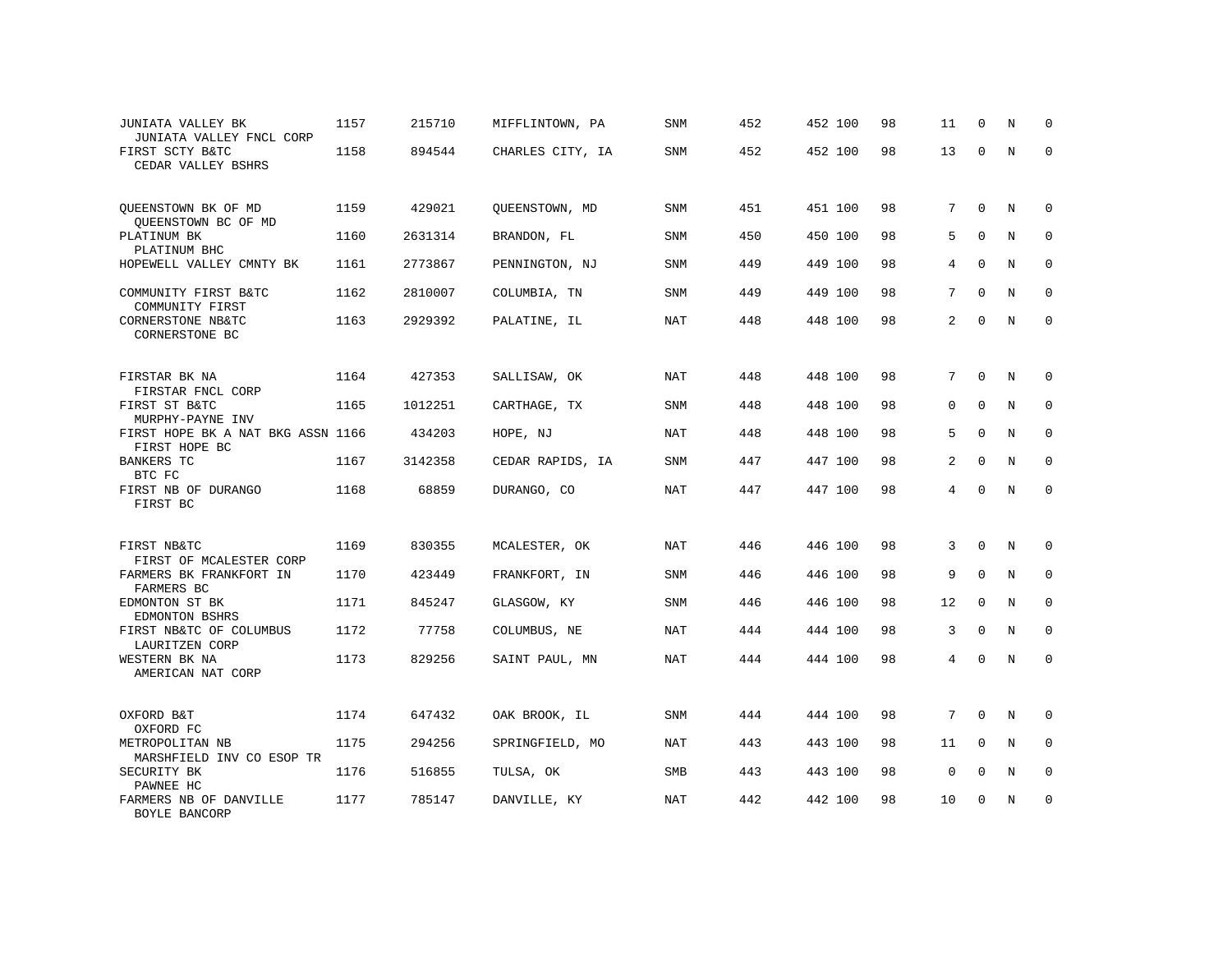| JUNIATA VALLEY BK<br>JUNIATA VALLEY FNCL CORP               | 1157 | 215710  | MIFFLINTOWN, PA  | <b>SNM</b> | 452 | 452 100 | 98 | 11             | $\mathbf 0$  | N           | $\mathbf 0$         |
|-------------------------------------------------------------|------|---------|------------------|------------|-----|---------|----|----------------|--------------|-------------|---------------------|
| FIRST SCTY B&TC<br>CEDAR VALLEY BSHRS                       | 1158 | 894544  | CHARLES CITY, IA | SNM        | 452 | 452 100 | 98 | 13             | $\Omega$     | N           | $\mathbf 0$         |
| QUEENSTOWN BK OF MD<br>QUEENSTOWN BC OF MD                  | 1159 | 429021  | QUEENSTOWN, MD   | SNM        | 451 | 451 100 | 98 | 7              | $\mathbf{0}$ | N           | $\mathbf 0$         |
| PLATINUM BK<br>PLATINUM BHC                                 | 1160 | 2631314 | BRANDON, FL      | SNM        | 450 | 450 100 | 98 | 5              | $\mathbf 0$  | N           | $\mathsf{O}\xspace$ |
| HOPEWELL VALLEY CMNTY BK                                    | 1161 | 2773867 | PENNINGTON, NJ   | SNM        | 449 | 449 100 | 98 | $\overline{4}$ | $\mathbf 0$  | N           | $\mathsf 0$         |
| COMMUNITY FIRST B&TC<br>COMMUNITY FIRST                     | 1162 | 2810007 | COLUMBIA, TN     | SNM        | 449 | 449 100 | 98 | 7              | $\mathbf 0$  | N           | $\mathbf 0$         |
| CORNERSTONE NB&TC<br>CORNERSTONE BC                         | 1163 | 2929392 | PALATINE, IL     | NAT        | 448 | 448 100 | 98 | 2              | $\mathbf 0$  | N           | $\mathsf{O}\xspace$ |
| FIRSTAR BK NA<br>FIRSTAR FNCL CORP                          | 1164 | 427353  | SALLISAW, OK     | <b>NAT</b> | 448 | 448 100 | 98 | $7^{\circ}$    | 0            | N           | $\mathbf 0$         |
| FIRST ST B&TC<br>MURPHY-PAYNE INV                           | 1165 | 1012251 | CARTHAGE, TX     | SNM        | 448 | 448 100 | 98 | $\Omega$       | $\Omega$     | N           | $\mathbf 0$         |
| FIRST HOPE BK A NAT BKG ASSN 1166<br>FIRST HOPE BC          |      | 434203  | HOPE, NJ         | NAT        | 448 | 448 100 | 98 | 5              | $\mathbf 0$  | N           | $\mathbf 0$         |
| BANKERS TC<br>BTC FC                                        | 1167 | 3142358 | CEDAR RAPIDS, IA | SNM        | 447 | 447 100 | 98 | 2              | $\mathbf 0$  | N           | $\mathbf 0$         |
| FIRST NB OF DURANGO<br>FIRST BC                             | 1168 | 68859   | DURANGO, CO      | NAT        | 447 | 447 100 | 98 | $\overline{4}$ | $\mathbf 0$  | N           | $\mathbf 0$         |
| FIRST NB&TC                                                 | 1169 | 830355  | MCALESTER, OK    | <b>NAT</b> | 446 | 446 100 | 98 | 3              | $\mathbf 0$  | N           | $\mathbf 0$         |
| FIRST OF MCALESTER CORP<br>FARMERS BK FRANKFORT IN          | 1170 | 423449  | FRANKFORT, IN    | SNM        | 446 | 446 100 | 98 | 9              | $\mathbf 0$  | $\mathbf N$ | $\mathbf 0$         |
| FARMERS BC<br>EDMONTON ST BK                                | 1171 | 845247  | GLASGOW, KY      | <b>SNM</b> | 446 | 446 100 | 98 | 12             | $\mathbf 0$  | N           | $\mathbf 0$         |
| EDMONTON BSHRS<br>FIRST NB&TC OF COLUMBUS<br>LAURITZEN CORP | 1172 | 77758   | COLUMBUS, NE     | <b>NAT</b> | 444 | 444 100 | 98 | 3              | $\mathbf 0$  | N           | $\mathbf 0$         |
| WESTERN BK NA<br>AMERICAN NAT CORP                          | 1173 | 829256  | SAINT PAUL, MN   | <b>NAT</b> | 444 | 444 100 | 98 | 4              | $\mathbf 0$  | N           | $\mathbf 0$         |
| OXFORD B&T<br>OXFORD FC                                     | 1174 | 647432  | OAK BROOK, IL    | SNM        | 444 | 444 100 | 98 | 7              | $\mathbf 0$  | N           | $\mathbf 0$         |
| METROPOLITAN NB<br>MARSHFIELD INV CO ESOP TR                | 1175 | 294256  | SPRINGFIELD, MO  | NAT        | 443 | 443 100 | 98 | 11             | $\mathbf 0$  | N           | $\mathbf 0$         |
| SECURITY BK<br>PAWNEE HC                                    | 1176 | 516855  | TULSA, OK        | SMB        | 443 | 443 100 | 98 | $\mathbf 0$    | 0            | N           | $\mathbf 0$         |
| FARMERS NB OF DANVILLE<br>BOYLE BANCORP                     | 1177 | 785147  | DANVILLE, KY     | NAT        | 442 | 442 100 | 98 | 10             | 0            | $\mathbf N$ | $\mathsf 0$         |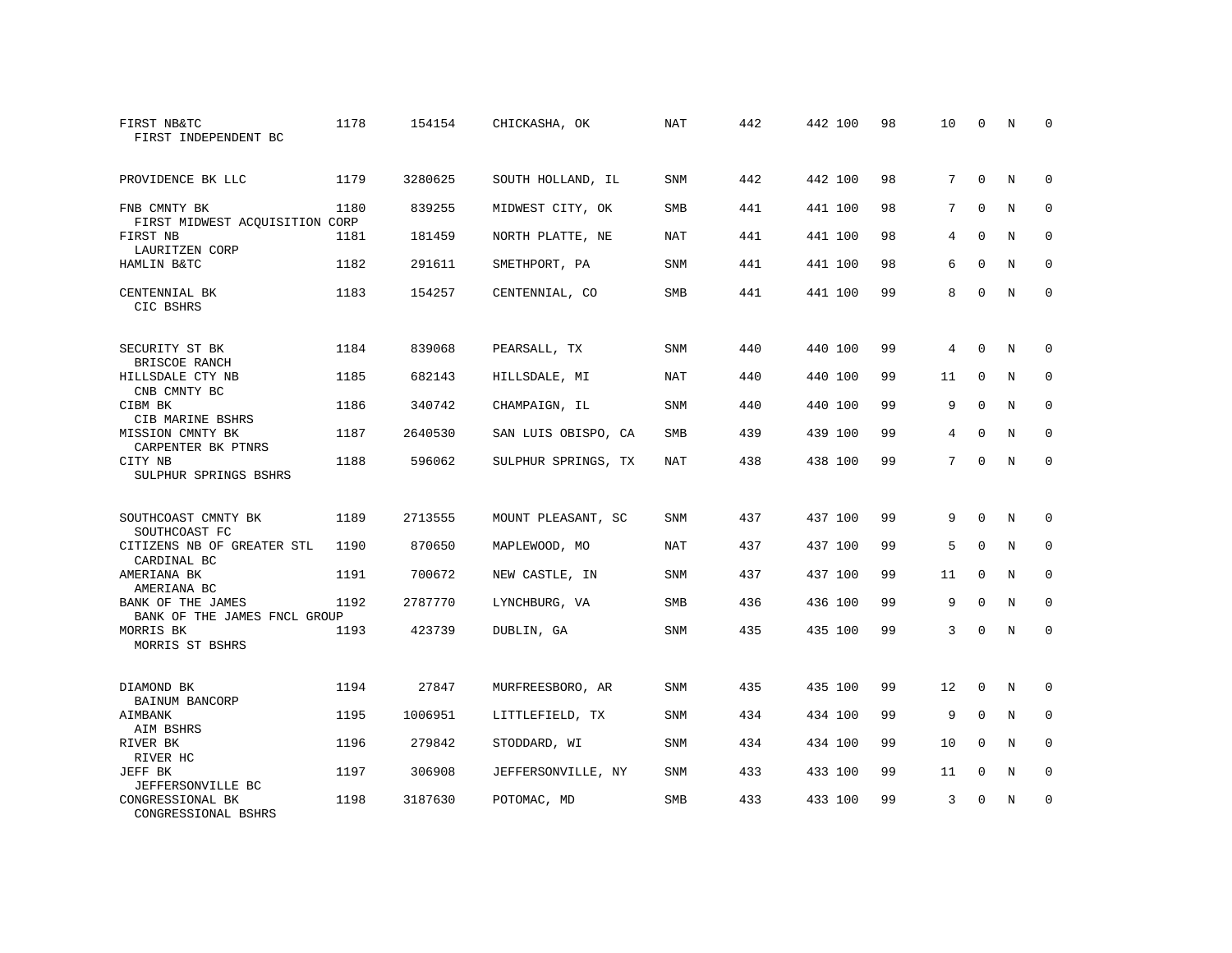| FIRST NB&TC<br>FIRST INDEPENDENT BC               | 1178 | 154154  | CHICKASHA, OK       | NAT        | 442 | 442 100 | 98 | 10 | $\Omega$    | N           | $\Omega$    |
|---------------------------------------------------|------|---------|---------------------|------------|-----|---------|----|----|-------------|-------------|-------------|
| PROVIDENCE BK LLC                                 | 1179 | 3280625 | SOUTH HOLLAND, IL   | SNM        | 442 | 442 100 | 98 | 7  | $\Omega$    | N           | $\mathbf 0$ |
| FNB CMNTY BK<br>FIRST MIDWEST ACQUISITION CORP    | 1180 | 839255  | MIDWEST CITY, OK    | <b>SMB</b> | 441 | 441 100 | 98 | 7  | $\Omega$    | $_{\rm N}$  | $\mathbf 0$ |
| FIRST NB<br>LAURITZEN CORP                        | 1181 | 181459  | NORTH PLATTE, NE    | <b>NAT</b> | 441 | 441 100 | 98 | 4  | $\Omega$    | N           | $\Omega$    |
| HAMLIN B&TC                                       | 1182 | 291611  | SMETHPORT, PA       | <b>SNM</b> | 441 | 441 100 | 98 | 6  | $\Omega$    | N           | $\Omega$    |
| CENTENNIAL BK<br>CIC BSHRS                        | 1183 | 154257  | CENTENNIAL, CO      | <b>SMB</b> | 441 | 441 100 | 99 | 8  | $\Omega$    | $_{\rm N}$  | $\Omega$    |
| SECURITY ST BK<br>BRISCOE RANCH                   | 1184 | 839068  | PEARSALL, TX        | <b>SNM</b> | 440 | 440 100 | 99 | 4  | $\Omega$    | N           | $\Omega$    |
| HILLSDALE CTY NB<br>CNB CMNTY BC                  | 1185 | 682143  | HILLSDALE, MI       | NAT        | 440 | 440 100 | 99 | 11 | $\mathbf 0$ | N           | $\mathbf 0$ |
| CIBM BK<br>CIB MARINE BSHRS                       | 1186 | 340742  | CHAMPAIGN, IL       | <b>SNM</b> | 440 | 440 100 | 99 | 9  | $\Omega$    | N           | $\Omega$    |
| MISSION CMNTY BK<br>CARPENTER BK PTNRS            | 1187 | 2640530 | SAN LUIS OBISPO, CA | <b>SMB</b> | 439 | 439 100 | 99 | 4  | $\mathbf 0$ | $\mathbf N$ | $\mathbf 0$ |
| CITY NB<br>SULPHUR SPRINGS BSHRS                  | 1188 | 596062  | SULPHUR SPRINGS, TX | <b>NAT</b> | 438 | 438 100 | 99 | 7  | $\Omega$    | $_{\rm N}$  | $\mathbf 0$ |
| SOUTHCOAST CMNTY BK<br>SOUTHCOAST FC              | 1189 | 2713555 | MOUNT PLEASANT, SC  | <b>SNM</b> | 437 | 437 100 | 99 | 9  | $\Omega$    | N           | 0           |
| CITIZENS NB OF GREATER STL<br>CARDINAL BC         | 1190 | 870650  | MAPLEWOOD, MO       | <b>NAT</b> | 437 | 437 100 | 99 | 5  | $\Omega$    | N           | $\mathbf 0$ |
| AMERIANA BK<br>AMERIANA BC                        | 1191 | 700672  | NEW CASTLE, IN      | SNM        | 437 | 437 100 | 99 | 11 | 0           | N           | 0           |
| BANK OF THE JAMES<br>BANK OF THE JAMES FNCL GROUP | 1192 | 2787770 | LYNCHBURG, VA       | <b>SMB</b> | 436 | 436 100 | 99 | 9  | $\Omega$    | $_{\rm N}$  | $\mathbf 0$ |
| MORRIS BK<br>MORRIS ST BSHRS                      | 1193 | 423739  | DUBLIN, GA          | SNM        | 435 | 435 100 | 99 | 3  | $\mathbf 0$ | $\mathbf N$ | $\mathbf 0$ |
| DIAMOND BK<br>BAINUM BANCORP                      | 1194 | 27847   | MURFREESBORO, AR    | SNM        | 435 | 435 100 | 99 | 12 | $\Omega$    | N           | $\Omega$    |
| AIMBANK<br>AIM BSHRS                              | 1195 | 1006951 | LITTLEFIELD, TX     | SNM        | 434 | 434 100 | 99 | 9  | $\mathbf 0$ | N           | $\mathbf 0$ |
| RIVER BK<br>RIVER HC                              | 1196 | 279842  | STODDARD, WI        | <b>SNM</b> | 434 | 434 100 | 99 | 10 | $\Omega$    | N           | $\mathbf 0$ |
| JEFF BK<br>JEFFERSONVILLE BC                      | 1197 | 306908  | JEFFERSONVILLE, NY  | SNM        | 433 | 433 100 | 99 | 11 | 0           | N           | $\mathbf 0$ |
| CONGRESSIONAL BK<br>CONGRESSIONAL BSHRS           | 1198 | 3187630 | POTOMAC, MD         | <b>SMB</b> | 433 | 433 100 | 99 | 3  | $\Omega$    | N           | $\mathbf 0$ |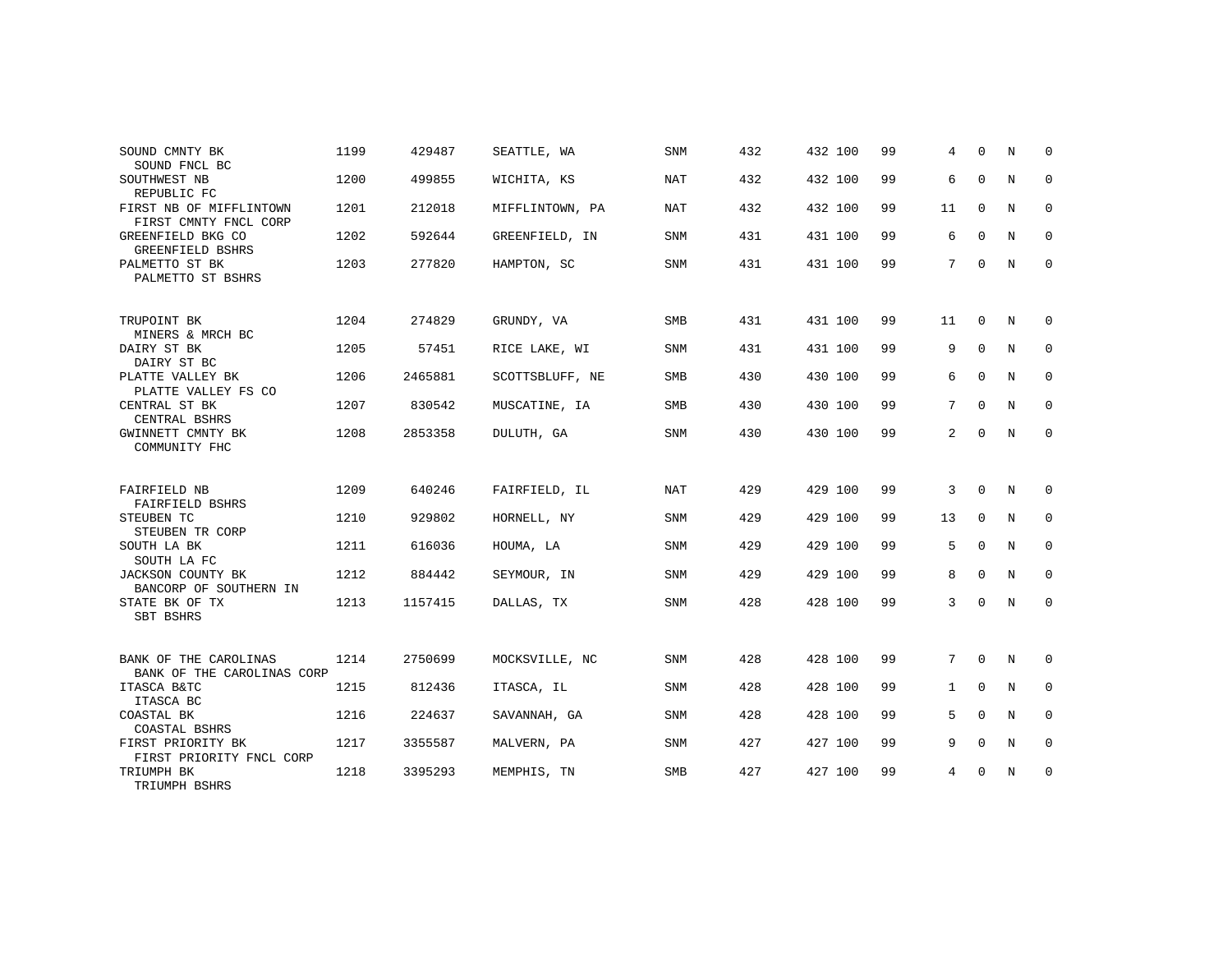| SOUND CMNTY BK<br>SOUND FNCL BC                     | 1199 | 429487  | SEATTLE, WA     | <b>SNM</b> | 432 | 432 100 | 99 | 4              | $\Omega$    | N | $\Omega$    |
|-----------------------------------------------------|------|---------|-----------------|------------|-----|---------|----|----------------|-------------|---|-------------|
| SOUTHWEST NB<br>REPUBLIC FC                         | 1200 | 499855  | WICHITA, KS     | <b>NAT</b> | 432 | 432 100 | 99 | 6              | $\mathbf 0$ | N | $\mathbf 0$ |
| FIRST NB OF MIFFLINTOWN<br>FIRST CMNTY FNCL CORP    | 1201 | 212018  | MIFFLINTOWN, PA | <b>NAT</b> | 432 | 432 100 | 99 | 11             | $\mathbf 0$ | N | 0           |
| GREENFIELD BKG CO<br>GREENFIELD BSHRS               | 1202 | 592644  | GREENFIELD, IN  | <b>SNM</b> | 431 | 431 100 | 99 | 6              | $\Omega$    | N | 0           |
| PALMETTO ST BK<br>PALMETTO ST BSHRS                 | 1203 | 277820  | HAMPTON, SC     | <b>SNM</b> | 431 | 431 100 | 99 | 7              | $\mathbf 0$ | N | $\mathbf 0$ |
| TRUPOINT BK<br>MINERS & MRCH BC                     | 1204 | 274829  | GRUNDY, VA      | <b>SMB</b> | 431 | 431 100 | 99 | 11             | $\Omega$    | N | $\Omega$    |
| DAIRY ST BK<br>DAIRY ST BC                          | 1205 | 57451   | RICE LAKE, WI   | SNM        | 431 | 431 100 | 99 | 9              | $\mathbf 0$ | N | $\mathbf 0$ |
| PLATTE VALLEY BK<br>PLATTE VALLEY FS CO             | 1206 | 2465881 | SCOTTSBLUFF, NE | <b>SMB</b> | 430 | 430 100 | 99 | 6              | $\Omega$    | N | 0           |
| CENTRAL ST BK<br>CENTRAL BSHRS                      | 1207 | 830542  | MUSCATINE, IA   | SMB        | 430 | 430 100 | 99 | 7              | $\mathbf 0$ | N | $\mathbf 0$ |
| GWINNETT CMNTY BK<br>COMMUNITY FHC                  | 1208 | 2853358 | DULUTH, GA      | <b>SNM</b> | 430 | 430 100 | 99 | $\overline{a}$ | $\mathbf 0$ | N | 0           |
| FAIRFIELD NB<br>FAIRFIELD BSHRS                     | 1209 | 640246  | FAIRFIELD, IL   | <b>NAT</b> | 429 | 429 100 | 99 | 3              | $\Omega$    | N | 0           |
| STEUBEN TC<br>STEUBEN TR CORP                       | 1210 | 929802  | HORNELL, NY     | SNM        | 429 | 429 100 | 99 | 13             | $\mathbf 0$ | N | $\mathbf 0$ |
| SOUTH LA BK<br>SOUTH LA FC                          | 1211 | 616036  | HOUMA, LA       | <b>SNM</b> | 429 | 429 100 | 99 | 5              | $\mathbf 0$ | N | 0           |
| JACKSON COUNTY BK<br>BANCORP OF SOUTHERN IN         | 1212 | 884442  | SEYMOUR, IN     | <b>SNM</b> | 429 | 429 100 | 99 | 8              | $\Omega$    | N | $\mathbf 0$ |
| STATE BK OF TX<br>SBT BSHRS                         | 1213 | 1157415 | DALLAS, TX      | <b>SNM</b> | 428 | 428 100 | 99 | 3              | $\mathbf 0$ | N | 0           |
| BANK OF THE CAROLINAS<br>BANK OF THE CAROLINAS CORP | 1214 | 2750699 | MOCKSVILLE, NC  | <b>SNM</b> | 428 | 428 100 | 99 | 7              | $\mathbf 0$ | N | 0           |
| ITASCA B&TC<br>ITASCA BC                            | 1215 | 812436  | ITASCA, IL      | <b>SNM</b> | 428 | 428 100 | 99 | $\mathbf{1}$   | $\Omega$    | N | $\mathbf 0$ |
| COASTAL BK<br>COASTAL BSHRS                         | 1216 | 224637  | SAVANNAH, GA    | <b>SNM</b> | 428 | 428 100 | 99 | 5              | $\mathbf 0$ | N | 0           |
| FIRST PRIORITY BK<br>FIRST PRIORITY FNCL CORP       | 1217 | 3355587 | MALVERN, PA     | <b>SNM</b> | 427 | 427 100 | 99 | 9              | $\Omega$    | N | $\mathbf 0$ |
| TRIUMPH BK<br>TRIUMPH BSHRS                         | 1218 | 3395293 | MEMPHIS, TN     | <b>SMB</b> | 427 | 427 100 | 99 | 4              | $\mathbf 0$ | N | 0           |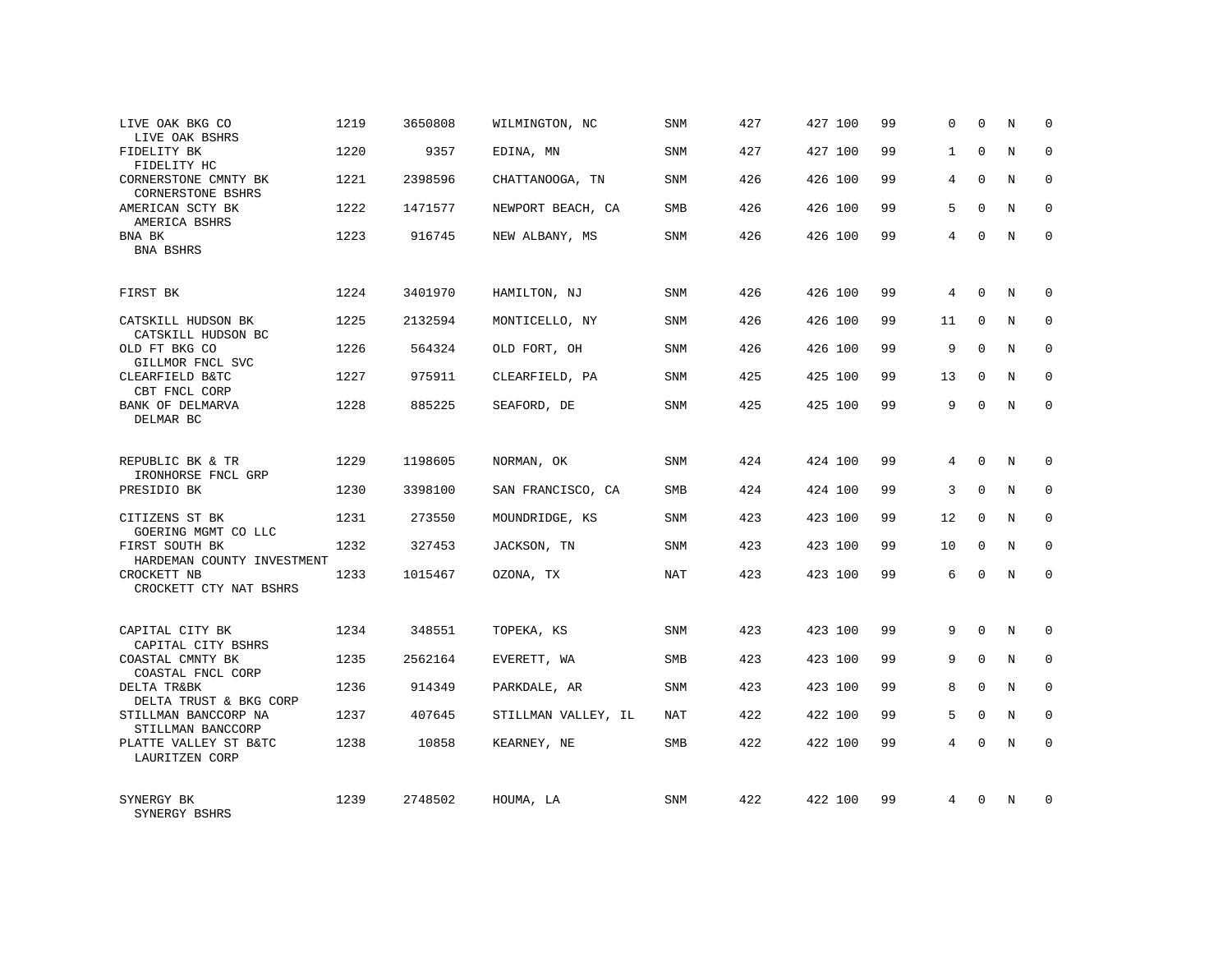| LIVE OAK BKG CO<br>LIVE OAK BSHRS                           | 1219 | 3650808 | WILMINGTON, NC      | SNM        | 427 | 427 100 | 99 | $\mathbf 0$  | $\Omega$    | N           | 0           |
|-------------------------------------------------------------|------|---------|---------------------|------------|-----|---------|----|--------------|-------------|-------------|-------------|
| FIDELITY BK<br>FIDELITY HC                                  | 1220 | 9357    | EDINA, MN           | SNM        | 427 | 427 100 | 99 | $\mathbf{1}$ | $\Omega$    | N           | $\Omega$    |
| CORNERSTONE CMNTY BK<br>CORNERSTONE BSHRS                   | 1221 | 2398596 | CHATTANOOGA, TN     | SNM        | 426 | 426 100 | 99 | 4            | $\Omega$    | N           | 0           |
| AMERICAN SCTY BK<br>AMERICA BSHRS                           | 1222 | 1471577 | NEWPORT BEACH, CA   | SMB        | 426 | 426 100 | 99 | 5            | $\Omega$    | N           | $\Omega$    |
| BNA BK<br>BNA BSHRS                                         | 1223 | 916745  | NEW ALBANY, MS      | SNM        | 426 | 426 100 | 99 | 4            | $\Omega$    | N           | 0           |
| FIRST BK                                                    | 1224 | 3401970 | HAMILTON, NJ        | SNM        | 426 | 426 100 | 99 | 4            | $\Omega$    | N           | $\Omega$    |
| CATSKILL HUDSON BK<br>CATSKILL HUDSON BC                    | 1225 | 2132594 | MONTICELLO, NY      | SNM        | 426 | 426 100 | 99 | 11           | $\Omega$    | N           | $\Omega$    |
| OLD FT BKG CO<br>GILLMOR FNCL SVC                           | 1226 | 564324  | OLD FORT, OH        | SNM        | 426 | 426 100 | 99 | 9            | $\Omega$    | N           | $\Omega$    |
| CLEARFIELD B&TC<br>CBT FNCL CORP                            | 1227 | 975911  | CLEARFIELD, PA      | SNM        | 425 | 425 100 | 99 | 13           | $\Omega$    | N           | $\Omega$    |
| BANK OF DELMARVA<br>DELMAR BC                               | 1228 | 885225  | SEAFORD, DE         | SNM        | 425 | 425 100 | 99 | 9            | $\Omega$    | N           | $\Omega$    |
| REPUBLIC BK & TR                                            | 1229 | 1198605 | NORMAN, OK          | SNM        | 424 | 424 100 | 99 | 4            | $\Omega$    | N           | $\Omega$    |
| IRONHORSE FNCL GRP<br>PRESIDIO BK                           | 1230 | 3398100 | SAN FRANCISCO, CA   | SMB        | 424 | 424 100 | 99 | 3            | $\mathbf 0$ | $\mathbf N$ | $\mathbf 0$ |
| CITIZENS ST BK<br>GOERING MGMT CO LLC                       | 1231 | 273550  | MOUNDRIDGE, KS      | <b>SNM</b> | 423 | 423 100 | 99 | 12           | $\Omega$    | N           | $\Omega$    |
| FIRST SOUTH BK<br>HARDEMAN COUNTY INVESTMENT                | 1232 | 327453  | JACKSON, TN         | <b>SNM</b> | 423 | 423 100 | 99 | 10           | $\mathbf 0$ | $\rm N$     | $\mathbf 0$ |
| CROCKETT NB<br>CROCKETT CTY NAT BSHRS                       | 1233 | 1015467 | OZONA, TX           | NAT        | 423 | 423 100 | 99 | 6            | $\Omega$    | N           | $\mathbf 0$ |
| CAPITAL CITY BK                                             | 1234 | 348551  | TOPEKA, KS          | <b>SNM</b> | 423 | 423 100 | 99 | 9            | $\Omega$    | N           | $\Omega$    |
| CAPITAL CITY BSHRS<br>COASTAL CMNTY BK<br>COASTAL FNCL CORP | 1235 | 2562164 | EVERETT, WA         | SMB        | 423 | 423 100 | 99 | 9            | $\mathbf 0$ | $\mathbf N$ | $\mathbf 0$ |
| DELTA TR&BK<br>DELTA TRUST & BKG CORP                       | 1236 | 914349  | PARKDALE, AR        | <b>SNM</b> | 423 | 423 100 | 99 | 8            | $\Omega$    | N           | $\mathbf 0$ |
| STILLMAN BANCCORP NA<br>STILLMAN BANCCORP                   | 1237 | 407645  | STILLMAN VALLEY, IL | NAT        | 422 | 422 100 | 99 | 5            | $\mathbf 0$ | $\mathbf N$ | $\mathbf 0$ |
| PLATTE VALLEY ST B&TC<br>LAURITZEN CORP                     | 1238 | 10858   | KEARNEY, NE         | <b>SMB</b> | 422 | 422 100 | 99 | 4            | $\Omega$    | N           | $\Omega$    |
| SYNERGY BK<br>SYNERGY BSHRS                                 | 1239 | 2748502 | HOUMA, LA           | SNM        | 422 | 422 100 | 99 | 4            | $\Omega$    | N           | $\Omega$    |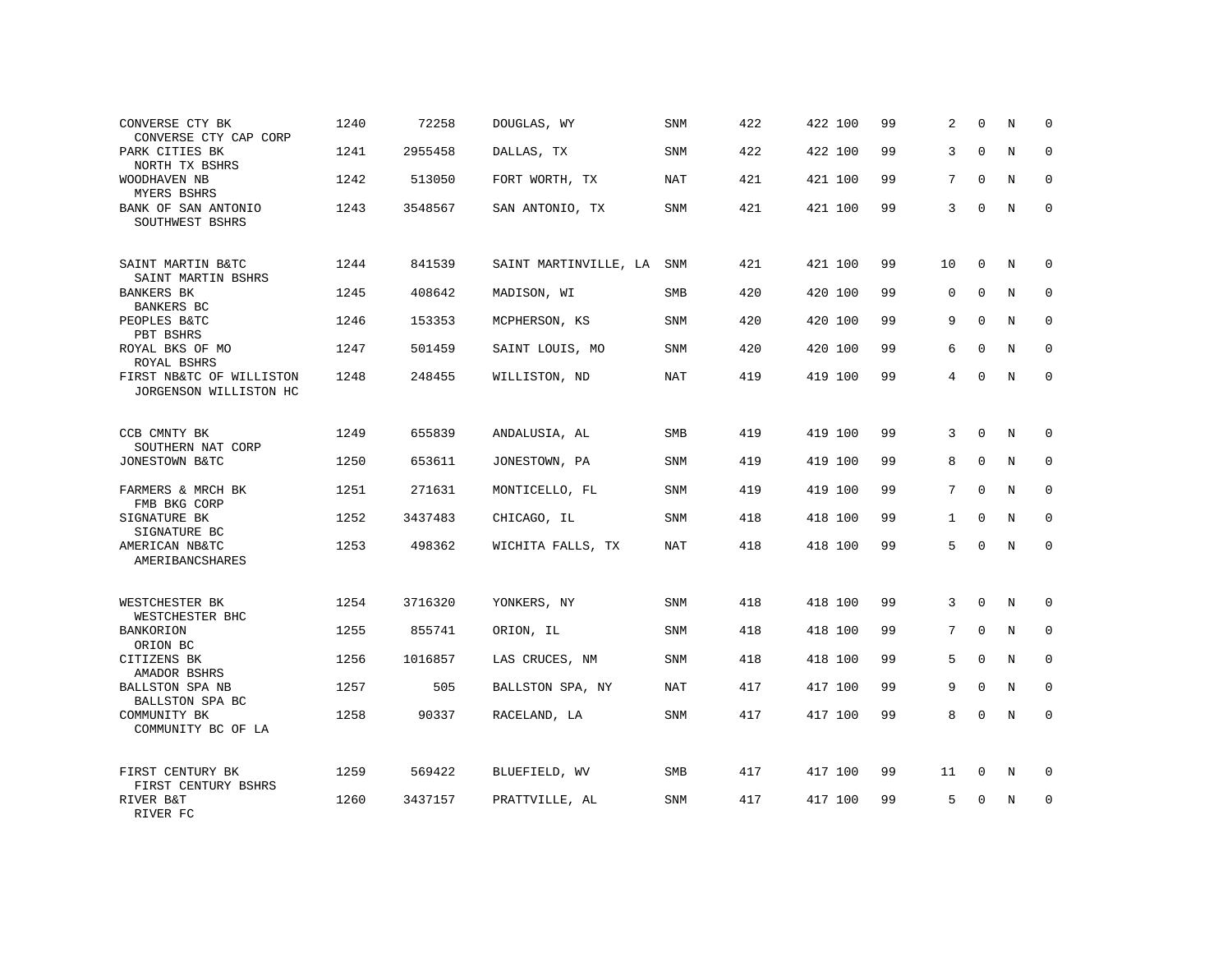| CONVERSE CTY BK<br>CONVERSE CTY CAP CORP           | 1240 | 72258   | DOUGLAS, WY               | SNM        | 422 | 422 100 | 99 | 2            | $\Omega$    | N | 0           |
|----------------------------------------------------|------|---------|---------------------------|------------|-----|---------|----|--------------|-------------|---|-------------|
| PARK CITIES BK<br>NORTH TX BSHRS                   | 1241 | 2955458 | DALLAS, TX                | SNM        | 422 | 422 100 | 99 | 3            | $\Omega$    | N | $\Omega$    |
| WOODHAVEN NB<br>MYERS BSHRS                        | 1242 | 513050  | FORT WORTH, TX            | NAT        | 421 | 421 100 | 99 | 7            | $\Omega$    | N | 0           |
| BANK OF SAN ANTONIO<br>SOUTHWEST BSHRS             | 1243 | 3548567 | SAN ANTONIO, TX           | <b>SNM</b> | 421 | 421 100 | 99 | 3            | $\Omega$    | N | $\Omega$    |
| SAINT MARTIN B&TC<br>SAINT MARTIN BSHRS            | 1244 | 841539  | SAINT MARTINVILLE, LA SNM |            | 421 | 421 100 | 99 | 10           | $\mathbf 0$ | N | $\Omega$    |
| <b>BANKERS BK</b><br>BANKERS BC                    | 1245 | 408642  | MADISON, WI               | SMB        | 420 | 420 100 | 99 | $\mathbf 0$  | $\mathbf 0$ | N | $\mathbf 0$ |
| PEOPLES B&TC<br>PBT BSHRS                          | 1246 | 153353  | MCPHERSON, KS             | <b>SNM</b> | 420 | 420 100 | 99 | 9            | $\Omega$    | N | $\mathbf 0$ |
| ROYAL BKS OF MO<br>ROYAL BSHRS                     | 1247 | 501459  | SAINT LOUIS, MO           | <b>SNM</b> | 420 | 420 100 | 99 | 6            | $\Omega$    | N | $\mathbf 0$ |
| FIRST NB&TC OF WILLISTON<br>JORGENSON WILLISTON HC | 1248 | 248455  | WILLISTON, ND             | <b>NAT</b> | 419 | 419 100 | 99 | 4            | $\Omega$    | N | $\mathbf 0$ |
| CCB CMNTY BK<br>SOUTHERN NAT CORP                  | 1249 | 655839  | ANDALUSIA, AL             | <b>SMB</b> | 419 | 419 100 | 99 | 3            | $\Omega$    | N | $\mathbf 0$ |
| JONESTOWN B&TC                                     | 1250 | 653611  | JONESTOWN, PA             | <b>SNM</b> | 419 | 419 100 | 99 | 8            | $\Omega$    | N | $\Omega$    |
| FARMERS & MRCH BK<br>FMB BKG CORP                  | 1251 | 271631  | MONTICELLO, FL            | SNM        | 419 | 419 100 | 99 | 7            | $\Omega$    | N | $\mathbf 0$ |
| SIGNATURE BK<br>SIGNATURE BC                       | 1252 | 3437483 | CHICAGO, IL               | <b>SNM</b> | 418 | 418 100 | 99 | $\mathbf{1}$ | $\Omega$    | N | $\Omega$    |
| AMERICAN NB&TC<br>AMERIBANCSHARES                  | 1253 | 498362  | WICHITA FALLS, TX         | <b>NAT</b> | 418 | 418 100 | 99 | 5            | $\Omega$    | N | $\mathbf 0$ |
| WESTCHESTER BK<br>WESTCHESTER BHC                  | 1254 | 3716320 | YONKERS, NY               | <b>SNM</b> | 418 | 418 100 | 99 | 3            | $\mathbf 0$ | N | 0           |
| <b>BANKORION</b><br>ORION BC                       | 1255 | 855741  | ORION, IL                 | <b>SNM</b> | 418 | 418 100 | 99 | 7            | $\Omega$    | N | $\mathbf 0$ |
| CITIZENS BK<br>AMADOR BSHRS                        | 1256 | 1016857 | LAS CRUCES, NM            | SNM        | 418 | 418 100 | 99 | 5            | $\mathbf 0$ | N | $\mathbf 0$ |
| <b>BALLSTON SPA NB</b><br>BALLSTON SPA BC          | 1257 | 505     | BALLSTON SPA, NY          | <b>NAT</b> | 417 | 417 100 | 99 | 9            | $\Omega$    | N | $\Omega$    |
| COMMUNITY BK<br>COMMUNITY BC OF LA                 | 1258 | 90337   | RACELAND, LA              | <b>SNM</b> | 417 | 417 100 | 99 | 8            | $\Omega$    | N | $\mathbf 0$ |
| FIRST CENTURY BK<br>FIRST CENTURY BSHRS            | 1259 | 569422  | BLUEFIELD, WV             | SMB        | 417 | 417 100 | 99 | 11           | 0           | N | 0           |
| RIVER B&T<br>RIVER FC                              | 1260 | 3437157 | PRATTVILLE, AL            | <b>SNM</b> | 417 | 417 100 | 99 | 5            | $\Omega$    | N | $\mathbf 0$ |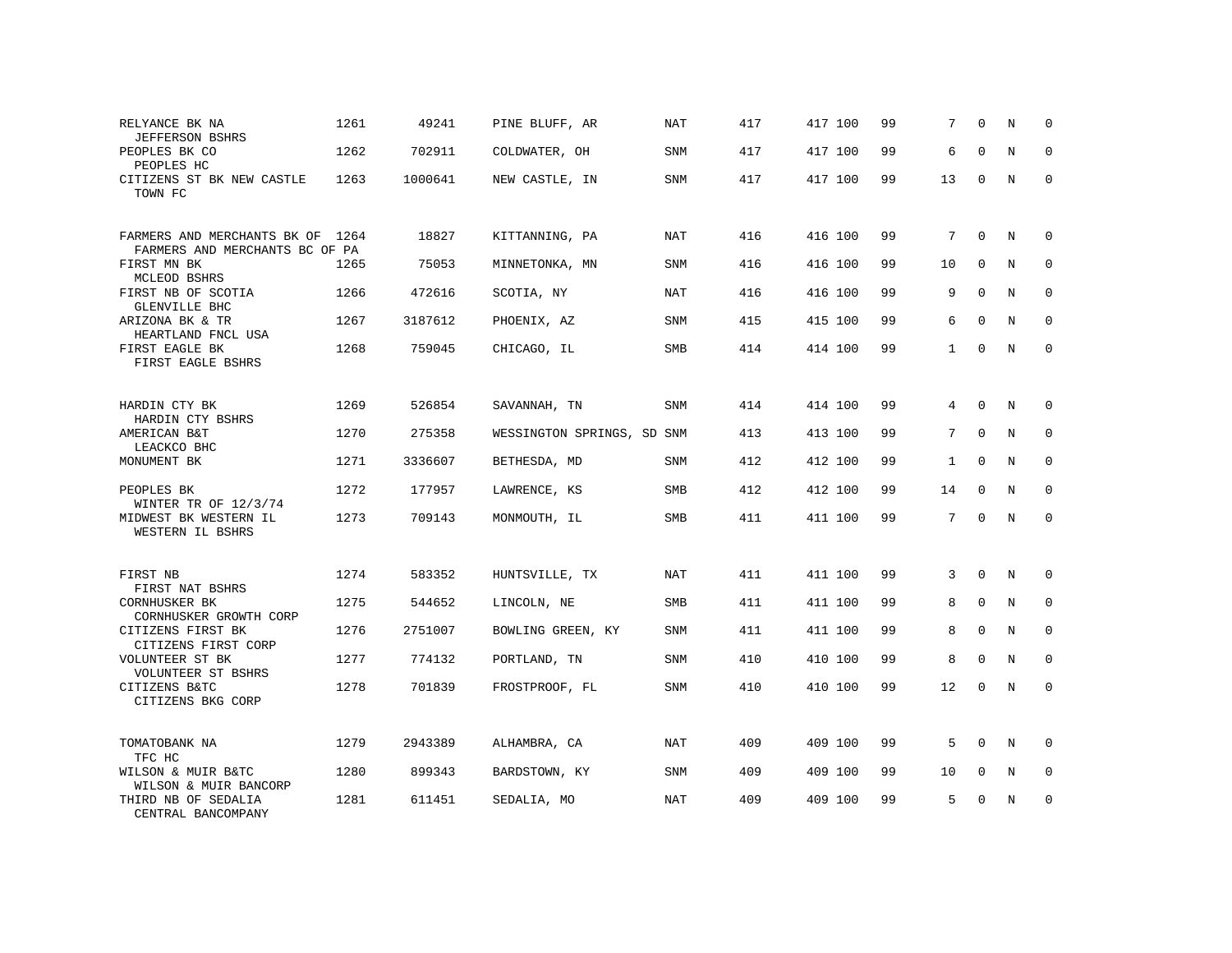| RELYANCE BK NA<br><b>JEFFERSON BSHRS</b>               | 1261 | 49241   | PINE BLUFF, AR             | NAT | 417 | 417 100 | 99 | 7               | $\Omega$            | N           | $\Omega$    |
|--------------------------------------------------------|------|---------|----------------------------|-----|-----|---------|----|-----------------|---------------------|-------------|-------------|
| PEOPLES BK CO<br>PEOPLES HC                            | 1262 | 702911  | COLDWATER, OH              | SNM | 417 | 417 100 | 99 | 6               | $\Omega$            | N           | $\mathbf 0$ |
| CITIZENS ST BK NEW CASTLE<br>TOWN FC                   | 1263 | 1000641 | NEW CASTLE, IN             | SNM | 417 | 417 100 | 99 | 13              | $\mathbf 0$         | N           | $\mathbf 0$ |
| FARMERS AND MERCHANTS BK OF 1264                       |      | 18827   | KITTANNING, PA             | NAT | 416 | 416 100 | 99 | $7^{\circ}$     | $\Omega$            | N           | $\Omega$    |
| FARMERS AND MERCHANTS BC OF PA<br>FIRST MN BK          | 1265 | 75053   | MINNETONKA, MN             | SNM | 416 | 416 100 | 99 | 10              | $\mathbf{0}$        | N           | $\mathbf 0$ |
| MCLEOD BSHRS<br>FIRST NB OF SCOTIA                     | 1266 | 472616  | SCOTIA, NY                 | NAT | 416 | 416 100 | 99 | 9               | $\mathbf 0$         | N           | $\mathbf 0$ |
| GLENVILLE BHC<br>ARIZONA BK & TR<br>HEARTLAND FNCL USA | 1267 | 3187612 | PHOENIX, AZ                | SNM | 415 | 415 100 | 99 | 6               | $\mathbf 0$         | N           | $\mathbf 0$ |
| FIRST EAGLE BK<br>FIRST EAGLE BSHRS                    | 1268 | 759045  | CHICAGO, IL                | SMB | 414 | 414 100 | 99 | $\mathbf{1}$    | $\mathbf{0}$        | N           | $\mathbf 0$ |
| HARDIN CTY BK<br>HARDIN CTY BSHRS                      | 1269 | 526854  | SAVANNAH, TN               | SNM | 414 | 414 100 | 99 | $\overline{4}$  | $\mathbf{0}$        | N           | $\mathbf 0$ |
| AMERICAN B&T<br>LEACKCO BHC                            | 1270 | 275358  | WESSINGTON SPRINGS, SD SNM |     | 413 | 413 100 | 99 | $7\phantom{.0}$ | $\mathsf{O}\xspace$ | N           | $\mathbf 0$ |
| MONUMENT BK                                            | 1271 | 3336607 | BETHESDA, MD               | SNM | 412 | 412 100 | 99 | $\mathbf{1}$    | $\Omega$            | N           | $\mathbf 0$ |
| PEOPLES BK<br>WINTER TR OF 12/3/74                     | 1272 | 177957  | LAWRENCE, KS               | SMB | 412 | 412 100 | 99 | 14              | $\mathbf{0}$        | N           | $\mathbf 0$ |
| MIDWEST BK WESTERN IL<br>WESTERN IL BSHRS              | 1273 | 709143  | MONMOUTH, IL               | SMB | 411 | 411 100 | 99 | $7\phantom{.0}$ | $\mathbf 0$         | N           | $\mathbf 0$ |
| FIRST NB<br>FIRST NAT BSHRS                            | 1274 | 583352  | HUNTSVILLE, TX             | NAT | 411 | 411 100 | 99 | 3               | $\mathbf 0$         | N           | 0           |
| CORNHUSKER BK<br>CORNHUSKER GROWTH CORP                | 1275 | 544652  | LINCOLN, NE                | SMB | 411 | 411 100 | 99 | 8               | $\mathbf 0$         | $\rm N$     | $\mathbf 0$ |
| CITIZENS FIRST BK<br>CITIZENS FIRST CORP               | 1276 | 2751007 | BOWLING GREEN, KY          | SNM | 411 | 411 100 | 99 | 8               | 0                   | $\mathbf N$ | $\mathbf 0$ |
| VOLUNTEER ST BK<br>VOLUNTEER ST BSHRS                  | 1277 | 774132  | PORTLAND, TN               | SNM | 410 | 410 100 | 99 | 8               | $\Omega$            | N           | $\Omega$    |
| CITIZENS B&TC<br>CITIZENS BKG CORP                     | 1278 | 701839  | FROSTPROOF, FL             | SNM | 410 | 410 100 | 99 | 12              | $\Omega$            | $\mathbb N$ | $\Omega$    |
| TOMATOBANK NA<br>TFC HC                                | 1279 | 2943389 | ALHAMBRA, CA               | NAT | 409 | 409 100 | 99 | 5               | $\Omega$            | N           | $\Omega$    |
| WILSON & MUIR B&TC<br>WILSON & MUIR BANCORP            | 1280 | 899343  | BARDSTOWN, KY              | SNM | 409 | 409 100 | 99 | 10              | 0                   | N           | $\mathbf 0$ |
| THIRD NB OF SEDALIA<br>CENTRAL BANCOMPANY              | 1281 | 611451  | SEDALIA, MO                | NAT | 409 | 409 100 | 99 | 5               | $\Omega$            | N           | $\mathbf 0$ |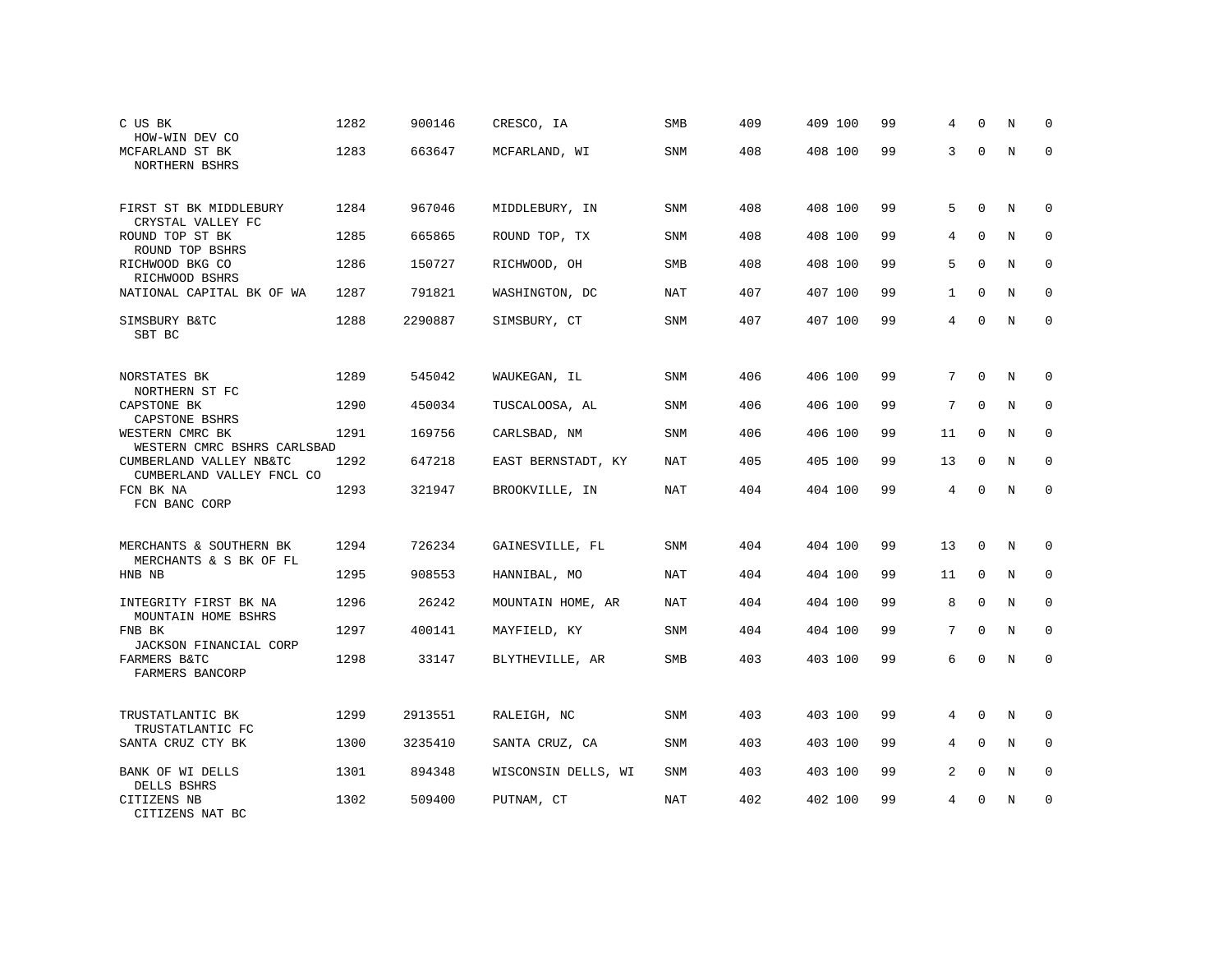| C US BK<br>HOW-WIN DEV CO                            | 1282 | 900146  | CRESCO, IA          | SMB        | 409 | 409 100 | 99 | 4            | $\Omega$    | N | $\Omega$    |
|------------------------------------------------------|------|---------|---------------------|------------|-----|---------|----|--------------|-------------|---|-------------|
| MCFARLAND ST BK<br>NORTHERN BSHRS                    | 1283 | 663647  | MCFARLAND, WI       | SNM        | 408 | 408 100 | 99 | 3            | $\Omega$    | N | $\Omega$    |
| FIRST ST BK MIDDLEBURY<br>CRYSTAL VALLEY FC          | 1284 | 967046  | MIDDLEBURY, IN      | <b>SNM</b> | 408 | 408 100 | 99 | 5            | $\Omega$    | N | $\Omega$    |
| ROUND TOP ST BK<br>ROUND TOP BSHRS                   | 1285 | 665865  | ROUND TOP, TX       | SNM        | 408 | 408 100 | 99 | 4            | $\Omega$    | N | 0           |
| RICHWOOD BKG CO<br>RICHWOOD BSHRS                    | 1286 | 150727  | RICHWOOD, OH        | <b>SMB</b> | 408 | 408 100 | 99 | 5            | $\Omega$    | N | $\Omega$    |
| NATIONAL CAPITAL BK OF WA                            | 1287 | 791821  | WASHINGTON, DC      | <b>NAT</b> | 407 | 407 100 | 99 | $\mathbf{1}$ | $\mathbf 0$ | N | $\mathbf 0$ |
| SIMSBURY B&TC<br>SBT BC                              | 1288 | 2290887 | SIMSBURY, CT        | <b>SNM</b> | 407 | 407 100 | 99 | 4            | $\Omega$    | N | $\Omega$    |
| NORSTATES BK<br>NORTHERN ST FC                       | 1289 | 545042  | WAUKEGAN, IL        | <b>SNM</b> | 406 | 406 100 | 99 | 7            | $\mathbf 0$ | N | 0           |
| CAPSTONE BK<br>CAPSTONE BSHRS                        | 1290 | 450034  | TUSCALOOSA, AL      | <b>SNM</b> | 406 | 406 100 | 99 | 7            | $\Omega$    | N | $\mathbf 0$ |
| WESTERN CMRC BK<br>WESTERN CMRC BSHRS CARLSBAD       | 1291 | 169756  | CARLSBAD, NM        | SNM        | 406 | 406 100 | 99 | 11           | $\Omega$    | N | $\mathbf 0$ |
| CUMBERLAND VALLEY NB&TC<br>CUMBERLAND VALLEY FNCL CO | 1292 | 647218  | EAST BERNSTADT, KY  | <b>NAT</b> | 405 | 405 100 | 99 | 13           | $\Omega$    | N | $\Omega$    |
| FCN BK NA<br>FCN BANC CORP                           | 1293 | 321947  | BROOKVILLE, IN      | NAT        | 404 | 404 100 | 99 | 4            | $\Omega$    | N | $\mathbf 0$ |
| MERCHANTS & SOUTHERN BK<br>MERCHANTS & S BK OF FL    | 1294 | 726234  | GAINESVILLE, FL     | <b>SNM</b> | 404 | 404 100 | 99 | 13           | $\mathbf 0$ | N | 0           |
| HNB NB                                               | 1295 | 908553  | HANNIBAL, MO        | <b>NAT</b> | 404 | 404 100 | 99 | 11           | $\Omega$    | N | $\Omega$    |
| INTEGRITY FIRST BK NA<br>MOUNTAIN HOME BSHRS         | 1296 | 26242   | MOUNTAIN HOME, AR   | NAT        | 404 | 404 100 | 99 | 8            | $\mathbf 0$ | N | $\mathbf 0$ |
| FNB BK<br>JACKSON FINANCIAL CORP                     | 1297 | 400141  | MAYFIELD, KY        | <b>SNM</b> | 404 | 404 100 | 99 | 7            | $\Omega$    | N | $\Omega$    |
| FARMERS B&TC<br>FARMERS BANCORP                      | 1298 | 33147   | BLYTHEVILLE, AR     | SMB        | 403 | 403 100 | 99 | 6            | $\Omega$    | N | $\mathbf 0$ |
| TRUSTATLANTIC BK<br>TRUSTATLANTIC FC                 | 1299 | 2913551 | RALEIGH, NC         | <b>SNM</b> | 403 | 403 100 | 99 | 4            | $\mathbf 0$ | N | 0           |
| SANTA CRUZ CTY BK                                    | 1300 | 3235410 | SANTA CRUZ, CA      | <b>SNM</b> | 403 | 403 100 | 99 | 4            | $\mathbf 0$ | N | $\mathbf 0$ |
| BANK OF WI DELLS<br>DELLS BSHRS                      | 1301 | 894348  | WISCONSIN DELLS, WI | SNM        | 403 | 403 100 | 99 | 2            | 0           | N | 0           |
| CITIZENS NB<br>CITIZENS NAT BC                       | 1302 | 509400  | PUTNAM, CT          | <b>NAT</b> | 402 | 402 100 | 99 | 4            | $\Omega$    | N | $\mathbf 0$ |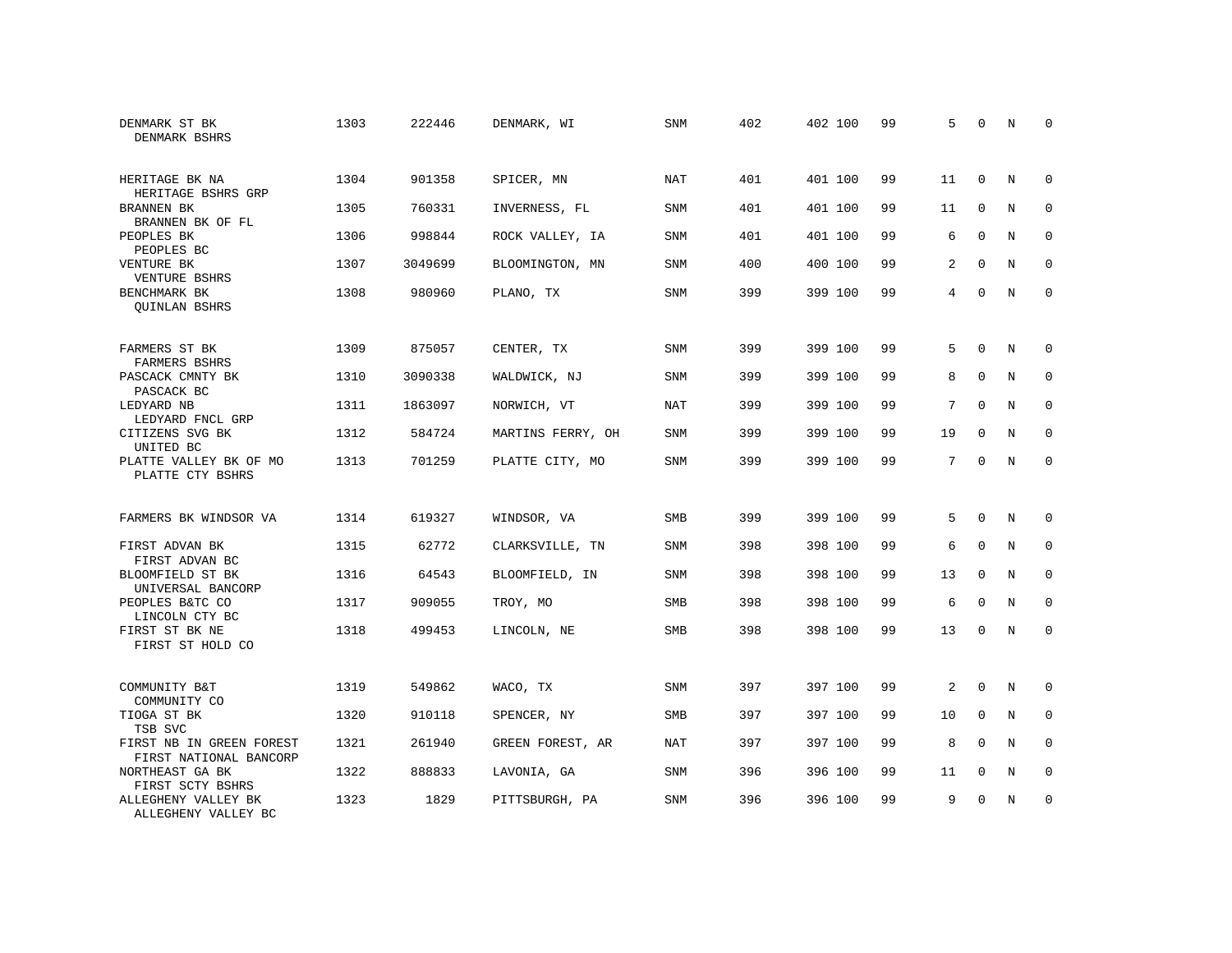| DENMARK ST BK<br>DENMARK BSHRS                     | 1303 | 222446  | DENMARK, WI       | <b>SNM</b> | 402 | 402 100 | 99 | 5              | $\Omega$    | N           | $\Omega$    |
|----------------------------------------------------|------|---------|-------------------|------------|-----|---------|----|----------------|-------------|-------------|-------------|
| HERITAGE BK NA<br>HERITAGE BSHRS GRP               | 1304 | 901358  | SPICER, MN        | <b>NAT</b> | 401 | 401 100 | 99 | 11             | $\mathbf 0$ | N           | $\mathbf 0$ |
| BRANNEN BK<br>BRANNEN BK OF FL                     | 1305 | 760331  | INVERNESS, FL     | <b>SNM</b> | 401 | 401 100 | 99 | 11             | $\mathbf 0$ | N           | $\mathbf 0$ |
| PEOPLES BK<br>PEOPLES BC                           | 1306 | 998844  | ROCK VALLEY, IA   | <b>SNM</b> | 401 | 401 100 | 99 | 6              | $\Omega$    | N           | $\Omega$    |
| VENTURE BK<br>VENTURE BSHRS                        | 1307 | 3049699 | BLOOMINGTON, MN   | <b>SNM</b> | 400 | 400 100 | 99 | 2              | $\Omega$    | N           | $\mathbf 0$ |
| BENCHMARK BK<br><b>QUINLAN BSHRS</b>               | 1308 | 980960  | PLANO, TX         | <b>SNM</b> | 399 | 399 100 | 99 | $\overline{4}$ | $\Omega$    | $_{\rm N}$  | $\Omega$    |
| FARMERS ST BK<br>FARMERS BSHRS                     | 1309 | 875057  | CENTER, TX        | <b>SNM</b> | 399 | 399 100 | 99 | 5              | $\Omega$    | N           | $\Omega$    |
| PASCACK CMNTY BK<br>PASCACK BC                     | 1310 | 3090338 | WALDWICK, NJ      | SNM        | 399 | 399 100 | 99 | 8              | $\mathbf 0$ | N           | $\mathbf 0$ |
| LEDYARD NB<br>LEDYARD FNCL GRP                     | 1311 | 1863097 | NORWICH, VT       | <b>NAT</b> | 399 | 399 100 | 99 | 7              | $\Omega$    | N           | $\Omega$    |
| CITIZENS SVG BK<br>UNITED BC                       | 1312 | 584724  | MARTINS FERRY, OH | SNM        | 399 | 399 100 | 99 | 19             | $\mathbf 0$ | $\rm N$     | $\mathbf 0$ |
| PLATTE VALLEY BK OF MO<br>PLATTE CTY BSHRS         | 1313 | 701259  | PLATTE CITY, MO   | <b>SNM</b> | 399 | 399 100 | 99 | 7              | $\Omega$    | N           | $\mathbf 0$ |
| FARMERS BK WINDSOR VA                              | 1314 | 619327  | WINDSOR, VA       | <b>SMB</b> | 399 | 399 100 | 99 | 5              | $\Omega$    | N           | 0           |
| FIRST ADVAN BK<br>FIRST ADVAN BC                   | 1315 | 62772   | CLARKSVILLE, TN   | SNM        | 398 | 398 100 | 99 | 6              | $\Omega$    | N           | $\mathbf 0$ |
| BLOOMFIELD ST BK<br>UNIVERSAL BANCORP              | 1316 | 64543   | BLOOMFIELD, IN    | SNM        | 398 | 398 100 | 99 | 13             | $\mathbf 0$ | N           | 0           |
| PEOPLES B&TC CO<br>LINCOLN CTY BC                  | 1317 | 909055  | TROY, MO          | <b>SMB</b> | 398 | 398 100 | 99 | 6              | $\Omega$    | N           | $\mathbf 0$ |
| FIRST ST BK NE<br>FIRST ST HOLD CO                 | 1318 | 499453  | LINCOLN, NE       | SMB        | 398 | 398 100 | 99 | 13             | $\mathbf 0$ | $\mathbf N$ | $\mathbf 0$ |
| COMMUNITY B&T<br>COMMUNITY CO                      | 1319 | 549862  | WACO, TX          | SNM        | 397 | 397 100 | 99 | 2              | $\Omega$    | N           | 0           |
| TIOGA ST BK<br>TSB SVC                             | 1320 | 910118  | SPENCER, NY       | SMB        | 397 | 397 100 | 99 | 10             | $\mathbf 0$ | N           | 0           |
| FIRST NB IN GREEN FOREST<br>FIRST NATIONAL BANCORP | 1321 | 261940  | GREEN FOREST, AR  | <b>NAT</b> | 397 | 397 100 | 99 | 8              | $\Omega$    | N           | $\mathbf 0$ |
| NORTHEAST GA BK<br>FIRST SCTY BSHRS                | 1322 | 888833  | LAVONIA, GA       | SNM        | 396 | 396 100 | 99 | 11             | 0           | N           | $\mathbf 0$ |
| ALLEGHENY VALLEY BK<br>ALLEGHENY VALLEY BC         | 1323 | 1829    | PITTSBURGH, PA    | <b>SNM</b> | 396 | 396 100 | 99 | 9              | $\Omega$    | N           | $\mathbf 0$ |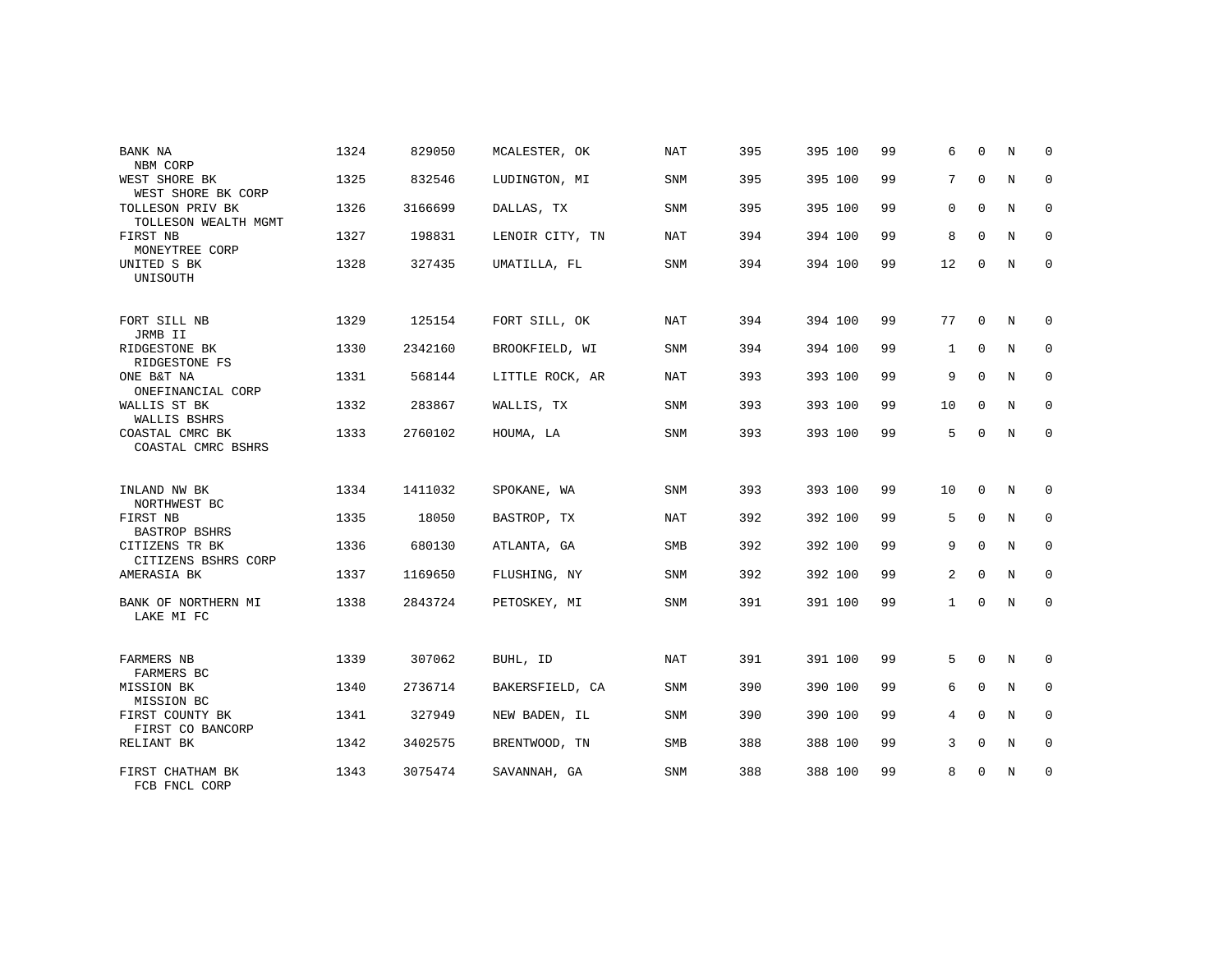| BANK NA                                                        | 1324 | 829050  | MCALESTER, OK   | <b>NAT</b> | 395 | 395 100 | 99 | 6            | $\Omega$    | N           | $\Omega$    |
|----------------------------------------------------------------|------|---------|-----------------|------------|-----|---------|----|--------------|-------------|-------------|-------------|
| NBM CORP<br>WEST SHORE BK                                      | 1325 | 832546  | LUDINGTON, MI   | <b>SNM</b> | 395 | 395 100 | 99 | 7            | $\mathbf 0$ | N           | $\mathbf 0$ |
| WEST SHORE BK CORP<br>TOLLESON PRIV BK<br>TOLLESON WEALTH MGMT | 1326 | 3166699 | DALLAS, TX      | <b>SNM</b> | 395 | 395 100 | 99 | 0            | $\mathbf 0$ | N           | 0           |
| FIRST NB<br>MONEYTREE CORP                                     | 1327 | 198831  | LENOIR CITY, TN | NAT        | 394 | 394 100 | 99 | 8            | $\Omega$    | N           | $\mathbf 0$ |
| UNITED S BK<br>UNISOUTH                                        | 1328 | 327435  | UMATILLA, FL    | <b>SNM</b> | 394 | 394 100 | 99 | 12           | $\mathbf 0$ | N           | $\mathbf 0$ |
| FORT SILL NB<br>JRMB II                                        | 1329 | 125154  | FORT SILL, OK   | NAT        | 394 | 394 100 | 99 | 77           | $\mathbf 0$ | N           | 0           |
| RIDGESTONE BK<br>RIDGESTONE FS                                 | 1330 | 2342160 | BROOKFIELD, WI  | <b>SNM</b> | 394 | 394 100 | 99 | $\mathbf{1}$ | $\mathbf 0$ | N           | 0           |
| ONE B&T NA<br>ONEFINANCIAL CORP                                | 1331 | 568144  | LITTLE ROCK, AR | NAT        | 393 | 393 100 | 99 | 9            | $\Omega$    | N           | 0           |
| WALLIS ST BK<br>WALLIS BSHRS                                   | 1332 | 283867  | WALLIS, TX      | <b>SNM</b> | 393 | 393 100 | 99 | 10           | $\mathbf 0$ | N           | $\mathbf 0$ |
| COASTAL CMRC BK<br>COASTAL CMRC BSHRS                          | 1333 | 2760102 | HOUMA, LA       | <b>SNM</b> | 393 | 393 100 | 99 | 5            | $\Omega$    | N           | 0           |
| INLAND NW BK                                                   | 1334 | 1411032 | SPOKANE, WA     | SNM        | 393 | 393 100 | 99 | 10           | $\Omega$    | N           | 0           |
| NORTHWEST BC<br>FIRST NB                                       | 1335 | 18050   | BASTROP, TX     | NAT        | 392 | 392 100 | 99 | 5            | 0           | N           | 0           |
| BASTROP BSHRS<br>CITIZENS TR BK<br>CITIZENS BSHRS CORP         | 1336 | 680130  | ATLANTA, GA     | SMB        | 392 | 392 100 | 99 | 9            | $\mathbf 0$ | N           | 0           |
| AMERASIA BK                                                    | 1337 | 1169650 | FLUSHING, NY    | SNM        | 392 | 392 100 | 99 | 2            | $\mathbf 0$ | N           | 0           |
| BANK OF NORTHERN MI<br>LAKE MI FC                              | 1338 | 2843724 | PETOSKEY, MI    | SNM        | 391 | 391 100 | 99 | $\mathbf{1}$ | $\mathbf 0$ | N           | $\mathbf 0$ |
| <b>FARMERS NB</b><br>FARMERS BC                                | 1339 | 307062  | BUHL, ID        | <b>NAT</b> | 391 | 391 100 | 99 | 5            | $\mathbf 0$ | N           | 0           |
| MISSION BK<br>MISSION BC                                       | 1340 | 2736714 | BAKERSFIELD, CA | SNM        | 390 | 390 100 | 99 | 6            | $\mathbf 0$ | N           | $\mathbf 0$ |
| FIRST COUNTY BK<br>FIRST CO BANCORP                            | 1341 | 327949  | NEW BADEN, IL   | <b>SNM</b> | 390 | 390 100 | 99 | 4            | $\Omega$    | $\mathbf N$ | $\mathbf 0$ |
| RELIANT BK                                                     | 1342 | 3402575 | BRENTWOOD, TN   | <b>SMB</b> | 388 | 388 100 | 99 | 3            | $\mathbf 0$ | N           | $\mathbf 0$ |
| FIRST CHATHAM BK<br>FCB FNCL CORP                              | 1343 | 3075474 | SAVANNAH, GA    | <b>SNM</b> | 388 | 388 100 | 99 | 8            | $\mathbf 0$ | N           | 0           |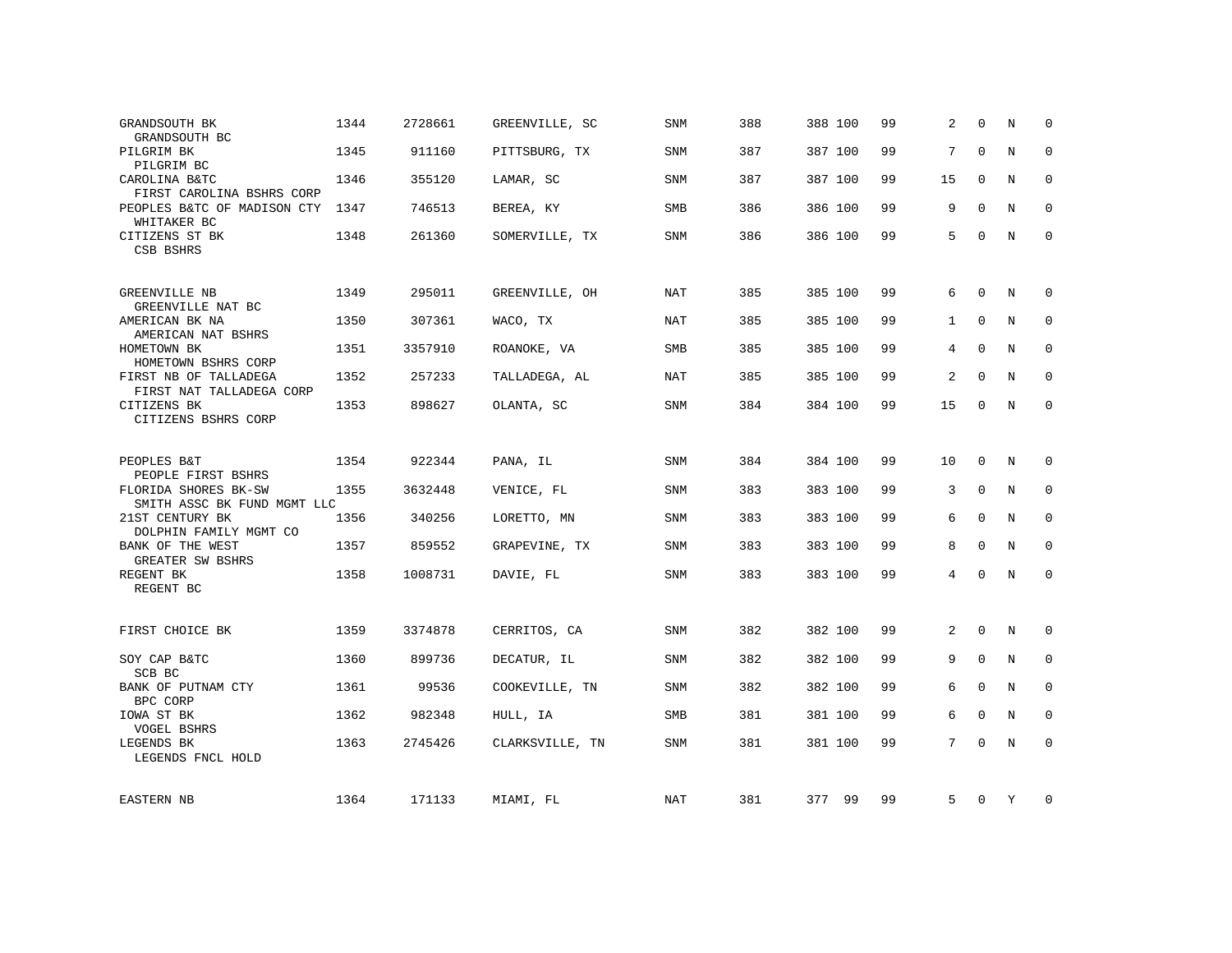| GRANDSOUTH BK<br>GRANDSOUTH BC                      | 1344 | 2728661 | GREENVILLE, SC  | <b>SNM</b> | 388 | 388 100 | 99 | 2            | $\Omega$    | N           | $\Omega$    |
|-----------------------------------------------------|------|---------|-----------------|------------|-----|---------|----|--------------|-------------|-------------|-------------|
| PILGRIM BK<br>PILGRIM BC                            | 1345 | 911160  | PITTSBURG, TX   | SNM        | 387 | 387 100 | 99 | 7            | $\Omega$    | N           | $\Omega$    |
| CAROLINA B&TC<br>FIRST CAROLINA BSHRS CORP          | 1346 | 355120  | LAMAR, SC       | SNM        | 387 | 387 100 | 99 | 15           | $\mathbf 0$ | N           | 0           |
| PEOPLES B&TC OF MADISON CTY<br>WHITAKER BC          | 1347 | 746513  | BEREA, KY       | SMB        | 386 | 386 100 | 99 | 9            | $\Omega$    | N           | 0           |
| CITIZENS ST BK<br>CSB BSHRS                         | 1348 | 261360  | SOMERVILLE, TX  | SNM        | 386 | 386 100 | 99 | 5            | $\Omega$    | N           | $\Omega$    |
| GREENVILLE NB<br>GREENVILLE NAT BC                  | 1349 | 295011  | GREENVILLE, OH  | <b>NAT</b> | 385 | 385 100 | 99 | 6            | $\Omega$    | N           | 0           |
| AMERICAN BK NA<br>AMERICAN NAT BSHRS                | 1350 | 307361  | WACO, TX        | <b>NAT</b> | 385 | 385 100 | 99 | $\mathbf{1}$ | $\mathbf 0$ | N           | $\mathbf 0$ |
| HOMETOWN BK<br>HOMETOWN BSHRS CORP                  | 1351 | 3357910 | ROANOKE, VA     | <b>SMB</b> | 385 | 385 100 | 99 | 4            | $\Omega$    | N           | $\Omega$    |
| FIRST NB OF TALLADEGA<br>FIRST NAT TALLADEGA CORP   | 1352 | 257233  | TALLADEGA, AL   | <b>NAT</b> | 385 | 385 100 | 99 | 2            | $\mathbf 0$ | $\mathbf N$ | $\Omega$    |
| CITIZENS BK<br>CITIZENS BSHRS CORP                  | 1353 | 898627  | OLANTA, SC      | SNM        | 384 | 384 100 | 99 | 15           | 0           | N           | $\mathbf 0$ |
| PEOPLES B&T<br>PEOPLE FIRST BSHRS                   | 1354 | 922344  | PANA, IL        | SNM        | 384 | 384 100 | 99 | 10           | $\mathbf 0$ | N           | 0           |
| FLORIDA SHORES BK-SW<br>SMITH ASSC BK FUND MGMT LLC | 1355 | 3632448 | VENICE, FL      | <b>SNM</b> | 383 | 383 100 | 99 | 3            | $\mathbf 0$ | $\mathbf N$ | $\mathbf 0$ |
| 21ST CENTURY BK<br>DOLPHIN FAMILY MGMT CO           | 1356 | 340256  | LORETTO, MN     | <b>SNM</b> | 383 | 383 100 | 99 | 6            | $\mathbf 0$ | N           | 0           |
| BANK OF THE WEST<br>GREATER SW BSHRS                | 1357 | 859552  | GRAPEVINE, TX   | SNM        | 383 | 383 100 | 99 | 8            | $\mathbf 0$ | N           | 0           |
| REGENT BK<br>REGENT BC                              | 1358 | 1008731 | DAVIE, FL       | SNM        | 383 | 383 100 | 99 | 4            | $\Omega$    | N           | $\mathbf 0$ |
| FIRST CHOICE BK                                     | 1359 | 3374878 | CERRITOS, CA    | SNM        | 382 | 382 100 | 99 | 2            | $\mathbf 0$ | N           | 0           |
| SOY CAP B&TC<br>SCB BC                              | 1360 | 899736  | DECATUR, IL     | SNM        | 382 | 382 100 | 99 | 9            | $\mathbf 0$ | N           | 0           |
| BANK OF PUTNAM CTY<br>BPC CORP                      | 1361 | 99536   | COOKEVILLE, TN  | SNM        | 382 | 382 100 | 99 | 6            | $\mathbf 0$ | N           | 0           |
| IOWA ST BK<br>VOGEL BSHRS                           | 1362 | 982348  | HULL, IA        | <b>SMB</b> | 381 | 381 100 | 99 | 6            | $\Omega$    | N           | $\Omega$    |
| LEGENDS BK<br>LEGENDS FNCL HOLD                     | 1363 | 2745426 | CLARKSVILLE, TN | SNM        | 381 | 381 100 | 99 | 7            | $\Omega$    | $\mathbf N$ | $\mathbf 0$ |
| EASTERN NB                                          | 1364 | 171133  | MIAMI, FL       | NAT        | 381 | 377 99  | 99 | 5            | 0           | Y           | 0           |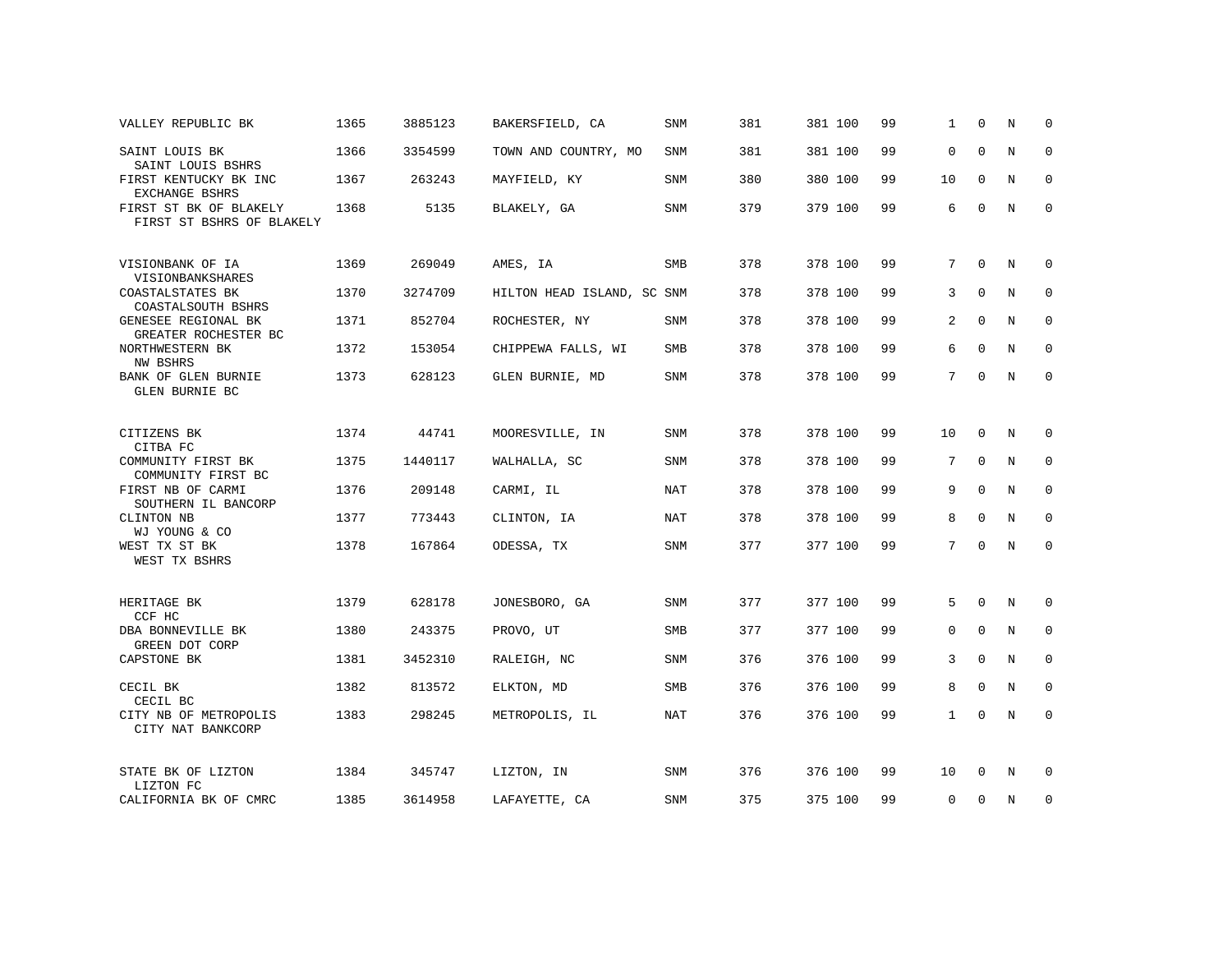| VALLEY REPUBLIC BK                                  | 1365 | 3885123 | BAKERSFIELD, CA            | <b>SNM</b> | 381 | 381 100 | 99 | 1               | $\Omega$    | N           | $\Omega$    |
|-----------------------------------------------------|------|---------|----------------------------|------------|-----|---------|----|-----------------|-------------|-------------|-------------|
| SAINT LOUIS BK<br>SAINT LOUIS BSHRS                 | 1366 | 3354599 | TOWN AND COUNTRY, MO       | SNM        | 381 | 381 100 | 99 | $\mathbf 0$     | $\Omega$    | N           | $\mathbf 0$ |
| FIRST KENTUCKY BK INC<br>EXCHANGE BSHRS             | 1367 | 263243  | MAYFIELD, KY               | <b>SNM</b> | 380 | 380 100 | 99 | 10              | $\mathbf 0$ | N           | 0           |
| FIRST ST BK OF BLAKELY<br>FIRST ST BSHRS OF BLAKELY | 1368 | 5135    | BLAKELY, GA                | SNM        | 379 | 379 100 | 99 | 6               | $\Omega$    | N           | $\mathbf 0$ |
| VISIONBANK OF IA<br>VISIONBANKSHARES                | 1369 | 269049  | AMES, IA                   | <b>SMB</b> | 378 | 378 100 | 99 | 7               | $\Omega$    | N           | $\Omega$    |
| COASTALSTATES BK<br>COASTALSOUTH BSHRS              | 1370 | 3274709 | HILTON HEAD ISLAND, SC SNM |            | 378 | 378 100 | 99 | 3               | $\Omega$    | N           | 0           |
| GENESEE REGIONAL BK<br>GREATER ROCHESTER BC         | 1371 | 852704  | ROCHESTER, NY              | SNM        | 378 | 378 100 | 99 | 2               | $\Omega$    | N           | 0           |
| NORTHWESTERN BK<br>NW BSHRS                         | 1372 | 153054  | CHIPPEWA FALLS, WI         | SMB        | 378 | 378 100 | 99 | 6               | $\Omega$    | N           | $\Omega$    |
| BANK OF GLEN BURNIE<br><b>GLEN BURNIE BC</b>        | 1373 | 628123  | GLEN BURNIE, MD            | SNM        | 378 | 378 100 | 99 | 7               | $\Omega$    | N           | $\mathbf 0$ |
|                                                     |      |         |                            |            |     |         |    |                 |             |             |             |
| CITIZENS BK<br>CITBA FC                             | 1374 | 44741   | MOORESVILLE, IN            | SNM        | 378 | 378 100 | 99 | 10              | 0           | N           | 0           |
| COMMUNITY FIRST BK<br>COMMUNITY FIRST BC            | 1375 | 1440117 | WALHALLA, SC               | <b>SNM</b> | 378 | 378 100 | 99 | 7               | $\Omega$    | N           | 0           |
| FIRST NB OF CARMI<br>SOUTHERN IL BANCORP            | 1376 | 209148  | CARMI, IL                  | <b>NAT</b> | 378 | 378 100 | 99 | 9               | $\Omega$    | N           | $\mathbf 0$ |
| CLINTON NB<br>WJ YOUNG & CO                         | 1377 | 773443  | CLINTON, IA                | <b>NAT</b> | 378 | 378 100 | 99 | 8               | 0           | N           | 0           |
| WEST TX ST BK<br>WEST TX BSHRS                      | 1378 | 167864  | ODESSA, TX                 | <b>SNM</b> | 377 | 377 100 | 99 | $7\phantom{.0}$ | $\Omega$    | $\mathbf N$ | $\mathbf 0$ |
|                                                     |      |         |                            |            |     |         |    |                 |             |             |             |
| HERITAGE BK<br>CCF HC                               | 1379 | 628178  | JONESBORO, GA              | SNM        | 377 | 377 100 | 99 | 5               | $\Omega$    | N           | 0           |
| DBA BONNEVILLE BK<br>GREEN DOT CORP                 | 1380 | 243375  | PROVO, UT                  | SMB        | 377 | 377 100 | 99 | $\mathbf{0}$    | $\mathbf 0$ | N           | 0           |
| CAPSTONE BK                                         | 1381 | 3452310 | RALEIGH, NC                | SNM        | 376 | 376 100 | 99 | 3               | 0           | N           | 0           |
| CECIL BK<br>CECIL BC                                | 1382 | 813572  | ELKTON, MD                 | <b>SMB</b> | 376 | 376 100 | 99 | 8               | $\Omega$    | $\mathbf N$ | $\mathbf 0$ |
| CITY NB OF METROPOLIS<br>CITY NAT BANKCORP          | 1383 | 298245  | METROPOLIS, IL             | <b>NAT</b> | 376 | 376 100 | 99 | $\mathbf{1}$    | $\mathbf 0$ | N           | $\mathbf 0$ |
| STATE BK OF LIZTON<br>LIZTON FC                     | 1384 | 345747  | LIZTON, IN                 | SNM        | 376 | 376 100 | 99 | 10              | $\Omega$    | N           | 0           |
| CALIFORNIA BK OF CMRC                               | 1385 | 3614958 | LAFAYETTE, CA              | SNM        | 375 | 375 100 | 99 | $\mathbf 0$     | $\Omega$    | N           | 0           |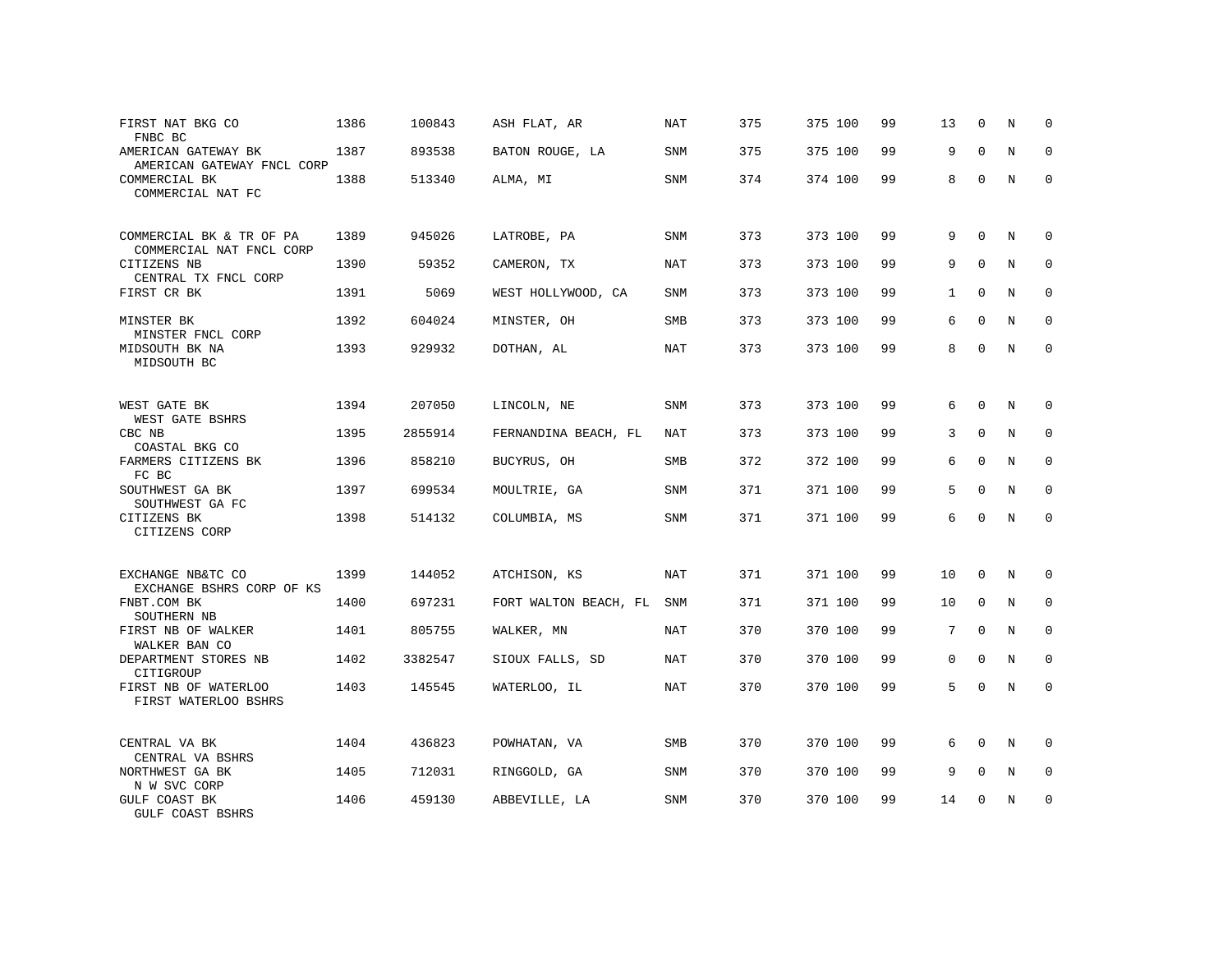| FIRST NAT BKG CO<br>FNBC BC                          | 1386 | 100843  | ASH FLAT, AR          | NAT        | 375 | 375 100 | 99 | 13           | $\mathbf 0$ | N           | $\Omega$    |
|------------------------------------------------------|------|---------|-----------------------|------------|-----|---------|----|--------------|-------------|-------------|-------------|
| AMERICAN GATEWAY BK<br>AMERICAN GATEWAY FNCL CORP    | 1387 | 893538  | BATON ROUGE, LA       | <b>SNM</b> | 375 | 375 100 | 99 | 9            | $\Omega$    | N           | $\Omega$    |
| COMMERCIAL BK<br>COMMERCIAL NAT FC                   | 1388 | 513340  | ALMA, MI              | <b>SNM</b> | 374 | 374 100 | 99 | 8            | $\mathbf 0$ | $\mathbb N$ | $\mathbf 0$ |
| COMMERCIAL BK & TR OF PA<br>COMMERCIAL NAT FNCL CORP | 1389 | 945026  | LATROBE, PA           | <b>SNM</b> | 373 | 373 100 | 99 | 9            | $\Omega$    | N           | $\Omega$    |
| CITIZENS NB<br>CENTRAL TX FNCL CORP                  | 1390 | 59352   | CAMERON, TX           | NAT        | 373 | 373 100 | 99 | 9            | $\Omega$    | N           | $\mathbf 0$ |
| FIRST CR BK                                          | 1391 | 5069    | WEST HOLLYWOOD, CA    | <b>SNM</b> | 373 | 373 100 | 99 | $\mathbf{1}$ | $\Omega$    | N           | $\Omega$    |
| MINSTER BK<br>MINSTER FNCL CORP                      | 1392 | 604024  | MINSTER, OH           | SMB        | 373 | 373 100 | 99 | 6            | $\Omega$    | N           | $\mathbf 0$ |
| MIDSOUTH BK NA<br>MIDSOUTH BC                        | 1393 | 929932  | DOTHAN, AL            | NAT        | 373 | 373 100 | 99 | 8            | $\Omega$    | N           | $\Omega$    |
| WEST GATE BK<br>WEST GATE BSHRS                      | 1394 | 207050  | LINCOLN, NE           | <b>SNM</b> | 373 | 373 100 | 99 | 6            | $\Omega$    | N           | $\Omega$    |
| CBC NB<br>COASTAL BKG CO                             | 1395 | 2855914 | FERNANDINA BEACH, FL  | <b>NAT</b> | 373 | 373 100 | 99 | 3            | $\mathbf 0$ | $\mathbb N$ | $\mathbf 0$ |
| FARMERS CITIZENS BK<br>FC BC                         | 1396 | 858210  | BUCYRUS, OH           | <b>SMB</b> | 372 | 372 100 | 99 | 6            | $\Omega$    | N           | $\mathbf 0$ |
| SOUTHWEST GA BK<br>SOUTHWEST GA FC                   | 1397 | 699534  | MOULTRIE, GA          | <b>SNM</b> | 371 | 371 100 | 99 | 5            | $\Omega$    | N           | $\Omega$    |
| CITIZENS BK<br>CITIZENS CORP                         | 1398 | 514132  | COLUMBIA, MS          | <b>SNM</b> | 371 | 371 100 | 99 | 6            | $\Omega$    | N           | $\mathbf 0$ |
| EXCHANGE NB&TC CO<br>EXCHANGE BSHRS CORP OF KS       | 1399 | 144052  | ATCHISON, KS          | <b>NAT</b> | 371 | 371 100 | 99 | 10           | $\mathbf 0$ | N           | 0           |
| FNBT.COM BK<br>SOUTHERN NB                           | 1400 | 697231  | FORT WALTON BEACH, FL | SNM        | 371 | 371 100 | 99 | 10           | $\mathbf 0$ | $\mathbb N$ | $\mathbf 0$ |
| FIRST NB OF WALKER<br>WALKER BAN CO                  | 1401 | 805755  | WALKER, MN            | <b>NAT</b> | 370 | 370 100 | 99 | 7            | $\Omega$    | $\mathbb N$ | $\mathbf 0$ |
| DEPARTMENT STORES NB<br>CITIGROUP                    | 1402 | 3382547 | SIOUX FALLS, SD       | <b>NAT</b> | 370 | 370 100 | 99 | $\mathbf{0}$ | $\Omega$    | N           | $\mathbf 0$ |
| FIRST NB OF WATERLOO<br>FIRST WATERLOO BSHRS         | 1403 | 145545  | WATERLOO, IL          | <b>NAT</b> | 370 | 370 100 | 99 | 5            | $\Omega$    | N           | $\Omega$    |
| CENTRAL VA BK<br>CENTRAL VA BSHRS                    | 1404 | 436823  | POWHATAN, VA          | <b>SMB</b> | 370 | 370 100 | 99 | 6            | $\Omega$    | N           | 0           |
| NORTHWEST GA BK<br>N W SVC CORP                      | 1405 | 712031  | RINGGOLD, GA          | <b>SNM</b> | 370 | 370 100 | 99 | 9            | $\mathbf 0$ | N           | 0           |
| GULF COAST BK<br>GULF COAST BSHRS                    | 1406 | 459130  | ABBEVILLE, LA         | <b>SNM</b> | 370 | 370 100 | 99 | 14           | $\Omega$    | N           | $\mathbf 0$ |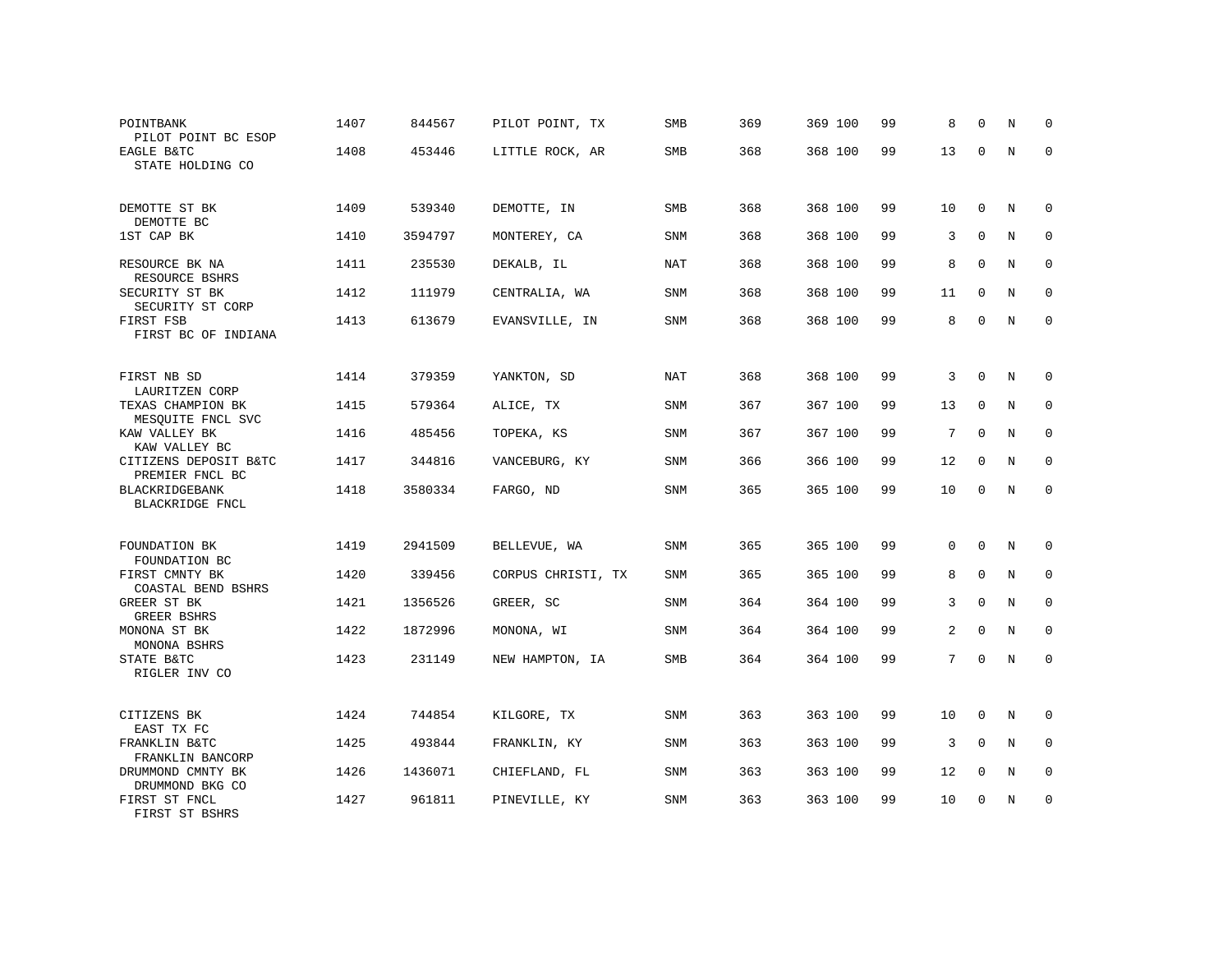| POINTBANK<br>PILOT POINT BC ESOP                     | 1407 | 844567  | PILOT POINT, TX    | <b>SMB</b> | 369 | 369 100 | 99 | 8  | $\Omega$            | N           | 0            |
|------------------------------------------------------|------|---------|--------------------|------------|-----|---------|----|----|---------------------|-------------|--------------|
| EAGLE B&TC<br>STATE HOLDING CO                       | 1408 | 453446  | LITTLE ROCK, AR    | <b>SMB</b> | 368 | 368 100 | 99 | 13 | $\mathbf 0$         | $\mathbf N$ | $\mathbf{0}$ |
| DEMOTTE ST BK                                        | 1409 | 539340  | DEMOTTE, IN        | <b>SMB</b> | 368 | 368 100 | 99 | 10 | $\mathbf 0$         | N           | $\Omega$     |
| DEMOTTE BC<br>1ST CAP BK                             | 1410 | 3594797 | MONTEREY, CA       | SNM        | 368 | 368 100 | 99 | 3  | $\Omega$            | N           | $\mathbf 0$  |
| RESOURCE BK NA                                       | 1411 | 235530  | DEKALB, IL         | <b>NAT</b> | 368 | 368 100 | 99 | 8  | $\Omega$            | N           | $\mathbf 0$  |
| RESOURCE BSHRS<br>SECURITY ST BK                     | 1412 | 111979  | CENTRALIA, WA      | SNM        | 368 | 368 100 | 99 | 11 | 0                   | N           | $\mathbf 0$  |
| SECURITY ST CORP<br>FIRST FSB<br>FIRST BC OF INDIANA | 1413 | 613679  | EVANSVILLE, IN     | SNM        | 368 | 368 100 | 99 | 8  | $\Omega$            | N           | $\mathbf 0$  |
| FIRST NB SD                                          | 1414 | 379359  | YANKTON, SD        | <b>NAT</b> | 368 | 368 100 | 99 | 3  | $\Omega$            | N           | $\Omega$     |
| LAURITZEN CORP<br>TEXAS CHAMPION BK                  | 1415 | 579364  | ALICE, TX          | SNM        | 367 | 367 100 | 99 | 13 | 0                   | N           | $\mathbf 0$  |
| MESQUITE FNCL SVC<br>KAW VALLEY BK                   | 1416 | 485456  | TOPEKA, KS         | SNM        | 367 | 367 100 | 99 | 7  | $\Omega$            | N           | 0            |
| KAW VALLEY BC<br>CITIZENS DEPOSIT B&TC               | 1417 | 344816  | VANCEBURG, KY      | SNM        | 366 | 366 100 | 99 | 12 | $\mathbf 0$         | N           | $\mathbf 0$  |
| PREMIER FNCL BC<br>BLACKRIDGEBANK<br>BLACKRIDGE FNCL | 1418 | 3580334 | FARGO, ND          | SNM        | 365 | 365 100 | 99 | 10 | $\mathbf 0$         | N           | $\mathbf 0$  |
| FOUNDATION BK<br>FOUNDATION BC                       | 1419 | 2941509 | BELLEVUE, WA       | SNM        | 365 | 365 100 | 99 | 0  | $\mathsf{O}\xspace$ | N           | $\mathbf 0$  |
| FIRST CMNTY BK<br>COASTAL BEND BSHRS                 | 1420 | 339456  | CORPUS CHRISTI, TX | SNM        | 365 | 365 100 | 99 | 8  | $\Omega$            | N           | $\mathbf 0$  |
| GREER ST BK<br><b>GREER BSHRS</b>                    | 1421 | 1356526 | GREER, SC          | SNM        | 364 | 364 100 | 99 | 3  | $\mathbf 0$         | $\mathbf N$ | $\mathbf 0$  |
| MONONA ST BK<br>MONONA BSHRS                         | 1422 | 1872996 | MONONA, WI         | <b>SNM</b> | 364 | 364 100 | 99 | 2  | $\Omega$            | N           | $\mathbf 0$  |
| STATE B&TC<br>RIGLER INV CO                          | 1423 | 231149  | NEW HAMPTON, IA    | SMB        | 364 | 364 100 | 99 | 7  | $\mathbf 0$         | $\mathbf N$ | $\mathbf 0$  |
| CITIZENS BK<br>EAST TX FC                            | 1424 | 744854  | KILGORE, TX        | SNM        | 363 | 363 100 | 99 | 10 | $\mathbf 0$         | Ν           | $\mathbf 0$  |
| FRANKLIN B&TC<br>FRANKLIN BANCORP                    | 1425 | 493844  | FRANKLIN, KY       | SNM        | 363 | 363 100 | 99 | 3  | $\mathbf{0}$        | N           | $\mathbf 0$  |
| DRUMMOND CMNTY BK<br>DRUMMOND BKG CO                 | 1426 | 1436071 | CHIEFLAND, FL      | SNM        | 363 | 363 100 | 99 | 12 | 0                   | N           | 0            |
| FIRST ST FNCL<br>FIRST ST BSHRS                      | 1427 | 961811  | PINEVILLE, KY      | SNM        | 363 | 363 100 | 99 | 10 | $\Omega$            | N           | $\mathbf{0}$ |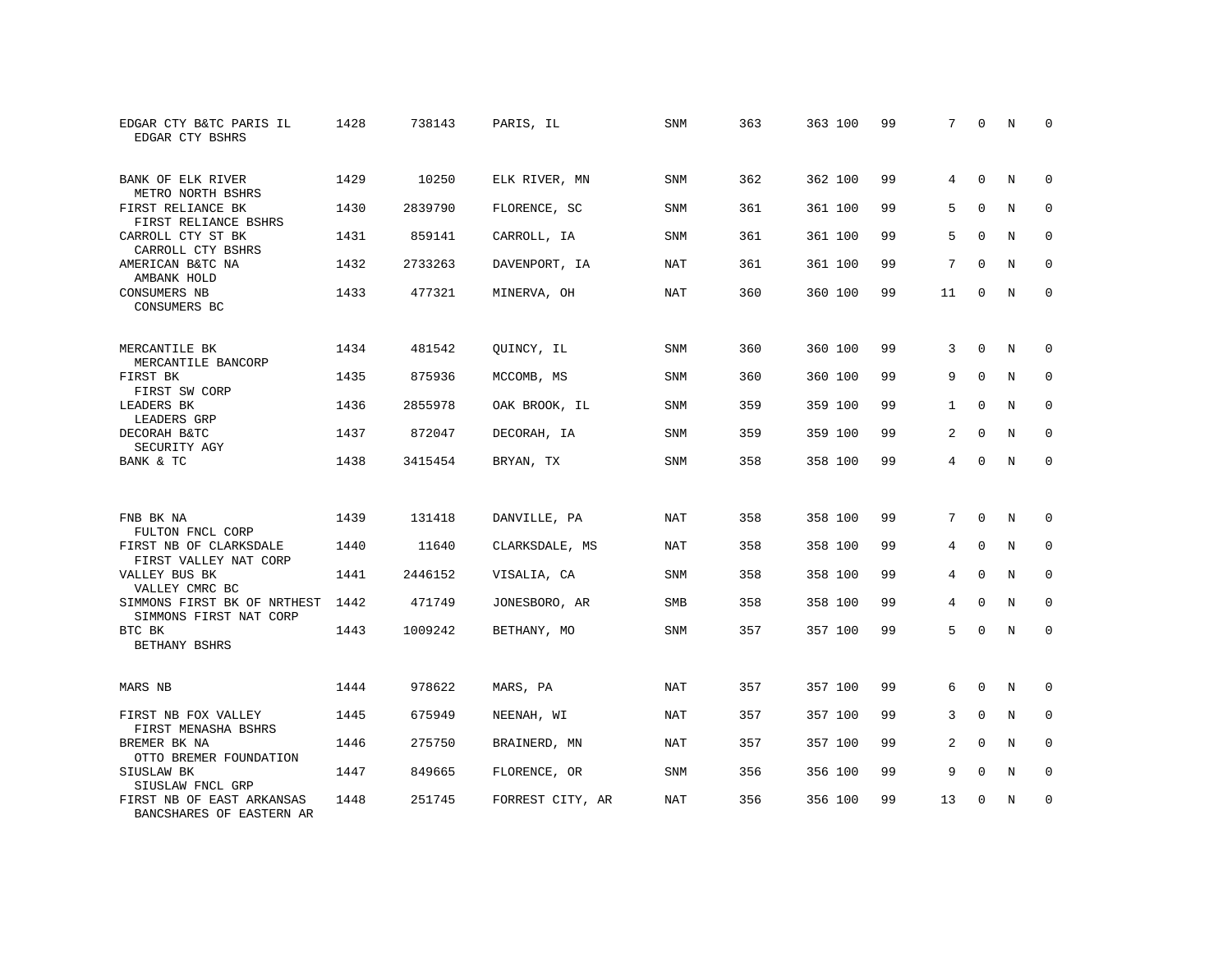| EDGAR CTY B&TC PARIS IL<br>EDGAR CTY BSHRS            | 1428 | 738143  | PARIS, IL        | <b>SNM</b> | 363 | 363 100 | 99 | 7              | $\mathbf 0$ | N          | 0           |
|-------------------------------------------------------|------|---------|------------------|------------|-----|---------|----|----------------|-------------|------------|-------------|
| BANK OF ELK RIVER<br>METRO NORTH BSHRS                | 1429 | 10250   | ELK RIVER, MN    | <b>SNM</b> | 362 | 362 100 | 99 | 4              | $\Omega$    | N          | $\Omega$    |
| FIRST RELIANCE BK<br>FIRST RELIANCE BSHRS             | 1430 | 2839790 | FLORENCE, SC     | <b>SNM</b> | 361 | 361 100 | 99 | 5              | $\mathbf 0$ | N          | $\mathbf 0$ |
| CARROLL CTY ST BK<br>CARROLL CTY BSHRS                | 1431 | 859141  | CARROLL, IA      | <b>SNM</b> | 361 | 361 100 | 99 | 5              | $\Omega$    | N          | $\Omega$    |
| AMERICAN B&TC NA<br>AMBANK HOLD                       | 1432 | 2733263 | DAVENPORT, IA    | NAT        | 361 | 361 100 | 99 | 7              | $\Omega$    | N          | $\mathbf 0$ |
| CONSUMERS NB<br>CONSUMERS BC                          | 1433 | 477321  | MINERVA, OH      | <b>NAT</b> | 360 | 360 100 | 99 | 11             | $\Omega$    | N          | $\mathbf 0$ |
| MERCANTILE BK<br>MERCANTILE BANCORP                   | 1434 | 481542  | QUINCY, IL       | <b>SNM</b> | 360 | 360 100 | 99 | 3              | $\mathbf 0$ | N          | 0           |
| FIRST BK<br>FIRST SW CORP                             | 1435 | 875936  | MCCOMB, MS       | SNM        | 360 | 360 100 | 99 | 9              | $\Omega$    | N          | $\mathbf 0$ |
| LEADERS BK<br>LEADERS GRP                             | 1436 | 2855978 | OAK BROOK, IL    | SNM        | 359 | 359 100 | 99 | $\mathbf{1}$   | $\mathbf 0$ | N          | $\mathbf 0$ |
| DECORAH B&TC<br>SECURITY AGY                          | 1437 | 872047  | DECORAH, IA      | <b>SNM</b> | 359 | 359 100 | 99 | 2              | $\Omega$    | N          | $\mathbf 0$ |
| BANK & TC                                             | 1438 | 3415454 | BRYAN, TX        | SNM        | 358 | 358 100 | 99 | $\overline{4}$ | $\Omega$    | N          | $\Omega$    |
| FNB BK NA                                             | 1439 | 131418  | DANVILLE, PA     | <b>NAT</b> | 358 | 358 100 | 99 | 7              | $\Omega$    | N          | 0           |
| FULTON FNCL CORP                                      |      |         |                  |            |     |         |    |                |             |            |             |
| FIRST NB OF CLARKSDALE<br>FIRST VALLEY NAT CORP       | 1440 | 11640   | CLARKSDALE, MS   | <b>NAT</b> | 358 | 358 100 | 99 | 4              | $\mathbf 0$ | N          | 0           |
| VALLEY BUS BK<br>VALLEY CMRC BC                       | 1441 | 2446152 | VISALIA, CA      | <b>SNM</b> | 358 | 358 100 | 99 | 4              | $\mathbf 0$ | N          | $\mathbf 0$ |
| SIMMONS FIRST BK OF NRTHEST<br>SIMMONS FIRST NAT CORP | 1442 | 471749  | JONESBORO, AR    | SMB        | 358 | 358 100 | 99 | $\overline{4}$ | $\Omega$    | $_{\rm N}$ | $\mathbf 0$ |
| BTC BK<br>BETHANY BSHRS                               | 1443 | 1009242 | BETHANY, MO      | <b>SNM</b> | 357 | 357 100 | 99 | 5              | $\mathbf 0$ | N          | $\mathbf 0$ |
| MARS NB                                               | 1444 | 978622  | MARS, PA         | <b>NAT</b> | 357 | 357 100 | 99 | 6              | 0           | N          | 0           |
| FIRST NB FOX VALLEY<br>FIRST MENASHA BSHRS            | 1445 | 675949  | NEENAH, WI       | <b>NAT</b> | 357 | 357 100 | 99 | 3              | $\mathbf 0$ | N          | $\mathbf 0$ |
| BREMER BK NA<br>OTTO BREMER FOUNDATION                | 1446 | 275750  | BRAINERD, MN     | NAT        | 357 | 357 100 | 99 | 2              | $\Omega$    | N          | $\mathbf 0$ |
| SIUSLAW BK<br>SIUSLAW FNCL GRP                        | 1447 | 849665  | FLORENCE, OR     | <b>SNM</b> | 356 | 356 100 | 99 | 9              | 0           | N          | 0           |
| FIRST NB OF EAST ARKANSAS<br>BANCSHARES OF EASTERN AR | 1448 | 251745  | FORREST CITY, AR | NAT        | 356 | 356 100 | 99 | 13             | $\Omega$    | N          | $\mathbf 0$ |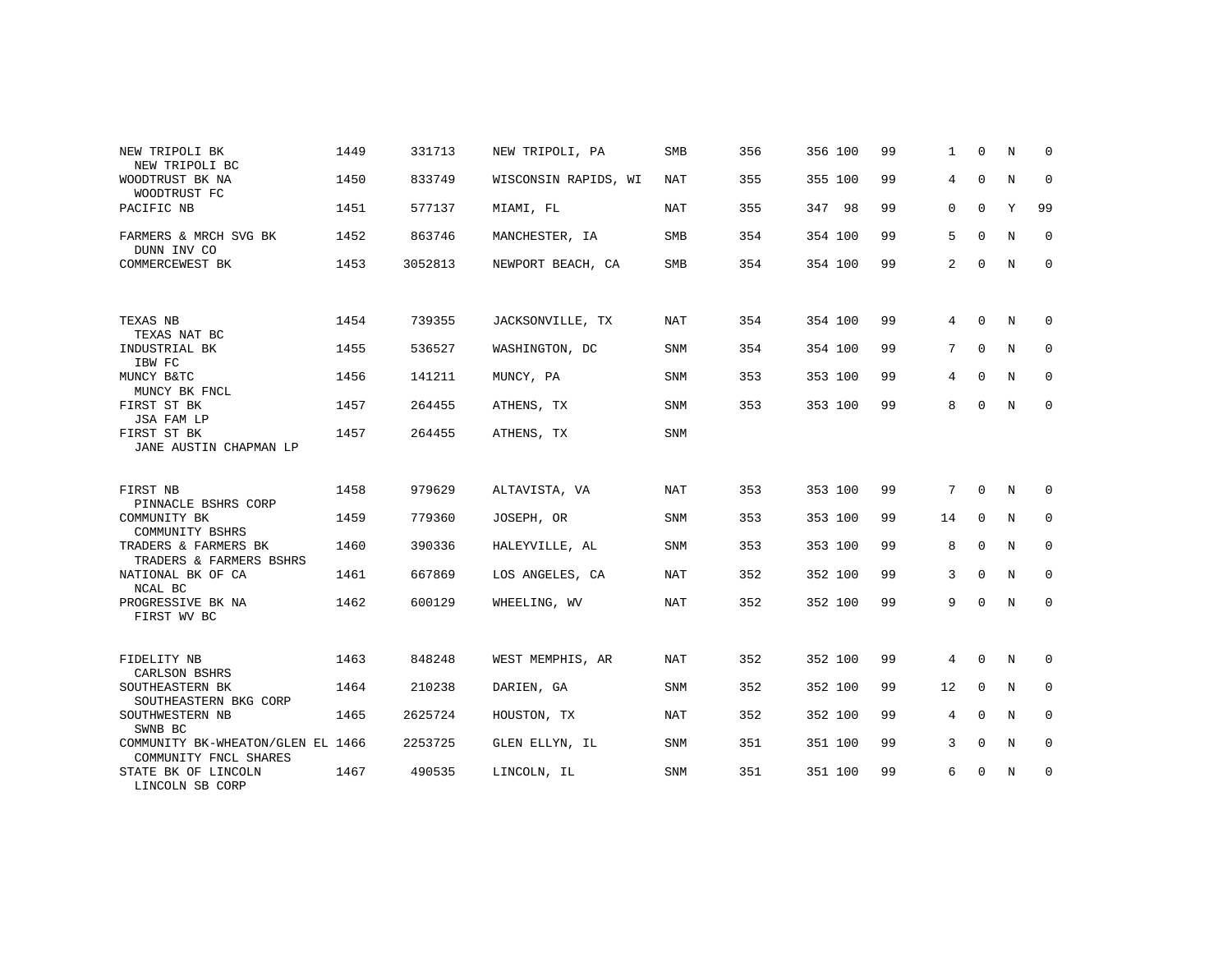| NEW TRIPOLI BK                                             | 1449 | 331713  | NEW TRIPOLI, PA      | <b>SMB</b> | 356 | 356 100 | 99 | $\mathbf{1}$   | $\Omega$    | N           | $\Omega$    |
|------------------------------------------------------------|------|---------|----------------------|------------|-----|---------|----|----------------|-------------|-------------|-------------|
| NEW TRIPOLI BC                                             |      |         |                      |            |     |         | 99 | 4              | $\mathbf 0$ | $\mathbb N$ | $\mathbf 0$ |
| WOODTRUST BK NA<br>WOODTRUST FC                            | 1450 | 833749  | WISCONSIN RAPIDS, WI | NAT        | 355 | 355 100 |    |                |             |             |             |
| PACIFIC NB                                                 | 1451 | 577137  | MIAMI, FL            | NAT        | 355 | 347 98  | 99 | 0              | $\mathbf 0$ | Y           | 99          |
| FARMERS & MRCH SVG BK<br>DUNN INV CO                       | 1452 | 863746  | MANCHESTER, IA       | SMB        | 354 | 354 100 | 99 | 5              | $\Omega$    | N           | $\mathbf 0$ |
| COMMERCEWEST BK                                            | 1453 | 3052813 | NEWPORT BEACH, CA    | SMB        | 354 | 354 100 | 99 | $\overline{a}$ | $\mathbf 0$ | N           | $\mathbf 0$ |
|                                                            |      |         |                      |            |     |         |    |                |             |             |             |
| TEXAS NB<br>TEXAS NAT BC                                   | 1454 | 739355  | JACKSONVILLE, TX     | NAT        | 354 | 354 100 | 99 | 4              | $\Omega$    | N           | 0           |
| INDUSTRIAL BK<br>IBW FC                                    | 1455 | 536527  | WASHINGTON, DC       | <b>SNM</b> | 354 | 354 100 | 99 | 7              | $\mathbf 0$ | N           | 0           |
| MUNCY B&TC<br>MUNCY BK FNCL                                | 1456 | 141211  | MUNCY, PA            | <b>SNM</b> | 353 | 353 100 | 99 | 4              | $\Omega$    | N           | $\mathbf 0$ |
| FIRST ST BK<br>JSA FAM LP                                  | 1457 | 264455  | ATHENS, TX           | <b>SNM</b> | 353 | 353 100 | 99 | 8              | $\mathbf 0$ | N           | $\mathbf 0$ |
| FIRST ST BK<br>JANE AUSTIN CHAPMAN LP                      | 1457 | 264455  | ATHENS, TX           | SNM        |     |         |    |                |             |             |             |
|                                                            |      |         |                      |            |     |         |    |                |             |             |             |
| FIRST NB<br>PINNACLE BSHRS CORP                            | 1458 | 979629  | ALTAVISTA, VA        | <b>NAT</b> | 353 | 353 100 | 99 | 7              | $\mathbf 0$ | N           | $\mathbf 0$ |
| COMMUNITY BK<br>COMMUNITY BSHRS                            | 1459 | 779360  | JOSEPH, OR           | <b>SNM</b> | 353 | 353 100 | 99 | 14             | $\mathbf 0$ | N           | $\mathbf 0$ |
| TRADERS & FARMERS BK<br>TRADERS & FARMERS BSHRS            | 1460 | 390336  | HALEYVILLE, AL       | SNM        | 353 | 353 100 | 99 | 8              | $\mathbf 0$ | N           | 0           |
| NATIONAL BK OF CA<br>NCAL BC                               | 1461 | 667869  | LOS ANGELES, CA      | NAT        | 352 | 352 100 | 99 | 3              | $\Omega$    | $_{\rm N}$  | $\Omega$    |
| PROGRESSIVE BK NA<br>FIRST WV BC                           | 1462 | 600129  | WHEELING, WV         | NAT        | 352 | 352 100 | 99 | 9              | $\Omega$    | N           | $\mathbf 0$ |
|                                                            |      |         |                      |            |     |         |    |                |             |             |             |
| FIDELITY NB<br>CARLSON BSHRS                               | 1463 | 848248  | WEST MEMPHIS, AR     | NAT        | 352 | 352 100 | 99 | $\overline{4}$ | $\mathbf 0$ | N           | 0           |
| SOUTHEASTERN BK<br>SOUTHEASTERN BKG CORP                   | 1464 | 210238  | DARIEN, GA           | SNM        | 352 | 352 100 | 99 | 12             | $\mathbf 0$ | N           | 0           |
| SOUTHWESTERN NB<br>SWNB BC                                 | 1465 | 2625724 | HOUSTON, TX          | <b>NAT</b> | 352 | 352 100 | 99 | 4              | $\Omega$    | $\mathbf N$ | $\mathbf 0$ |
| COMMUNITY BK-WHEATON/GLEN EL 1466<br>COMMUNITY FNCL SHARES |      | 2253725 | GLEN ELLYN, IL       | <b>SNM</b> | 351 | 351 100 | 99 | 3              | $\Omega$    | N           | $\mathbf 0$ |
| STATE BK OF LINCOLN<br>LINCOLN SB CORP                     | 1467 | 490535  | LINCOLN, IL          | <b>SNM</b> | 351 | 351 100 | 99 | 6              | $\Omega$    | $\mathbf N$ | $\mathbf 0$ |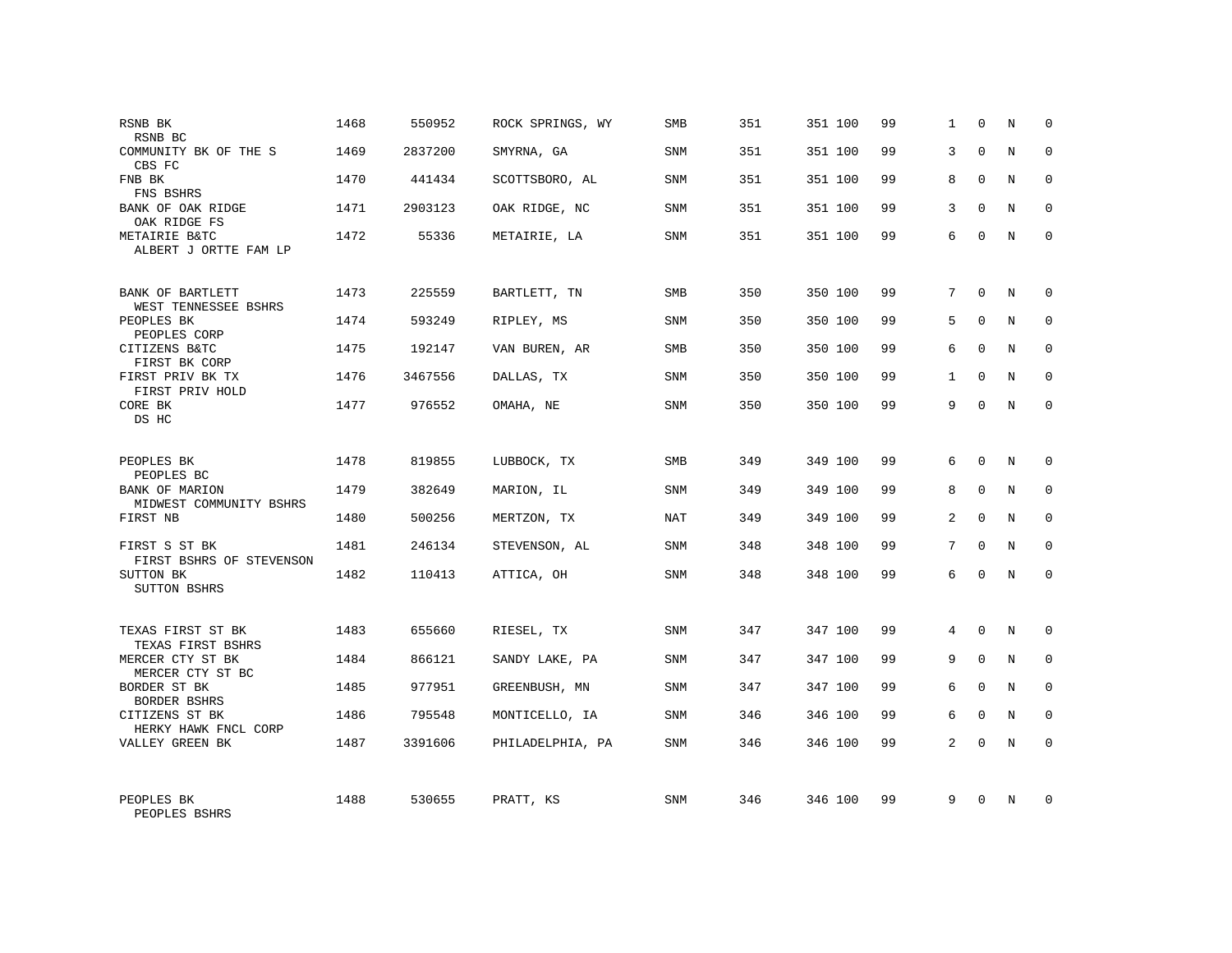| RSNB BK<br>RSNB BC                        | 1468 | 550952  | ROCK SPRINGS, WY | <b>SMB</b> | 351 | 351 100 | 99 | 1            | $\mathbf 0$ | N           | 0           |
|-------------------------------------------|------|---------|------------------|------------|-----|---------|----|--------------|-------------|-------------|-------------|
| COMMUNITY BK OF THE S<br>CBS FC           | 1469 | 2837200 | SMYRNA, GA       | SNM        | 351 | 351 100 | 99 | 3            | $\Omega$    | $_{\rm N}$  | $\Omega$    |
| FNB BK<br>FNS BSHRS                       | 1470 | 441434  | SCOTTSBORO, AL   | SNM        | 351 | 351 100 | 99 | 8            | $\Omega$    | N           | 0           |
| BANK OF OAK RIDGE<br>OAK RIDGE FS         | 1471 | 2903123 | OAK RIDGE, NC    | SNM        | 351 | 351 100 | 99 | 3            | $\Omega$    | N           | $\Omega$    |
| METAIRIE B&TC<br>ALBERT J ORTTE FAM LP    | 1472 | 55336   | METAIRIE, LA     | SNM        | 351 | 351 100 | 99 | 6            | $\Omega$    | N           | 0           |
| BANK OF BARTLETT<br>WEST TENNESSEE BSHRS  | 1473 | 225559  | BARTLETT, TN     | SMB        | 350 | 350 100 | 99 | 7            | $\Omega$    | N           | $\Omega$    |
| PEOPLES BK<br>PEOPLES CORP                | 1474 | 593249  | RIPLEY, MS       | <b>SNM</b> | 350 | 350 100 | 99 | 5            | $\Omega$    | N           | $\Omega$    |
| CITIZENS B&TC<br>FIRST BK CORP            | 1475 | 192147  | VAN BUREN, AR    | SMB        | 350 | 350 100 | 99 | 6            | $\Omega$    | N           | 0           |
| FIRST PRIV BK TX<br>FIRST PRIV HOLD       | 1476 | 3467556 | DALLAS, TX       | SNM        | 350 | 350 100 | 99 | $\mathbf{1}$ | $\Omega$    | N           | $\Omega$    |
| CORE BK<br>DS HC                          | 1477 | 976552  | OMAHA, NE        | SNM        | 350 | 350 100 | 99 | 9            | $\Omega$    | N           | $\Omega$    |
| PEOPLES BK<br>PEOPLES BC                  | 1478 | 819855  | LUBBOCK, TX      | <b>SMB</b> | 349 | 349 100 | 99 | 6            | $\Omega$    | N           | $\Omega$    |
| BANK OF MARION<br>MIDWEST COMMUNITY BSHRS | 1479 | 382649  | MARION, IL       | SNM        | 349 | 349 100 | 99 | 8            | $\mathbf 0$ | N           | $\mathbf 0$ |
| FIRST NB                                  | 1480 | 500256  | MERTZON, TX      | <b>NAT</b> | 349 | 349 100 | 99 | 2            | $\Omega$    | N           | $\Omega$    |
| FIRST S ST BK<br>FIRST BSHRS OF STEVENSON | 1481 | 246134  | STEVENSON, AL    | SNM        | 348 | 348 100 | 99 | 7            | $\Omega$    | $\rm N$     | $\mathbf 0$ |
| SUTTON BK<br><b>SUTTON BSHRS</b>          | 1482 | 110413  | ATTICA, OH       | <b>SNM</b> | 348 | 348 100 | 99 | 6            | $\Omega$    | N           | $\mathbf 0$ |
| TEXAS FIRST ST BK<br>TEXAS FIRST BSHRS    | 1483 | 655660  | RIESEL, TX       | <b>SNM</b> | 347 | 347 100 | 99 | 4            | $\Omega$    | N           | 0           |
| MERCER CTY ST BK<br>MERCER CTY ST BC      | 1484 | 866121  | SANDY LAKE, PA   | SNM        | 347 | 347 100 | 99 | 9            | $\mathbf 0$ | $\mathbf N$ | $\mathbf 0$ |
| BORDER ST BK<br>BORDER BSHRS              | 1485 | 977951  | GREENBUSH, MN    | <b>SNM</b> | 347 | 347 100 | 99 | 6            | $\Omega$    | N           | $\Omega$    |
| CITIZENS ST BK<br>HERKY HAWK FNCL CORP    | 1486 | 795548  | MONTICELLO, IA   | SNM        | 346 | 346 100 | 99 | 6            | $\mathbf 0$ | $\mathbf N$ | $\mathbf 0$ |
| VALLEY GREEN BK                           | 1487 | 3391606 | PHILADELPHIA, PA | SNM        | 346 | 346 100 | 99 | 2            | $\Omega$    | N           | $\Omega$    |
| PEOPLES BK<br>PEOPLES BSHRS               | 1488 | 530655  | PRATT, KS        | SNM        | 346 | 346 100 | 99 | 9            | $\Omega$    | N           | $\Omega$    |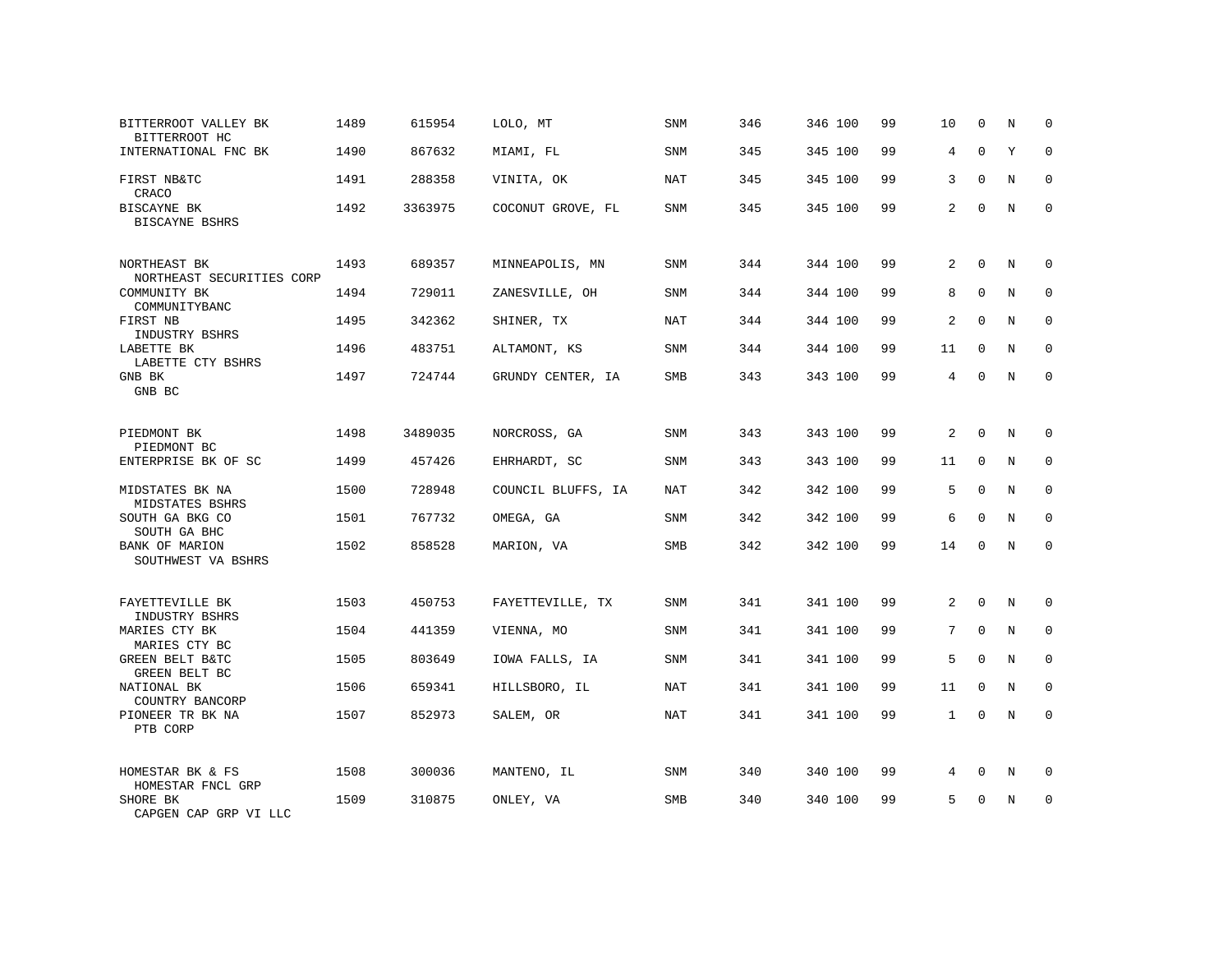| BITTERROOT VALLEY BK<br>BITTERROOT HC            | 1489 | 615954  | LOLO, MT           | SNM        | 346 | 346 100 | 99 | 10             | $\mathbf 0$ | N | 0           |
|--------------------------------------------------|------|---------|--------------------|------------|-----|---------|----|----------------|-------------|---|-------------|
| INTERNATIONAL FNC BK                             | 1490 | 867632  | MIAMI, FL          | SNM        | 345 | 345 100 | 99 | $\overline{4}$ | $\Omega$    | Y | $\Omega$    |
| FIRST NB&TC<br>CRACO                             | 1491 | 288358  | VINITA, OK         | NAT        | 345 | 345 100 | 99 | 3              | $\Omega$    | N | 0           |
| BISCAYNE BK<br>BISCAYNE BSHRS                    | 1492 | 3363975 | COCONUT GROVE, FL  | SNM        | 345 | 345 100 | 99 | 2              | $\Omega$    | N | $\Omega$    |
| NORTHEAST BK<br>NORTHEAST SECURITIES CORP        | 1493 | 689357  | MINNEAPOLIS, MN    | <b>SNM</b> | 344 | 344 100 | 99 | 2              | $\Omega$    | N | $\Omega$    |
| COMMUNITY BK<br>COMMUNITYBANC                    | 1494 | 729011  | ZANESVILLE, OH     | SNM        | 344 | 344 100 | 99 | 8              | $\mathbf 0$ | N | $\mathbf 0$ |
| FIRST NB<br>INDUSTRY BSHRS                       | 1495 | 342362  | SHINER, TX         | <b>NAT</b> | 344 | 344 100 | 99 | 2              | $\Omega$    | N | $\mathbf 0$ |
| LABETTE BK<br>LABETTE CTY BSHRS                  | 1496 | 483751  | ALTAMONT, KS       | SNM        | 344 | 344 100 | 99 | 11             | $\mathbf 0$ | N | $\mathbf 0$ |
| GNB BK<br>GNB BC                                 | 1497 | 724744  | GRUNDY CENTER, IA  | SMB        | 343 | 343 100 | 99 | 4              | $\Omega$    | N | $\mathbf 0$ |
| PIEDMONT BK<br>PIEDMONT BC                       | 1498 | 3489035 | NORCROSS, GA       | SNM        | 343 | 343 100 | 99 | 2              | $\mathbf 0$ | N | $\mathbf 0$ |
| ENTERPRISE BK OF SC                              | 1499 | 457426  | EHRHARDT, SC       | <b>SNM</b> | 343 | 343 100 | 99 | 11             | $\Omega$    | N | $\Omega$    |
| MIDSTATES BK NA<br>MIDSTATES BSHRS               | 1500 | 728948  | COUNCIL BLUFFS, IA | NAT        | 342 | 342 100 | 99 | 5              | $\mathbf 0$ | N | $\mathbf 0$ |
| SOUTH GA BKG CO<br>SOUTH GA BHC                  | 1501 | 767732  | OMEGA, GA          | <b>SNM</b> | 342 | 342 100 | 99 | 6              | $\Omega$    | N | $\Omega$    |
| BANK OF MARION<br>SOUTHWEST VA BSHRS             | 1502 | 858528  | MARION, VA         | SMB        | 342 | 342 100 | 99 | 14             | $\Omega$    | N | $\mathbf 0$ |
| FAYETTEVILLE BK                                  | 1503 | 450753  | FAYETTEVILLE, TX   | <b>SNM</b> | 341 | 341 100 | 99 | 2              | $\mathbf 0$ | N | $\mathbf 0$ |
| INDUSTRY BSHRS<br>MARIES CTY BK<br>MARIES CTY BC | 1504 | 441359  | VIENNA, MO         | <b>SNM</b> | 341 | 341 100 | 99 | 7              | $\Omega$    | N | $\mathbf 0$ |
| GREEN BELT B&TC<br>GREEN BELT BC                 | 1505 | 803649  | IOWA FALLS, IA     | SNM        | 341 | 341 100 | 99 | 5              | $\mathbf 0$ | N | 0           |
| NATIONAL BK<br>COUNTRY BANCORP                   | 1506 | 659341  | HILLSBORO, IL      | <b>NAT</b> | 341 | 341 100 | 99 | 11             | $\Omega$    | N | $\mathbf 0$ |
| PIONEER TR BK NA<br>PTB CORP                     | 1507 | 852973  | SALEM, OR          | <b>NAT</b> | 341 | 341 100 | 99 | $\mathbf{1}$   | $\mathbf 0$ | N | $\mathbf 0$ |
| HOMESTAR BK & FS<br>HOMESTAR FNCL GRP            | 1508 | 300036  | MANTENO, IL        | SNM        | 340 | 340 100 | 99 | 4              | $\mathbf 0$ | N | 0           |
| SHORE BK<br>CAPGEN CAP GRP VI LLC                | 1509 | 310875  | ONLEY, VA          | <b>SMB</b> | 340 | 340 100 | 99 | 5              | $\Omega$    | N | $\mathbf 0$ |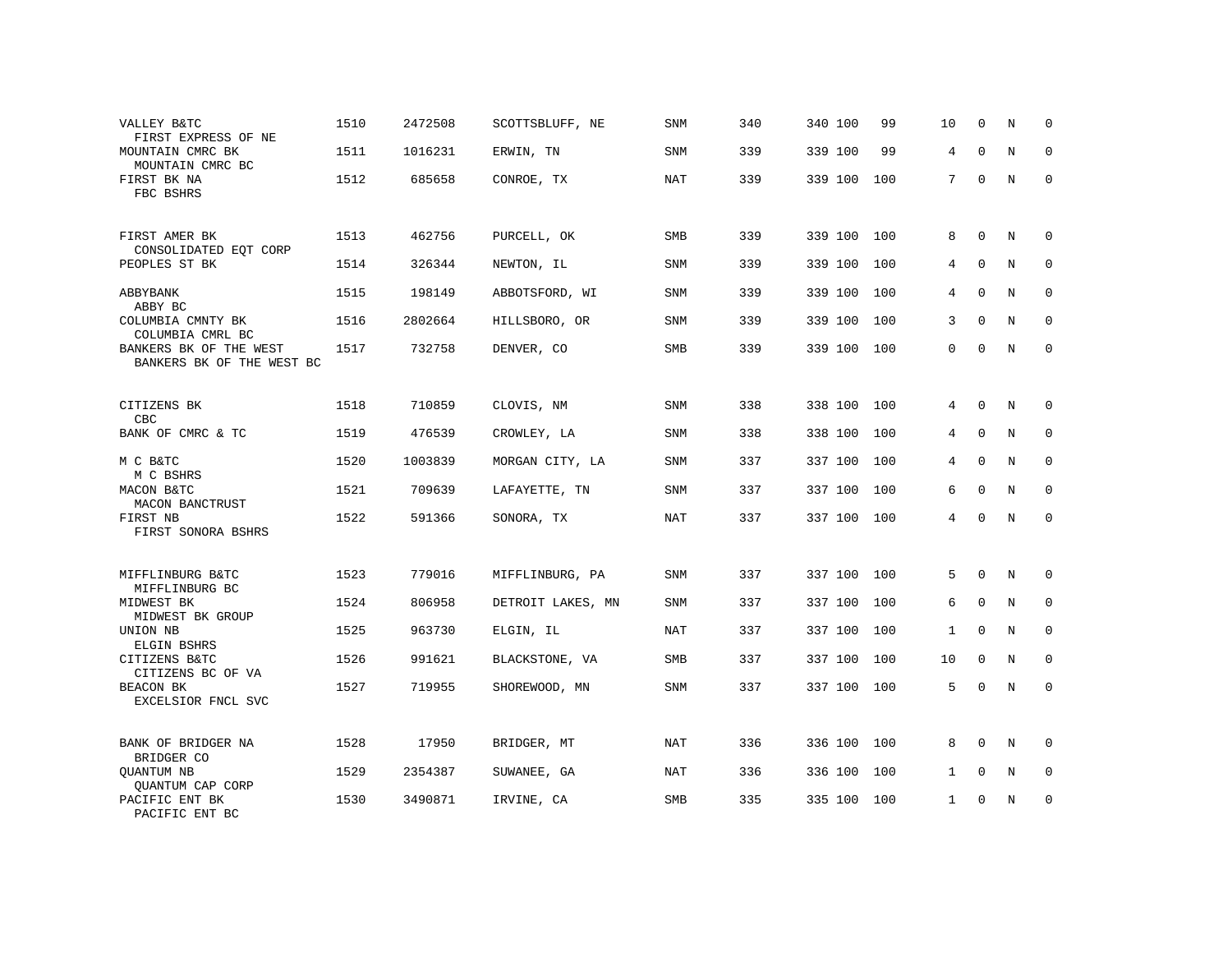| VALLEY B&TC<br>FIRST EXPRESS OF NE                  | 1510 | 2472508 | SCOTTSBLUFF, NE   | SNM        | 340 | 340 100     | 99  | 10           | 0           | N           | $\mathbf 0$ |
|-----------------------------------------------------|------|---------|-------------------|------------|-----|-------------|-----|--------------|-------------|-------------|-------------|
| MOUNTAIN CMRC BK<br>MOUNTAIN CMRC BC                | 1511 | 1016231 | ERWIN, TN         | SNM        | 339 | 339 100     | 99  | 4            | $\mathbf 0$ | N           | $\mathbf 0$ |
| FIRST BK NA<br>FBC BSHRS                            | 1512 | 685658  | CONROE, TX        | NAT        | 339 | 339 100     | 100 | 7            | $\mathbf 0$ | $\mathbf N$ | $\mathbf 0$ |
| FIRST AMER BK<br>CONSOLIDATED EQT CORP              | 1513 | 462756  | PURCELL, OK       | SMB        | 339 | 339 100     | 100 | 8            | 0           | N           | $\mathbf 0$ |
| PEOPLES ST BK                                       | 1514 | 326344  | NEWTON, IL        | SNM        | 339 | 339 100     | 100 | 4            | 0           | N           | $\mathbf 0$ |
| ABBYBANK<br>ABBY BC                                 | 1515 | 198149  | ABBOTSFORD, WI    | SNM        | 339 | 339 100     | 100 | 4            | $\Omega$    | N           | $\mathbf 0$ |
| COLUMBIA CMNTY BK<br>COLUMBIA CMRL BC               | 1516 | 2802664 | HILLSBORO, OR     | SNM        | 339 | 339 100     | 100 | 3            | $\mathbf 0$ | N           | $\mathbf 0$ |
| BANKERS BK OF THE WEST<br>BANKERS BK OF THE WEST BC | 1517 | 732758  | DENVER, CO        | <b>SMB</b> | 339 | 339 100     | 100 | $\mathbf{0}$ | $\mathbf 0$ | $\mathbf N$ | $\mathbf 0$ |
| CITIZENS BK<br>CBC                                  | 1518 | 710859  | CLOVIS, NM        | <b>SNM</b> | 338 | 338 100     | 100 | 4            | 0           | N           | $\mathbf 0$ |
| BANK OF CMRC & TC                                   | 1519 | 476539  | CROWLEY, LA       | SNM        | 338 | 338 100     | 100 | 4            | $\mathbf 0$ | N           | 0           |
| M C B&TC<br>M C BSHRS                               | 1520 | 1003839 | MORGAN CITY, LA   | SNM        | 337 | 337 100     | 100 | 4            | $\mathbf 0$ | N           | $\mathbf 0$ |
| MACON B&TC<br>MACON BANCTRUST                       | 1521 | 709639  | LAFAYETTE, TN     | SNM        | 337 | 337 100     | 100 | 6            | $\mathbf 0$ | N           | $\mathbf 0$ |
| FIRST NB<br>FIRST SONORA BSHRS                      | 1522 | 591366  | SONORA, TX        | <b>NAT</b> | 337 | 337 100 100 |     | 4            | $\mathbf 0$ | $\mathbf N$ | $\mathbf 0$ |
| MIFFLINBURG B&TC                                    | 1523 | 779016  | MIFFLINBURG, PA   | <b>SNM</b> | 337 | 337 100     | 100 | 5            | $\mathbf 0$ | N           | $\Omega$    |
| MIFFLINBURG BC<br>MIDWEST BK<br>MIDWEST BK GROUP    | 1524 | 806958  | DETROIT LAKES, MN | <b>SNM</b> | 337 | 337 100     | 100 | 6            | $\mathbf 0$ | $_{\rm N}$  | $\mathbf 0$ |
| UNION NB<br>ELGIN BSHRS                             | 1525 | 963730  | ELGIN, IL         | <b>NAT</b> | 337 | 337 100     | 100 | $\mathbf{1}$ | $\Omega$    | N           | $\mathbf 0$ |
| CITIZENS B&TC<br>CITIZENS BC OF VA                  | 1526 | 991621  | BLACKSTONE, VA    | SMB        | 337 | 337 100     | 100 | 10           | $\Omega$    | N           | $\mathbf 0$ |
| BEACON BK<br>EXCELSIOR FNCL SVC                     | 1527 | 719955  | SHOREWOOD, MN     | SNM        | 337 | 337 100     | 100 | 5            | 0           | N           | $\mathbf 0$ |
| BANK OF BRIDGER NA<br>BRIDGER CO                    | 1528 | 17950   | BRIDGER, MT       | NAT        | 336 | 336 100     | 100 | 8            | 0           | N           | $\mathbf 0$ |
| QUANTUM NB<br>QUANTUM CAP CORP                      | 1529 | 2354387 | SUWANEE, GA       | NAT        | 336 | 336 100     | 100 | 1            | 0           | N           | $\mathbf 0$ |
| PACIFIC ENT BK<br>PACIFIC ENT BC                    | 1530 | 3490871 | IRVINE, CA        | SMB        | 335 | 335 100     | 100 | $\mathbf{1}$ | $\Omega$    | $\mathbf N$ | $\mathsf 0$ |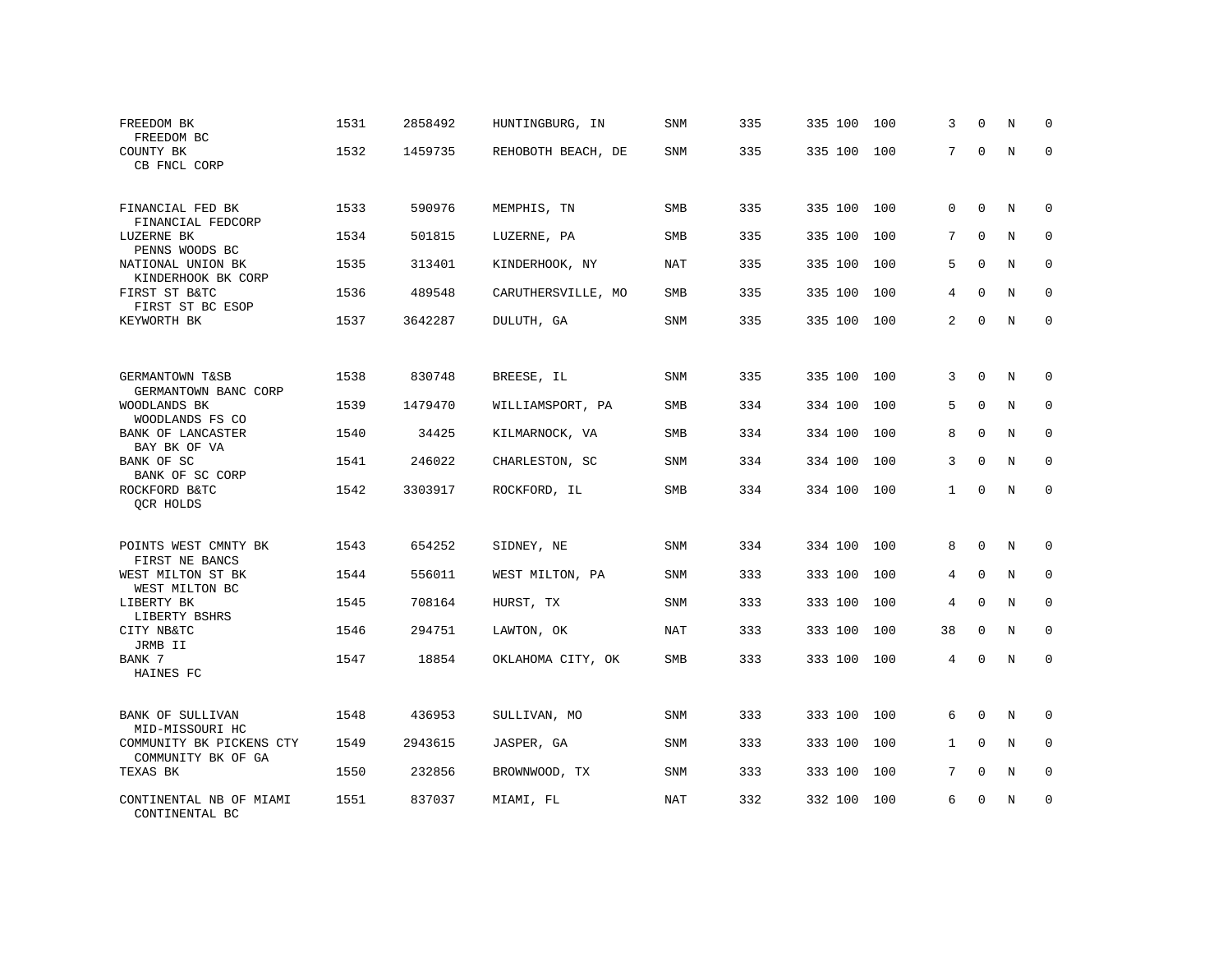| FREEDOM BK<br>FREEDOM BC                       | 1531 | 2858492 | HUNTINGBURG, IN    | SNM        | 335 | 335 100 | 100 | 3            | $\Omega$    | N           | 0           |
|------------------------------------------------|------|---------|--------------------|------------|-----|---------|-----|--------------|-------------|-------------|-------------|
| COUNTY BK<br>CB FNCL CORP                      | 1532 | 1459735 | REHOBOTH BEACH, DE | SNM        | 335 | 335 100 | 100 | 7            | $\mathbf 0$ | $\mathbf N$ | $\Omega$    |
| FINANCIAL FED BK<br>FINANCIAL FEDCORP          | 1533 | 590976  | MEMPHIS, TN        | <b>SMB</b> | 335 | 335 100 | 100 | $\mathbf 0$  | $\Omega$    | N           | $\Omega$    |
| LUZERNE BK<br>PENNS WOODS BC                   | 1534 | 501815  | LUZERNE, PA        | SMB        | 335 | 335 100 | 100 | 7            | $\Omega$    | N           | 0           |
| NATIONAL UNION BK<br>KINDERHOOK BK CORP        | 1535 | 313401  | KINDERHOOK, NY     | <b>NAT</b> | 335 | 335 100 | 100 | 5            | $\Omega$    | N           | $\Omega$    |
| FIRST ST B&TC<br>FIRST ST BC ESOP              | 1536 | 489548  | CARUTHERSVILLE, MO | SMB        | 335 | 335 100 | 100 | 4            | $\Omega$    | N           | 0           |
| KEYWORTH BK                                    | 1537 | 3642287 | DULUTH, GA         | SNM        | 335 | 335 100 | 100 | 2            | $\Omega$    | N           | $\Omega$    |
|                                                |      |         |                    |            |     |         |     |              |             |             |             |
| GERMANTOWN T&SB<br>GERMANTOWN BANC CORP        | 1538 | 830748  | BREESE, IL         | SNM        | 335 | 335 100 | 100 | 3            | $\Omega$    | N           | $\Omega$    |
| WOODLANDS BK<br>WOODLANDS FS CO                | 1539 | 1479470 | WILLIAMSPORT, PA   | SMB        | 334 | 334 100 | 100 | 5            | $\Omega$    | N           | $\mathbf 0$ |
| BANK OF LANCASTER<br>BAY BK OF VA              | 1540 | 34425   | KILMARNOCK, VA     | <b>SMB</b> | 334 | 334 100 | 100 | 8            | $\Omega$    | N           | $\Omega$    |
| BANK OF SC<br>BANK OF SC CORP                  | 1541 | 246022  | CHARLESTON, SC     | SNM        | 334 | 334 100 | 100 | 3            | $\Omega$    | N           | $\Omega$    |
| ROCKFORD B&TC<br>QCR HOLDS                     | 1542 | 3303917 | ROCKFORD, IL       | SMB        | 334 | 334 100 | 100 | $\mathbf{1}$ | $\mathbf 0$ | N           | $\mathbf 0$ |
| POINTS WEST CMNTY BK                           | 1543 | 654252  | SIDNEY, NE         | SNM        | 334 | 334 100 | 100 | 8            | $\mathbf 0$ | N           | $\mathbf 0$ |
| FIRST NE BANCS<br>WEST MILTON ST BK            | 1544 | 556011  | WEST MILTON, PA    | <b>SNM</b> | 333 | 333 100 | 100 | 4            | $\mathbf 0$ | N           | $\mathbf 0$ |
| WEST MILTON BC<br>LIBERTY BK                   | 1545 | 708164  | HURST, TX          | SNM        | 333 | 333 100 | 100 | 4            | $\mathbf 0$ | $\mathbf N$ | $\mathbf 0$ |
| LIBERTY BSHRS<br>CITY NB&TC                    | 1546 | 294751  | LAWTON, OK         | <b>NAT</b> | 333 | 333 100 | 100 | 38           | $\mathbf 0$ | N           | $\mathbf 0$ |
| JRMB II<br>BANK 7                              | 1547 | 18854   | OKLAHOMA CITY, OK  | SMB        | 333 | 333 100 | 100 | 4            | $\mathbf 0$ | $\mathbf N$ | $\mathbf 0$ |
| HAINES FC                                      |      |         |                    |            |     |         |     |              |             |             |             |
| BANK OF SULLIVAN<br>MID-MISSOURI HC            | 1548 | 436953  | SULLIVAN, MO       | SNM        | 333 | 333 100 | 100 | 6            | $\mathbf 0$ | N           | $\mathbf 0$ |
| COMMUNITY BK PICKENS CTY<br>COMMUNITY BK OF GA | 1549 | 2943615 | JASPER, GA         | SNM        | 333 | 333 100 | 100 | $\mathbf{1}$ | $\mathbf 0$ | N           | $\mathbf 0$ |
| TEXAS BK                                       | 1550 | 232856  | BROWNWOOD, TX      | SNM        | 333 | 333 100 | 100 | 7            | $\mathbf 0$ | N           | 0           |
| CONTINENTAL NB OF MIAMI<br>CONTINENTAL BC      | 1551 | 837037  | MIAMI, FL          | <b>NAT</b> | 332 | 332 100 | 100 | 6            | $\Omega$    | N           | $\mathbf 0$ |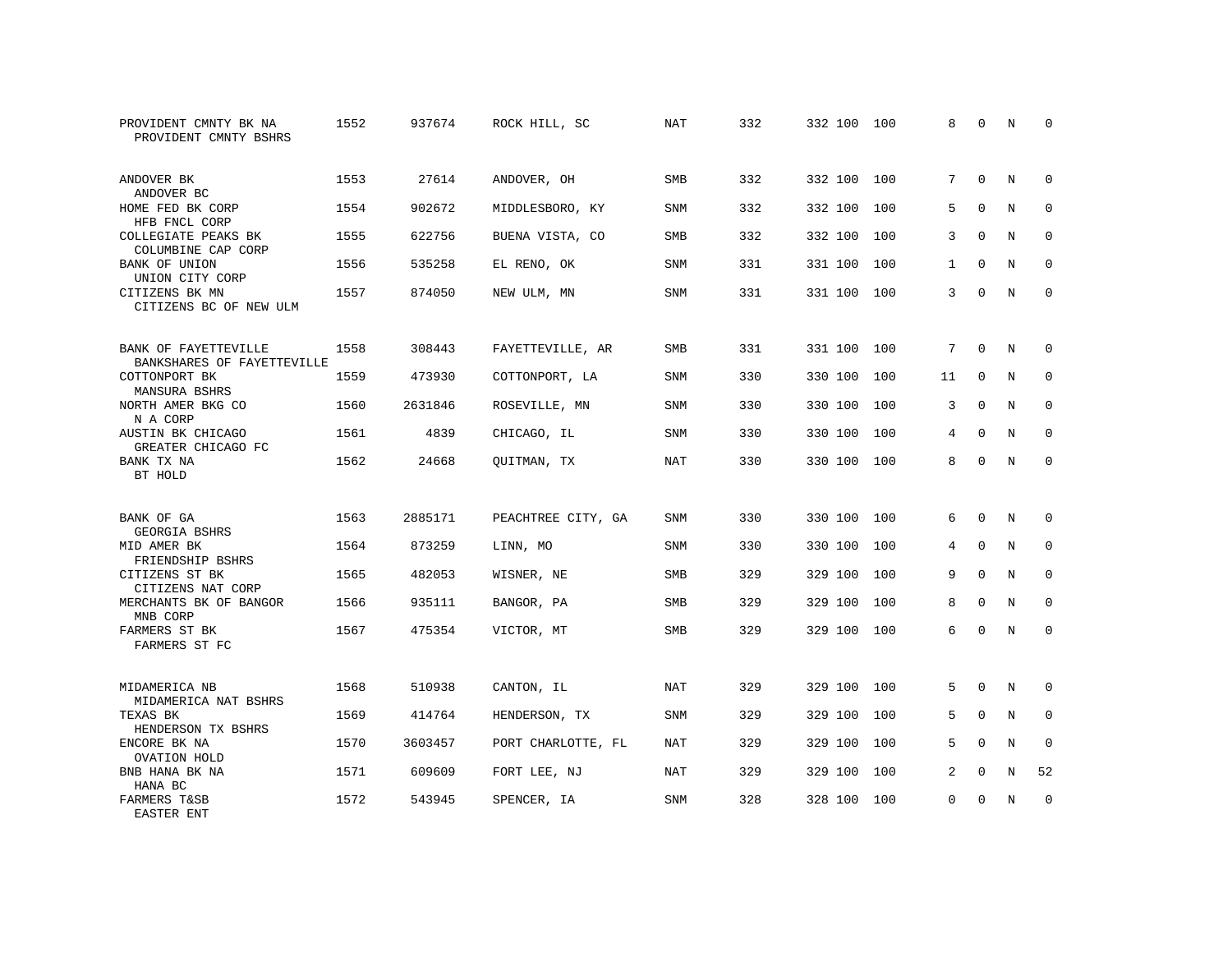| PROVIDENT CMNTY BK NA<br>PROVIDENT CMNTY BSHRS     | 1552 | 937674  | ROCK HILL, SC      | <b>NAT</b> | 332 | 332 100 | 100 | 8            | $\Omega$    | N           | $\Omega$    |
|----------------------------------------------------|------|---------|--------------------|------------|-----|---------|-----|--------------|-------------|-------------|-------------|
| ANDOVER BK<br>ANDOVER BC                           | 1553 | 27614   | ANDOVER, OH        | SMB        | 332 | 332 100 | 100 | 7            | $\mathbf 0$ | N           | $\mathbf 0$ |
| HOME FED BK CORP<br>HFB FNCL CORP                  | 1554 | 902672  | MIDDLESBORO, KY    | <b>SNM</b> | 332 | 332 100 | 100 | 5            | $\Omega$    | N           | $\mathbf 0$ |
| COLLEGIATE PEAKS BK<br>COLUMBINE CAP CORP          | 1555 | 622756  | BUENA VISTA, CO    | <b>SMB</b> | 332 | 332 100 | 100 | 3            | $\Omega$    | N           | $\Omega$    |
| BANK OF UNION<br>UNION CITY CORP                   | 1556 | 535258  | EL RENO, OK        | <b>SNM</b> | 331 | 331 100 | 100 | $\mathbf{1}$ | $\Omega$    | N           | $\Omega$    |
| CITIZENS BK MN<br>CITIZENS BC OF NEW ULM           | 1557 | 874050  | NEW ULM, MN        | <b>SNM</b> | 331 | 331 100 | 100 | 3            | $\Omega$    | N           | $\Omega$    |
| BANK OF FAYETTEVILLE<br>BANKSHARES OF FAYETTEVILLE | 1558 | 308443  | FAYETTEVILLE, AR   | <b>SMB</b> | 331 | 331 100 | 100 | 7            | $\Omega$    | N           | $\Omega$    |
| COTTONPORT BK<br>MANSURA BSHRS                     | 1559 | 473930  | COTTONPORT, LA     | SNM        | 330 | 330 100 | 100 | 11           | 0           | N           | $\mathbf 0$ |
| NORTH AMER BKG CO<br>N A CORP                      | 1560 | 2631846 | ROSEVILLE, MN      | <b>SNM</b> | 330 | 330 100 | 100 | 3            | $\Omega$    | N           | $\Omega$    |
| AUSTIN BK CHICAGO<br>GREATER CHICAGO FC            | 1561 | 4839    | CHICAGO, IL        | <b>SNM</b> | 330 | 330 100 | 100 | 4            | $\mathbf 0$ | $\rm N$     | $\mathbf 0$ |
| BANK TX NA<br>BT HOLD                              | 1562 | 24668   | QUITMAN, TX        | <b>NAT</b> | 330 | 330 100 | 100 | 8            | $\Omega$    | N           | $\mathbf 0$ |
| BANK OF GA<br>GEORGIA BSHRS                        | 1563 | 2885171 | PEACHTREE CITY, GA | <b>SNM</b> | 330 | 330 100 | 100 | 6            | $\Omega$    | N           | 0           |
| MID AMER BK<br>FRIENDSHIP BSHRS                    | 1564 | 873259  | LINN, MO           | SNM        | 330 | 330 100 | 100 | 4            | $\Omega$    | N           | $\mathbf 0$ |
| CITIZENS ST BK<br>CITIZENS NAT CORP                | 1565 | 482053  | WISNER, NE         | SMB        | 329 | 329 100 | 100 | 9            | $\mathbf 0$ | N           | 0           |
| MERCHANTS BK OF BANGOR<br>MNB CORP                 | 1566 | 935111  | BANGOR, PA         | <b>SMB</b> | 329 | 329 100 | 100 | 8            | $\Omega$    | $_{\rm N}$  | $\mathbf 0$ |
| FARMERS ST BK<br>FARMERS ST FC                     | 1567 | 475354  | VICTOR, MT         | SMB        | 329 | 329 100 | 100 | 6            | $\mathbf 0$ | $\mathbf N$ | $\mathbf 0$ |
| MIDAMERICA NB<br>MIDAMERICA NAT BSHRS              | 1568 | 510938  | CANTON, IL         | <b>NAT</b> | 329 | 329 100 | 100 | 5            | $\Omega$    | N           | $\Omega$    |
| TEXAS BK<br>HENDERSON TX BSHRS                     | 1569 | 414764  | HENDERSON, TX      | <b>SNM</b> | 329 | 329 100 | 100 | 5            | $\mathbf 0$ | N           | $\mathbf 0$ |
| ENCORE BK NA<br>OVATION HOLD                       | 1570 | 3603457 | PORT CHARLOTTE, FL | <b>NAT</b> | 329 | 329 100 | 100 | 5            | $\Omega$    | N           | $\mathbf 0$ |
| BNB HANA BK NA<br>HANA BC                          | 1571 | 609609  | FORT LEE, NJ       | <b>NAT</b> | 329 | 329 100 | 100 | 2            | 0           | N           | 52          |
| <b>FARMERS T&amp;SB</b><br>EASTER ENT              | 1572 | 543945  | SPENCER, IA        | <b>SNM</b> | 328 | 328 100 | 100 | $\Omega$     | $\Omega$    | N           | $\mathbf 0$ |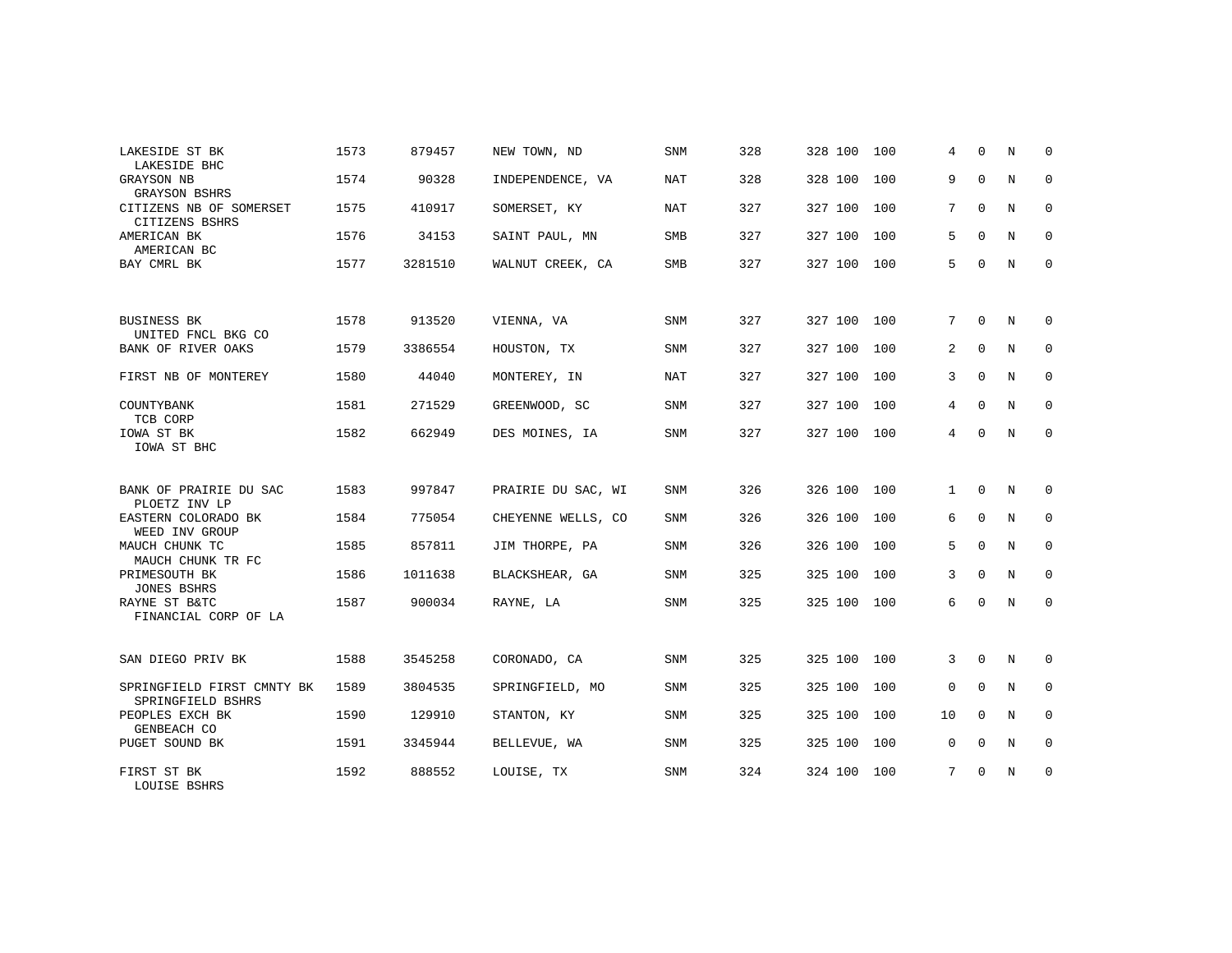| LAKESIDE ST BK                                     | 1573 | 879457  | NEW TOWN, ND       | <b>SNM</b> | 328 | 328 100     | 100 | 4           | $\Omega$    | N | $\Omega$    |
|----------------------------------------------------|------|---------|--------------------|------------|-----|-------------|-----|-------------|-------------|---|-------------|
| LAKESIDE BHC<br>GRAYSON NB<br><b>GRAYSON BSHRS</b> | 1574 | 90328   | INDEPENDENCE, VA   | NAT        | 328 | 328 100     | 100 | 9           | $\mathbf 0$ | N | 0           |
| CITIZENS NB OF SOMERSET<br>CITIZENS BSHRS          | 1575 | 410917  | SOMERSET, KY       | NAT        | 327 | 327 100     | 100 | 7           | $\mathbf 0$ | N | 0           |
| AMERICAN BK<br>AMERICAN BC                         | 1576 | 34153   | SAINT PAUL, MN     | <b>SMB</b> | 327 | 327 100     | 100 | 5           | $\Omega$    | N | 0           |
| BAY CMRL BK                                        | 1577 | 3281510 | WALNUT CREEK, CA   | SMB        | 327 | 327 100 100 |     | 5           | $\mathbf 0$ | N | $\mathbf 0$ |
|                                                    |      |         |                    |            |     |             |     |             |             |   |             |
| <b>BUSINESS BK</b><br>UNITED FNCL BKG CO           | 1578 | 913520  | VIENNA, VA         | <b>SNM</b> | 327 | 327 100     | 100 | 7           | $\mathbf 0$ | N | 0           |
| BANK OF RIVER OAKS                                 | 1579 | 3386554 | HOUSTON, TX        | <b>SNM</b> | 327 | 327 100     | 100 | 2           | $\Omega$    | N | $\mathbf 0$ |
| FIRST NB OF MONTEREY                               | 1580 | 44040   | MONTEREY, IN       | NAT        | 327 | 327 100 100 |     | 3           | $\Omega$    | N | 0           |
| COUNTYBANK<br>TCB CORP                             | 1581 | 271529  | GREENWOOD, SC      | <b>SNM</b> | 327 | 327 100     | 100 | 4           | $\Omega$    | N | $\mathbf 0$ |
| IOWA ST BK<br>IOWA ST BHC                          | 1582 | 662949  | DES MOINES, IA     | <b>SNM</b> | 327 | 327 100 100 |     | 4           | $\Omega$    | N | $\mathbf 0$ |
| BANK OF PRAIRIE DU SAC                             | 1583 | 997847  | PRAIRIE DU SAC, WI | SNM        | 326 | 326 100     | 100 | 1           | $\Omega$    | N | 0           |
| PLOETZ INV LP<br>EASTERN COLORADO BK               | 1584 | 775054  | CHEYENNE WELLS, CO | SNM        | 326 | 326 100 100 |     | 6           | 0           | N | 0           |
| WEED INV GROUP<br>MAUCH CHUNK TC                   | 1585 | 857811  | JIM THORPE, PA     | SNM        | 326 | 326 100     | 100 | 5           | $\Omega$    | N | $\mathbf 0$ |
| MAUCH CHUNK TR FC                                  |      |         |                    |            | 325 |             |     | 3           | $\Omega$    | N | $\mathbf 0$ |
| PRIMESOUTH BK<br><b>JONES BSHRS</b>                | 1586 | 1011638 | BLACKSHEAR, GA     | SNM        |     | 325 100     | 100 |             |             |   |             |
| RAYNE ST B&TC<br>FINANCIAL CORP OF LA              | 1587 | 900034  | RAYNE, LA          | SNM        | 325 | 325 100 100 |     | 6           | $\Omega$    | N | $\mathbf 0$ |
| SAN DIEGO PRIV BK                                  | 1588 | 3545258 | CORONADO, CA       | <b>SNM</b> | 325 | 325 100 100 |     | 3           | $\mathbf 0$ | N | 0           |
| SPRINGFIELD FIRST CMNTY BK<br>SPRINGFIELD BSHRS    | 1589 | 3804535 | SPRINGFIELD, MO    | SNM        | 325 | 325 100     | 100 | $\mathbf 0$ | $\Omega$    | N | 0           |
| PEOPLES EXCH BK<br>GENBEACH CO                     | 1590 | 129910  | STANTON, KY        | <b>SNM</b> | 325 | 325 100     | 100 | 10          | $\Omega$    | N | $\mathbf 0$ |
| PUGET SOUND BK                                     | 1591 | 3345944 | BELLEVUE, WA       | <b>SNM</b> | 325 | 325 100     | 100 | 0           | $\Omega$    | N | $\mathbf 0$ |
| FIRST ST BK<br>LOUISE BSHRS                        | 1592 | 888552  | LOUISE, TX         | <b>SNM</b> | 324 | 324 100 100 |     | 7           | $\mathbf 0$ | N | 0           |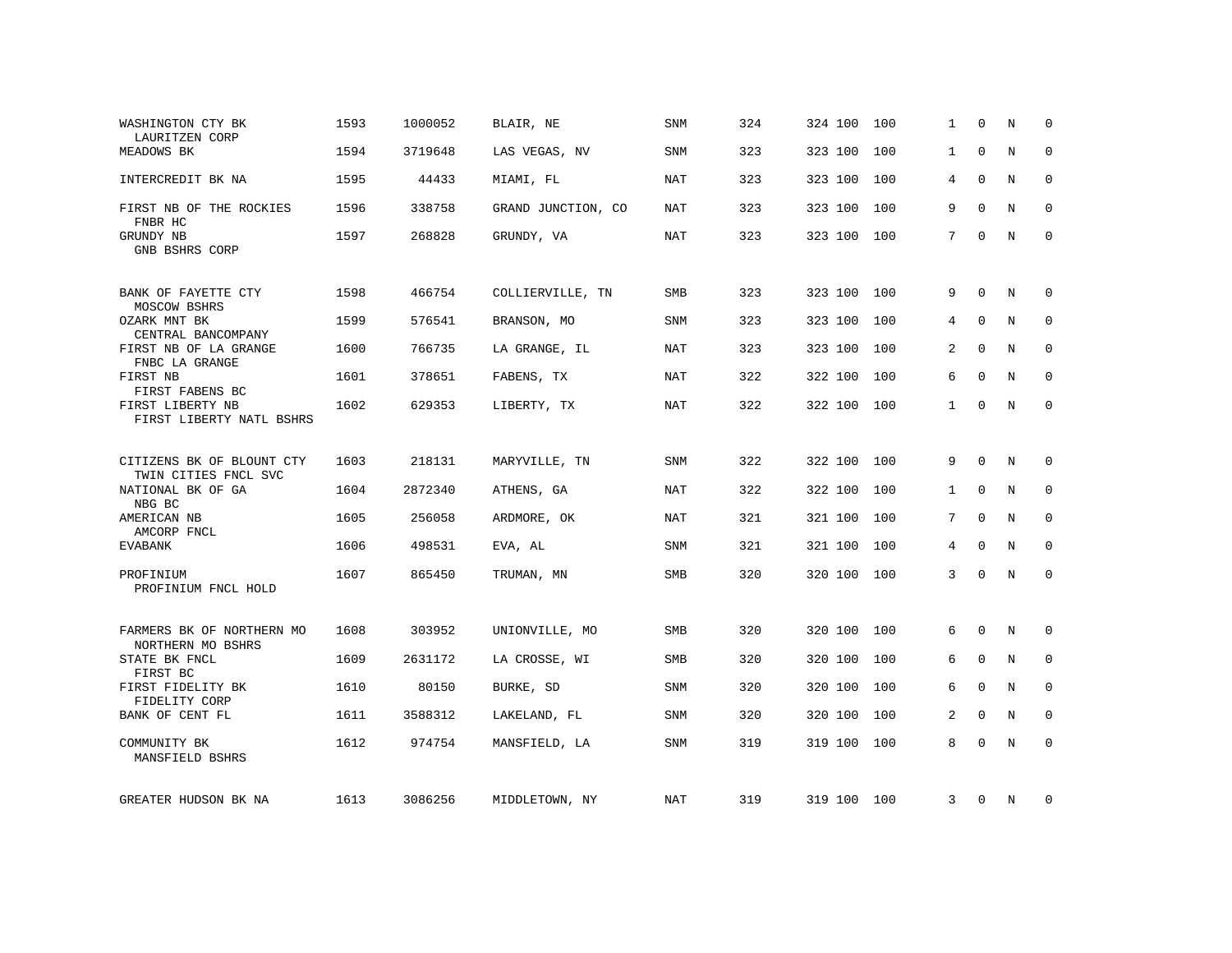| WASHINGTON CTY BK<br>LAURITZEN CORP               | 1593 | 1000052 | BLAIR, NE          | <b>SNM</b> | 324 | 324 100     | 100 | 1            | $\Omega$    | N | $\Omega$    |
|---------------------------------------------------|------|---------|--------------------|------------|-----|-------------|-----|--------------|-------------|---|-------------|
| MEADOWS BK                                        | 1594 | 3719648 | LAS VEGAS, NV      | <b>SNM</b> | 323 | 323 100     | 100 | $\mathbf{1}$ | $\Omega$    | N | $\mathbf 0$ |
| INTERCREDIT BK NA                                 | 1595 | 44433   | MIAMI, FL          | NAT        | 323 | 323 100     | 100 | 4            | $\Omega$    | N | 0           |
| FIRST NB OF THE ROCKIES<br>FNBR HC                | 1596 | 338758  | GRAND JUNCTION, CO | NAT        | 323 | 323 100     | 100 | 9            | $\Omega$    | N | 0           |
| GRUNDY NB<br>GNB BSHRS CORP                       | 1597 | 268828  | GRUNDY, VA         | <b>NAT</b> | 323 | 323 100     | 100 | 7            | $\Omega$    | N | $\Omega$    |
| BANK OF FAYETTE CTY<br>MOSCOW BSHRS               | 1598 | 466754  | COLLIERVILLE, TN   | <b>SMB</b> | 323 | 323 100     | 100 | 9            | $\Omega$    | N | 0           |
| OZARK MNT BK<br>CENTRAL BANCOMPANY                | 1599 | 576541  | BRANSON, MO        | SNM        | 323 | 323 100     | 100 | 4            | $\mathbf 0$ | N | $\mathbf 0$ |
| FIRST NB OF LA GRANGE<br>FNBC LA GRANGE           | 1600 | 766735  | LA GRANGE, IL      | <b>NAT</b> | 323 | 323 100     | 100 | 2            | $\Omega$    | N | $\Omega$    |
| FIRST NB<br>FIRST FABENS BC                       | 1601 | 378651  | FABENS, TX         | <b>NAT</b> | 322 | 322 100     | 100 | 6            | $\Omega$    | N | $\mathbf 0$ |
| FIRST LIBERTY NB<br>FIRST LIBERTY NATL BSHRS      | 1602 | 629353  | LIBERTY, TX        | <b>NAT</b> | 322 | 322 100     | 100 | $\mathbf{1}$ | 0           | N | 0           |
| CITIZENS BK OF BLOUNT CTY<br>TWIN CITIES FNCL SVC | 1603 | 218131  | MARYVILLE, TN      | <b>SNM</b> | 322 | 322 100     | 100 | 9            | $\Omega$    | N | 0           |
| NATIONAL BK OF GA<br>NBG BC                       | 1604 | 2872340 | ATHENS, GA         | NAT        | 322 | 322 100     | 100 | $\mathbf{1}$ | $\Omega$    | N | $\mathbf 0$ |
| AMERICAN NB<br>AMCORP FNCL                        | 1605 | 256058  | ARDMORE, OK        | NAT        | 321 | 321 100     | 100 | 7            | $\mathbf 0$ | N | $\mathbf 0$ |
| <b>EVABANK</b>                                    | 1606 | 498531  | EVA, AL            | SNM        | 321 | 321 100     | 100 | 4            | 0           | N | 0           |
| PROFINIUM<br>PROFINIUM FNCL HOLD                  | 1607 | 865450  | TRUMAN, MN         | <b>SMB</b> | 320 | 320 100     | 100 | 3            | $\Omega$    | N | $\mathbf 0$ |
| FARMERS BK OF NORTHERN MO<br>NORTHERN MO BSHRS    | 1608 | 303952  | UNIONVILLE, MO     | SMB        | 320 | 320 100     | 100 | 6            | $\mathbf 0$ | N | 0           |
| STATE BK FNCL<br>FIRST BC                         | 1609 | 2631172 | LA CROSSE, WI      | SMB        | 320 | 320 100     | 100 | 6            | 0           | N | 0           |
| FIRST FIDELITY BK<br>FIDELITY CORP                | 1610 | 80150   | BURKE, SD          | SNM        | 320 | 320 100     | 100 | 6            | $\mathbf 0$ | N | $\mathbf 0$ |
| BANK OF CENT FL                                   | 1611 | 3588312 | LAKELAND, FL       | <b>SNM</b> | 320 | 320 100     | 100 | 2            | $\Omega$    | N | $\Omega$    |
| COMMUNITY BK<br>MANSFIELD BSHRS                   | 1612 | 974754  | MANSFIELD, LA      | SNM        | 319 | 319 100     | 100 | 8            | $\Omega$    | N | $\mathbf 0$ |
| GREATER HUDSON BK NA                              | 1613 | 3086256 | MIDDLETOWN, NY     | NAT        | 319 | 319 100 100 |     | 3            | 0           | N | 0           |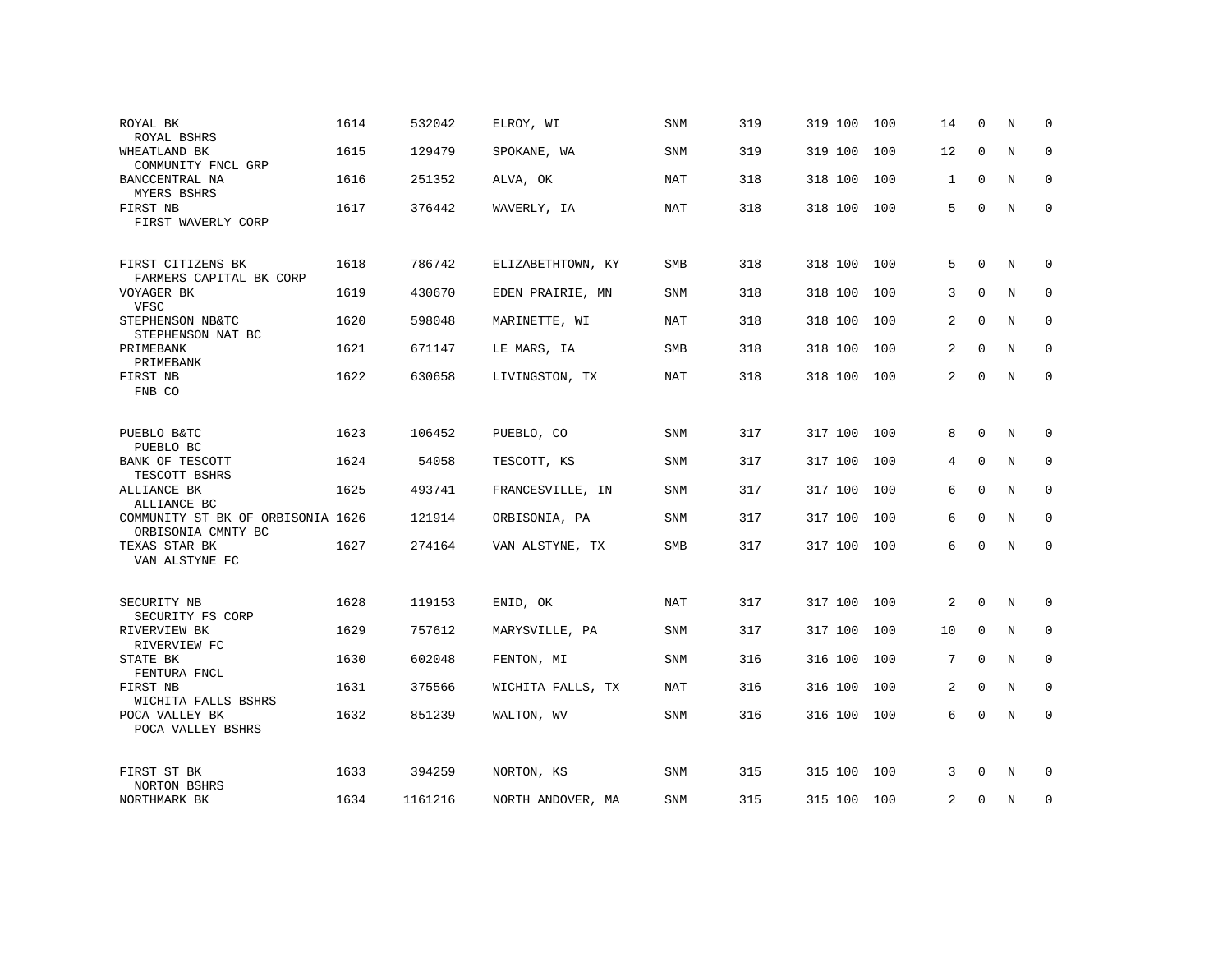| ROYAL BK<br>ROYAL BSHRS                                 | 1614 | 532042  | ELROY, WI         | <b>SNM</b> | 319 | 319 100 | 100 | 14 | $\Omega$    | N           | $\Omega$    |
|---------------------------------------------------------|------|---------|-------------------|------------|-----|---------|-----|----|-------------|-------------|-------------|
| WHEATLAND BK<br>COMMUNITY FNCL GRP                      | 1615 | 129479  | SPOKANE, WA       | SNM        | 319 | 319 100 | 100 | 12 | $\Omega$    | $\mathbf N$ | $\mathbf 0$ |
| BANCCENTRAL NA<br>MYERS BSHRS                           | 1616 | 251352  | ALVA, OK          | NAT        | 318 | 318 100 | 100 | 1  | $\mathbf 0$ | N           | 0           |
| FIRST NB<br>FIRST WAVERLY CORP                          | 1617 | 376442  | WAVERLY, IA       | NAT        | 318 | 318 100 | 100 | 5  | 0           | $\mathbf N$ | $\mathbf 0$ |
| FIRST CITIZENS BK<br>FARMERS CAPITAL BK CORP            | 1618 | 786742  | ELIZABETHTOWN, KY | SMB        | 318 | 318 100 | 100 | 5  | $\Omega$    | N           | $\Omega$    |
| VOYAGER BK<br>VFSC                                      | 1619 | 430670  | EDEN PRAIRIE, MN  | SNM        | 318 | 318 100 | 100 | 3  | $\Omega$    | N           | 0           |
| STEPHENSON NB&TC<br>STEPHENSON NAT BC                   | 1620 | 598048  | MARINETTE, WI     | <b>NAT</b> | 318 | 318 100 | 100 | 2  | 0           | N           | 0           |
| PRIMEBANK<br>PRIMEBANK                                  | 1621 | 671147  | LE MARS, IA       | <b>SMB</b> | 318 | 318 100 | 100 | 2  | $\Omega$    | N           | $\Omega$    |
| FIRST NB<br>FNB CO                                      | 1622 | 630658  | LIVINGSTON, TX    | <b>NAT</b> | 318 | 318 100 | 100 | 2  | $\mathbf 0$ | $\mathbf N$ | $\mathbf 0$ |
|                                                         |      |         |                   |            |     |         |     |    |             |             |             |
| PUEBLO B&TC<br>PUEBLO BC                                | 1623 | 106452  | PUEBLO, CO        | SNM        | 317 | 317 100 | 100 | 8  | 0           | N           | 0           |
| BANK OF TESCOTT<br>TESCOTT BSHRS                        | 1624 | 54058   | TESCOTT, KS       | <b>SNM</b> | 317 | 317 100 | 100 | 4  | $\Omega$    | N           | $\mathbf 0$ |
| ALLIANCE BK<br>ALLIANCE BC                              | 1625 | 493741  | FRANCESVILLE, IN  | <b>SNM</b> | 317 | 317 100 | 100 | 6  | $\mathbf 0$ | N           | $\mathbf 0$ |
| COMMUNITY ST BK OF ORBISONIA 1626<br>ORBISONIA CMNTY BC |      | 121914  | ORBISONIA, PA     | <b>SNM</b> | 317 | 317 100 | 100 | 6  | $\mathbf 0$ | N           | $\mathbf 0$ |
| TEXAS STAR BK<br>VAN ALSTYNE FC                         | 1627 | 274164  | VAN ALSTYNE, TX   | SMB        | 317 | 317 100 | 100 | 6  | 0           | N           | 0           |
|                                                         |      |         |                   |            |     |         |     |    |             |             |             |
| SECURITY NB<br>SECURITY FS CORP                         | 1628 | 119153  | ENID, OK          | <b>NAT</b> | 317 | 317 100 | 100 | 2  | $\mathbf 0$ | N           | 0           |
| RIVERVIEW BK<br>RIVERVIEW FC                            | 1629 | 757612  | MARYSVILLE, PA    | SNM        | 317 | 317 100 | 100 | 10 | $\mathbf 0$ | N           | 0           |
| STATE BK<br>FENTURA FNCL                                | 1630 | 602048  | FENTON, MI        | SNM        | 316 | 316 100 | 100 | 7  | $\mathbf 0$ | N           | 0           |
| FIRST NB<br>WICHITA FALLS BSHRS                         | 1631 | 375566  | WICHITA FALLS, TX | NAT        | 316 | 316 100 | 100 | 2  | 0           | N           | 0           |
| POCA VALLEY BK<br>POCA VALLEY BSHRS                     | 1632 | 851239  | WALTON, WV        | <b>SNM</b> | 316 | 316 100 | 100 | 6  | $\Omega$    | $\mathbb N$ | $\mathbf 0$ |
| FIRST ST BK<br>NORTON BSHRS                             | 1633 | 394259  | NORTON, KS        | <b>SNM</b> | 315 | 315 100 | 100 | 3  | $\Omega$    | N           | 0           |
| NORTHMARK BK                                            | 1634 | 1161216 | NORTH ANDOVER, MA | <b>SNM</b> | 315 | 315 100 | 100 | 2  | 0           | N           | $\mathbf 0$ |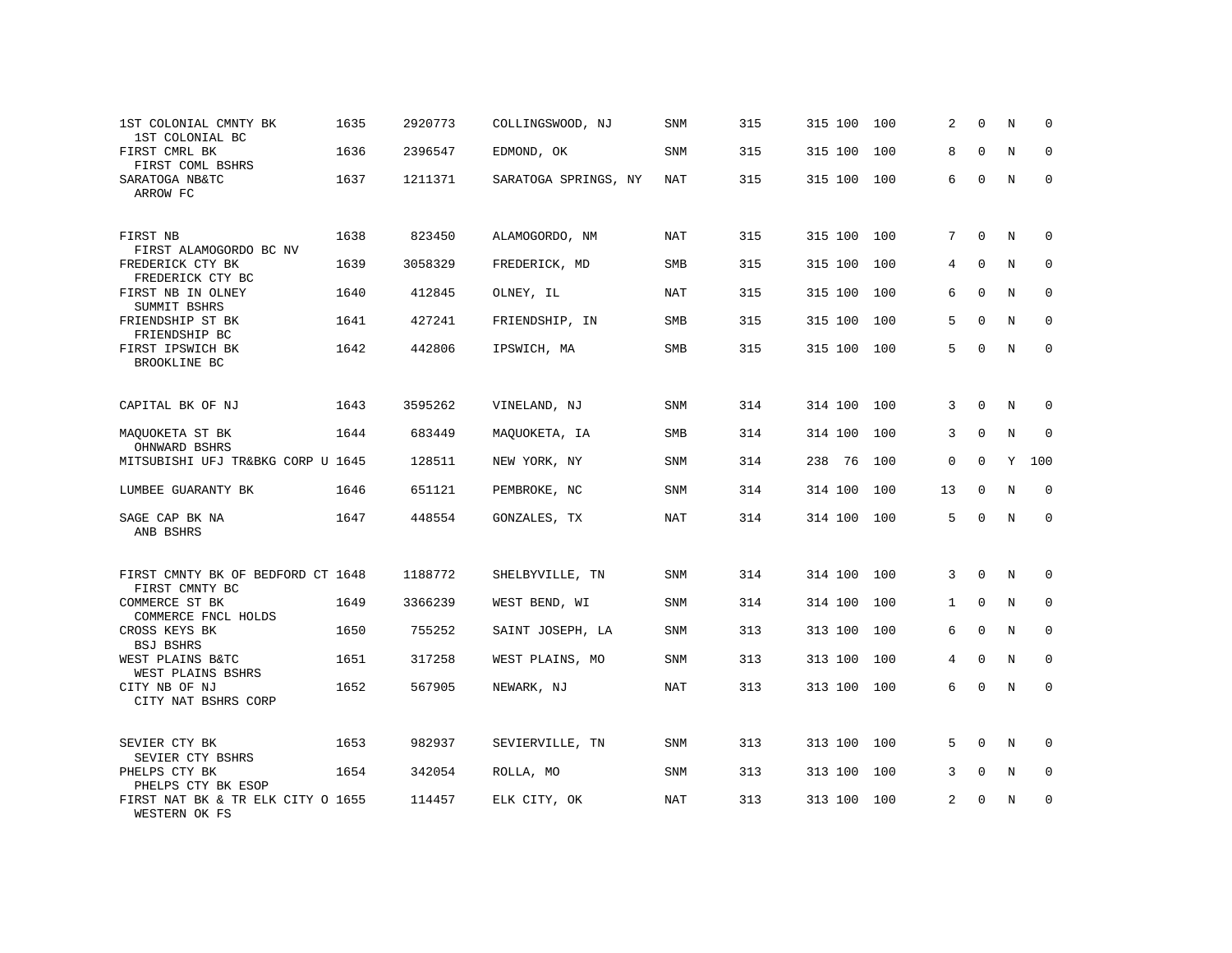| 1ST COLONIAL CMNTY BK<br>1ST COLONIAL BC            | 1635 | 2920773 | COLLINGSWOOD, NJ     | SNM        | 315 | 315 100 | 100 | 2              | $\Omega$     | N           | 0            |
|-----------------------------------------------------|------|---------|----------------------|------------|-----|---------|-----|----------------|--------------|-------------|--------------|
| FIRST CMRL BK<br>FIRST COML BSHRS                   | 1636 | 2396547 | EDMOND, OK           | SNM        | 315 | 315 100 | 100 | 8              | $\Omega$     | N           | 0            |
| SARATOGA NB&TC<br>ARROW FC                          | 1637 | 1211371 | SARATOGA SPRINGS, NY | NAT        | 315 | 315 100 | 100 | 6              | $\Omega$     | N           | $\Omega$     |
| FIRST NB<br>FIRST ALAMOGORDO BC NV                  | 1638 | 823450  | ALAMOGORDO, NM       | <b>NAT</b> | 315 | 315 100 | 100 | 7              | $\Omega$     | N           | $\mathbf 0$  |
| FREDERICK CTY BK<br>FREDERICK CTY BC                | 1639 | 3058329 | FREDERICK, MD        | SMB        | 315 | 315 100 | 100 | 4              | $\Omega$     | N           | $\mathbf{0}$ |
| FIRST NB IN OLNEY<br>SUMMIT BSHRS                   | 1640 | 412845  | OLNEY, IL            | <b>NAT</b> | 315 | 315 100 | 100 | 6              | $\Omega$     | N           | $\mathbf{0}$ |
| FRIENDSHIP ST BK<br>FRIENDSHIP BC                   | 1641 | 427241  | FRIENDSHIP, IN       | SMB        | 315 | 315 100 | 100 | 5              | $\mathbf 0$  | $\mathbf N$ | $\mathbf 0$  |
| FIRST IPSWICH BK<br>BROOKLINE BC                    | 1642 | 442806  | IPSWICH, MA          | SMB        | 315 | 315 100 | 100 | 5              | $\Omega$     | N           | $\Omega$     |
| CAPITAL BK OF NJ                                    | 1643 | 3595262 | VINELAND, NJ         | SNM        | 314 | 314 100 | 100 | 3              | $\mathbf{0}$ | N           | $\mathbf 0$  |
| MAQUOKETA ST BK<br>OHNWARD BSHRS                    | 1644 | 683449  | MAQUOKETA, IA        | SMB        | 314 | 314 100 | 100 | 3              | $\Omega$     | N           | $\mathbf{0}$ |
| MITSUBISHI UFJ TR&BKG CORP U 1645                   |      | 128511  | NEW YORK, NY         | SNM        | 314 | 238 76  | 100 | 0              | $\Omega$     | Y           | 100          |
| LUMBEE GUARANTY BK                                  | 1646 | 651121  | PEMBROKE, NC         | SNM        | 314 | 314 100 | 100 | 13             | $\mathbf 0$  | N           | $\mathbf 0$  |
| SAGE CAP BK NA<br>ANB BSHRS                         | 1647 | 448554  | GONZALES, TX         | <b>NAT</b> | 314 | 314 100 | 100 | 5              | $\Omega$     | N           | $\mathbf 0$  |
| FIRST CMNTY BK OF BEDFORD CT 1648<br>FIRST CMNTY BC |      | 1188772 | SHELBYVILLE, TN      | SNM        | 314 | 314 100 | 100 | 3              | $\mathbf{0}$ | $\mathbf N$ | 0            |
| COMMERCE ST BK<br>COMMERCE FNCL HOLDS               | 1649 | 3366239 | WEST BEND, WI        | SNM        | 314 | 314 100 | 100 | $\mathbf 1$    | $\mathbf{0}$ | N           | $\mathbf 0$  |
| CROSS KEYS BK<br><b>BSJ BSHRS</b>                   | 1650 | 755252  | SAINT JOSEPH, LA     | <b>SNM</b> | 313 | 313 100 | 100 | 6              | $\mathbf{0}$ | N           | $\mathbf 0$  |
| WEST PLAINS B&TC<br>WEST PLAINS BSHRS               | 1651 | 317258  | WEST PLAINS, MO      | SNM        | 313 | 313 100 | 100 | $\overline{4}$ | $\mathbf 0$  | $\mathbf N$ | $\mathbf 0$  |
| CITY NB OF NJ<br>CITY NAT BSHRS CORP                | 1652 | 567905  | NEWARK, NJ           | <b>NAT</b> | 313 | 313 100 | 100 | 6              | $\mathbf 0$  | $\mathbf N$ | $\mathbf 0$  |
| SEVIER CTY BK<br>SEVIER CTY BSHRS                   | 1653 | 982937  | SEVIERVILLE, TN      | SNM        | 313 | 313 100 | 100 | 5              | $\mathbf 0$  | N           | 0            |
| PHELPS CTY BK<br>PHELPS CTY BK ESOP                 | 1654 | 342054  | ROLLA, MO            | <b>SNM</b> | 313 | 313 100 | 100 | 3              | $\Omega$     | N           | 0            |
| FIRST NAT BK & TR ELK CITY O 1655<br>WESTERN OK FS  |      | 114457  | ELK CITY, OK         | NAT        | 313 | 313 100 | 100 | 2              | $\Omega$     | N           | $\mathbf{0}$ |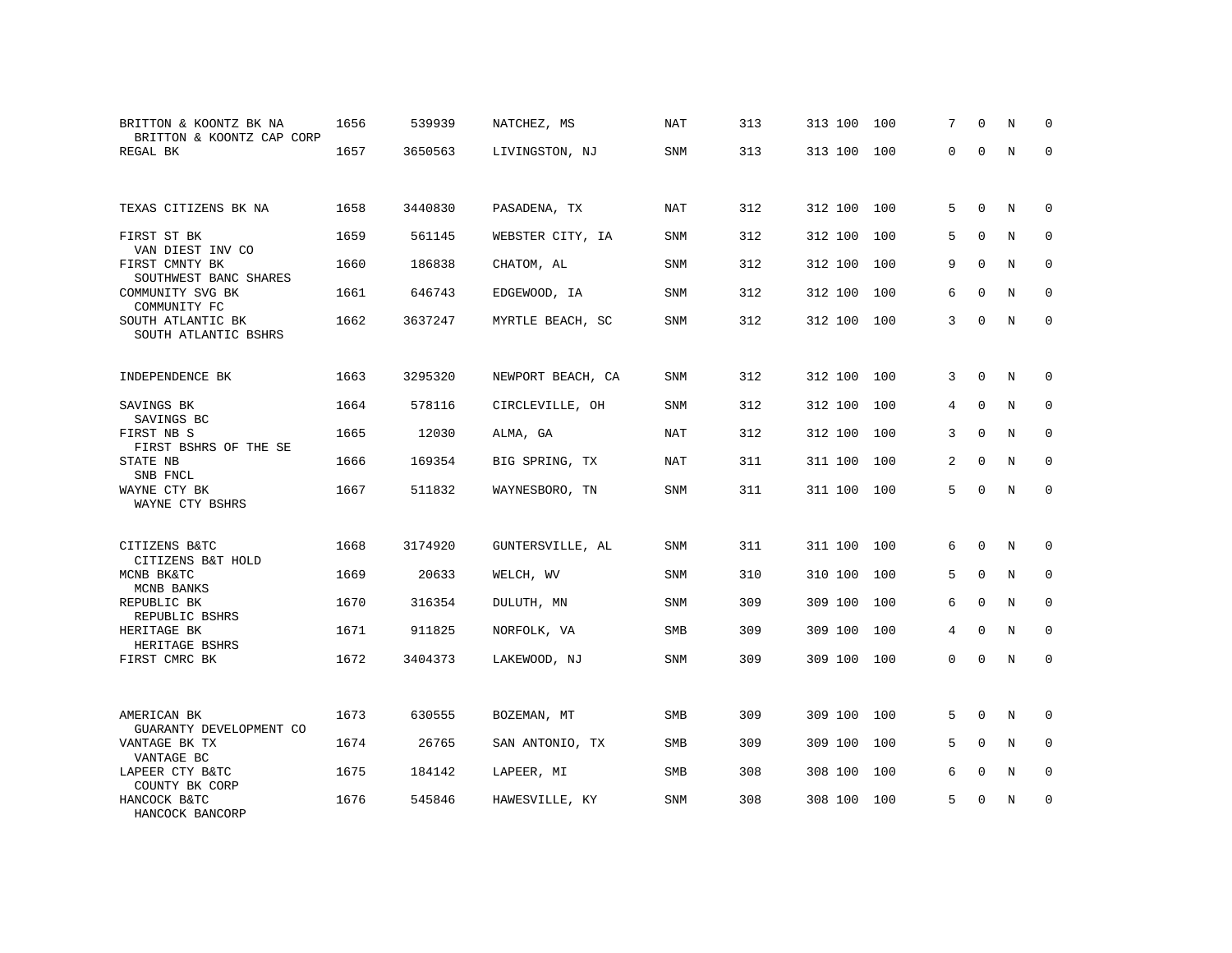| BRITTON & KOONTZ BK NA<br>BRITTON & KOONTZ CAP CORP | 1656 | 539939  | NATCHEZ, MS       | NAT        | 313 | 313 100 | 100 | 7        | $\Omega$    | N           | $\Omega$    |
|-----------------------------------------------------|------|---------|-------------------|------------|-----|---------|-----|----------|-------------|-------------|-------------|
| REGAL BK                                            | 1657 | 3650563 | LIVINGSTON, NJ    | <b>SNM</b> | 313 | 313 100 | 100 | $\Omega$ | $\Omega$    | $\mathbf N$ | $\Omega$    |
| TEXAS CITIZENS BK NA                                | 1658 | 3440830 | PASADENA, TX      | <b>NAT</b> | 312 | 312 100 | 100 | 5        | $\Omega$    | N           | $\Omega$    |
| FIRST ST BK<br>VAN DIEST INV CO                     | 1659 | 561145  | WEBSTER CITY, IA  | <b>SNM</b> | 312 | 312 100 | 100 | 5        | $\Omega$    | N           | 0           |
| FIRST CMNTY BK<br>SOUTHWEST BANC SHARES             | 1660 | 186838  | CHATOM, AL        | SNM        | 312 | 312 100 | 100 | 9        | $\mathbf 0$ | $\mathbf N$ | $\mathbf 0$ |
| COMMUNITY SVG BK<br>COMMUNITY FC                    | 1661 | 646743  | EDGEWOOD, IA      | SNM        | 312 | 312 100 | 100 | 6        | $\Omega$    | N           | $\Omega$    |
| SOUTH ATLANTIC BK<br>SOUTH ATLANTIC BSHRS           | 1662 | 3637247 | MYRTLE BEACH, SC  | SNM        | 312 | 312 100 | 100 | 3        | $\Omega$    | N           | 0           |
| INDEPENDENCE BK                                     | 1663 | 3295320 | NEWPORT BEACH, CA | SNM        | 312 | 312 100 | 100 | 3        | 0           | N           | 0           |
| SAVINGS BK<br>SAVINGS BC                            | 1664 | 578116  | CIRCLEVILLE, OH   | SNM        | 312 | 312 100 | 100 | 4        | $\Omega$    | N           | $\Omega$    |
| FIRST NB S<br>FIRST BSHRS OF THE SE                 | 1665 | 12030   | ALMA, GA          | NAT        | 312 | 312 100 | 100 | 3        | $\Omega$    | N           | 0           |
| STATE NB<br>SNB FNCL                                | 1666 | 169354  | BIG SPRING, TX    | NAT        | 311 | 311 100 | 100 | 2        | $\Omega$    | N           | $\Omega$    |
| WAYNE CTY BK<br>WAYNE CTY BSHRS                     | 1667 | 511832  | WAYNESBORO, TN    | SNM        | 311 | 311 100 | 100 | 5        | $\Omega$    | N           | $\mathbf 0$ |
| CITIZENS B&TC<br>CITIZENS B&T HOLD                  | 1668 | 3174920 | GUNTERSVILLE, AL  | SNM        | 311 | 311 100 | 100 | 6        | $\Omega$    | N           | 0           |
| MCNB BK&TC<br>MCNB BANKS                            | 1669 | 20633   | WELCH, WV         | SNM        | 310 | 310 100 | 100 | 5        | 0           | N           | 0           |
| REPUBLIC BK<br>REPUBLIC BSHRS                       | 1670 | 316354  | DULUTH, MN        | SNM        | 309 | 309 100 | 100 | 6        | $\Omega$    | N           | $\Omega$    |
| HERITAGE BK<br>HERITAGE BSHRS                       | 1671 | 911825  | NORFOLK, VA       | SMB        | 309 | 309 100 | 100 | 4        | $\mathbf 0$ | N           | $\mathbf 0$ |
| FIRST CMRC BK                                       | 1672 | 3404373 | LAKEWOOD, NJ      | <b>SNM</b> | 309 | 309 100 | 100 | $\Omega$ | $\Omega$    | N           | $\mathbf 0$ |
| AMERICAN BK<br>GUARANTY DEVELOPMENT CO              | 1673 | 630555  | BOZEMAN, MT       | SMB        | 309 | 309 100 | 100 | 5        | $\mathbf 0$ | N           | 0           |
| VANTAGE BK TX<br>VANTAGE BC                         | 1674 | 26765   | SAN ANTONIO, TX   | SMB        | 309 | 309 100 | 100 | 5        | $\mathbf 0$ | N           | 0           |
| LAPEER CTY B&TC<br>COUNTY BK CORP                   | 1675 | 184142  | LAPEER, MI        | SMB        | 308 | 308 100 | 100 | 6        | $\mathbf 0$ | N           | $\mathbf 0$ |
| HANCOCK B&TC<br>HANCOCK BANCORP                     | 1676 | 545846  | HAWESVILLE, KY    | SNM        | 308 | 308 100 | 100 | 5        | $\Omega$    | N           | $\mathbf 0$ |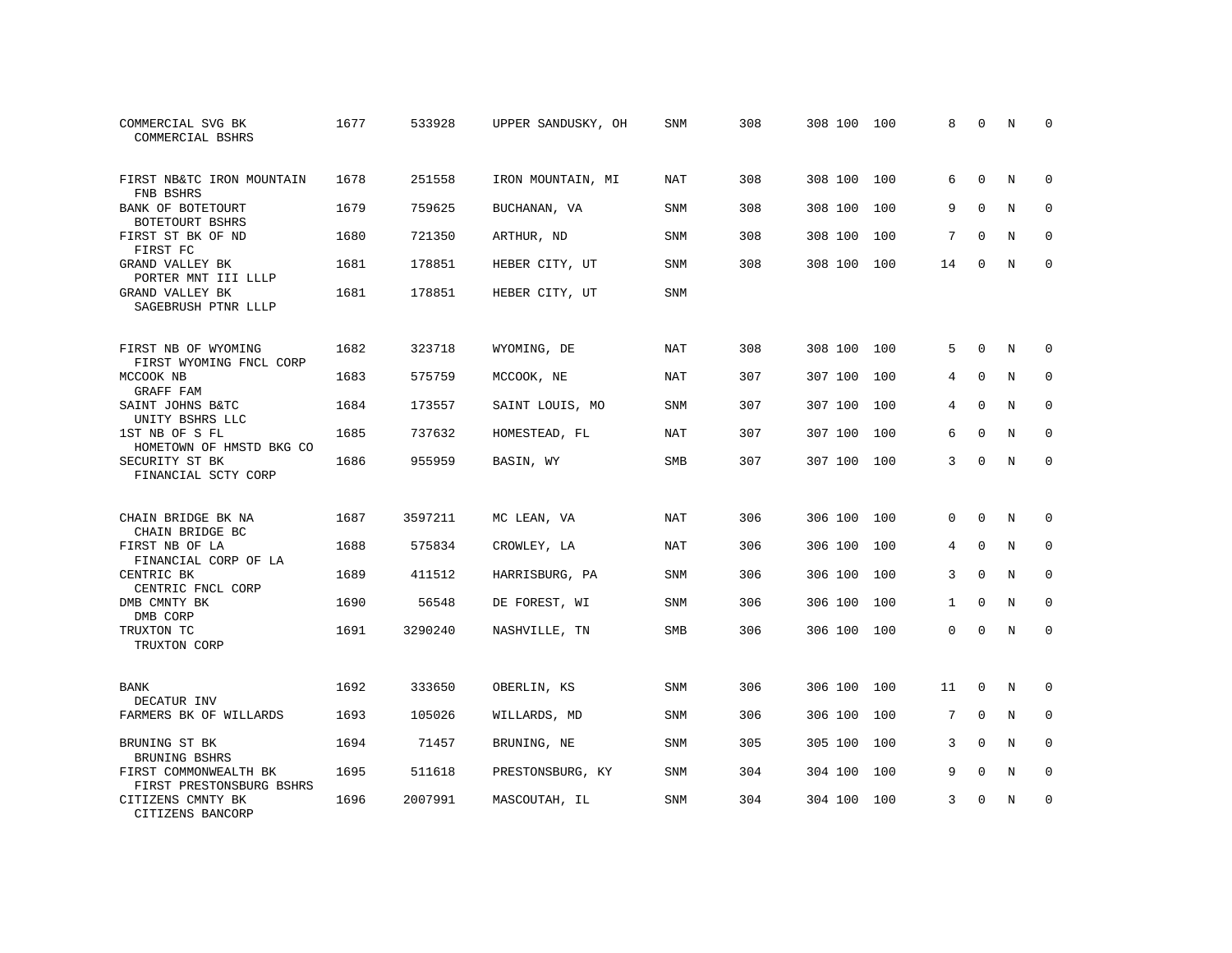| COMMERCIAL SVG BK<br>COMMERCIAL BSHRS             | 1677 | 533928  | UPPER SANDUSKY, OH | SNM        | 308 | 308 100 100 |     | 8            | $\mathbf 0$  | N          | <sup>0</sup> |
|---------------------------------------------------|------|---------|--------------------|------------|-----|-------------|-----|--------------|--------------|------------|--------------|
| FIRST NB&TC IRON MOUNTAIN<br>FNB BSHRS            | 1678 | 251558  | IRON MOUNTAIN, MI  | NAT        | 308 | 308 100     | 100 | 6            | $\Omega$     | N          | $\Omega$     |
| BANK OF BOTETOURT<br>BOTETOURT BSHRS              | 1679 | 759625  | BUCHANAN, VA       | SNM        | 308 | 308 100     | 100 | 9            | $\mathbf 0$  | N          | $\mathbf 0$  |
| FIRST ST BK OF ND<br>FIRST FC                     | 1680 | 721350  | ARTHUR, ND         | SNM        | 308 | 308 100     | 100 | 7            | $\Omega$     | N          | $\Omega$     |
| GRAND VALLEY BK<br>PORTER MNT III LLLP            | 1681 | 178851  | HEBER CITY, UT     | SNM        | 308 | 308 100     | 100 | 14           | $\mathbf 0$  | N          | $\mathbf{0}$ |
| GRAND VALLEY BK<br>SAGEBRUSH PTNR LLLP            | 1681 | 178851  | HEBER CITY, UT     | SNM        |     |             |     |              |              |            |              |
| FIRST NB OF WYOMING<br>FIRST WYOMING FNCL CORP    | 1682 | 323718  | WYOMING, DE        | NAT        | 308 | 308 100     | 100 | 5            | $\mathbf 0$  | N          | $\mathbf 0$  |
| MCCOOK NB<br>GRAFF FAM                            | 1683 | 575759  | MCCOOK, NE         | <b>NAT</b> | 307 | 307 100     | 100 | 4            | $\mathbf 0$  | $_{\rm N}$ | $\mathbf 0$  |
| SAINT JOHNS B&TC<br>UNITY BSHRS LLC               | 1684 | 173557  | SAINT LOUIS, MO    | SNM        | 307 | 307 100     | 100 | 4            | $\mathbf 0$  | N          | $\mathbf 0$  |
| 1ST NB OF S FL<br>HOMETOWN OF HMSTD BKG CO        | 1685 | 737632  | HOMESTEAD, FL      | <b>NAT</b> | 307 | 307 100     | 100 | 6            | $\Omega$     | N          | $\mathbf 0$  |
| SECURITY ST BK<br>FINANCIAL SCTY CORP             | 1686 | 955959  | BASIN, WY          | SMB        | 307 | 307 100 100 |     | 3            | $\Omega$     | $_{\rm N}$ | $\Omega$     |
| CHAIN BRIDGE BK NA<br>CHAIN BRIDGE BC             | 1687 | 3597211 | MC LEAN, VA        | NAT        | 306 | 306 100     | 100 | $\Omega$     | $\Omega$     | N          | $\mathbf 0$  |
| FIRST NB OF LA<br>FINANCIAL CORP OF LA            | 1688 | 575834  | CROWLEY, LA        | NAT        | 306 | 306 100     | 100 | 4            | 0            | N          | 0            |
| CENTRIC BK<br>CENTRIC FNCL CORP                   | 1689 | 411512  | HARRISBURG, PA     | SNM        | 306 | 306 100     | 100 | 3            | $\Omega$     | N          | $\mathbf 0$  |
| DMB CMNTY BK<br>DMB CORP                          | 1690 | 56548   | DE FOREST, WI      | SNM        | 306 | 306 100     | 100 | $\mathbf{1}$ | $\Omega$     | $_{\rm N}$ | $\Omega$     |
| TRUXTON TC<br>TRUXTON CORP                        | 1691 | 3290240 | NASHVILLE, TN      | <b>SMB</b> | 306 | 306 100 100 |     | $\mathbf 0$  | $\mathbf 0$  | N          | $\mathbf 0$  |
| BANK<br>DECATUR INV                               | 1692 | 333650  | OBERLIN, KS        | SNM        | 306 | 306 100     | 100 | 11           | $\mathbf{0}$ | N          | $\mathbf 0$  |
| FARMERS BK OF WILLARDS                            | 1693 | 105026  | WILLARDS, MD       | SNM        | 306 | 306 100     | 100 | 7            | $\mathbf 0$  | N          | $\mathbf 0$  |
| BRUNING ST BK<br>BRUNING BSHRS                    | 1694 | 71457   | BRUNING, NE        | SNM        | 305 | 305 100     | 100 | 3            | $\Omega$     | N          | $\mathbf 0$  |
| FIRST COMMONWEALTH BK<br>FIRST PRESTONSBURG BSHRS | 1695 | 511618  | PRESTONSBURG, KY   | SNM        | 304 | 304 100     | 100 | 9            | $\mathbf 0$  | N          | $\mathbf 0$  |
| CITIZENS CMNTY BK<br>CITIZENS BANCORP             | 1696 | 2007991 | MASCOUTAH, IL      | <b>SNM</b> | 304 | 304 100 100 |     | 3            | $\Omega$     | N          | $\mathbf{0}$ |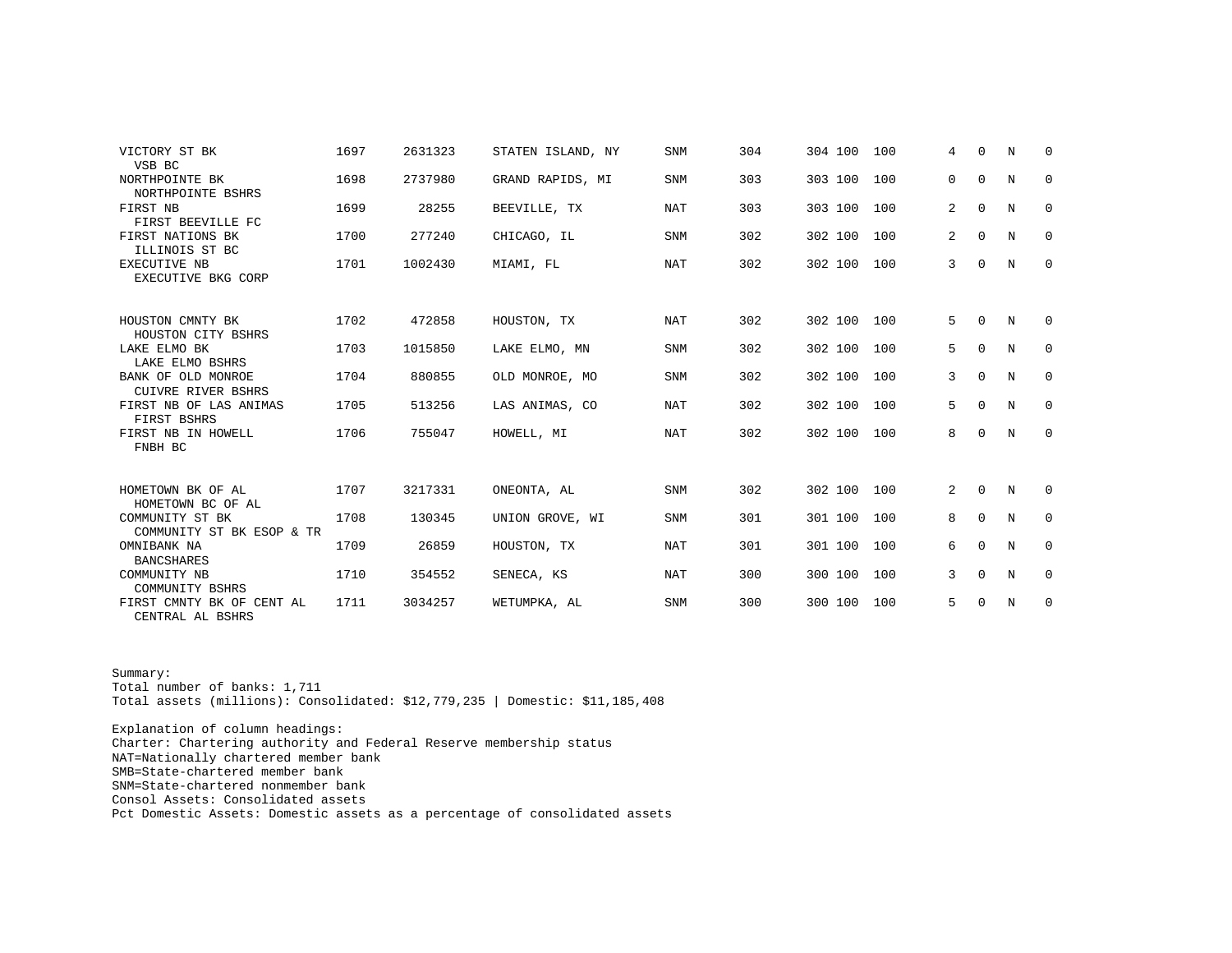| VICTORY ST BK                                                 | 1697 | 2631323 | STATEN ISLAND, NY | <b>SNM</b> | 304 | 304 100 | 100 | 4              | $\Omega$    | N | $\Omega$    |
|---------------------------------------------------------------|------|---------|-------------------|------------|-----|---------|-----|----------------|-------------|---|-------------|
| VSB BC<br>NORTHPOINTE BK<br>NORTHPOINTE BSHRS                 | 1698 | 2737980 | GRAND RAPIDS, MI  | <b>SNM</b> | 303 | 303 100 | 100 | 0              | 0           | N | 0           |
| FIRST NB<br>FIRST BEEVILLE FC                                 | 1699 | 28255   | BEEVILLE, TX      | NAT        | 303 | 303 100 | 100 | 2              | $\mathbf 0$ | N | 0           |
| FIRST NATIONS BK<br>ILLINOIS ST BC                            | 1700 | 277240  | CHICAGO, IL       | <b>SNM</b> | 302 | 302 100 | 100 | $\overline{a}$ | $\Omega$    | N | 0           |
| EXECUTIVE NB<br>EXECUTIVE BKG CORP                            | 1701 | 1002430 | MIAMI, FL         | <b>NAT</b> | 302 | 302 100 | 100 | $\mathbf{3}$   | $\Omega$    | N | $\mathbf 0$ |
| HOUSTON CMNTY BK<br>HOUSTON CITY BSHRS                        | 1702 | 472858  | HOUSTON, TX       | <b>NAT</b> | 302 | 302 100 | 100 | 5              | 0           | N | 0           |
| LAKE ELMO BK<br>LAKE ELMO BSHRS                               | 1703 | 1015850 | LAKE ELMO, MN     | <b>SNM</b> | 302 | 302 100 | 100 | 5              | $\Omega$    | N | 0           |
| BANK OF OLD MONROE<br><b>CUIVRE RIVER BSHRS</b>               | 1704 | 880855  | OLD MONROE, MO    | <b>SNM</b> | 302 | 302 100 | 100 | 3              | $\Omega$    | N | 0           |
| FIRST NB OF LAS ANIMAS<br>FIRST BSHRS                         | 1705 | 513256  | LAS ANIMAS, CO    | <b>NAT</b> | 302 | 302 100 | 100 | 5              | $\Omega$    | N | $\Omega$    |
| FIRST NB IN HOWELL<br>FNBH BC                                 | 1706 | 755047  | HOWELL, MI        | <b>NAT</b> | 302 | 302 100 | 100 | 8              | 0           | N | $\mathbf 0$ |
| HOMETOWN BK OF AL                                             | 1707 | 3217331 | ONEONTA, AL       | <b>SNM</b> | 302 | 302 100 | 100 | 2              | 0           | N | 0           |
| HOMETOWN BC OF AL<br>COMMUNITY ST BK                          | 1708 | 130345  | UNION GROVE, WI   | <b>SNM</b> | 301 | 301 100 | 100 | 8              | $\Omega$    | N | $\Omega$    |
| COMMUNITY ST BK ESOP & TR<br>OMNIBANK NA<br><b>BANCSHARES</b> | 1709 | 26859   | HOUSTON, TX       | NAT        | 301 | 301 100 | 100 | 6              | $\Omega$    | N | 0           |
| COMMUNITY NB<br>COMMUNITY BSHRS                               | 1710 | 354552  | SENECA, KS        | <b>NAT</b> | 300 | 300 100 | 100 | 3              | $\Omega$    | N | 0           |
| FIRST CMNTY BK OF CENT AL<br>CENTRAL AL BSHRS                 | 1711 | 3034257 | WETUMPKA, AL      | <b>SNM</b> | 300 | 300 100 | 100 | 5              | $\Omega$    | N | 0           |

Summary: Total number of banks: 1,711 Total assets (millions): Consolidated: \$12,779,235 | Domestic: \$11,185,408

Explanation of column headings: Charter: Chartering authority and Federal Reserve membership status NAT=Nationally chartered member bank SMB=State-chartered member bank SNM=State-chartered nonmember bank Consol Assets: Consolidated assets Pct Domestic Assets: Domestic assets as a percentage of consolidated assets